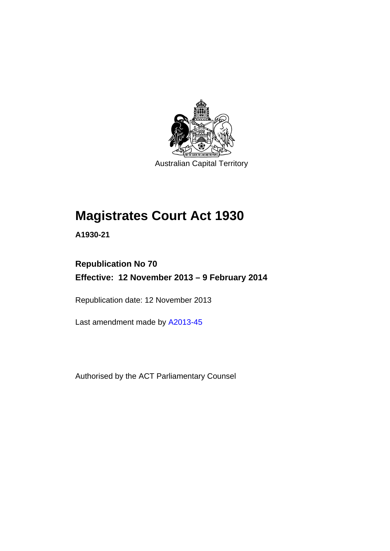

Australian Capital Territory

## **Magistrates Court Act 1930**

**A1930-21** 

### **Republication No 70 Effective: 12 November 2013 – 9 February 2014**

Republication date: 12 November 2013

Last amendment made by [A2013-45](http://www.legislation.act.gov.au/a/2013-45)

Authorised by the ACT Parliamentary Counsel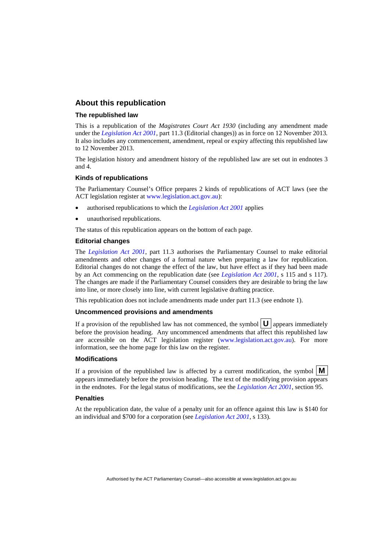### **About this republication**

#### **The republished law**

This is a republication of the *Magistrates Court Act 1930* (including any amendment made under the *[Legislation Act 2001](http://www.legislation.act.gov.au/a/2001-14)*, part 11.3 (Editorial changes)) as in force on 12 November 2013*.*  It also includes any commencement, amendment, repeal or expiry affecting this republished law to 12 November 2013.

The legislation history and amendment history of the republished law are set out in endnotes 3 and 4.

#### **Kinds of republications**

The Parliamentary Counsel's Office prepares 2 kinds of republications of ACT laws (see the ACT legislation register at [www.legislation.act.gov.au](http://www.legislation.act.gov.au/)):

- authorised republications to which the *[Legislation Act 2001](http://www.legislation.act.gov.au/a/2001-14)* applies
- unauthorised republications.

The status of this republication appears on the bottom of each page.

#### **Editorial changes**

The *[Legislation Act 2001](http://www.legislation.act.gov.au/a/2001-14)*, part 11.3 authorises the Parliamentary Counsel to make editorial amendments and other changes of a formal nature when preparing a law for republication. Editorial changes do not change the effect of the law, but have effect as if they had been made by an Act commencing on the republication date (see *[Legislation Act 2001](http://www.legislation.act.gov.au/a/2001-14)*, s 115 and s 117). The changes are made if the Parliamentary Counsel considers they are desirable to bring the law into line, or more closely into line, with current legislative drafting practice.

This republication does not include amendments made under part 11.3 (see endnote 1).

#### **Uncommenced provisions and amendments**

If a provision of the republished law has not commenced, the symbol  $\mathbf{U}$  appears immediately before the provision heading. Any uncommenced amendments that affect this republished law are accessible on the ACT legislation register [\(www.legislation.act.gov.au\)](http://www.legislation.act.gov.au/). For more information, see the home page for this law on the register.

#### **Modifications**

If a provision of the republished law is affected by a current modification, the symbol  $\mathbf{M}$ appears immediately before the provision heading. The text of the modifying provision appears in the endnotes. For the legal status of modifications, see the *[Legislation Act 2001](http://www.legislation.act.gov.au/a/2001-14)*, section 95.

#### **Penalties**

At the republication date, the value of a penalty unit for an offence against this law is \$140 for an individual and \$700 for a corporation (see *[Legislation Act 2001](http://www.legislation.act.gov.au/a/2001-14)*, s 133).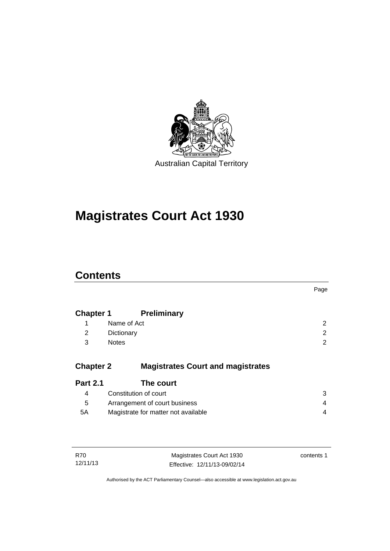

# **Magistrates Court Act 1930**

### **Contents**

|                  |                                          | Page |
|------------------|------------------------------------------|------|
| <b>Chapter 1</b> | <b>Preliminary</b>                       |      |
| 1                | Name of Act                              | 2    |
| 2                | Dictionary                               | 2    |
| 3                | <b>Notes</b>                             | 2    |
| <b>Chapter 2</b> | <b>Magistrates Court and magistrates</b> |      |
| <b>Part 2.1</b>  | The court                                |      |
| 4                | Constitution of court                    | 3    |
| 5                | Arrangement of court business            | 4    |
| 5A               | Magistrate for matter not available      | 4    |
|                  |                                          |      |
|                  |                                          |      |

| R70      | Magistrates Court Act 1930   | contents 1 |
|----------|------------------------------|------------|
| 12/11/13 | Effective: 12/11/13-09/02/14 |            |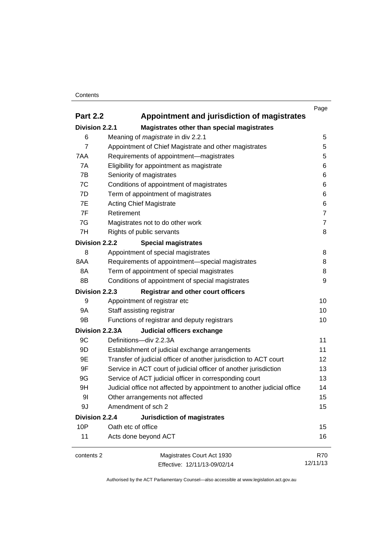#### **Contents**

|                 |                                                                        | Page           |
|-----------------|------------------------------------------------------------------------|----------------|
| <b>Part 2.2</b> | Appointment and jurisdiction of magistrates                            |                |
| Division 2.2.1  | Magistrates other than special magistrates                             |                |
| 6               | Meaning of <i>magistrate</i> in div 2.2.1                              | 5              |
| $\overline{7}$  | Appointment of Chief Magistrate and other magistrates                  | 5              |
| 7AA             | Requirements of appointment-magistrates                                | 5              |
| 7A              | Eligibility for appointment as magistrate                              | 6              |
| 7B              | Seniority of magistrates                                               | 6              |
| 7C              | Conditions of appointment of magistrates                               | 6              |
| 7D              | Term of appointment of magistrates                                     | 6              |
| 7E              | <b>Acting Chief Magistrate</b>                                         | 6              |
| 7F              | Retirement                                                             | $\overline{7}$ |
| 7G              | Magistrates not to do other work                                       | $\overline{7}$ |
| 7H              | Rights of public servants                                              | 8              |
| Division 2.2.2  | <b>Special magistrates</b>                                             |                |
| 8               | Appointment of special magistrates                                     | 8              |
| 8AA             | Requirements of appointment-special magistrates                        | 8              |
| 8A              | Term of appointment of special magistrates                             | 8              |
| 8B              | Conditions of appointment of special magistrates                       | 9              |
| Division 2.2.3  | <b>Registrar and other court officers</b>                              |                |
| 9               | Appointment of registrar etc                                           | 10             |
| <b>9A</b>       | Staff assisting registrar                                              | 10             |
| 9B              | Functions of registrar and deputy registrars                           | 10             |
| Division 2.2.3A | Judicial officers exchange                                             |                |
| 9C              | Definitions-div 2.2.3A                                                 | 11             |
| 9D              | Establishment of judicial exchange arrangements                        | 11             |
| 9E              | Transfer of judicial officer of another jurisdiction to ACT court      | 12             |
| 9F              | Service in ACT court of judicial officer of another jurisdiction       | 13             |
| 9G              | Service of ACT judicial officer in corresponding court                 | 13             |
| 9H              | Judicial office not affected by appointment to another judicial office | 14             |
| 9 <sub>l</sub>  | Other arrangements not affected                                        | 15             |
| 9J              | Amendment of sch 2                                                     | 15             |
| Division 2.2.4  | Jurisdiction of magistrates                                            |                |
| 10P             | Oath etc of office                                                     | 15             |
| 11              | Acts done beyond ACT                                                   | 16             |
| contents 2      | Magistrates Court Act 1930                                             | <b>R70</b>     |
|                 | Effective: 12/11/13-09/02/14                                           | 12/11/13       |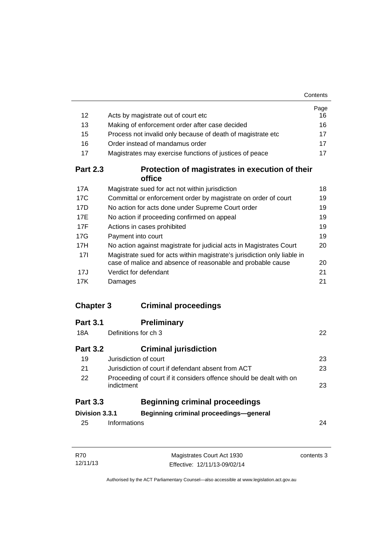| 12               | Acts by magistrate out of court etc                                                                                                     | Page<br>16 |
|------------------|-----------------------------------------------------------------------------------------------------------------------------------------|------------|
| 13               | Making of enforcement order after case decided                                                                                          | 16         |
| 15               | Process not invalid only because of death of magistrate etc                                                                             | 17         |
| 16               | Order instead of mandamus order                                                                                                         | 17         |
| 17               | Magistrates may exercise functions of justices of peace                                                                                 | 17         |
| <b>Part 2.3</b>  | Protection of magistrates in execution of their                                                                                         |            |
|                  | office                                                                                                                                  |            |
| 17A              | Magistrate sued for act not within jurisdiction                                                                                         | 18         |
| 17C              | Committal or enforcement order by magistrate on order of court                                                                          | 19         |
| 17D              | No action for acts done under Supreme Court order                                                                                       | 19         |
| 17E              | No action if proceeding confirmed on appeal                                                                                             | 19         |
| 17F              | Actions in cases prohibited                                                                                                             | 19         |
| 17G              | Payment into court                                                                                                                      | 19         |
| 17H              | No action against magistrate for judicial acts in Magistrates Court                                                                     | 20         |
| 17 <sup>1</sup>  | Magistrate sued for acts within magistrate's jurisdiction only liable in<br>case of malice and absence of reasonable and probable cause | 20         |
| 17J              | Verdict for defendant                                                                                                                   | 21         |
| 17K              | Damages                                                                                                                                 | 21         |
|                  |                                                                                                                                         |            |
| <b>Chapter 3</b> | <b>Criminal proceedings</b>                                                                                                             |            |
| <b>Part 3.1</b>  | <b>Preliminary</b>                                                                                                                      |            |
| 18A              | Definitions for ch 3                                                                                                                    | 22         |
| <b>Part 3.2</b>  | <b>Criminal jurisdiction</b>                                                                                                            |            |
| 19               | Jurisdiction of court                                                                                                                   | 23         |
| 21               | Jurisdiction of court if defendant absent from ACT                                                                                      | 23         |
| 22               | Proceeding of court if it considers offence should be dealt with on                                                                     |            |
|                  | indictment                                                                                                                              | 23         |
| <b>Part 3.3</b>  | <b>Beginning criminal proceedings</b>                                                                                                   |            |
| Division 3.3.1   | Beginning criminal proceedings-general                                                                                                  |            |
| 25               | Informations                                                                                                                            | 24         |
|                  |                                                                                                                                         |            |
|                  |                                                                                                                                         |            |

| R70      | Magistrates Court Act 1930   | contents 3 |
|----------|------------------------------|------------|
| 12/11/13 | Effective: 12/11/13-09/02/14 |            |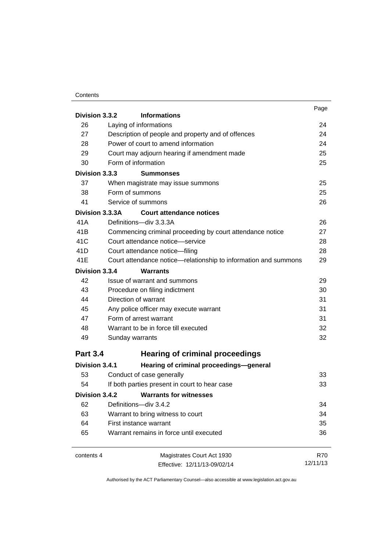### **Contents**

|                                         | Page                                                                                                                                                                                                                                                                                                                                                                                                                                                                                                                                                                                                                                                                                                                                                                                                                                                                                                                                                                                                                                     |
|-----------------------------------------|------------------------------------------------------------------------------------------------------------------------------------------------------------------------------------------------------------------------------------------------------------------------------------------------------------------------------------------------------------------------------------------------------------------------------------------------------------------------------------------------------------------------------------------------------------------------------------------------------------------------------------------------------------------------------------------------------------------------------------------------------------------------------------------------------------------------------------------------------------------------------------------------------------------------------------------------------------------------------------------------------------------------------------------|
|                                         | 24                                                                                                                                                                                                                                                                                                                                                                                                                                                                                                                                                                                                                                                                                                                                                                                                                                                                                                                                                                                                                                       |
|                                         | 24                                                                                                                                                                                                                                                                                                                                                                                                                                                                                                                                                                                                                                                                                                                                                                                                                                                                                                                                                                                                                                       |
|                                         | 24                                                                                                                                                                                                                                                                                                                                                                                                                                                                                                                                                                                                                                                                                                                                                                                                                                                                                                                                                                                                                                       |
|                                         | 25                                                                                                                                                                                                                                                                                                                                                                                                                                                                                                                                                                                                                                                                                                                                                                                                                                                                                                                                                                                                                                       |
|                                         | 25                                                                                                                                                                                                                                                                                                                                                                                                                                                                                                                                                                                                                                                                                                                                                                                                                                                                                                                                                                                                                                       |
|                                         |                                                                                                                                                                                                                                                                                                                                                                                                                                                                                                                                                                                                                                                                                                                                                                                                                                                                                                                                                                                                                                          |
|                                         | 25                                                                                                                                                                                                                                                                                                                                                                                                                                                                                                                                                                                                                                                                                                                                                                                                                                                                                                                                                                                                                                       |
|                                         | 25                                                                                                                                                                                                                                                                                                                                                                                                                                                                                                                                                                                                                                                                                                                                                                                                                                                                                                                                                                                                                                       |
|                                         | 26                                                                                                                                                                                                                                                                                                                                                                                                                                                                                                                                                                                                                                                                                                                                                                                                                                                                                                                                                                                                                                       |
|                                         |                                                                                                                                                                                                                                                                                                                                                                                                                                                                                                                                                                                                                                                                                                                                                                                                                                                                                                                                                                                                                                          |
|                                         | 26                                                                                                                                                                                                                                                                                                                                                                                                                                                                                                                                                                                                                                                                                                                                                                                                                                                                                                                                                                                                                                       |
|                                         | 27                                                                                                                                                                                                                                                                                                                                                                                                                                                                                                                                                                                                                                                                                                                                                                                                                                                                                                                                                                                                                                       |
|                                         | 28                                                                                                                                                                                                                                                                                                                                                                                                                                                                                                                                                                                                                                                                                                                                                                                                                                                                                                                                                                                                                                       |
|                                         | 28                                                                                                                                                                                                                                                                                                                                                                                                                                                                                                                                                                                                                                                                                                                                                                                                                                                                                                                                                                                                                                       |
|                                         | 29                                                                                                                                                                                                                                                                                                                                                                                                                                                                                                                                                                                                                                                                                                                                                                                                                                                                                                                                                                                                                                       |
|                                         |                                                                                                                                                                                                                                                                                                                                                                                                                                                                                                                                                                                                                                                                                                                                                                                                                                                                                                                                                                                                                                          |
|                                         | 29                                                                                                                                                                                                                                                                                                                                                                                                                                                                                                                                                                                                                                                                                                                                                                                                                                                                                                                                                                                                                                       |
|                                         | 30                                                                                                                                                                                                                                                                                                                                                                                                                                                                                                                                                                                                                                                                                                                                                                                                                                                                                                                                                                                                                                       |
|                                         | 31                                                                                                                                                                                                                                                                                                                                                                                                                                                                                                                                                                                                                                                                                                                                                                                                                                                                                                                                                                                                                                       |
|                                         | 31                                                                                                                                                                                                                                                                                                                                                                                                                                                                                                                                                                                                                                                                                                                                                                                                                                                                                                                                                                                                                                       |
|                                         | 31                                                                                                                                                                                                                                                                                                                                                                                                                                                                                                                                                                                                                                                                                                                                                                                                                                                                                                                                                                                                                                       |
|                                         | 32                                                                                                                                                                                                                                                                                                                                                                                                                                                                                                                                                                                                                                                                                                                                                                                                                                                                                                                                                                                                                                       |
|                                         | 32                                                                                                                                                                                                                                                                                                                                                                                                                                                                                                                                                                                                                                                                                                                                                                                                                                                                                                                                                                                                                                       |
|                                         |                                                                                                                                                                                                                                                                                                                                                                                                                                                                                                                                                                                                                                                                                                                                                                                                                                                                                                                                                                                                                                          |
|                                         |                                                                                                                                                                                                                                                                                                                                                                                                                                                                                                                                                                                                                                                                                                                                                                                                                                                                                                                                                                                                                                          |
| Hearing of criminal proceedings-general |                                                                                                                                                                                                                                                                                                                                                                                                                                                                                                                                                                                                                                                                                                                                                                                                                                                                                                                                                                                                                                          |
| Conduct of case generally               | 33                                                                                                                                                                                                                                                                                                                                                                                                                                                                                                                                                                                                                                                                                                                                                                                                                                                                                                                                                                                                                                       |
|                                         | 33                                                                                                                                                                                                                                                                                                                                                                                                                                                                                                                                                                                                                                                                                                                                                                                                                                                                                                                                                                                                                                       |
| <b>Warrants for witnesses</b>           |                                                                                                                                                                                                                                                                                                                                                                                                                                                                                                                                                                                                                                                                                                                                                                                                                                                                                                                                                                                                                                          |
| Definitions-div 3.4.2                   | 34                                                                                                                                                                                                                                                                                                                                                                                                                                                                                                                                                                                                                                                                                                                                                                                                                                                                                                                                                                                                                                       |
| Warrant to bring witness to court       | 34                                                                                                                                                                                                                                                                                                                                                                                                                                                                                                                                                                                                                                                                                                                                                                                                                                                                                                                                                                                                                                       |
| First instance warrant                  | 35                                                                                                                                                                                                                                                                                                                                                                                                                                                                                                                                                                                                                                                                                                                                                                                                                                                                                                                                                                                                                                       |
| Warrant remains in force until executed | 36                                                                                                                                                                                                                                                                                                                                                                                                                                                                                                                                                                                                                                                                                                                                                                                                                                                                                                                                                                                                                                       |
| Magistrates Court Act 1930              | <b>R70</b>                                                                                                                                                                                                                                                                                                                                                                                                                                                                                                                                                                                                                                                                                                                                                                                                                                                                                                                                                                                                                               |
| Effective: 12/11/13-09/02/14            | 12/11/13                                                                                                                                                                                                                                                                                                                                                                                                                                                                                                                                                                                                                                                                                                                                                                                                                                                                                                                                                                                                                                 |
|                                         | Division 3.3.2<br><b>Informations</b><br>Laying of informations<br>Description of people and property and of offences<br>Power of court to amend information<br>Court may adjourn hearing if amendment made<br>Form of information<br>Division 3.3.3<br><b>Summonses</b><br>When magistrate may issue summons<br>Form of summons<br>Service of summons<br>Division 3.3.3A<br><b>Court attendance notices</b><br>Definitions-div 3.3.3A<br>Commencing criminal proceeding by court attendance notice<br>Court attendance notice-service<br>Court attendance notice-filing<br>Court attendance notice—relationship to information and summons<br>Division 3.3.4<br><b>Warrants</b><br>Issue of warrant and summons<br>Procedure on filing indictment<br>Direction of warrant<br>Any police officer may execute warrant<br>Form of arrest warrant<br>Warrant to be in force till executed<br>Sunday warrants<br><b>Hearing of criminal proceedings</b><br>Division 3.4.1<br>If both parties present in court to hear case<br>Division 3.4.2 |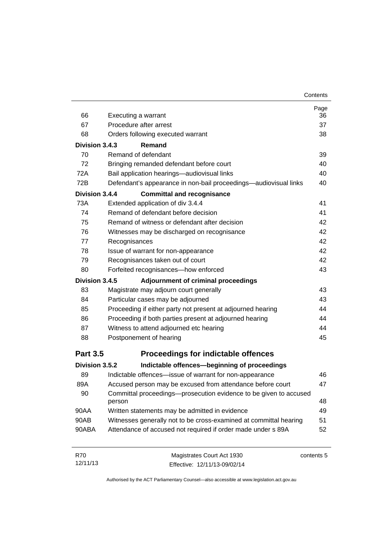| 66              | Executing a warrant                                                         | Page<br>36 |
|-----------------|-----------------------------------------------------------------------------|------------|
| 67              | Procedure after arrest                                                      | 37         |
| 68              | Orders following executed warrant                                           | 38         |
| Division 3.4.3  | Remand                                                                      |            |
| 70              | Remand of defendant                                                         | 39         |
| 72              | Bringing remanded defendant before court                                    | 40         |
| 72A             | Bail application hearings-audiovisual links                                 | 40         |
| 72B             | Defendant's appearance in non-bail proceedings—audiovisual links            | 40         |
| Division 3.4.4  | <b>Committal and recognisance</b>                                           |            |
| 73A             | Extended application of div 3.4.4                                           | 41         |
| 74              | Remand of defendant before decision                                         | 41         |
| 75              | Remand of witness or defendant after decision                               | 42         |
| 76              | Witnesses may be discharged on recognisance                                 | 42         |
| 77              | Recognisances                                                               | 42         |
| 78              | Issue of warrant for non-appearance                                         | 42         |
| 79              | Recognisances taken out of court                                            | 42         |
| 80              | Forfeited recognisances-how enforced                                        | 43         |
| Division 3.4.5  | Adjournment of criminal proceedings                                         |            |
| 83              | Magistrate may adjourn court generally                                      | 43         |
| 84              | Particular cases may be adjourned                                           | 43         |
| 85              | Proceeding if either party not present at adjourned hearing                 | 44         |
| 86              | Proceeding if both parties present at adjourned hearing                     | 44         |
| 87              | Witness to attend adjourned etc hearing                                     | 44         |
| 88              | Postponement of hearing                                                     | 45         |
| <b>Part 3.5</b> | <b>Proceedings for indictable offences</b>                                  |            |
| Division 3.5.2  | Indictable offences-beginning of proceedings                                |            |
| 89              | Indictable offences—issue of warrant for non-appearance                     | 46         |
| 89A             | Accused person may be excused from attendance before court                  | 47         |
| 90              | Committal proceedings-prosecution evidence to be given to accused<br>person | 48         |
| 90AA            | Written statements may be admitted in evidence                              | 49         |
| 90AB            | Witnesses generally not to be cross-examined at committal hearing           | 51         |
| 90ABA           | Attendance of accused not required if order made under s 89A                | 52         |
| R70             | Magistrates Court Act 1930                                                  | contents 5 |

Authorised by the ACT Parliamentary Counsel—also accessible at www.legislation.act.gov.au

Effective: 12/11/13-09/02/14

12/11/13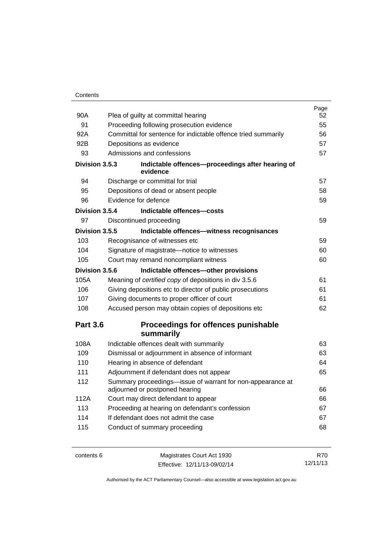|                 |                                                                                              | Page |
|-----------------|----------------------------------------------------------------------------------------------|------|
| 90A             | Plea of guilty at committal hearing                                                          | 52   |
| 91              | Proceeding following prosecution evidence                                                    | 55   |
| 92A             | Committal for sentence for indictable offence tried summarily                                | 56   |
| 92B             | Depositions as evidence                                                                      | 57   |
| 93              | Admissions and confessions                                                                   | 57   |
| Division 3.5.3  | Indictable offences-proceedings after hearing of<br>evidence                                 |      |
| 94              | Discharge or committal for trial                                                             | 57   |
| 95              | Depositions of dead or absent people                                                         | 58   |
| 96              | Evidence for defence                                                                         | 59   |
| Division 3.5.4  | Indictable offences-costs                                                                    |      |
| 97              | Discontinued proceeding                                                                      | 59   |
| Division 3.5.5  | Indictable offences-witness recognisances                                                    |      |
| 103             | Recognisance of witnesses etc                                                                | 59   |
| 104             | Signature of magistrate-notice to witnesses                                                  | 60   |
| 105             | Court may remand noncompliant witness                                                        | 60   |
| Division 3.5.6  | Indictable offences-other provisions                                                         |      |
| 105A            | Meaning of certified copy of depositions in div 3.5.6                                        | 61   |
| 106             | Giving depositions etc to director of public prosecutions                                    | 61   |
| 107             | Giving documents to proper officer of court                                                  | 61   |
| 108             | Accused person may obtain copies of depositions etc                                          | 62   |
| <b>Part 3.6</b> | Proceedings for offences punishable                                                          |      |
|                 | summarily                                                                                    |      |
| 108A            | Indictable offences dealt with summarily                                                     | 63   |
| 109             | Dismissal or adjournment in absence of informant                                             | 63   |
| 110             | Hearing in absence of defendant                                                              | 64   |
| 111             | Adjournment if defendant does not appear                                                     | 65   |
| 112             | Summary proceedings-issue of warrant for non-appearance at<br>adjourned or postponed hearing | 66   |
| 112A            | Court may direct defendant to appear                                                         | 66   |
| 113             | Proceeding at hearing on defendant's confession                                              | 67   |
| 114             | If defendant does not admit the case                                                         | 67   |
| 115             | Conduct of summary proceeding                                                                | 68   |
|                 |                                                                                              |      |

contents 6 Magistrates Court Act 1930 Effective: 12/11/13-09/02/14

R70 12/11/13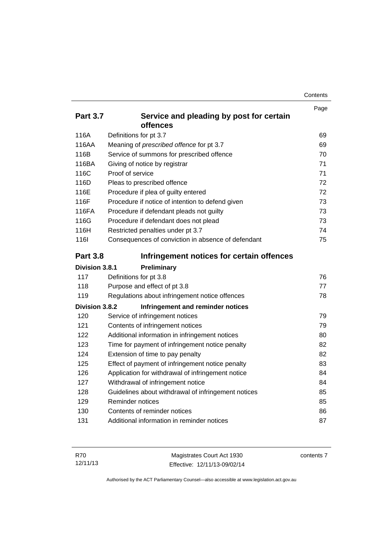| Contents |
|----------|
|----------|

|                 |                                                     | Page |
|-----------------|-----------------------------------------------------|------|
| <b>Part 3.7</b> | Service and pleading by post for certain            |      |
|                 | offences                                            |      |
| 116A            | Definitions for pt 3.7                              | 69   |
| 116AA           | Meaning of prescribed offence for pt 3.7            | 69   |
| 116B            | Service of summons for prescribed offence           | 70   |
| 116BA           | Giving of notice by registrar                       | 71   |
| 116C            | Proof of service                                    | 71   |
| 116D            | Pleas to prescribed offence                         | 72   |
| 116E            | Procedure if plea of guilty entered                 | 72   |
| 116F            | Procedure if notice of intention to defend given    | 73   |
| 116FA           | Procedure if defendant pleads not guilty            | 73   |
| 116G            | Procedure if defendant does not plead               | 73   |
| 116H            | Restricted penalties under pt 3.7                   | 74   |
| 116I            | Consequences of conviction in absence of defendant  | 75   |
| <b>Part 3.8</b> | Infringement notices for certain offences           |      |
| Division 3.8.1  | Preliminary                                         |      |
| 117             | Definitions for pt 3.8                              | 76   |
| 118             | Purpose and effect of pt 3.8                        | 77   |
| 119             | Regulations about infringement notice offences      | 78   |
| Division 3.8.2  | Infringement and reminder notices                   |      |
| 120             | Service of infringement notices                     | 79   |
| 121             | Contents of infringement notices                    | 79   |
| 122             | Additional information in infringement notices      | 80   |
| 123             | Time for payment of infringement notice penalty     | 82   |
| 124             | Extension of time to pay penalty                    | 82   |
| 125             | Effect of payment of infringement notice penalty    | 83   |
| 126             | Application for withdrawal of infringement notice   | 84   |
| 127             | Withdrawal of infringement notice                   | 84   |
| 128             | Guidelines about withdrawal of infringement notices | 85   |
| 129             | Reminder notices                                    | 85   |
| 130             | Contents of reminder notices                        | 86   |
| 131             | Additional information in reminder notices          | 87   |

| R70      | Magistrates Court Act 1930   | contents 7 |
|----------|------------------------------|------------|
| 12/11/13 | Effective: 12/11/13-09/02/14 |            |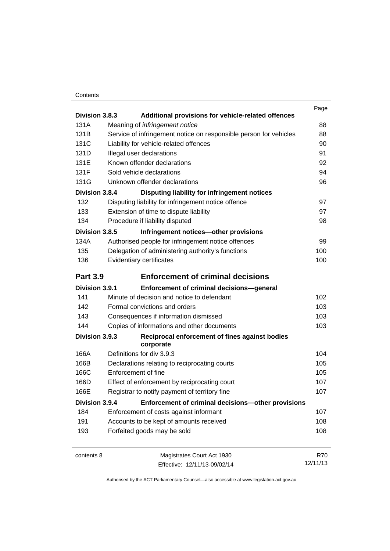#### **Contents**

|                 |                           |                                                                   | Page       |
|-----------------|---------------------------|-------------------------------------------------------------------|------------|
| Division 3.8.3  |                           | Additional provisions for vehicle-related offences                |            |
| 131A            |                           | Meaning of infringement notice                                    | 88         |
| 131B            |                           | Service of infringement notice on responsible person for vehicles | 88         |
| 131C            |                           | Liability for vehicle-related offences                            | 90         |
| 131D            | Illegal user declarations |                                                                   | 91         |
| 131E            |                           | Known offender declarations                                       | 92         |
| 131F            | Sold vehicle declarations |                                                                   | 94         |
| 131G            |                           | Unknown offender declarations                                     | 96         |
| Division 3.8.4  |                           | Disputing liability for infringement notices                      |            |
| 132             |                           | Disputing liability for infringement notice offence               | 97         |
| 133             |                           | Extension of time to dispute liability                            | 97         |
| 134             |                           | Procedure if liability disputed                                   | 98         |
| Division 3.8.5  |                           | Infringement notices-other provisions                             |            |
| 134A            |                           | Authorised people for infringement notice offences                | 99         |
| 135             |                           | Delegation of administering authority's functions                 | 100        |
| 136             | Evidentiary certificates  |                                                                   | 100        |
| <b>Part 3.9</b> |                           | <b>Enforcement of criminal decisions</b>                          |            |
| Division 3.9.1  |                           | <b>Enforcement of criminal decisions-general</b>                  |            |
| 141             |                           | Minute of decision and notice to defendant                        | 102        |
| 142             |                           | Formal convictions and orders                                     | 103        |
| 143             |                           | Consequences if information dismissed                             | 103        |
| 144             |                           | Copies of informations and other documents                        | 103        |
| Division 3.9.3  |                           | Reciprocal enforcement of fines against bodies<br>corporate       |            |
| 166A            | Definitions for div 3.9.3 |                                                                   | 104        |
| 166B            |                           | Declarations relating to reciprocating courts                     | 105        |
| 166C            | Enforcement of fine       |                                                                   | 105        |
| 166D            |                           | Effect of enforcement by reciprocating court                      | 107        |
| 166E            |                           | Registrar to notify payment of territory fine                     | 107        |
| Division 3.9.4  |                           | Enforcement of criminal decisions-other provisions                |            |
| 184             |                           | Enforcement of costs against informant                            | 107        |
| 191             |                           | Accounts to be kept of amounts received                           | 108        |
| 193             |                           | Forfeited goods may be sold                                       | 108        |
| contents 8      |                           | Magistrates Court Act 1930                                        | <b>R70</b> |
|                 |                           | Effective: 12/11/13-09/02/14                                      | 12/11/13   |
|                 |                           |                                                                   |            |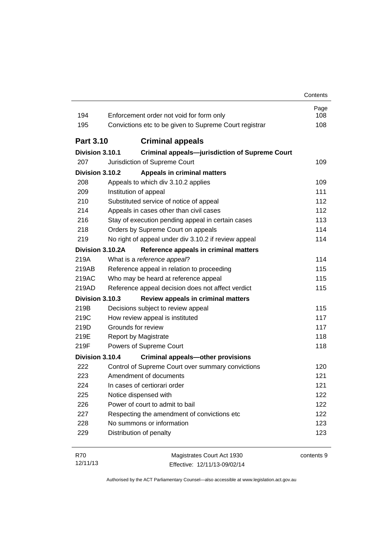| 194              | Enforcement order not void for form only                  | Page<br>108 |
|------------------|-----------------------------------------------------------|-------------|
| 195              | Convictions etc to be given to Supreme Court registrar    | 108         |
| <b>Part 3.10</b> | <b>Criminal appeals</b>                                   |             |
| Division 3.10.1  | <b>Criminal appeals-jurisdiction of Supreme Court</b>     |             |
| 207              | Jurisdiction of Supreme Court                             | 109         |
| Division 3.10.2  | <b>Appeals in criminal matters</b>                        |             |
| 208              | Appeals to which div 3.10.2 applies                       | 109         |
| 209              | Institution of appeal                                     | 111         |
| 210              | Substituted service of notice of appeal                   | 112         |
| 214              | Appeals in cases other than civil cases                   | 112         |
| 216              | Stay of execution pending appeal in certain cases         | 113         |
| 218              | Orders by Supreme Court on appeals                        | 114         |
| 219              | No right of appeal under div 3.10.2 if review appeal      | 114         |
|                  | Division 3.10.2A<br>Reference appeals in criminal matters |             |
| 219A             | What is a reference appeal?                               | 114         |
| 219AB            | Reference appeal in relation to proceeding                | 115         |
| 219AC            | Who may be heard at reference appeal                      | 115         |
| 219AD            | Reference appeal decision does not affect verdict         | 115         |
| Division 3.10.3  | Review appeals in criminal matters                        |             |
| 219B             | Decisions subject to review appeal                        | 115         |
| 219C             | How review appeal is instituted                           | 117         |
| 219D             | Grounds for review                                        | 117         |
| 219E             | Report by Magistrate                                      | 118         |
| 219F             | Powers of Supreme Court                                   | 118         |
| Division 3.10.4  | <b>Criminal appeals-other provisions</b>                  |             |
| 222              | Control of Supreme Court over summary convictions         | 120         |
| 223              | Amendment of documents                                    | 121         |
| 224              | In cases of certiorari order                              | 121         |
| 225              | Notice dispensed with                                     | 122         |
| 226              | Power of court to admit to bail                           | 122         |
| 227              | Respecting the amendment of convictions etc               | 122         |
| 228              | No summons or information                                 | 123         |
| 229              | Distribution of penalty                                   | 123         |
|                  |                                                           |             |

| R70      | Magistrates Court Act 1930   | contents 9 |
|----------|------------------------------|------------|
| 12/11/13 | Effective: 12/11/13-09/02/14 |            |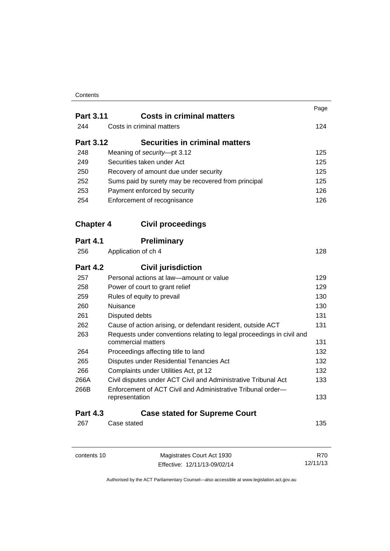### **Contents**

|                  | <b>Costs in criminal matters</b>                                                            | Page |
|------------------|---------------------------------------------------------------------------------------------|------|
| <b>Part 3.11</b> | Costs in criminal matters                                                                   |      |
| 244              |                                                                                             | 124  |
| <b>Part 3.12</b> | <b>Securities in criminal matters</b>                                                       |      |
| 248              | Meaning of security-pt 3.12                                                                 | 125  |
| 249              | Securities taken under Act                                                                  | 125  |
| 250              | Recovery of amount due under security                                                       | 125  |
| 252              | Sums paid by surety may be recovered from principal                                         | 125  |
| 253              | Payment enforced by security                                                                | 126  |
| 254              | Enforcement of recognisance                                                                 | 126  |
| <b>Chapter 4</b> | <b>Civil proceedings</b>                                                                    |      |
| <b>Part 4.1</b>  | <b>Preliminary</b>                                                                          |      |
| 256              | Application of ch 4                                                                         | 128  |
| <b>Part 4.2</b>  | <b>Civil jurisdiction</b>                                                                   |      |
| 257              | Personal actions at law-amount or value                                                     | 129  |
| 258              | Power of court to grant relief                                                              | 129  |
| 259              | Rules of equity to prevail                                                                  | 130  |
| 260              | Nuisance                                                                                    | 130  |
| 261              | Disputed debts                                                                              | 131  |
| 262              | Cause of action arising, or defendant resident, outside ACT                                 | 131  |
| 263              | Requests under conventions relating to legal proceedings in civil and<br>commercial matters | 131  |
| 264              | Proceedings affecting title to land                                                         | 132  |
| 265              | Disputes under Residential Tenancies Act                                                    | 132  |
| 266              | Complaints under Utilities Act, pt 12                                                       | 132  |
| 266A             | Civil disputes under ACT Civil and Administrative Tribunal Act                              | 133  |
| 266B             | Enforcement of ACT Civil and Administrative Tribunal order—<br>representation               | 133  |
| <b>Part 4.3</b>  | <b>Case stated for Supreme Court</b>                                                        |      |
| 267              | Case stated                                                                                 | 135  |
|                  |                                                                                             |      |

| contents 10 | Magistrates Court Act 1930   | R70      |
|-------------|------------------------------|----------|
|             | Effective: 12/11/13-09/02/14 | 12/11/13 |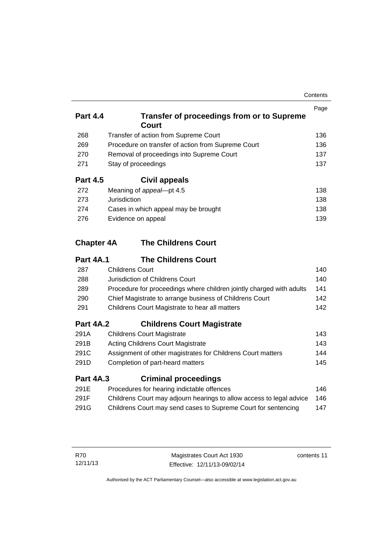| Contents |
|----------|
|----------|

|                 |                                                     | Page |
|-----------------|-----------------------------------------------------|------|
| <b>Part 4.4</b> | Transfer of proceedings from or to Supreme<br>Court |      |
| 268             | Transfer of action from Supreme Court               | 136  |
| 269             | Procedure on transfer of action from Supreme Court  | 136  |
| 270             | Removal of proceedings into Supreme Court           | 137  |
| 271             | Stay of proceedings                                 | 137  |
| <b>Part 4.5</b> | Civil appeals                                       |      |
| 272             | Meaning of appeal-pt 4.5                            | 138  |
| 273             | Jurisdiction                                        | 138  |
| 274             | Cases in which appeal may be brought                | 138  |
| 276             | Evidence on appeal                                  | 139  |

### **Chapter 4A [The Childrens Court](#page-155-0)**

### **Part 4A.1 [The Childrens Court](#page-155-1)**

| 287 | <b>Childrens Court</b>                                               | 140 |
|-----|----------------------------------------------------------------------|-----|
| 288 | Jurisdiction of Childrens Court                                      | 140 |
| 289 | Procedure for proceedings where children jointly charged with adults | 141 |
| 290 | Chief Magistrate to arrange business of Childrens Court              | 142 |
| 291 | Childrens Court Magistrate to hear all matters                       | 142 |

### **Part 4A.2 [Childrens Court Magistrate](#page-158-0)**

| 291A | <b>Childrens Court Magistrate</b>                           | 143 |
|------|-------------------------------------------------------------|-----|
| 291B | Acting Childrens Court Magistrate                           | 143 |
| 291C | Assignment of other magistrates for Childrens Court matters | 144 |
| 291D | Completion of part-heard matters                            | 145 |
|      |                                                             |     |

### **Part 4A.3 [Criminal proceedings](#page-161-0)**

| 291E | Procedures for hearing indictable offences                           | 146. |
|------|----------------------------------------------------------------------|------|
| 291F | Childrens Court may adjourn hearings to allow access to legal advice | 146  |
| 291G | Childrens Court may send cases to Supreme Court for sentencing       | 147  |

contents 11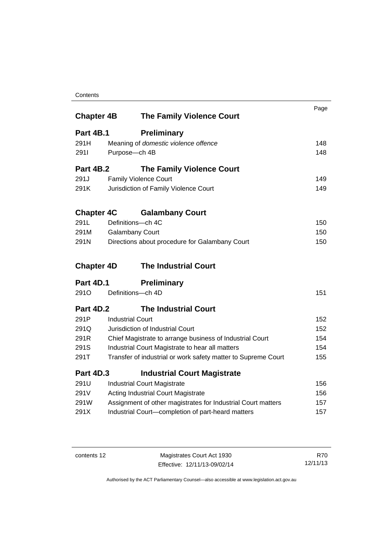### **Contents**

| <b>Chapter 4B</b> | <b>The Family Violence Court</b>                              | Page |
|-------------------|---------------------------------------------------------------|------|
| Part 4B.1         | <b>Preliminary</b>                                            |      |
| 291H              | Meaning of domestic violence offence                          | 148  |
| 2911              | Purpose-ch 4B                                                 | 148  |
| <b>Part 4B.2</b>  | <b>The Family Violence Court</b>                              |      |
| 291.J             | <b>Family Violence Court</b>                                  | 149  |
| 291K              | Jurisdiction of Family Violence Court                         | 149  |
| <b>Chapter 4C</b> | <b>Galambany Court</b>                                        |      |
| 291L              | Definitions-ch 4C                                             | 150  |
| 291M              | <b>Galambany Court</b>                                        | 150  |
| 291N              | Directions about procedure for Galambany Court                | 150  |
| <b>Chapter 4D</b> | <b>The Industrial Court</b>                                   |      |
| Part 4D.1         | <b>Preliminary</b>                                            |      |
| 291 <sub>O</sub>  | Definitions-ch 4D                                             | 151  |
| <b>Part 4D.2</b>  | <b>The Industrial Court</b>                                   |      |
| 291P              | <b>Industrial Court</b>                                       | 152  |
| 291Q              | Jurisdiction of Industrial Court                              | 152  |
| 291R              | Chief Magistrate to arrange business of Industrial Court      | 154  |
| 291S              | Industrial Court Magistrate to hear all matters               | 154  |
| 291T              | Transfer of industrial or work safety matter to Supreme Court | 155  |
| <b>Part 4D.3</b>  | <b>Industrial Court Magistrate</b>                            |      |
| 291U              | <b>Industrial Court Magistrate</b>                            | 156  |
| 291V              | <b>Acting Industrial Court Magistrate</b>                     | 156  |
| 291W              | Assignment of other magistrates for Industrial Court matters  | 157  |
| 291X              | Industrial Court-completion of part-heard matters             | 157  |

contents 12 Magistrates Court Act 1930 Effective: 12/11/13-09/02/14

R70 12/11/13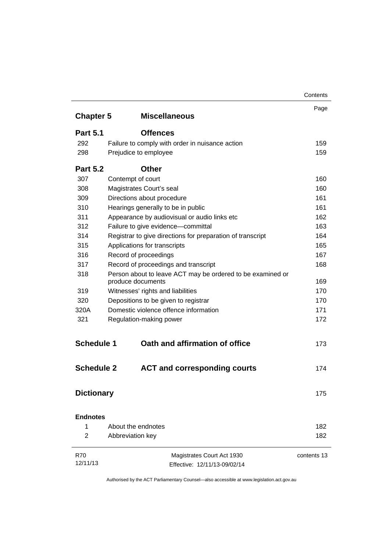|                   |                                                            | Contents    |
|-------------------|------------------------------------------------------------|-------------|
|                   |                                                            | Page        |
| <b>Chapter 5</b>  | <b>Miscellaneous</b>                                       |             |
| <b>Part 5.1</b>   | <b>Offences</b>                                            |             |
| 292               | Failure to comply with order in nuisance action            | 159         |
| 298               | Prejudice to employee                                      | 159         |
| <b>Part 5.2</b>   | <b>Other</b>                                               |             |
| 307               | Contempt of court                                          | 160         |
| 308               | Magistrates Court's seal                                   | 160         |
| 309               | Directions about procedure                                 | 161         |
| 310               | Hearings generally to be in public                         | 161         |
| 311               | Appearance by audiovisual or audio links etc               | 162         |
| 312               | Failure to give evidence-committal                         | 163         |
| 314               | Registrar to give directions for preparation of transcript | 164         |
| 315               | Applications for transcripts                               | 165         |
| 316               | Record of proceedings                                      | 167         |
| 317               | Record of proceedings and transcript                       | 168         |
| 318               | Person about to leave ACT may be ordered to be examined or |             |
|                   | produce documents                                          | 169         |
| 319               | Witnesses' rights and liabilities                          | 170         |
| 320               | Depositions to be given to registrar                       | 170         |
| 320A              | Domestic violence offence information                      | 171         |
| 321               | Regulation-making power                                    | 172         |
| <b>Schedule 1</b> | Oath and affirmation of office                             | 173         |
| <b>Schedule 2</b> | <b>ACT and corresponding courts</b>                        | 174         |
| <b>Dictionary</b> |                                                            | 175         |
| <b>Endnotes</b>   |                                                            |             |
| 1                 | About the endnotes                                         | 182         |
| 2                 | Abbreviation key                                           | 182         |
| <b>R70</b>        | Magistrates Court Act 1930                                 | contents 13 |
| 12/11/13          | Effective: 12/11/13-09/02/14                               |             |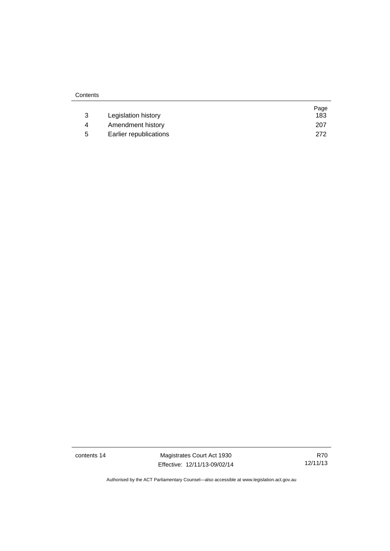| Contents |                        |      |
|----------|------------------------|------|
|          |                        | Page |
| 3        | Legislation history    | 183  |
| 4        | Amendment history      | 207  |
| 5        | Earlier republications | 272  |

contents 14 Magistrates Court Act 1930 Effective: 12/11/13-09/02/14

R70 12/11/13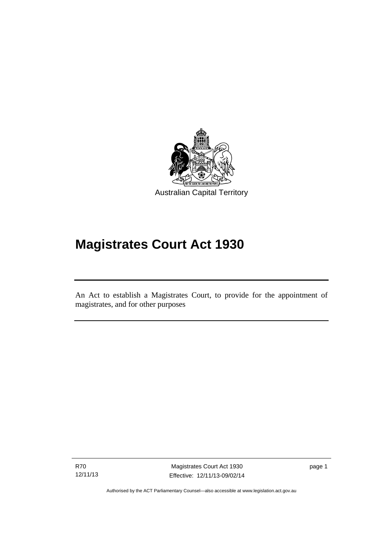

## **Magistrates Court Act 1930**

An Act to establish a Magistrates Court, to provide for the appointment of magistrates, and for other purposes

R70 12/11/13

l

Magistrates Court Act 1930 Effective: 12/11/13-09/02/14 page 1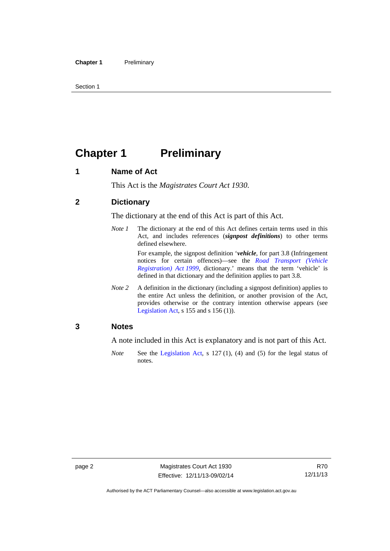Section 1

### <span id="page-17-0"></span>**Chapter 1** Preliminary

### <span id="page-17-1"></span>**1 Name of Act**

This Act is the *Magistrates Court Act 1930*.

### <span id="page-17-2"></span>**2 Dictionary**

The dictionary at the end of this Act is part of this Act.

*Note 1* The dictionary at the end of this Act defines certain terms used in this Act, and includes references (*signpost definitions*) to other terms defined elsewhere.

For example, the signpost definition '*vehicle*, for part 3.8 (Infringement notices for certain offences)—see the *[Road Transport \(Vehicle](http://www.legislation.act.gov.au/a/1999-81)  [Registration\) Act 1999](http://www.legislation.act.gov.au/a/1999-81)*, dictionary.' means that the term 'vehicle' is defined in that dictionary and the definition applies to part 3.8.

*Note 2* A definition in the dictionary (including a signpost definition) applies to the entire Act unless the definition, or another provision of the Act, provides otherwise or the contrary intention otherwise appears (see [Legislation Act,](http://www.legislation.act.gov.au/a/2001-14) s 155 and s 156 (1)).

### <span id="page-17-3"></span>**3 Notes**

A note included in this Act is explanatory and is not part of this Act.

*Note* See the [Legislation Act,](http://www.legislation.act.gov.au/a/2001-14) s 127 (1), (4) and (5) for the legal status of notes.

Authorised by the ACT Parliamentary Counsel—also accessible at www.legislation.act.gov.au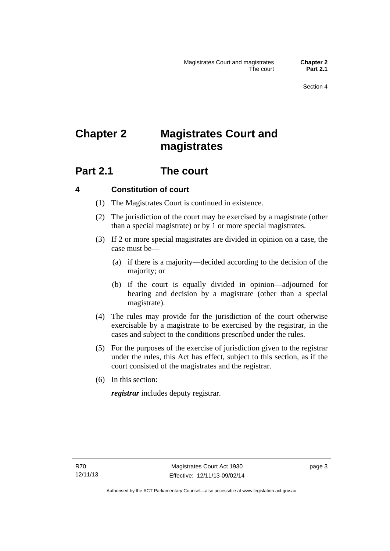## <span id="page-18-0"></span>**Chapter 2 Magistrates Court and magistrates**

### <span id="page-18-1"></span>**Part 2.1 The court**

### <span id="page-18-2"></span>**4 Constitution of court**

- (1) The Magistrates Court is continued in existence.
- (2) The jurisdiction of the court may be exercised by a magistrate (other than a special magistrate) or by 1 or more special magistrates.
- (3) If 2 or more special magistrates are divided in opinion on a case, the case must be—
	- (a) if there is a majority—decided according to the decision of the majority; or
	- (b) if the court is equally divided in opinion—adjourned for hearing and decision by a magistrate (other than a special magistrate).
- (4) The rules may provide for the jurisdiction of the court otherwise exercisable by a magistrate to be exercised by the registrar, in the cases and subject to the conditions prescribed under the rules.
- (5) For the purposes of the exercise of jurisdiction given to the registrar under the rules, this Act has effect, subject to this section, as if the court consisted of the magistrates and the registrar.
- (6) In this section:

*registrar* includes deputy registrar.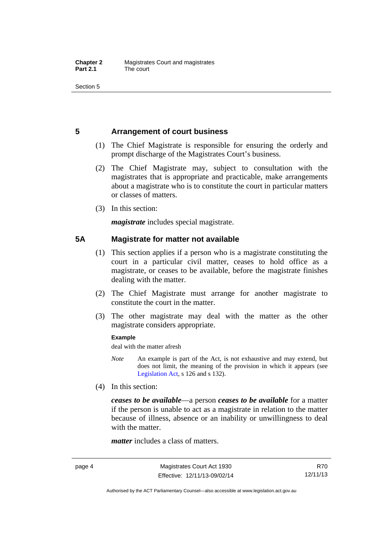Section 5

### <span id="page-19-0"></span>**5 Arrangement of court business**

- (1) The Chief Magistrate is responsible for ensuring the orderly and prompt discharge of the Magistrates Court's business.
- (2) The Chief Magistrate may, subject to consultation with the magistrates that is appropriate and practicable, make arrangements about a magistrate who is to constitute the court in particular matters or classes of matters.
- (3) In this section:

*magistrate* includes special magistrate.

### <span id="page-19-1"></span>**5A Magistrate for matter not available**

- (1) This section applies if a person who is a magistrate constituting the court in a particular civil matter, ceases to hold office as a magistrate, or ceases to be available, before the magistrate finishes dealing with the matter.
- (2) The Chief Magistrate must arrange for another magistrate to constitute the court in the matter.
- (3) The other magistrate may deal with the matter as the other magistrate considers appropriate.

#### **Example**

deal with the matter afresh

- *Note* An example is part of the Act, is not exhaustive and may extend, but does not limit, the meaning of the provision in which it appears (see [Legislation Act,](http://www.legislation.act.gov.au/a/2001-14) s 126 and s 132).
- (4) In this section:

*ceases to be available*––a person *ceases to be available* for a matter if the person is unable to act as a magistrate in relation to the matter because of illness, absence or an inability or unwillingness to deal with the matter.

*matter* includes a class of matters.

Authorised by the ACT Parliamentary Counsel—also accessible at www.legislation.act.gov.au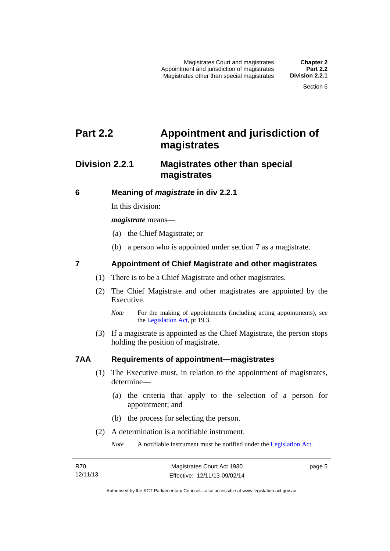### <span id="page-20-0"></span>**Part 2.2 Appointment and jurisdiction of magistrates**

### <span id="page-20-1"></span>**Division 2.2.1 Magistrates other than special magistrates**

<span id="page-20-2"></span>**6 Meaning of** *magistrate* **in div 2.2.1** 

In this division:

*magistrate* means—

- (a) the Chief Magistrate; or
- (b) a person who is appointed under section 7 as a magistrate.

### <span id="page-20-3"></span>**7 Appointment of Chief Magistrate and other magistrates**

- (1) There is to be a Chief Magistrate and other magistrates.
- (2) The Chief Magistrate and other magistrates are appointed by the Executive.

 (3) If a magistrate is appointed as the Chief Magistrate, the person stops holding the position of magistrate.

### <span id="page-20-4"></span>**7AA Requirements of appointment—magistrates**

- (1) The Executive must, in relation to the appointment of magistrates, determine—
	- (a) the criteria that apply to the selection of a person for appointment; and
	- (b) the process for selecting the person.
- (2) A determination is a notifiable instrument.

*Note* A notifiable instrument must be notified under the [Legislation Act](http://www.legislation.act.gov.au/a/2001-14).

page 5

*Note* For the making of appointments (including acting appointments), see the [Legislation Act,](http://www.legislation.act.gov.au/a/2001-14) pt 19.3.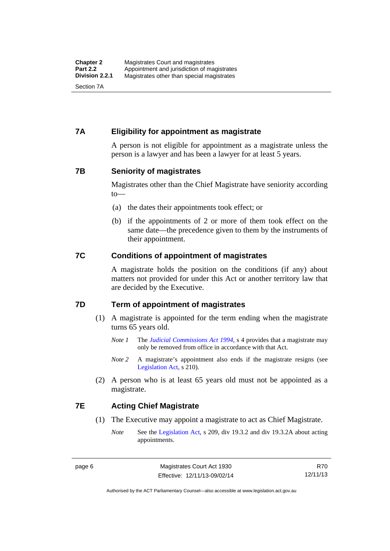### <span id="page-21-0"></span>**7A Eligibility for appointment as magistrate**

A person is not eligible for appointment as a magistrate unless the person is a lawyer and has been a lawyer for at least 5 years.

### <span id="page-21-1"></span>**7B Seniority of magistrates**

Magistrates other than the Chief Magistrate have seniority according to—

- (a) the dates their appointments took effect; or
- (b) if the appointments of 2 or more of them took effect on the same date—the precedence given to them by the instruments of their appointment.

### <span id="page-21-2"></span>**7C Conditions of appointment of magistrates**

A magistrate holds the position on the conditions (if any) about matters not provided for under this Act or another territory law that are decided by the Executive.

### <span id="page-21-3"></span>**7D Term of appointment of magistrates**

- (1) A magistrate is appointed for the term ending when the magistrate turns 65 years old.
	- *Note 1* The *[Judicial Commissions Act 1994](http://www.legislation.act.gov.au/a/1994-9)*, s 4 provides that a magistrate may only be removed from office in accordance with that Act.
	- *Note* 2 A magistrate's appointment also ends if the magistrate resigns (see [Legislation Act,](http://www.legislation.act.gov.au/a/2001-14) s 210).
- (2) A person who is at least 65 years old must not be appointed as a magistrate.

### <span id="page-21-4"></span>**7E Acting Chief Magistrate**

- (1) The Executive may appoint a magistrate to act as Chief Magistrate.
	- *Note* See the [Legislation Act](http://www.legislation.act.gov.au/a/2001-14), s 209, div 19.3.2 and div 19.3.2A about acting appointments.

R70 12/11/13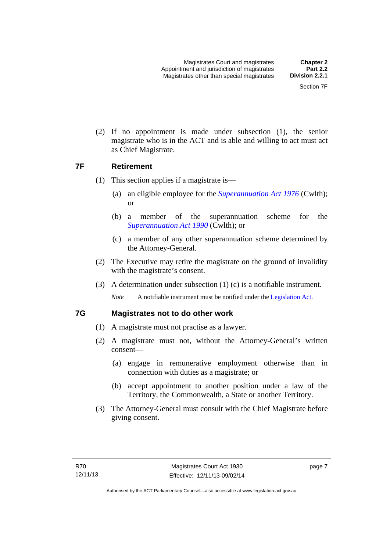(2) If no appointment is made under subsection (1), the senior magistrate who is in the ACT and is able and willing to act must act as Chief Magistrate.

### <span id="page-22-0"></span>**7F Retirement**

- (1) This section applies if a magistrate is—
	- (a) an eligible employee for the *[Superannuation Act 1976](http://www.comlaw.gov.au/Details/C2013C00038)* (Cwlth); or
	- (b) a member of the superannuation scheme for the *[Superannuation Act 1990](http://www.comlaw.gov.au/Details/C2012C00825)* (Cwlth); or
	- (c) a member of any other superannuation scheme determined by the Attorney-General.
- (2) The Executive may retire the magistrate on the ground of invalidity with the magistrate's consent.
- (3) A determination under subsection (1) (c) is a notifiable instrument.

*Note* A notifiable instrument must be notified under the [Legislation Act](http://www.legislation.act.gov.au/a/2001-14).

### <span id="page-22-1"></span>**7G Magistrates not to do other work**

- (1) A magistrate must not practise as a lawyer.
- (2) A magistrate must not, without the Attorney-General's written consent—
	- (a) engage in remunerative employment otherwise than in connection with duties as a magistrate; or
	- (b) accept appointment to another position under a law of the Territory, the Commonwealth, a State or another Territory.
- (3) The Attorney-General must consult with the Chief Magistrate before giving consent.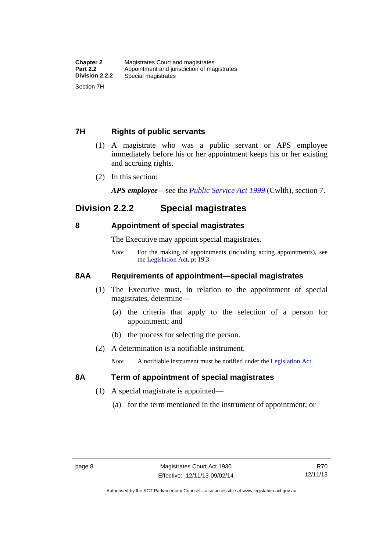### <span id="page-23-0"></span>**7H Rights of public servants**

- (1) A magistrate who was a public servant or APS employee immediately before his or her appointment keeps his or her existing and accruing rights.
- (2) In this section:

*APS employee*—see the *[Public Service Act 1999](http://www.comlaw.gov.au/Details/C2012C00319)* (Cwlth), section 7.

### <span id="page-23-1"></span>**Division 2.2.2 Special magistrates**

### <span id="page-23-2"></span>**8 Appointment of special magistrates**

The Executive may appoint special magistrates.

*Note* For the making of appointments (including acting appointments), see the [Legislation Act,](http://www.legislation.act.gov.au/a/2001-14) pt 19.3.

### <span id="page-23-3"></span>**8AA Requirements of appointment—special magistrates**

- (1) The Executive must, in relation to the appointment of special magistrates, determine—
	- (a) the criteria that apply to the selection of a person for appointment; and
	- (b) the process for selecting the person.
- (2) A determination is a notifiable instrument.

*Note* A notifiable instrument must be notified under the [Legislation Act](http://www.legislation.act.gov.au/a/2001-14).

### <span id="page-23-4"></span>**8A Term of appointment of special magistrates**

- (1) A special magistrate is appointed—
	- (a) for the term mentioned in the instrument of appointment; or

Authorised by the ACT Parliamentary Counsel—also accessible at www.legislation.act.gov.au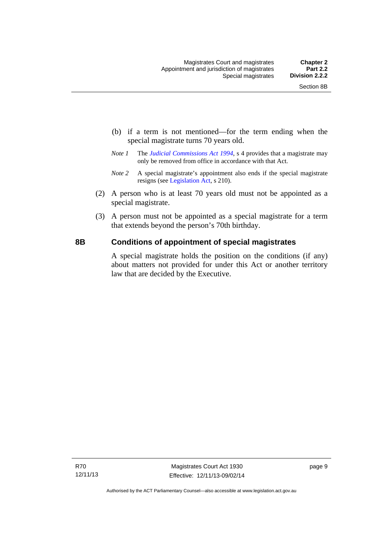- (b) if a term is not mentioned—for the term ending when the special magistrate turns 70 years old.
- *Note 1* The *[Judicial Commissions Act 1994](http://www.legislation.act.gov.au/a/1994-9)*, s 4 provides that a magistrate may only be removed from office in accordance with that Act.
- *Note 2* A special magistrate's appointment also ends if the special magistrate resigns (see [Legislation Act](http://www.legislation.act.gov.au/a/2001-14), s 210).
- (2) A person who is at least 70 years old must not be appointed as a special magistrate.
- (3) A person must not be appointed as a special magistrate for a term that extends beyond the person's 70th birthday.

### <span id="page-24-0"></span>**8B Conditions of appointment of special magistrates**

A special magistrate holds the position on the conditions (if any) about matters not provided for under this Act or another territory law that are decided by the Executive.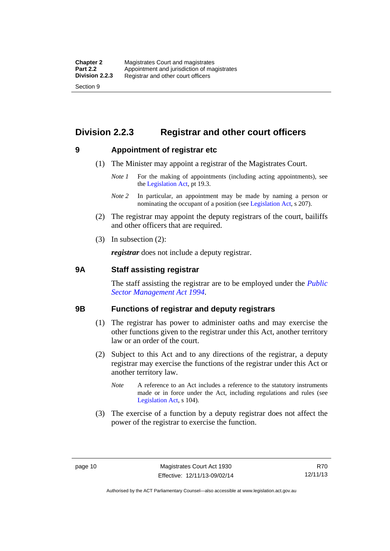### <span id="page-25-0"></span>**Division 2.2.3 Registrar and other court officers**

### <span id="page-25-1"></span>**9 Appointment of registrar etc**

- (1) The Minister may appoint a registrar of the Magistrates Court.
	- *Note 1* For the making of appointments (including acting appointments), see the [Legislation Act,](http://www.legislation.act.gov.au/a/2001-14) pt 19.3.
	- *Note 2* In particular, an appointment may be made by naming a person or nominating the occupant of a position (see [Legislation Act](http://www.legislation.act.gov.au/a/2001-14), s 207).
- (2) The registrar may appoint the deputy registrars of the court, bailiffs and other officers that are required.
- (3) In subsection (2):

*registrar* does not include a deputy registrar.

### <span id="page-25-2"></span>**9A Staff assisting registrar**

The staff assisting the registrar are to be employed under the *[Public](http://www.legislation.act.gov.au/a/1994-37)  [Sector Management Act 1994](http://www.legislation.act.gov.au/a/1994-37)*.

#### <span id="page-25-3"></span>**9B Functions of registrar and deputy registrars**

- (1) The registrar has power to administer oaths and may exercise the other functions given to the registrar under this Act, another territory law or an order of the court.
- (2) Subject to this Act and to any directions of the registrar, a deputy registrar may exercise the functions of the registrar under this Act or another territory law.
	- *Note* A reference to an Act includes a reference to the statutory instruments made or in force under the Act, including regulations and rules (see [Legislation Act,](http://www.legislation.act.gov.au/a/2001-14) s 104).
- (3) The exercise of a function by a deputy registrar does not affect the power of the registrar to exercise the function.

R70 12/11/13

Authorised by the ACT Parliamentary Counsel—also accessible at www.legislation.act.gov.au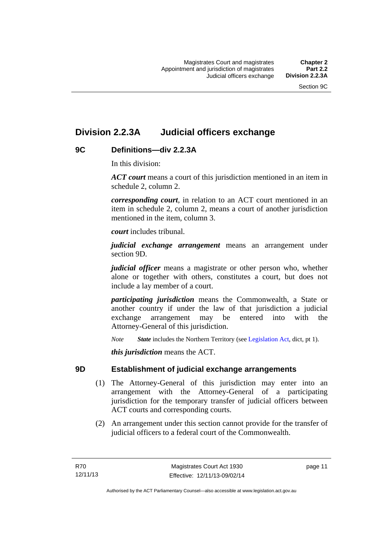### <span id="page-26-0"></span>**Division 2.2.3A Judicial officers exchange**

### <span id="page-26-1"></span>**9C Definitions—div 2.2.3A**

In this division:

*ACT court* means a court of this jurisdiction mentioned in an item in schedule 2, column 2.

*corresponding court*, in relation to an ACT court mentioned in an item in schedule 2, column 2, means a court of another jurisdiction mentioned in the item, column 3.

*court* includes tribunal.

*judicial exchange arrangement* means an arrangement under section 9D.

*judicial officer* means a magistrate or other person who, whether alone or together with others, constitutes a court, but does not include a lay member of a court.

*participating jurisdiction* means the Commonwealth, a State or another country if under the law of that jurisdiction a judicial exchange arrangement may be entered into with the Attorney-General of this jurisdiction.

*Note State* includes the Northern Territory (see [Legislation Act](http://www.legislation.act.gov.au/a/2001-14), dict, pt 1).

*this jurisdiction* means the ACT.

### <span id="page-26-2"></span>**9D Establishment of judicial exchange arrangements**

- (1) The Attorney-General of this jurisdiction may enter into an arrangement with the Attorney-General of a participating jurisdiction for the temporary transfer of judicial officers between ACT courts and corresponding courts.
- (2) An arrangement under this section cannot provide for the transfer of judicial officers to a federal court of the Commonwealth.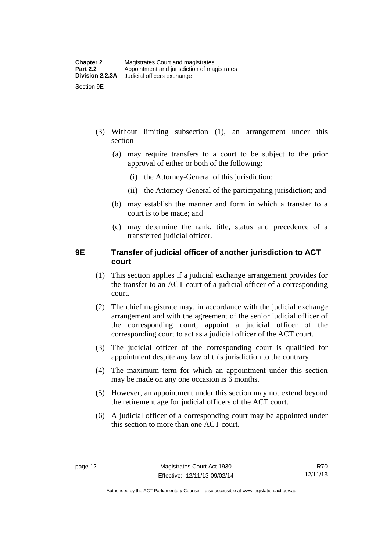- (3) Without limiting subsection (1), an arrangement under this section—
	- (a) may require transfers to a court to be subject to the prior approval of either or both of the following:
		- (i) the Attorney-General of this jurisdiction;
		- (ii) the Attorney-General of the participating jurisdiction; and
	- (b) may establish the manner and form in which a transfer to a court is to be made; and
	- (c) may determine the rank, title, status and precedence of a transferred judicial officer.

### <span id="page-27-0"></span>**9E Transfer of judicial officer of another jurisdiction to ACT court**

- (1) This section applies if a judicial exchange arrangement provides for the transfer to an ACT court of a judicial officer of a corresponding court.
- (2) The chief magistrate may, in accordance with the judicial exchange arrangement and with the agreement of the senior judicial officer of the corresponding court, appoint a judicial officer of the corresponding court to act as a judicial officer of the ACT court.
- (3) The judicial officer of the corresponding court is qualified for appointment despite any law of this jurisdiction to the contrary.
- (4) The maximum term for which an appointment under this section may be made on any one occasion is 6 months.
- (5) However, an appointment under this section may not extend beyond the retirement age for judicial officers of the ACT court.
- (6) A judicial officer of a corresponding court may be appointed under this section to more than one ACT court.

R70 12/11/13

Authorised by the ACT Parliamentary Counsel—also accessible at www.legislation.act.gov.au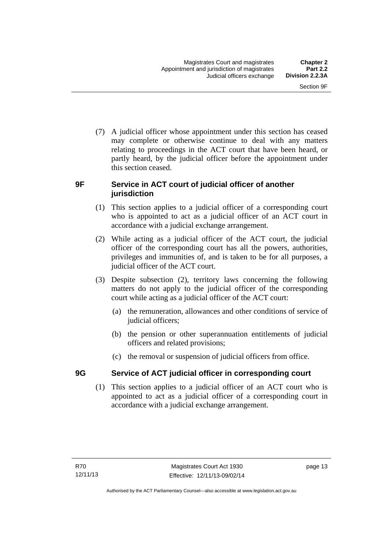(7) A judicial officer whose appointment under this section has ceased may complete or otherwise continue to deal with any matters relating to proceedings in the ACT court that have been heard, or partly heard, by the judicial officer before the appointment under this section ceased.

### <span id="page-28-0"></span>**9F Service in ACT court of judicial officer of another jurisdiction**

- (1) This section applies to a judicial officer of a corresponding court who is appointed to act as a judicial officer of an ACT court in accordance with a judicial exchange arrangement.
- (2) While acting as a judicial officer of the ACT court, the judicial officer of the corresponding court has all the powers, authorities, privileges and immunities of, and is taken to be for all purposes, a judicial officer of the ACT court.
- (3) Despite subsection (2), territory laws concerning the following matters do not apply to the judicial officer of the corresponding court while acting as a judicial officer of the ACT court:
	- (a) the remuneration, allowances and other conditions of service of judicial officers;
	- (b) the pension or other superannuation entitlements of judicial officers and related provisions;
	- (c) the removal or suspension of judicial officers from office.

### <span id="page-28-1"></span>**9G Service of ACT judicial officer in corresponding court**

(1) This section applies to a judicial officer of an ACT court who is appointed to act as a judicial officer of a corresponding court in accordance with a judicial exchange arrangement.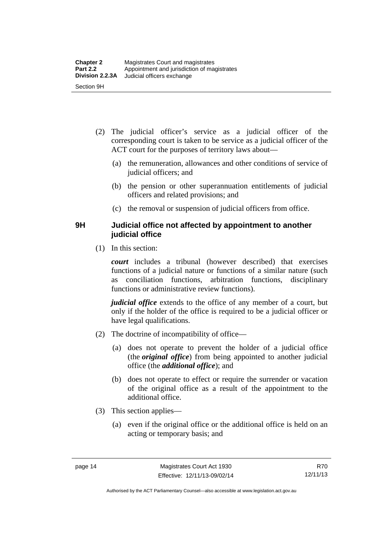- (2) The judicial officer's service as a judicial officer of the corresponding court is taken to be service as a judicial officer of the ACT court for the purposes of territory laws about—
	- (a) the remuneration, allowances and other conditions of service of judicial officers; and
	- (b) the pension or other superannuation entitlements of judicial officers and related provisions; and
	- (c) the removal or suspension of judicial officers from office.

### <span id="page-29-0"></span>**9H Judicial office not affected by appointment to another judicial office**

(1) In this section:

*court* includes a tribunal (however described) that exercises functions of a judicial nature or functions of a similar nature (such as conciliation functions, arbitration functions, disciplinary functions or administrative review functions).

*judicial office* extends to the office of any member of a court, but only if the holder of the office is required to be a judicial officer or have legal qualifications.

- (2) The doctrine of incompatibility of office—
	- (a) does not operate to prevent the holder of a judicial office (the *original office*) from being appointed to another judicial office (the *additional office*); and
	- (b) does not operate to effect or require the surrender or vacation of the original office as a result of the appointment to the additional office.
- (3) This section applies—
	- (a) even if the original office or the additional office is held on an acting or temporary basis; and

Authorised by the ACT Parliamentary Counsel—also accessible at www.legislation.act.gov.au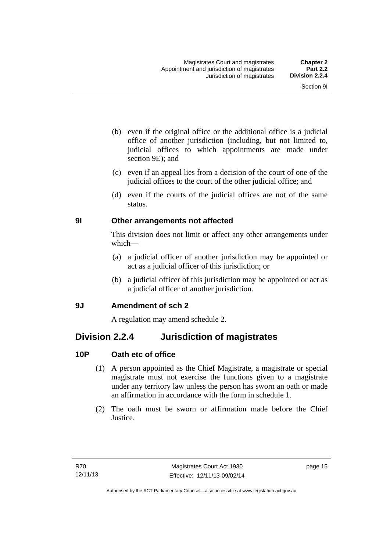- (b) even if the original office or the additional office is a judicial office of another jurisdiction (including, but not limited to, judicial offices to which appointments are made under section 9E); and
- (c) even if an appeal lies from a decision of the court of one of the judicial offices to the court of the other judicial office; and
- (d) even if the courts of the judicial offices are not of the same status.

### <span id="page-30-0"></span>**9I Other arrangements not affected**

This division does not limit or affect any other arrangements under which—

- (a) a judicial officer of another jurisdiction may be appointed or act as a judicial officer of this jurisdiction; or
- (b) a judicial officer of this jurisdiction may be appointed or act as a judicial officer of another jurisdiction.

### <span id="page-30-1"></span>**9J Amendment of sch 2**

A regulation may amend schedule 2.

### <span id="page-30-2"></span>**Division 2.2.4 Jurisdiction of magistrates**

### <span id="page-30-3"></span>**10P Oath etc of office**

- (1) A person appointed as the Chief Magistrate, a magistrate or special magistrate must not exercise the functions given to a magistrate under any territory law unless the person has sworn an oath or made an affirmation in accordance with the form in schedule 1.
- (2) The oath must be sworn or affirmation made before the Chief Justice.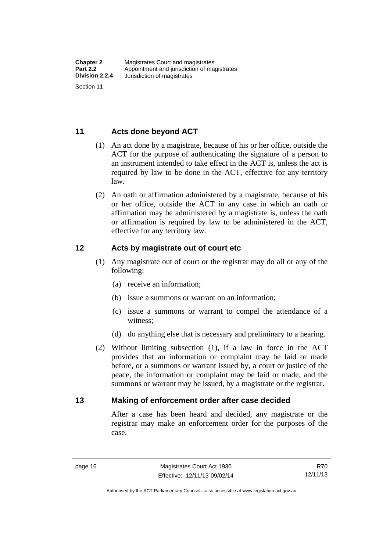### <span id="page-31-0"></span>**11 Acts done beyond ACT**

- (1) An act done by a magistrate, because of his or her office, outside the ACT for the purpose of authenticating the signature of a person to an instrument intended to take effect in the ACT is, unless the act is required by law to be done in the ACT, effective for any territory law.
- (2) An oath or affirmation administered by a magistrate, because of his or her office, outside the ACT in any case in which an oath or affirmation may be administered by a magistrate is, unless the oath or affirmation is required by law to be administered in the ACT, effective for any territory law.

### <span id="page-31-1"></span>**12 Acts by magistrate out of court etc**

- (1) Any magistrate out of court or the registrar may do all or any of the following:
	- (a) receive an information;
	- (b) issue a summons or warrant on an information;
	- (c) issue a summons or warrant to compel the attendance of a witness;
	- (d) do anything else that is necessary and preliminary to a hearing.
- (2) Without limiting subsection (1), if a law in force in the ACT provides that an information or complaint may be laid or made before, or a summons or warrant issued by, a court or justice of the peace, the information or complaint may be laid or made, and the summons or warrant may be issued, by a magistrate or the registrar.

### <span id="page-31-2"></span>**13 Making of enforcement order after case decided**

After a case has been heard and decided, any magistrate or the registrar may make an enforcement order for the purposes of the case.

R70 12/11/13

Authorised by the ACT Parliamentary Counsel—also accessible at www.legislation.act.gov.au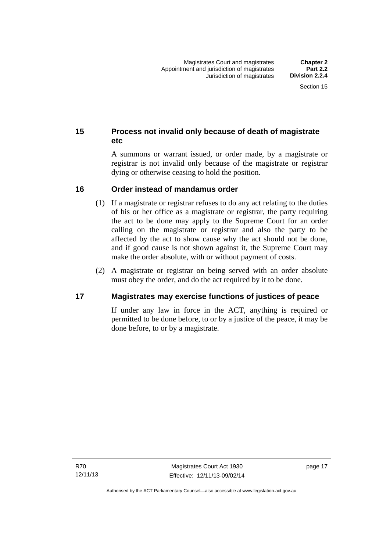### <span id="page-32-0"></span>**15 Process not invalid only because of death of magistrate etc**

A summons or warrant issued, or order made, by a magistrate or registrar is not invalid only because of the magistrate or registrar dying or otherwise ceasing to hold the position.

### <span id="page-32-1"></span>**16 Order instead of mandamus order**

- (1) If a magistrate or registrar refuses to do any act relating to the duties of his or her office as a magistrate or registrar, the party requiring the act to be done may apply to the Supreme Court for an order calling on the magistrate or registrar and also the party to be affected by the act to show cause why the act should not be done, and if good cause is not shown against it, the Supreme Court may make the order absolute, with or without payment of costs.
- (2) A magistrate or registrar on being served with an order absolute must obey the order, and do the act required by it to be done.

### <span id="page-32-2"></span>**17 Magistrates may exercise functions of justices of peace**

If under any law in force in the ACT, anything is required or permitted to be done before, to or by a justice of the peace, it may be done before, to or by a magistrate.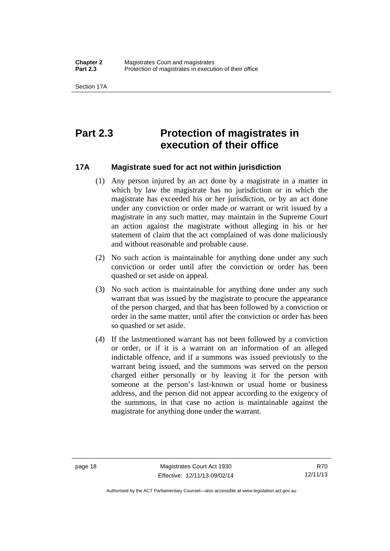### <span id="page-33-0"></span>**Part 2.3 Protection of magistrates in execution of their office**

### <span id="page-33-1"></span>**17A Magistrate sued for act not within jurisdiction**

- (1) Any person injured by an act done by a magistrate in a matter in which by law the magistrate has no jurisdiction or in which the magistrate has exceeded his or her jurisdiction, or by an act done under any conviction or order made or warrant or writ issued by a magistrate in any such matter, may maintain in the Supreme Court an action against the magistrate without alleging in his or her statement of claim that the act complained of was done maliciously and without reasonable and probable cause.
- (2) No such action is maintainable for anything done under any such conviction or order until after the conviction or order has been quashed or set aside on appeal.
- (3) No such action is maintainable for anything done under any such warrant that was issued by the magistrate to procure the appearance of the person charged, and that has been followed by a conviction or order in the same matter, until after the conviction or order has been so quashed or set aside.
- (4) If the lastmentioned warrant has not been followed by a conviction or order, or if it is a warrant on an information of an alleged indictable offence, and if a summons was issued previously to the warrant being issued, and the summons was served on the person charged either personally or by leaving it for the person with someone at the person's last-known or usual home or business address, and the person did not appear according to the exigency of the summons, in that case no action is maintainable against the magistrate for anything done under the warrant.

R70 12/11/13

Authorised by the ACT Parliamentary Counsel—also accessible at www.legislation.act.gov.au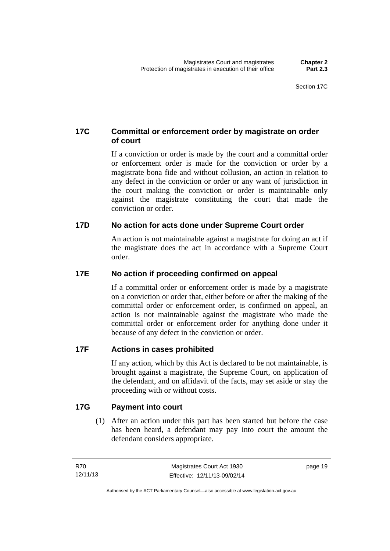### <span id="page-34-0"></span>**17C Committal or enforcement order by magistrate on order of court**

If a conviction or order is made by the court and a committal order or enforcement order is made for the conviction or order by a magistrate bona fide and without collusion, an action in relation to any defect in the conviction or order or any want of jurisdiction in the court making the conviction or order is maintainable only against the magistrate constituting the court that made the conviction or order.

### <span id="page-34-1"></span>**17D No action for acts done under Supreme Court order**

An action is not maintainable against a magistrate for doing an act if the magistrate does the act in accordance with a Supreme Court order.

### <span id="page-34-2"></span>**17E No action if proceeding confirmed on appeal**

If a committal order or enforcement order is made by a magistrate on a conviction or order that, either before or after the making of the committal order or enforcement order, is confirmed on appeal, an action is not maintainable against the magistrate who made the committal order or enforcement order for anything done under it because of any defect in the conviction or order.

### <span id="page-34-3"></span>**17F Actions in cases prohibited**

If any action, which by this Act is declared to be not maintainable, is brought against a magistrate, the Supreme Court, on application of the defendant, and on affidavit of the facts, may set aside or stay the proceeding with or without costs.

### <span id="page-34-4"></span>**17G Payment into court**

(1) After an action under this part has been started but before the case has been heard, a defendant may pay into court the amount the defendant considers appropriate.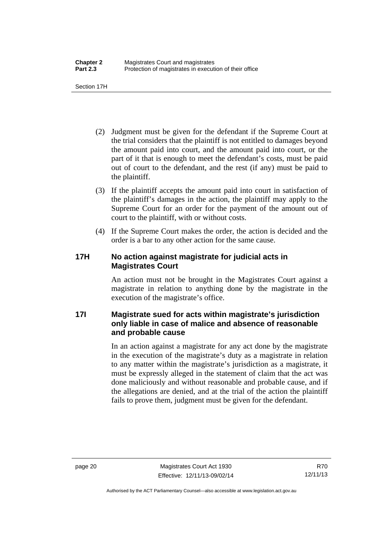Section 17H

- (2) Judgment must be given for the defendant if the Supreme Court at the trial considers that the plaintiff is not entitled to damages beyond the amount paid into court, and the amount paid into court, or the part of it that is enough to meet the defendant's costs, must be paid out of court to the defendant, and the rest (if any) must be paid to the plaintiff.
- (3) If the plaintiff accepts the amount paid into court in satisfaction of the plaintiff's damages in the action, the plaintiff may apply to the Supreme Court for an order for the payment of the amount out of court to the plaintiff, with or without costs.
- (4) If the Supreme Court makes the order, the action is decided and the order is a bar to any other action for the same cause.

### <span id="page-35-0"></span>**17H No action against magistrate for judicial acts in Magistrates Court**

An action must not be brought in the Magistrates Court against a magistrate in relation to anything done by the magistrate in the execution of the magistrate's office.

### <span id="page-35-1"></span>**17I Magistrate sued for acts within magistrate's jurisdiction only liable in case of malice and absence of reasonable and probable cause**

In an action against a magistrate for any act done by the magistrate in the execution of the magistrate's duty as a magistrate in relation to any matter within the magistrate's jurisdiction as a magistrate, it must be expressly alleged in the statement of claim that the act was done maliciously and without reasonable and probable cause, and if the allegations are denied, and at the trial of the action the plaintiff fails to prove them, judgment must be given for the defendant.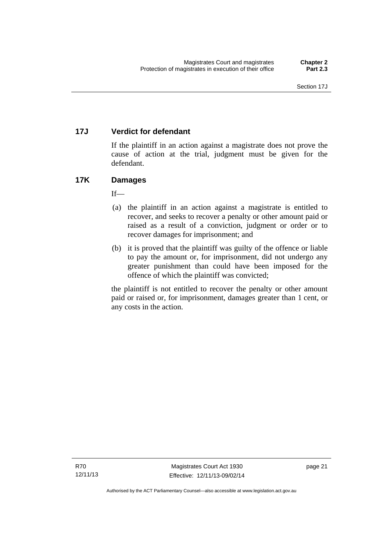# **17J Verdict for defendant**

If the plaintiff in an action against a magistrate does not prove the cause of action at the trial, judgment must be given for the defendant.

# **17K Damages**

 $If$ <sub>—</sub>

- (a) the plaintiff in an action against a magistrate is entitled to recover, and seeks to recover a penalty or other amount paid or raised as a result of a conviction, judgment or order or to recover damages for imprisonment; and
- (b) it is proved that the plaintiff was guilty of the offence or liable to pay the amount or, for imprisonment, did not undergo any greater punishment than could have been imposed for the offence of which the plaintiff was convicted;

the plaintiff is not entitled to recover the penalty or other amount paid or raised or, for imprisonment, damages greater than 1 cent, or any costs in the action.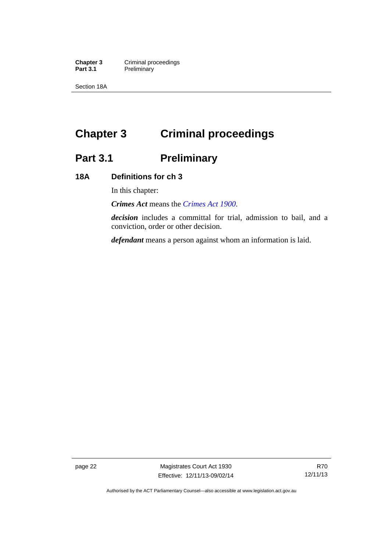**Chapter 3 Criminal proceedings**<br>**Part 3.1 Preliminary Preliminary** 

Section 18A

# **Chapter 3 Criminal proceedings**

# **Part 3.1 Preliminary**

# **18A Definitions for ch 3**

In this chapter:

*Crimes Act* means the *[Crimes Act 1900](http://www.legislation.act.gov.au/a/1900-40)*.

*decision* includes a committal for trial, admission to bail, and a conviction, order or other decision.

*defendant* means a person against whom an information is laid.

page 22 Magistrates Court Act 1930 Effective: 12/11/13-09/02/14

Authorised by the ACT Parliamentary Counsel—also accessible at www.legislation.act.gov.au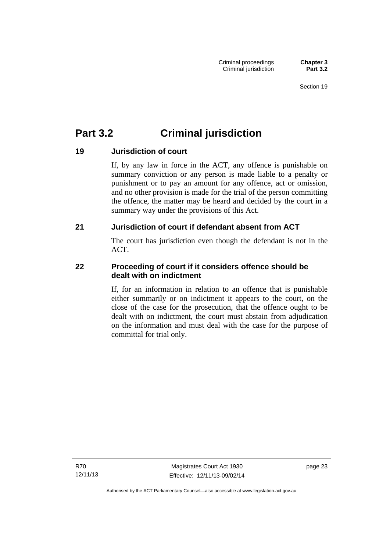# **Part 3.2 Criminal jurisdiction**

# **19 Jurisdiction of court**

If, by any law in force in the ACT, any offence is punishable on summary conviction or any person is made liable to a penalty or punishment or to pay an amount for any offence, act or omission, and no other provision is made for the trial of the person committing the offence, the matter may be heard and decided by the court in a summary way under the provisions of this Act.

# **21 Jurisdiction of court if defendant absent from ACT**

The court has jurisdiction even though the defendant is not in the ACT.

# **22 Proceeding of court if it considers offence should be dealt with on indictment**

If, for an information in relation to an offence that is punishable either summarily or on indictment it appears to the court, on the close of the case for the prosecution, that the offence ought to be dealt with on indictment, the court must abstain from adjudication on the information and must deal with the case for the purpose of committal for trial only.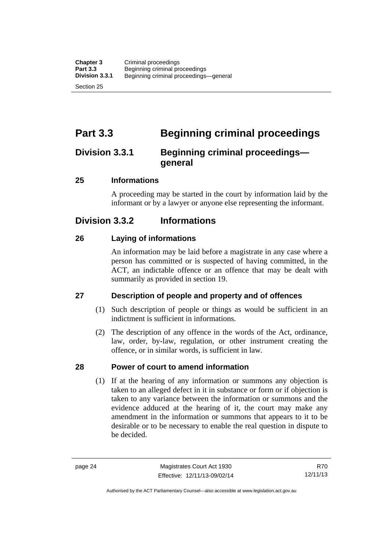# **Part 3.3 Beginning criminal proceedings**

# **Division 3.3.1 Beginning criminal proceedings general**

# **25 Informations**

A proceeding may be started in the court by information laid by the informant or by a lawyer or anyone else representing the informant.

# **Division 3.3.2 Informations**

# **26 Laying of informations**

An information may be laid before a magistrate in any case where a person has committed or is suspected of having committed, in the ACT, an indictable offence or an offence that may be dealt with summarily as provided in section 19.

# **27 Description of people and property and of offences**

- (1) Such description of people or things as would be sufficient in an indictment is sufficient in informations.
- (2) The description of any offence in the words of the Act, ordinance, law, order, by-law, regulation, or other instrument creating the offence, or in similar words, is sufficient in law.

# **28 Power of court to amend information**

(1) If at the hearing of any information or summons any objection is taken to an alleged defect in it in substance or form or if objection is taken to any variance between the information or summons and the evidence adduced at the hearing of it, the court may make any amendment in the information or summons that appears to it to be desirable or to be necessary to enable the real question in dispute to be decided.

R70 12/11/13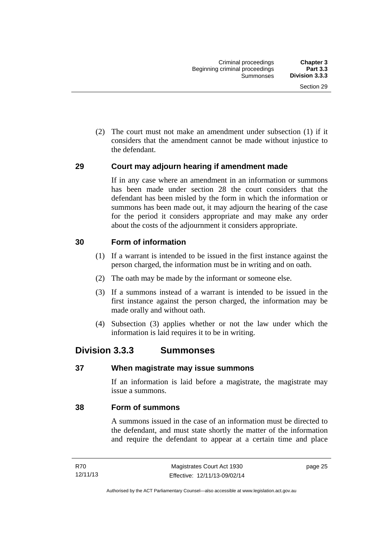(2) The court must not make an amendment under subsection (1) if it considers that the amendment cannot be made without injustice to the defendant.

# **29 Court may adjourn hearing if amendment made**

If in any case where an amendment in an information or summons has been made under section 28 the court considers that the defendant has been misled by the form in which the information or summons has been made out, it may adjourn the hearing of the case for the period it considers appropriate and may make any order about the costs of the adjournment it considers appropriate.

# **30 Form of information**

- (1) If a warrant is intended to be issued in the first instance against the person charged, the information must be in writing and on oath.
- (2) The oath may be made by the informant or someone else.
- (3) If a summons instead of a warrant is intended to be issued in the first instance against the person charged, the information may be made orally and without oath.
- (4) Subsection (3) applies whether or not the law under which the information is laid requires it to be in writing.

# **Division 3.3.3 Summonses**

## **37 When magistrate may issue summons**

If an information is laid before a magistrate, the magistrate may issue a summons.

## **38 Form of summons**

A summons issued in the case of an information must be directed to the defendant, and must state shortly the matter of the information and require the defendant to appear at a certain time and place

page 25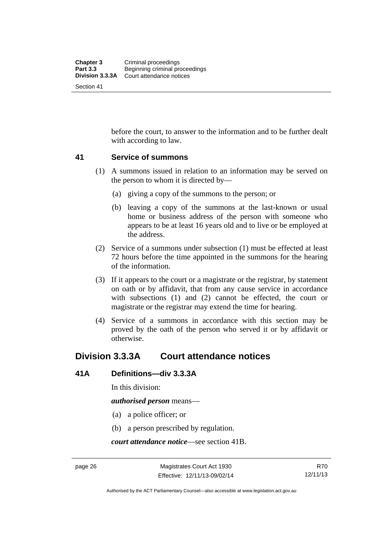before the court, to answer to the information and to be further dealt with according to law.

## **41 Service of summons**

- (1) A summons issued in relation to an information may be served on the person to whom it is directed by—
	- (a) giving a copy of the summons to the person; or
	- (b) leaving a copy of the summons at the last-known or usual home or business address of the person with someone who appears to be at least 16 years old and to live or be employed at the address.
- (2) Service of a summons under subsection (1) must be effected at least 72 hours before the time appointed in the summons for the hearing of the information.
- (3) If it appears to the court or a magistrate or the registrar, by statement on oath or by affidavit, that from any cause service in accordance with subsections (1) and (2) cannot be effected, the court or magistrate or the registrar may extend the time for hearing.
- (4) Service of a summons in accordance with this section may be proved by the oath of the person who served it or by affidavit or otherwise.

# **Division 3.3.3A Court attendance notices**

## **41A Definitions—div 3.3.3A**

In this division:

*authorised person* means—

- (a) a police officer; or
- (b) a person prescribed by regulation.

*court attendance notice*—see section 41B.

Authorised by the ACT Parliamentary Counsel—also accessible at www.legislation.act.gov.au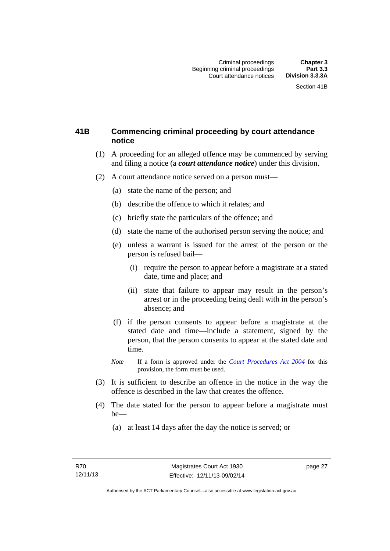# **41B Commencing criminal proceeding by court attendance notice**

- (1) A proceeding for an alleged offence may be commenced by serving and filing a notice (a *court attendance notice*) under this division.
- (2) A court attendance notice served on a person must––
	- (a) state the name of the person; and
	- (b) describe the offence to which it relates; and
	- (c) briefly state the particulars of the offence; and
	- (d) state the name of the authorised person serving the notice; and
	- (e) unless a warrant is issued for the arrest of the person or the person is refused bail—
		- (i) require the person to appear before a magistrate at a stated date, time and place; and
		- (ii) state that failure to appear may result in the person's arrest or in the proceeding being dealt with in the person's absence; and
	- (f) if the person consents to appear before a magistrate at the stated date and time—include a statement, signed by the person, that the person consents to appear at the stated date and time.
	- *Note* If a form is approved under the *[Court Procedures Act 2004](http://www.legislation.act.gov.au/a/2004-59)* for this provision, the form must be used.
- (3) It is sufficient to describe an offence in the notice in the way the offence is described in the law that creates the offence.
- (4) The date stated for the person to appear before a magistrate must be—
	- (a) at least 14 days after the day the notice is served; or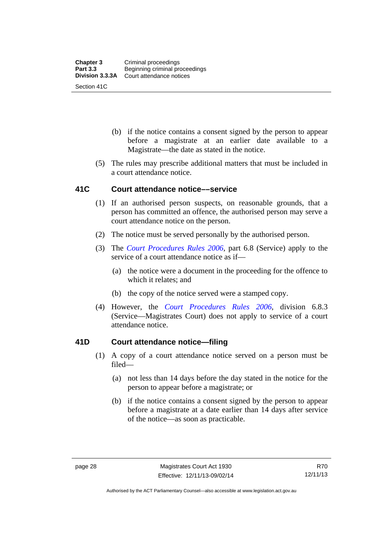- (b) if the notice contains a consent signed by the person to appear before a magistrate at an earlier date available to a Magistrate—the date as stated in the notice.
- (5) The rules may prescribe additional matters that must be included in a court attendance notice.

## **41C Court attendance notice––service**

- (1) If an authorised person suspects, on reasonable grounds, that a person has committed an offence, the authorised person may serve a court attendance notice on the person.
- (2) The notice must be served personally by the authorised person.
- (3) The *[Court Procedures Rules 2006](http://www.legislation.act.gov.au/sl/2006-29),* part 6.8 (Service) apply to the service of a court attendance notice as if—
	- (a) the notice were a document in the proceeding for the offence to which it relates; and
	- (b) the copy of the notice served were a stamped copy.
- (4) However, the *[Court Procedures Rules 2006,](http://www.legislation.act.gov.au/sl/2006-29)* division 6.8.3 (Service—Magistrates Court) does not apply to service of a court attendance notice.

# **41D Court attendance notice—filing**

- (1) A copy of a court attendance notice served on a person must be filed—
	- (a) not less than 14 days before the day stated in the notice for the person to appear before a magistrate; or
	- (b) if the notice contains a consent signed by the person to appear before a magistrate at a date earlier than 14 days after service of the notice—as soon as practicable.

Authorised by the ACT Parliamentary Counsel—also accessible at www.legislation.act.gov.au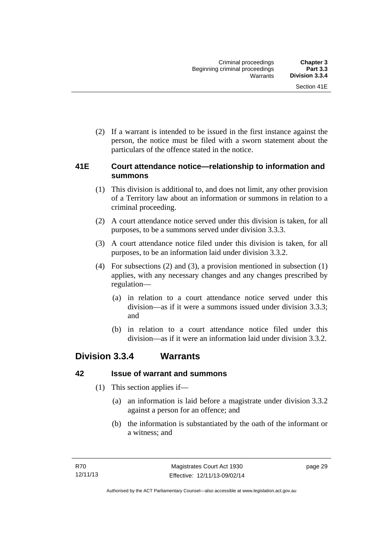(2) If a warrant is intended to be issued in the first instance against the person, the notice must be filed with a sworn statement about the particulars of the offence stated in the notice.

# **41E Court attendance notice—relationship to information and summons**

- (1) This division is additional to, and does not limit, any other provision of a Territory law about an information or summons in relation to a criminal proceeding.
- (2) A court attendance notice served under this division is taken, for all purposes, to be a summons served under division 3.3.3.
- (3) A court attendance notice filed under this division is taken, for all purposes, to be an information laid under division 3.3.2.
- (4) For subsections (2) and (3), a provision mentioned in subsection (1) applies, with any necessary changes and any changes prescribed by regulation—
	- (a) in relation to a court attendance notice served under this division—as if it were a summons issued under division 3.3.3; and
	- (b) in relation to a court attendance notice filed under this division—as if it were an information laid under division 3.3.2.

# **Division 3.3.4 Warrants**

# **42 Issue of warrant and summons**

- (1) This section applies if—
	- (a) an information is laid before a magistrate under division 3.3.2 against a person for an offence; and
	- (b) the information is substantiated by the oath of the informant or a witness; and

page 29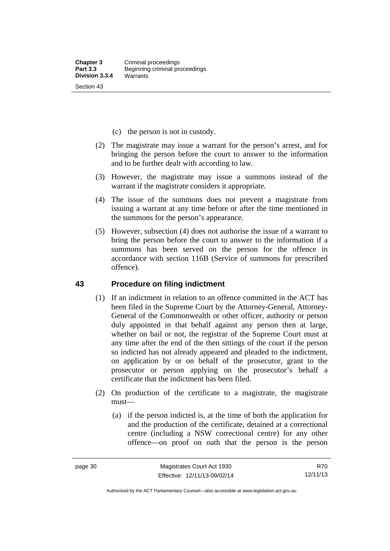- (c) the person is not in custody.
- (2) The magistrate may issue a warrant for the person's arrest, and for bringing the person before the court to answer to the information and to be further dealt with according to law.
- (3) However, the magistrate may issue a summons instead of the warrant if the magistrate considers it appropriate.
- (4) The issue of the summons does not prevent a magistrate from issuing a warrant at any time before or after the time mentioned in the summons for the person's appearance.
- (5) However, subsection (4) does not authorise the issue of a warrant to bring the person before the court to answer to the information if a summons has been served on the person for the offence in accordance with section 116B (Service of summons for prescribed offence).

#### **43 Procedure on filing indictment**

- (1) If an indictment in relation to an offence committed in the ACT has been filed in the Supreme Court by the Attorney-General, Attorney-General of the Commonwealth or other officer, authority or person duly appointed in that behalf against any person then at large, whether on bail or not, the registrar of the Supreme Court must at any time after the end of the then sittings of the court if the person so indicted has not already appeared and pleaded to the indictment, on application by or on behalf of the prosecutor, grant to the prosecutor or person applying on the prosecutor's behalf a certificate that the indictment has been filed.
- (2) On production of the certificate to a magistrate, the magistrate must—
	- (a) if the person indicted is, at the time of both the application for and the production of the certificate, detained at a correctional centre (including a NSW correctional centre) for any other offence—on proof on oath that the person is the person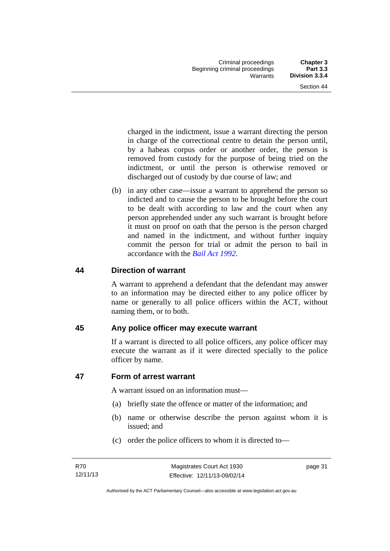charged in the indictment, issue a warrant directing the person in charge of the correctional centre to detain the person until, by a habeas corpus order or another order, the person is removed from custody for the purpose of being tried on the indictment, or until the person is otherwise removed or discharged out of custody by due course of law; and

 (b) in any other case—issue a warrant to apprehend the person so indicted and to cause the person to be brought before the court to be dealt with according to law and the court when any person apprehended under any such warrant is brought before it must on proof on oath that the person is the person charged and named in the indictment, and without further inquiry commit the person for trial or admit the person to bail in accordance with the *[Bail Act 1992](http://www.legislation.act.gov.au/a/1992-8)*.

# **44 Direction of warrant**

A warrant to apprehend a defendant that the defendant may answer to an information may be directed either to any police officer by name or generally to all police officers within the ACT, without naming them, or to both.

# **45 Any police officer may execute warrant**

If a warrant is directed to all police officers, any police officer may execute the warrant as if it were directed specially to the police officer by name.

# **47 Form of arrest warrant**

A warrant issued on an information must—

- (a) briefly state the offence or matter of the information; and
- (b) name or otherwise describe the person against whom it is issued; and
- (c) order the police officers to whom it is directed to—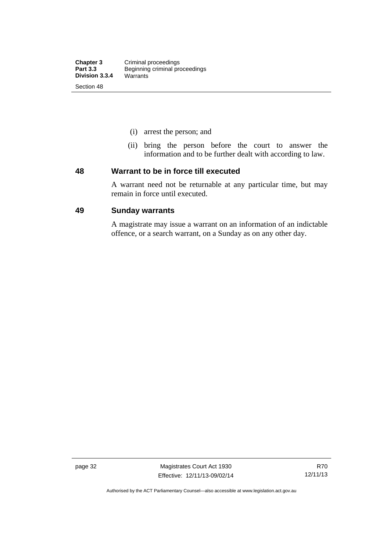- (i) arrest the person; and
- (ii) bring the person before the court to answer the information and to be further dealt with according to law.

#### **48 Warrant to be in force till executed**

A warrant need not be returnable at any particular time, but may remain in force until executed.

### **49 Sunday warrants**

A magistrate may issue a warrant on an information of an indictable offence, or a search warrant, on a Sunday as on any other day.

page 32 Magistrates Court Act 1930 Effective: 12/11/13-09/02/14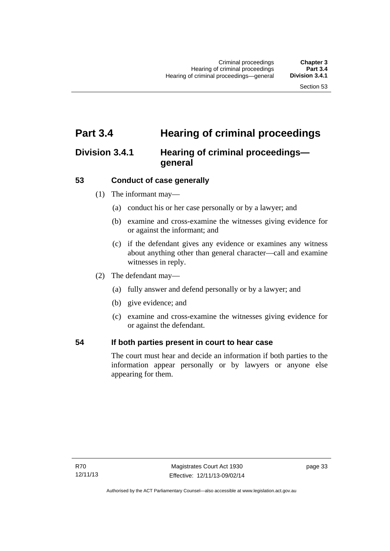# **Part 3.4 Hearing of criminal proceedings**

# **Division 3.4.1 Hearing of criminal proceedings general**

# **53 Conduct of case generally**

- (1) The informant may—
	- (a) conduct his or her case personally or by a lawyer; and
	- (b) examine and cross-examine the witnesses giving evidence for or against the informant; and
	- (c) if the defendant gives any evidence or examines any witness about anything other than general character—call and examine witnesses in reply.
- (2) The defendant may—
	- (a) fully answer and defend personally or by a lawyer; and
	- (b) give evidence; and
	- (c) examine and cross-examine the witnesses giving evidence for or against the defendant.

## **54 If both parties present in court to hear case**

The court must hear and decide an information if both parties to the information appear personally or by lawyers or anyone else appearing for them.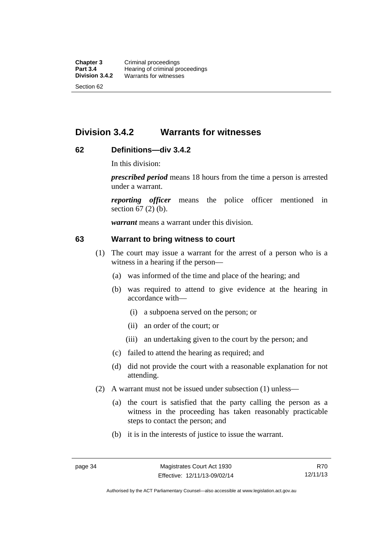# **Division 3.4.2 Warrants for witnesses**

# **62 Definitions—div 3.4.2**

In this division:

*prescribed period* means 18 hours from the time a person is arrested under a warrant.

*reporting officer* means the police officer mentioned in section 67 (2) (b).

*warrant* means a warrant under this division.

### **63 Warrant to bring witness to court**

- (1) The court may issue a warrant for the arrest of a person who is a witness in a hearing if the person—
	- (a) was informed of the time and place of the hearing; and
	- (b) was required to attend to give evidence at the hearing in accordance with—
		- (i) a subpoena served on the person; or
		- (ii) an order of the court; or
		- (iii) an undertaking given to the court by the person; and
	- (c) failed to attend the hearing as required; and
	- (d) did not provide the court with a reasonable explanation for not attending.
- (2) A warrant must not be issued under subsection (1) unless—
	- (a) the court is satisfied that the party calling the person as a witness in the proceeding has taken reasonably practicable steps to contact the person; and
	- (b) it is in the interests of justice to issue the warrant.

Authorised by the ACT Parliamentary Counsel—also accessible at www.legislation.act.gov.au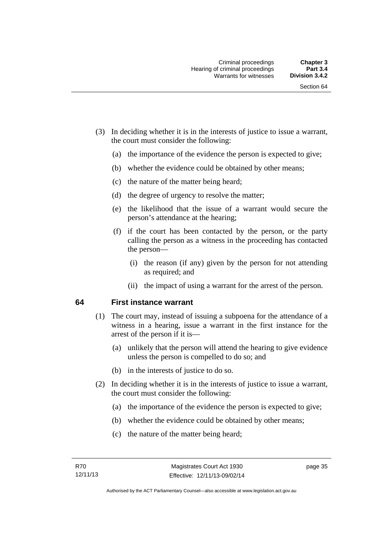- (3) In deciding whether it is in the interests of justice to issue a warrant, the court must consider the following:
	- (a) the importance of the evidence the person is expected to give;
	- (b) whether the evidence could be obtained by other means;
	- (c) the nature of the matter being heard;
	- (d) the degree of urgency to resolve the matter;
	- (e) the likelihood that the issue of a warrant would secure the person's attendance at the hearing;
	- (f) if the court has been contacted by the person, or the party calling the person as a witness in the proceeding has contacted the person—
		- (i) the reason (if any) given by the person for not attending as required; and
		- (ii) the impact of using a warrant for the arrest of the person.

### **64 First instance warrant**

- (1) The court may, instead of issuing a subpoena for the attendance of a witness in a hearing, issue a warrant in the first instance for the arrest of the person if it is—
	- (a) unlikely that the person will attend the hearing to give evidence unless the person is compelled to do so; and
	- (b) in the interests of justice to do so.
- (2) In deciding whether it is in the interests of justice to issue a warrant, the court must consider the following:
	- (a) the importance of the evidence the person is expected to give;
	- (b) whether the evidence could be obtained by other means;
	- (c) the nature of the matter being heard;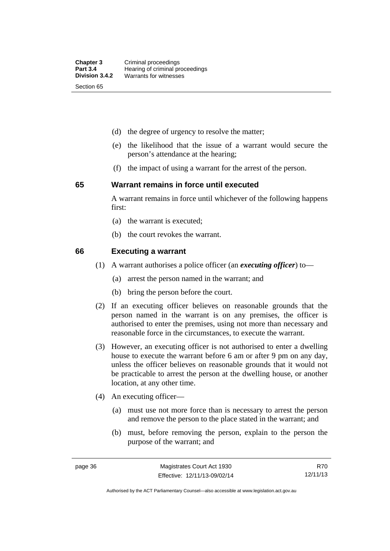- (d) the degree of urgency to resolve the matter;
- (e) the likelihood that the issue of a warrant would secure the person's attendance at the hearing;
- (f) the impact of using a warrant for the arrest of the person.

#### **65 Warrant remains in force until executed**

A warrant remains in force until whichever of the following happens first:

- (a) the warrant is executed;
- (b) the court revokes the warrant.

#### **66 Executing a warrant**

- (1) A warrant authorises a police officer (an *executing officer*) to—
	- (a) arrest the person named in the warrant; and
	- (b) bring the person before the court.
- (2) If an executing officer believes on reasonable grounds that the person named in the warrant is on any premises, the officer is authorised to enter the premises, using not more than necessary and reasonable force in the circumstances, to execute the warrant.
- (3) However, an executing officer is not authorised to enter a dwelling house to execute the warrant before 6 am or after 9 pm on any day, unless the officer believes on reasonable grounds that it would not be practicable to arrest the person at the dwelling house, or another location, at any other time.
- (4) An executing officer—
	- (a) must use not more force than is necessary to arrest the person and remove the person to the place stated in the warrant; and
	- (b) must, before removing the person, explain to the person the purpose of the warrant; and

R70 12/11/13

Authorised by the ACT Parliamentary Counsel—also accessible at www.legislation.act.gov.au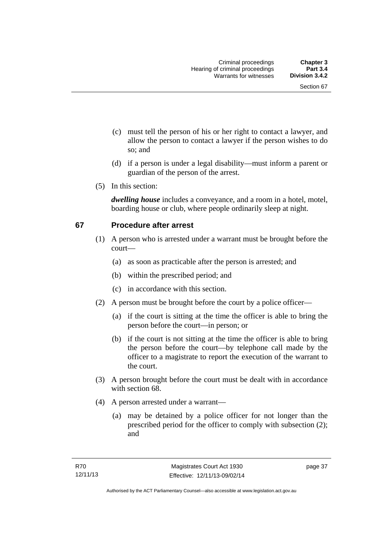- (c) must tell the person of his or her right to contact a lawyer, and allow the person to contact a lawyer if the person wishes to do so; and
- (d) if a person is under a legal disability—must inform a parent or guardian of the person of the arrest.
- (5) In this section:

*dwelling house* includes a conveyance, and a room in a hotel, motel, boarding house or club, where people ordinarily sleep at night.

# **67 Procedure after arrest**

- (1) A person who is arrested under a warrant must be brought before the court—
	- (a) as soon as practicable after the person is arrested; and
	- (b) within the prescribed period; and
	- (c) in accordance with this section.
- (2) A person must be brought before the court by a police officer—
	- (a) if the court is sitting at the time the officer is able to bring the person before the court—in person; or
	- (b) if the court is not sitting at the time the officer is able to bring the person before the court—by telephone call made by the officer to a magistrate to report the execution of the warrant to the court.
- (3) A person brought before the court must be dealt with in accordance with section 68.
- (4) A person arrested under a warrant—
	- (a) may be detained by a police officer for not longer than the prescribed period for the officer to comply with subsection (2); and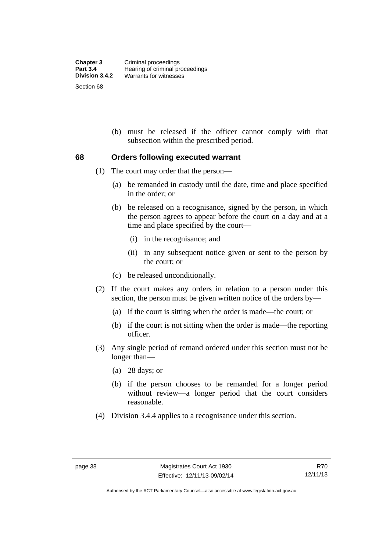(b) must be released if the officer cannot comply with that subsection within the prescribed period.

# **68 Orders following executed warrant**

- (1) The court may order that the person—
	- (a) be remanded in custody until the date, time and place specified in the order; or
	- (b) be released on a recognisance, signed by the person, in which the person agrees to appear before the court on a day and at a time and place specified by the court—
		- (i) in the recognisance; and
		- (ii) in any subsequent notice given or sent to the person by the court; or
	- (c) be released unconditionally.
- (2) If the court makes any orders in relation to a person under this section, the person must be given written notice of the orders by—
	- (a) if the court is sitting when the order is made—the court; or
	- (b) if the court is not sitting when the order is made—the reporting officer.
- (3) Any single period of remand ordered under this section must not be longer than—
	- (a) 28 days; or
	- (b) if the person chooses to be remanded for a longer period without review—a longer period that the court considers reasonable.
- (4) Division 3.4.4 applies to a recognisance under this section.

Authorised by the ACT Parliamentary Counsel—also accessible at www.legislation.act.gov.au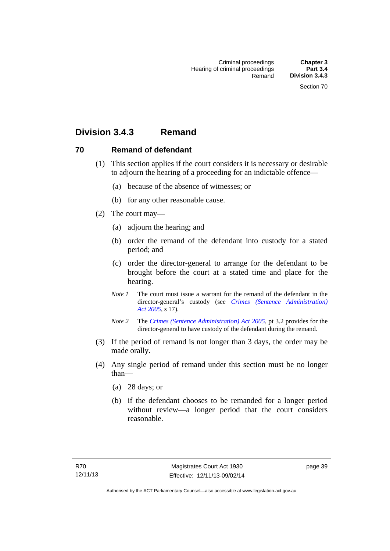# **Division 3.4.3 Remand**

# **70 Remand of defendant**

- (1) This section applies if the court considers it is necessary or desirable to adjourn the hearing of a proceeding for an indictable offence—
	- (a) because of the absence of witnesses; or
	- (b) for any other reasonable cause.
- (2) The court may—
	- (a) adjourn the hearing; and
	- (b) order the remand of the defendant into custody for a stated period; and
	- (c) order the director-general to arrange for the defendant to be brought before the court at a stated time and place for the hearing.
	- *Note 1* The court must issue a warrant for the remand of the defendant in the director-general's custody (see *[Crimes \(Sentence Administration\)](http://www.legislation.act.gov.au/a/2005-59)  [Act 2005](http://www.legislation.act.gov.au/a/2005-59)*, s 17).
	- *Note 2* The *[Crimes \(Sentence Administration\) Act 2005](http://www.legislation.act.gov.au/a/2005-59)*, pt 3.2 provides for the director-general to have custody of the defendant during the remand.
- (3) If the period of remand is not longer than 3 days, the order may be made orally.
- (4) Any single period of remand under this section must be no longer than—
	- (a) 28 days; or
	- (b) if the defendant chooses to be remanded for a longer period without review—a longer period that the court considers reasonable.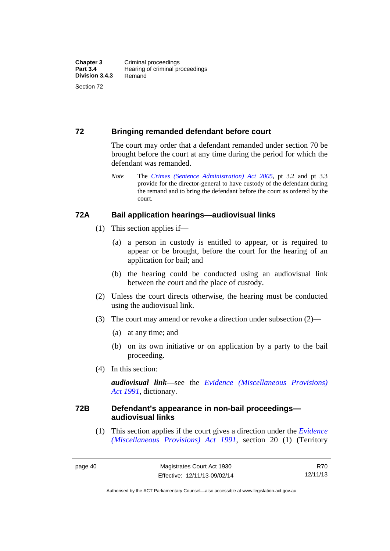# **72 Bringing remanded defendant before court**

The court may order that a defendant remanded under section 70 be brought before the court at any time during the period for which the defendant was remanded.

*Note* The *[Crimes \(Sentence Administration\) Act 2005](http://www.legislation.act.gov.au/a/2005-59)*, pt 3.2 and pt 3.3 provide for the director-general to have custody of the defendant during the remand and to bring the defendant before the court as ordered by the court.

# **72A Bail application hearings—audiovisual links**

- (1) This section applies if—
	- (a) a person in custody is entitled to appear, or is required to appear or be brought, before the court for the hearing of an application for bail; and
	- (b) the hearing could be conducted using an audiovisual link between the court and the place of custody.
- (2) Unless the court directs otherwise, the hearing must be conducted using the audiovisual link.
- (3) The court may amend or revoke a direction under subsection (2)—
	- (a) at any time; and
	- (b) on its own initiative or on application by a party to the bail proceeding.
- (4) In this section:

*audiovisual link*—see the *[Evidence \(Miscellaneous Provisions\)](http://www.legislation.act.gov.au/a/1991-34)  [Act 1991](http://www.legislation.act.gov.au/a/1991-34)*, dictionary.

# **72B Defendant's appearance in non-bail proceedings audiovisual links**

(1) This section applies if the court gives a direction under the *[Evidence](http://www.legislation.act.gov.au/a/1991-34)  [\(Miscellaneous Provisions\) Act 1991](http://www.legislation.act.gov.au/a/1991-34)*, section 20 (1) (Territory

Authorised by the ACT Parliamentary Counsel—also accessible at www.legislation.act.gov.au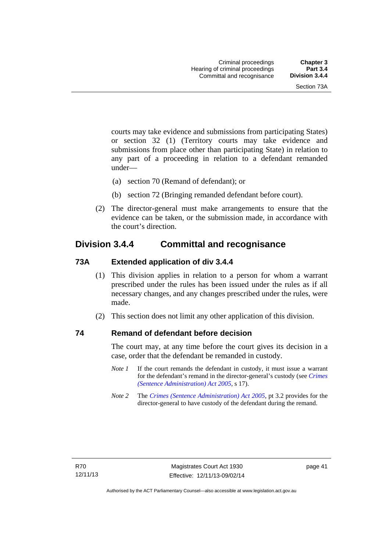courts may take evidence and submissions from participating States) or section 32 (1) (Territory courts may take evidence and submissions from place other than participating State) in relation to any part of a proceeding in relation to a defendant remanded under—

- (a) section 70 (Remand of defendant); or
- (b) section 72 (Bringing remanded defendant before court).
- (2) The director-general must make arrangements to ensure that the evidence can be taken, or the submission made, in accordance with the court's direction.

# **Division 3.4.4 Committal and recognisance**

# **73A Extended application of div 3.4.4**

- (1) This division applies in relation to a person for whom a warrant prescribed under the rules has been issued under the rules as if all necessary changes, and any changes prescribed under the rules, were made.
- (2) This section does not limit any other application of this division.

## **74 Remand of defendant before decision**

The court may, at any time before the court gives its decision in a case, order that the defendant be remanded in custody.

- *Note 1* If the court remands the defendant in custody, it must issue a warrant for the defendant's remand in the director-general's custody (see *[Crimes](http://www.legislation.act.gov.au/a/2005-59)  [\(Sentence Administration\) Act 2005](http://www.legislation.act.gov.au/a/2005-59)*, s 17).
- *Note 2* The *[Crimes \(Sentence Administration\) Act 2005](http://www.legislation.act.gov.au/a/2005-59)*, pt 3.2 provides for the director-general to have custody of the defendant during the remand.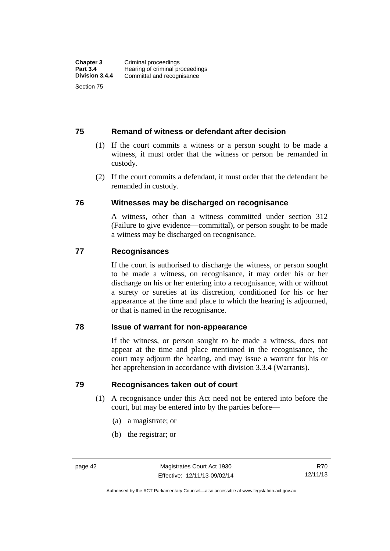# **75 Remand of witness or defendant after decision**

- (1) If the court commits a witness or a person sought to be made a witness, it must order that the witness or person be remanded in custody.
- (2) If the court commits a defendant, it must order that the defendant be remanded in custody.

## **76 Witnesses may be discharged on recognisance**

A witness, other than a witness committed under section 312 (Failure to give evidence—committal), or person sought to be made a witness may be discharged on recognisance.

## **77 Recognisances**

If the court is authorised to discharge the witness, or person sought to be made a witness, on recognisance, it may order his or her discharge on his or her entering into a recognisance, with or without a surety or sureties at its discretion, conditioned for his or her appearance at the time and place to which the hearing is adjourned, or that is named in the recognisance.

## **78 Issue of warrant for non-appearance**

If the witness, or person sought to be made a witness, does not appear at the time and place mentioned in the recognisance, the court may adjourn the hearing, and may issue a warrant for his or her apprehension in accordance with division 3.3.4 (Warrants).

# **79 Recognisances taken out of court**

- (1) A recognisance under this Act need not be entered into before the court, but may be entered into by the parties before—
	- (a) a magistrate; or
	- (b) the registrar; or

Authorised by the ACT Parliamentary Counsel—also accessible at www.legislation.act.gov.au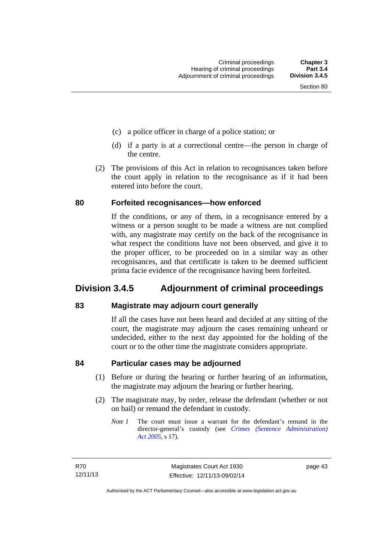- (c) a police officer in charge of a police station; or
- (d) if a party is at a correctional centre—the person in charge of the centre.
- (2) The provisions of this Act in relation to recognisances taken before the court apply in relation to the recognisance as if it had been entered into before the court.

### **80 Forfeited recognisances—how enforced**

If the conditions, or any of them, in a recognisance entered by a witness or a person sought to be made a witness are not complied with, any magistrate may certify on the back of the recognisance in what respect the conditions have not been observed, and give it to the proper officer, to be proceeded on in a similar way as other recognisances, and that certificate is taken to be deemed sufficient prima facie evidence of the recognisance having been forfeited.

# **Division 3.4.5 Adjournment of criminal proceedings**

## **83 Magistrate may adjourn court generally**

If all the cases have not been heard and decided at any sitting of the court, the magistrate may adjourn the cases remaining unheard or undecided, either to the next day appointed for the holding of the court or to the other time the magistrate considers appropriate.

## **84 Particular cases may be adjourned**

- (1) Before or during the hearing or further hearing of an information, the magistrate may adjourn the hearing or further hearing.
- (2) The magistrate may, by order, release the defendant (whether or not on bail) or remand the defendant in custody.
	- *Note 1* The court must issue a warrant for the defendant's remand in the director-general's custody (see *[Crimes \(Sentence Administration\)](http://www.legislation.act.gov.au/a/2005-59)  [Act 2005](http://www.legislation.act.gov.au/a/2005-59)*, s 17).

page 43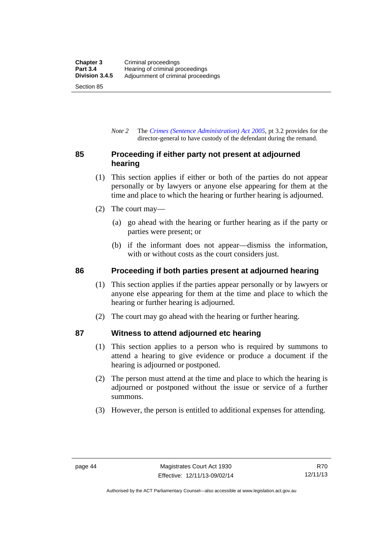*Note 2* The *[Crimes \(Sentence Administration\) Act 2005](http://www.legislation.act.gov.au/a/2005-59)*, pt 3.2 provides for the director-general to have custody of the defendant during the remand.

# **85 Proceeding if either party not present at adjourned hearing**

- (1) This section applies if either or both of the parties do not appear personally or by lawyers or anyone else appearing for them at the time and place to which the hearing or further hearing is adjourned.
- (2) The court may—
	- (a) go ahead with the hearing or further hearing as if the party or parties were present; or
	- (b) if the informant does not appear—dismiss the information, with or without costs as the court considers just.

# **86 Proceeding if both parties present at adjourned hearing**

- (1) This section applies if the parties appear personally or by lawyers or anyone else appearing for them at the time and place to which the hearing or further hearing is adjourned.
- (2) The court may go ahead with the hearing or further hearing.

# **87 Witness to attend adjourned etc hearing**

- (1) This section applies to a person who is required by summons to attend a hearing to give evidence or produce a document if the hearing is adjourned or postponed.
- (2) The person must attend at the time and place to which the hearing is adjourned or postponed without the issue or service of a further summons.
- (3) However, the person is entitled to additional expenses for attending.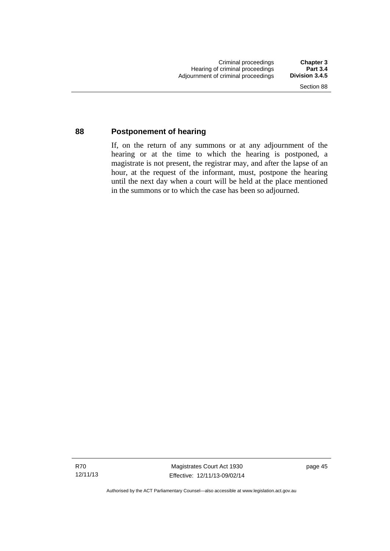## **88 Postponement of hearing**

If, on the return of any summons or at any adjournment of the hearing or at the time to which the hearing is postponed, a magistrate is not present, the registrar may, and after the lapse of an hour, at the request of the informant, must, postpone the hearing until the next day when a court will be held at the place mentioned in the summons or to which the case has been so adjourned.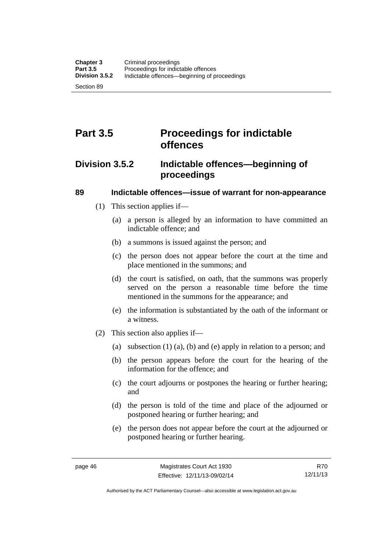# **Part 3.5 Proceedings for indictable offences**

# **Division 3.5.2 Indictable offences—beginning of proceedings**

# **89 Indictable offences—issue of warrant for non-appearance**

- (1) This section applies if—
	- (a) a person is alleged by an information to have committed an indictable offence; and
	- (b) a summons is issued against the person; and
	- (c) the person does not appear before the court at the time and place mentioned in the summons; and
	- (d) the court is satisfied, on oath, that the summons was properly served on the person a reasonable time before the time mentioned in the summons for the appearance; and
	- (e) the information is substantiated by the oath of the informant or a witness.
- (2) This section also applies if—
	- (a) subsection (1) (a), (b) and (e) apply in relation to a person; and
	- (b) the person appears before the court for the hearing of the information for the offence; and
	- (c) the court adjourns or postpones the hearing or further hearing; and
	- (d) the person is told of the time and place of the adjourned or postponed hearing or further hearing; and
	- (e) the person does not appear before the court at the adjourned or postponed hearing or further hearing.

Authorised by the ACT Parliamentary Counsel—also accessible at www.legislation.act.gov.au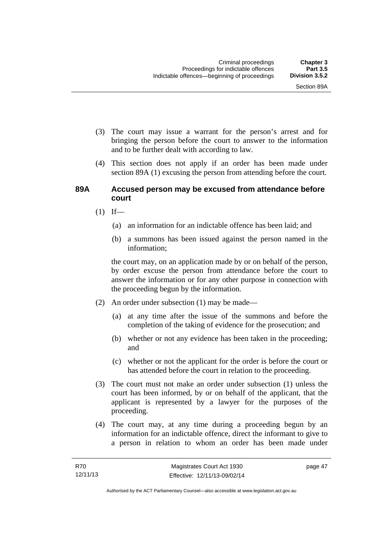- (3) The court may issue a warrant for the person's arrest and for bringing the person before the court to answer to the information and to be further dealt with according to law.
- (4) This section does not apply if an order has been made under section 89A (1) excusing the person from attending before the court.

### **89A Accused person may be excused from attendance before court**

- $(1)$  If—
	- (a) an information for an indictable offence has been laid; and
	- (b) a summons has been issued against the person named in the information;

the court may, on an application made by or on behalf of the person, by order excuse the person from attendance before the court to answer the information or for any other purpose in connection with the proceeding begun by the information.

- (2) An order under subsection (1) may be made—
	- (a) at any time after the issue of the summons and before the completion of the taking of evidence for the prosecution; and
	- (b) whether or not any evidence has been taken in the proceeding; and
	- (c) whether or not the applicant for the order is before the court or has attended before the court in relation to the proceeding.
- (3) The court must not make an order under subsection (1) unless the court has been informed, by or on behalf of the applicant, that the applicant is represented by a lawyer for the purposes of the proceeding.
- (4) The court may, at any time during a proceeding begun by an information for an indictable offence, direct the informant to give to a person in relation to whom an order has been made under

page 47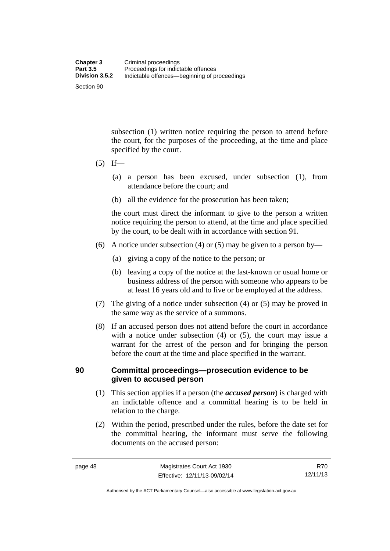subsection (1) written notice requiring the person to attend before the court, for the purposes of the proceeding, at the time and place specified by the court.

- $(5)$  If—
	- (a) a person has been excused, under subsection (1), from attendance before the court; and
	- (b) all the evidence for the prosecution has been taken;

the court must direct the informant to give to the person a written notice requiring the person to attend, at the time and place specified by the court, to be dealt with in accordance with section 91.

- (6) A notice under subsection (4) or (5) may be given to a person by—
	- (a) giving a copy of the notice to the person; or
	- (b) leaving a copy of the notice at the last-known or usual home or business address of the person with someone who appears to be at least 16 years old and to live or be employed at the address.
- (7) The giving of a notice under subsection (4) or (5) may be proved in the same way as the service of a summons.
- (8) If an accused person does not attend before the court in accordance with a notice under subsection (4) or (5), the court may issue a warrant for the arrest of the person and for bringing the person before the court at the time and place specified in the warrant.

# **90 Committal proceedings—prosecution evidence to be given to accused person**

- (1) This section applies if a person (the *accused person*) is charged with an indictable offence and a committal hearing is to be held in relation to the charge.
- (2) Within the period, prescribed under the rules, before the date set for the committal hearing, the informant must serve the following documents on the accused person:

Authorised by the ACT Parliamentary Counsel—also accessible at www.legislation.act.gov.au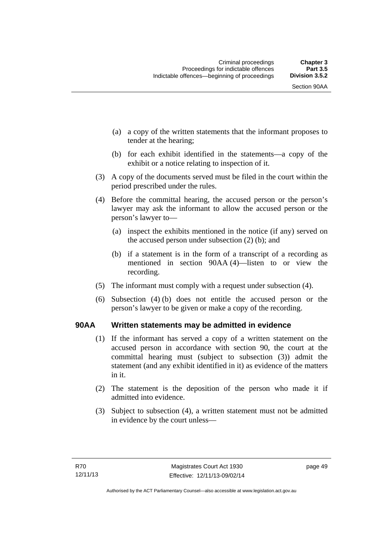Section 90AA

- (a) a copy of the written statements that the informant proposes to tender at the hearing;
- (b) for each exhibit identified in the statements—a copy of the exhibit or a notice relating to inspection of it.
- (3) A copy of the documents served must be filed in the court within the period prescribed under the rules.
- (4) Before the committal hearing, the accused person or the person's lawyer may ask the informant to allow the accused person or the person's lawyer to—
	- (a) inspect the exhibits mentioned in the notice (if any) served on the accused person under subsection (2) (b); and
	- (b) if a statement is in the form of a transcript of a recording as mentioned in section 90AA (4)—listen to or view the recording.
- (5) The informant must comply with a request under subsection (4).
- (6) Subsection (4) (b) does not entitle the accused person or the person's lawyer to be given or make a copy of the recording.

# **90AA Written statements may be admitted in evidence**

- (1) If the informant has served a copy of a written statement on the accused person in accordance with section 90, the court at the committal hearing must (subject to subsection (3)) admit the statement (and any exhibit identified in it) as evidence of the matters in it.
- (2) The statement is the deposition of the person who made it if admitted into evidence.
- (3) Subject to subsection (4), a written statement must not be admitted in evidence by the court unless—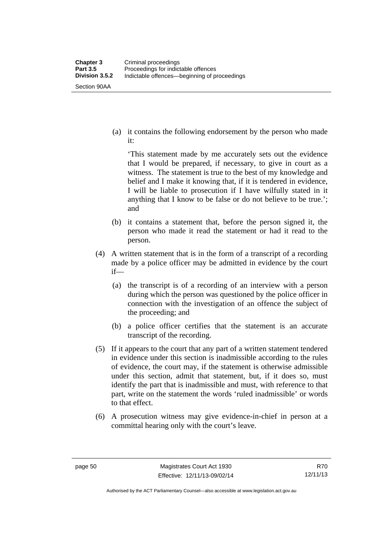Section 90AA

 (a) it contains the following endorsement by the person who made it:

'This statement made by me accurately sets out the evidence that I would be prepared, if necessary, to give in court as a witness. The statement is true to the best of my knowledge and belief and I make it knowing that, if it is tendered in evidence, I will be liable to prosecution if I have wilfully stated in it anything that I know to be false or do not believe to be true.'; and

- (b) it contains a statement that, before the person signed it, the person who made it read the statement or had it read to the person.
- (4) A written statement that is in the form of a transcript of a recording made by a police officer may be admitted in evidence by the court if—
	- (a) the transcript is of a recording of an interview with a person during which the person was questioned by the police officer in connection with the investigation of an offence the subject of the proceeding; and
	- (b) a police officer certifies that the statement is an accurate transcript of the recording.
- (5) If it appears to the court that any part of a written statement tendered in evidence under this section is inadmissible according to the rules of evidence, the court may, if the statement is otherwise admissible under this section, admit that statement, but, if it does so, must identify the part that is inadmissible and must, with reference to that part, write on the statement the words 'ruled inadmissible' or words to that effect.
- (6) A prosecution witness may give evidence-in-chief in person at a committal hearing only with the court's leave.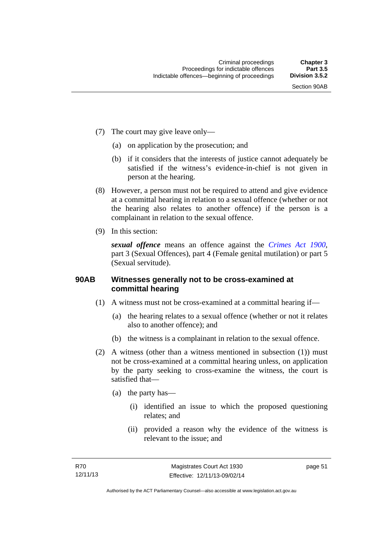- (7) The court may give leave only—
	- (a) on application by the prosecution; and
	- (b) if it considers that the interests of justice cannot adequately be satisfied if the witness's evidence-in-chief is not given in person at the hearing.
- (8) However, a person must not be required to attend and give evidence at a committal hearing in relation to a sexual offence (whether or not the hearing also relates to another offence) if the person is a complainant in relation to the sexual offence.
- (9) In this section:

*sexual offence* means an offence against the *[Crimes Act 1900](http://www.legislation.act.gov.au/a/1900-40)*, part 3 (Sexual Offences), part 4 (Female genital mutilation) or part 5 (Sexual servitude).

## **90AB Witnesses generally not to be cross-examined at committal hearing**

- (1) A witness must not be cross-examined at a committal hearing if—
	- (a) the hearing relates to a sexual offence (whether or not it relates also to another offence); and
	- (b) the witness is a complainant in relation to the sexual offence.
- (2) A witness (other than a witness mentioned in subsection (1)) must not be cross-examined at a committal hearing unless, on application by the party seeking to cross-examine the witness, the court is satisfied that—
	- (a) the party has—
		- (i) identified an issue to which the proposed questioning relates; and
		- (ii) provided a reason why the evidence of the witness is relevant to the issue; and

page 51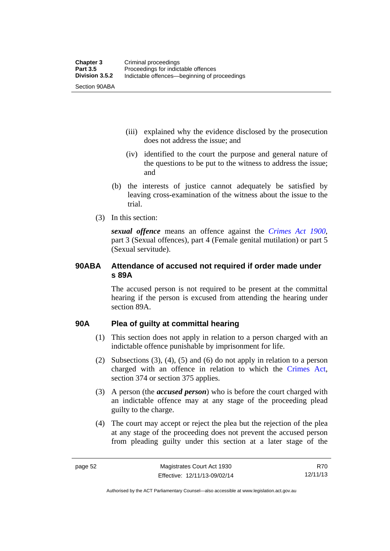(iii) explained why the evidence disclosed by the prosecution does not address the issue; and

- (iv) identified to the court the purpose and general nature of the questions to be put to the witness to address the issue; and
- (b) the interests of justice cannot adequately be satisfied by leaving cross-examination of the witness about the issue to the trial.
- (3) In this section:

*sexual offence* means an offence against the *[Crimes Act 1900](http://www.legislation.act.gov.au/a/1900-40)*, part 3 (Sexual offences), part 4 (Female genital mutilation) or part 5 (Sexual servitude).

# **90ABA Attendance of accused not required if order made under s 89A**

The accused person is not required to be present at the committal hearing if the person is excused from attending the hearing under section 89A.

# **90A Plea of guilty at committal hearing**

- (1) This section does not apply in relation to a person charged with an indictable offence punishable by imprisonment for life.
- (2) Subsections (3), (4), (5) and (6) do not apply in relation to a person charged with an offence in relation to which the [Crimes Act](http://www.legislation.act.gov.au/a/1900-40/default.asp), section 374 or section 375 applies.
- (3) A person (the *accused person*) who is before the court charged with an indictable offence may at any stage of the proceeding plead guilty to the charge.
- (4) The court may accept or reject the plea but the rejection of the plea at any stage of the proceeding does not prevent the accused person from pleading guilty under this section at a later stage of the

Authorised by the ACT Parliamentary Counsel—also accessible at www.legislation.act.gov.au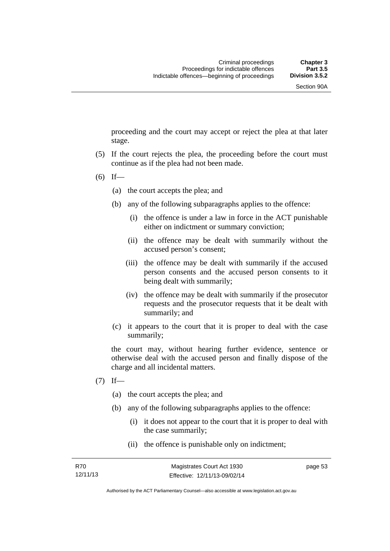proceeding and the court may accept or reject the plea at that later stage.

- (5) If the court rejects the plea, the proceeding before the court must continue as if the plea had not been made.
- $(6)$  If—
	- (a) the court accepts the plea; and
	- (b) any of the following subparagraphs applies to the offence:
		- (i) the offence is under a law in force in the ACT punishable either on indictment or summary conviction;
		- (ii) the offence may be dealt with summarily without the accused person's consent;
		- (iii) the offence may be dealt with summarily if the accused person consents and the accused person consents to it being dealt with summarily;
		- (iv) the offence may be dealt with summarily if the prosecutor requests and the prosecutor requests that it be dealt with summarily; and
	- (c) it appears to the court that it is proper to deal with the case summarily;

the court may, without hearing further evidence, sentence or otherwise deal with the accused person and finally dispose of the charge and all incidental matters.

- $(7)$  If—
	- (a) the court accepts the plea; and
	- (b) any of the following subparagraphs applies to the offence:
		- (i) it does not appear to the court that it is proper to deal with the case summarily;
		- (ii) the offence is punishable only on indictment;

page 53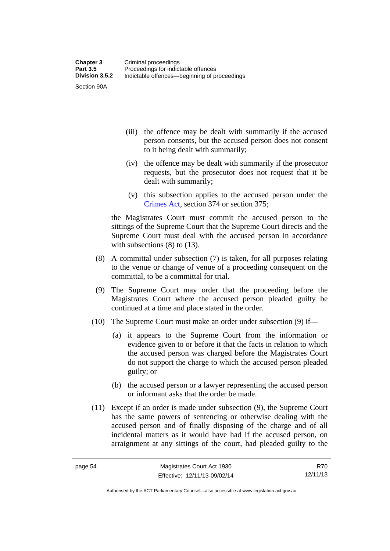Section 90A

- (iii) the offence may be dealt with summarily if the accused person consents, but the accused person does not consent to it being dealt with summarily;
- (iv) the offence may be dealt with summarily if the prosecutor requests, but the prosecutor does not request that it be dealt with summarily;
- (v) this subsection applies to the accused person under the [Crimes Act,](http://www.legislation.act.gov.au/a/1900-40/default.asp) section 374 or section 375;

the Magistrates Court must commit the accused person to the sittings of the Supreme Court that the Supreme Court directs and the Supreme Court must deal with the accused person in accordance with subsections (8) to (13).

- (8) A committal under subsection (7) is taken, for all purposes relating to the venue or change of venue of a proceeding consequent on the committal, to be a committal for trial.
- (9) The Supreme Court may order that the proceeding before the Magistrates Court where the accused person pleaded guilty be continued at a time and place stated in the order.
- (10) The Supreme Court must make an order under subsection (9) if—
	- (a) it appears to the Supreme Court from the information or evidence given to or before it that the facts in relation to which the accused person was charged before the Magistrates Court do not support the charge to which the accused person pleaded guilty; or
	- (b) the accused person or a lawyer representing the accused person or informant asks that the order be made.
- (11) Except if an order is made under subsection (9), the Supreme Court has the same powers of sentencing or otherwise dealing with the accused person and of finally disposing of the charge and of all incidental matters as it would have had if the accused person, on arraignment at any sittings of the court, had pleaded guilty to the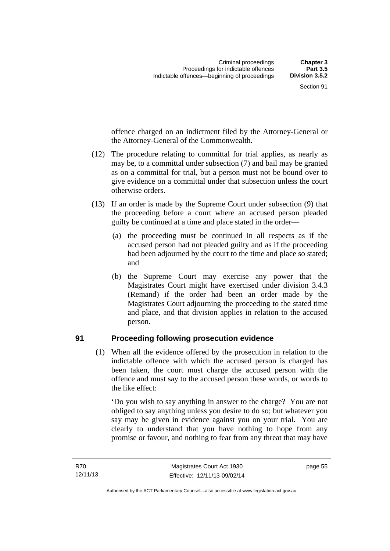offence charged on an indictment filed by the Attorney-General or the Attorney-General of the Commonwealth.

- (12) The procedure relating to committal for trial applies, as nearly as may be, to a committal under subsection (7) and bail may be granted as on a committal for trial, but a person must not be bound over to give evidence on a committal under that subsection unless the court otherwise orders.
- (13) If an order is made by the Supreme Court under subsection (9) that the proceeding before a court where an accused person pleaded guilty be continued at a time and place stated in the order—
	- (a) the proceeding must be continued in all respects as if the accused person had not pleaded guilty and as if the proceeding had been adjourned by the court to the time and place so stated; and
	- (b) the Supreme Court may exercise any power that the Magistrates Court might have exercised under division 3.4.3 (Remand) if the order had been an order made by the Magistrates Court adjourning the proceeding to the stated time and place, and that division applies in relation to the accused person.

## **91 Proceeding following prosecution evidence**

(1) When all the evidence offered by the prosecution in relation to the indictable offence with which the accused person is charged has been taken, the court must charge the accused person with the offence and must say to the accused person these words, or words to the like effect:

'Do you wish to say anything in answer to the charge? You are not obliged to say anything unless you desire to do so; but whatever you say may be given in evidence against you on your trial. You are clearly to understand that you have nothing to hope from any promise or favour, and nothing to fear from any threat that may have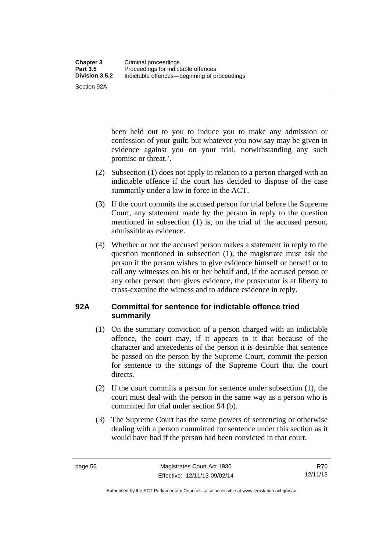Section 92A

been held out to you to induce you to make any admission or confession of your guilt; but whatever you now say may be given in evidence against you on your trial, notwithstanding any such promise or threat.'.

- (2) Subsection (1) does not apply in relation to a person charged with an indictable offence if the court has decided to dispose of the case summarily under a law in force in the ACT.
- (3) If the court commits the accused person for trial before the Supreme Court, any statement made by the person in reply to the question mentioned in subsection (1) is, on the trial of the accused person, admissible as evidence.
- (4) Whether or not the accused person makes a statement in reply to the question mentioned in subsection (1), the magistrate must ask the person if the person wishes to give evidence himself or herself or to call any witnesses on his or her behalf and, if the accused person or any other person then gives evidence, the prosecutor is at liberty to cross-examine the witness and to adduce evidence in reply.

# **92A Committal for sentence for indictable offence tried summarily**

- (1) On the summary conviction of a person charged with an indictable offence, the court may, if it appears to it that because of the character and antecedents of the person it is desirable that sentence be passed on the person by the Supreme Court, commit the person for sentence to the sittings of the Supreme Court that the court directs.
- (2) If the court commits a person for sentence under subsection (1), the court must deal with the person in the same way as a person who is committed for trial under section 94 (b).
- (3) The Supreme Court has the same powers of sentencing or otherwise dealing with a person committed for sentence under this section as it would have had if the person had been convicted in that court.

Authorised by the ACT Parliamentary Counsel—also accessible at www.legislation.act.gov.au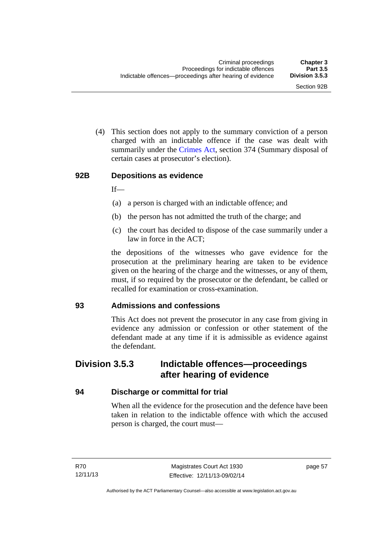(4) This section does not apply to the summary conviction of a person charged with an indictable offence if the case was dealt with summarily under the [Crimes Act,](http://www.legislation.act.gov.au/a/1900-40/default.asp) section 374 (Summary disposal of certain cases at prosecutor's election).

#### **92B Depositions as evidence**

 $If$ —

- (a) a person is charged with an indictable offence; and
- (b) the person has not admitted the truth of the charge; and
- (c) the court has decided to dispose of the case summarily under a law in force in the ACT;

the depositions of the witnesses who gave evidence for the prosecution at the preliminary hearing are taken to be evidence given on the hearing of the charge and the witnesses, or any of them, must, if so required by the prosecutor or the defendant, be called or recalled for examination or cross-examination.

## **93 Admissions and confessions**

This Act does not prevent the prosecutor in any case from giving in evidence any admission or confession or other statement of the defendant made at any time if it is admissible as evidence against the defendant.

## **Division 3.5.3 Indictable offences—proceedings after hearing of evidence**

## **94 Discharge or committal for trial**

When all the evidence for the prosecution and the defence have been taken in relation to the indictable offence with which the accused person is charged, the court must—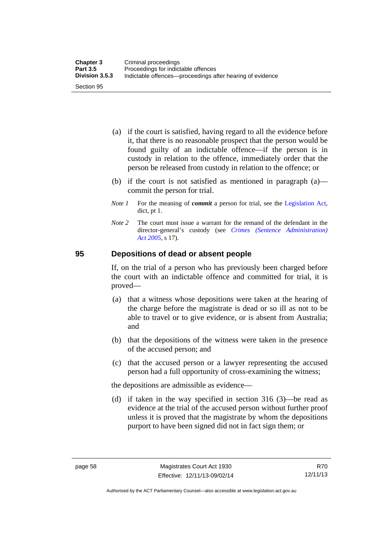- (a) if the court is satisfied, having regard to all the evidence before it, that there is no reasonable prospect that the person would be found guilty of an indictable offence—if the person is in custody in relation to the offence, immediately order that the person be released from custody in relation to the offence; or
- (b) if the court is not satisfied as mentioned in paragraph (a) commit the person for trial.
- *Note 1* For the meaning of *commit* a person for trial, see the [Legislation Act,](http://www.legislation.act.gov.au/a/2001-14) dict, pt 1.
- *Note 2* The court must issue a warrant for the remand of the defendant in the director-general's custody (see *[Crimes \(Sentence Administration\)](http://www.legislation.act.gov.au/a/2005-59)  [Act 2005](http://www.legislation.act.gov.au/a/2005-59)*, s 17).

## **95 Depositions of dead or absent people**

If, on the trial of a person who has previously been charged before the court with an indictable offence and committed for trial, it is proved—

- (a) that a witness whose depositions were taken at the hearing of the charge before the magistrate is dead or so ill as not to be able to travel or to give evidence, or is absent from Australia; and
- (b) that the depositions of the witness were taken in the presence of the accused person; and
- (c) that the accused person or a lawyer representing the accused person had a full opportunity of cross-examining the witness;

the depositions are admissible as evidence—

 (d) if taken in the way specified in section 316 (3)—be read as evidence at the trial of the accused person without further proof unless it is proved that the magistrate by whom the depositions purport to have been signed did not in fact sign them; or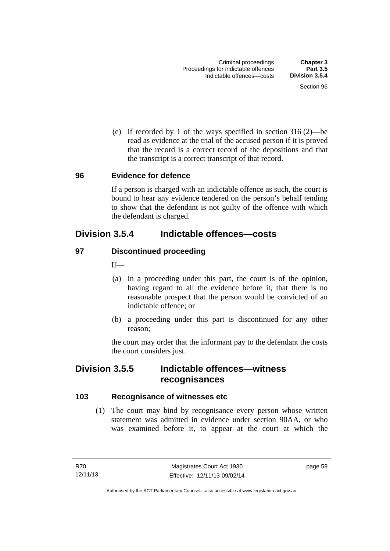(e) if recorded by 1 of the ways specified in section 316 (2)—be read as evidence at the trial of the accused person if it is proved that the record is a correct record of the depositions and that the transcript is a correct transcript of that record.

#### **96 Evidence for defence**

If a person is charged with an indictable offence as such, the court is bound to hear any evidence tendered on the person's behalf tending to show that the defendant is not guilty of the offence with which the defendant is charged.

## **Division 3.5.4 Indictable offences—costs**

## **97 Discontinued proceeding**

If—

- (a) in a proceeding under this part, the court is of the opinion, having regard to all the evidence before it, that there is no reasonable prospect that the person would be convicted of an indictable offence; or
- (b) a proceeding under this part is discontinued for any other reason;

the court may order that the informant pay to the defendant the costs the court considers just.

## **Division 3.5.5 Indictable offences—witness recognisances**

## **103 Recognisance of witnesses etc**

 (1) The court may bind by recognisance every person whose written statement was admitted in evidence under section 90AA, or who was examined before it, to appear at the court at which the

page 59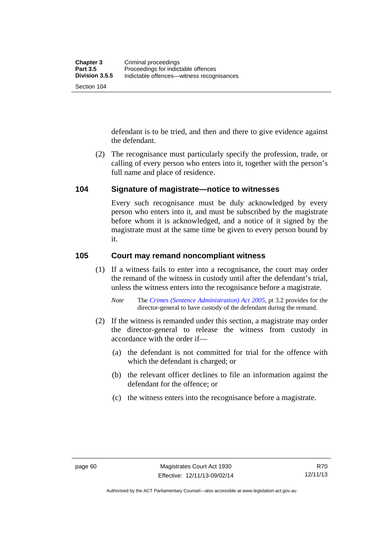defendant is to be tried, and then and there to give evidence against the defendant.

 (2) The recognisance must particularly specify the profession, trade, or calling of every person who enters into it, together with the person's full name and place of residence.

## **104 Signature of magistrate—notice to witnesses**

Every such recognisance must be duly acknowledged by every person who enters into it, and must be subscribed by the magistrate before whom it is acknowledged, and a notice of it signed by the magistrate must at the same time be given to every person bound by it.

## **105 Court may remand noncompliant witness**

(1) If a witness fails to enter into a recognisance, the court may order the remand of the witness in custody until after the defendant's trial, unless the witness enters into the recognisance before a magistrate.

- (2) If the witness is remanded under this section, a magistrate may order the director-general to release the witness from custody in accordance with the order if—
	- (a) the defendant is not committed for trial for the offence with which the defendant is charged; or
	- (b) the relevant officer declines to file an information against the defendant for the offence; or
	- (c) the witness enters into the recognisance before a magistrate.

*Note* The *[Crimes \(Sentence Administration\) Act 2005](http://www.legislation.act.gov.au/a/2005-59)*, pt 3.2 provides for the director-general to have custody of the defendant during the remand.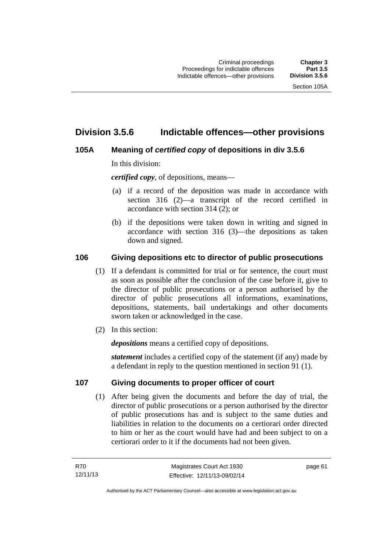## **Division 3.5.6 Indictable offences—other provisions**

## **105A Meaning of** *certified copy* **of depositions in div 3.5.6**

In this division:

*certified copy*, of depositions, means—

- (a) if a record of the deposition was made in accordance with section 316 (2)—a transcript of the record certified in accordance with section 314 (2); or
- (b) if the depositions were taken down in writing and signed in accordance with section 316 (3)—the depositions as taken down and signed.

## **106 Giving depositions etc to director of public prosecutions**

- (1) If a defendant is committed for trial or for sentence, the court must as soon as possible after the conclusion of the case before it, give to the director of public prosecutions or a person authorised by the director of public prosecutions all informations, examinations, depositions, statements, bail undertakings and other documents sworn taken or acknowledged in the case.
- (2) In this section:

*depositions* means a certified copy of depositions.

*statement* includes a certified copy of the statement (if any) made by a defendant in reply to the question mentioned in section 91 (1).

## **107 Giving documents to proper officer of court**

(1) After being given the documents and before the day of trial, the director of public prosecutions or a person authorised by the director of public prosecutions has and is subject to the same duties and liabilities in relation to the documents on a certiorari order directed to him or her as the court would have had and been subject to on a certiorari order to it if the documents had not been given.

page 61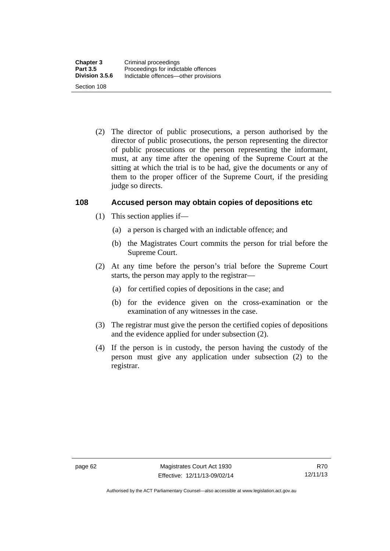(2) The director of public prosecutions, a person authorised by the director of public prosecutions, the person representing the director of public prosecutions or the person representing the informant, must, at any time after the opening of the Supreme Court at the sitting at which the trial is to be had, give the documents or any of them to the proper officer of the Supreme Court, if the presiding judge so directs.

## **108 Accused person may obtain copies of depositions etc**

- (1) This section applies if—
	- (a) a person is charged with an indictable offence; and
	- (b) the Magistrates Court commits the person for trial before the Supreme Court.
- (2) At any time before the person's trial before the Supreme Court starts, the person may apply to the registrar—
	- (a) for certified copies of depositions in the case; and
	- (b) for the evidence given on the cross-examination or the examination of any witnesses in the case.
- (3) The registrar must give the person the certified copies of depositions and the evidence applied for under subsection (2).
- (4) If the person is in custody, the person having the custody of the person must give any application under subsection (2) to the registrar.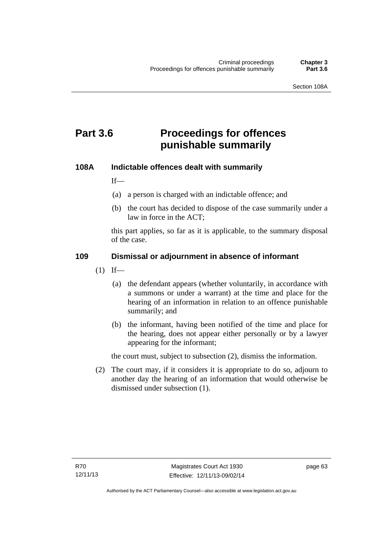# **Part 3.6 Proceedings for offences punishable summarily**

## **108A Indictable offences dealt with summarily**

If—

- (a) a person is charged with an indictable offence; and
- (b) the court has decided to dispose of the case summarily under a law in force in the ACT;

this part applies, so far as it is applicable, to the summary disposal of the case.

## **109 Dismissal or adjournment in absence of informant**

- $(1)$  If—
	- (a) the defendant appears (whether voluntarily, in accordance with a summons or under a warrant) at the time and place for the hearing of an information in relation to an offence punishable summarily; and
	- (b) the informant, having been notified of the time and place for the hearing, does not appear either personally or by a lawyer appearing for the informant;

the court must, subject to subsection (2), dismiss the information.

 (2) The court may, if it considers it is appropriate to do so, adjourn to another day the hearing of an information that would otherwise be dismissed under subsection (1).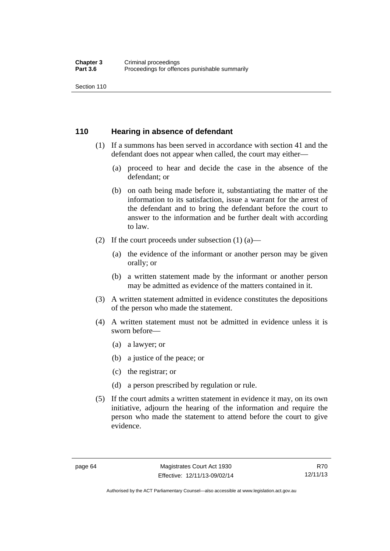Section 110

## **110 Hearing in absence of defendant**

- (1) If a summons has been served in accordance with section 41 and the defendant does not appear when called, the court may either—
	- (a) proceed to hear and decide the case in the absence of the defendant; or
	- (b) on oath being made before it, substantiating the matter of the information to its satisfaction, issue a warrant for the arrest of the defendant and to bring the defendant before the court to answer to the information and be further dealt with according to law.
- (2) If the court proceeds under subsection  $(1)$   $(a)$ 
	- (a) the evidence of the informant or another person may be given orally; or
	- (b) a written statement made by the informant or another person may be admitted as evidence of the matters contained in it.
- (3) A written statement admitted in evidence constitutes the depositions of the person who made the statement.
- (4) A written statement must not be admitted in evidence unless it is sworn before—
	- (a) a lawyer; or
	- (b) a justice of the peace; or
	- (c) the registrar; or
	- (d) a person prescribed by regulation or rule.
- (5) If the court admits a written statement in evidence it may, on its own initiative, adjourn the hearing of the information and require the person who made the statement to attend before the court to give evidence.

Authorised by the ACT Parliamentary Counsel—also accessible at www.legislation.act.gov.au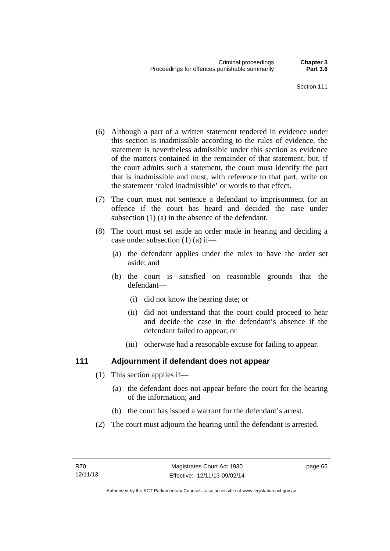- (6) Although a part of a written statement tendered in evidence under this section is inadmissible according to the rules of evidence, the statement is nevertheless admissible under this section as evidence of the matters contained in the remainder of that statement, but, if the court admits such a statement, the court must identify the part that is inadmissible and must, with reference to that part, write on the statement 'ruled inadmissible' or words to that effect.
- (7) The court must not sentence a defendant to imprisonment for an offence if the court has heard and decided the case under subsection (1) (a) in the absence of the defendant.
- (8) The court must set aside an order made in hearing and deciding a case under subsection (1) (a) if—
	- (a) the defendant applies under the rules to have the order set aside; and
	- (b) the court is satisfied on reasonable grounds that the defendant—
		- (i) did not know the hearing date; or
		- (ii) did not understand that the court could proceed to hear and decide the case in the defendant's absence if the defendant failed to appear; or
		- (iii) otherwise had a reasonable excuse for failing to appear.

## **111 Adjournment if defendant does not appear**

- (1) This section applies if—
	- (a) the defendant does not appear before the court for the hearing of the information; and
	- (b) the court has issued a warrant for the defendant's arrest.
- (2) The court must adjourn the hearing until the defendant is arrested.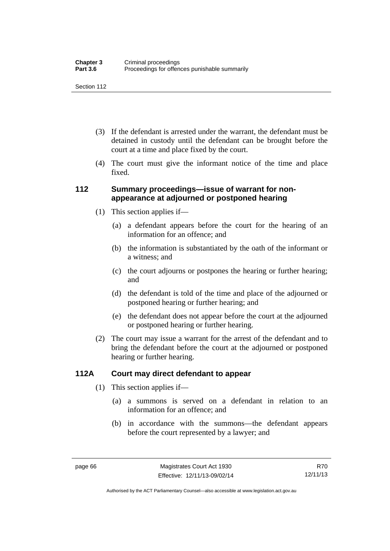Section 112

- (3) If the defendant is arrested under the warrant, the defendant must be detained in custody until the defendant can be brought before the court at a time and place fixed by the court.
- (4) The court must give the informant notice of the time and place fixed.

## **112 Summary proceedings—issue of warrant for nonappearance at adjourned or postponed hearing**

- (1) This section applies if—
	- (a) a defendant appears before the court for the hearing of an information for an offence; and
	- (b) the information is substantiated by the oath of the informant or a witness; and
	- (c) the court adjourns or postpones the hearing or further hearing; and
	- (d) the defendant is told of the time and place of the adjourned or postponed hearing or further hearing; and
	- (e) the defendant does not appear before the court at the adjourned or postponed hearing or further hearing.
- (2) The court may issue a warrant for the arrest of the defendant and to bring the defendant before the court at the adjourned or postponed hearing or further hearing.

## **112A Court may direct defendant to appear**

- (1) This section applies if—
	- (a) a summons is served on a defendant in relation to an information for an offence; and
	- (b) in accordance with the summons—the defendant appears before the court represented by a lawyer; and

R70 12/11/13

Authorised by the ACT Parliamentary Counsel—also accessible at www.legislation.act.gov.au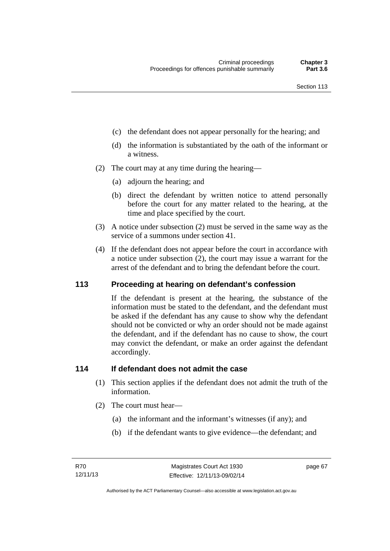- (c) the defendant does not appear personally for the hearing; and
- (d) the information is substantiated by the oath of the informant or a witness.
- (2) The court may at any time during the hearing—
	- (a) adjourn the hearing; and
	- (b) direct the defendant by written notice to attend personally before the court for any matter related to the hearing, at the time and place specified by the court.
- (3) A notice under subsection (2) must be served in the same way as the service of a summons under section 41.
- (4) If the defendant does not appear before the court in accordance with a notice under subsection (2), the court may issue a warrant for the arrest of the defendant and to bring the defendant before the court.

## **113 Proceeding at hearing on defendant's confession**

If the defendant is present at the hearing, the substance of the information must be stated to the defendant, and the defendant must be asked if the defendant has any cause to show why the defendant should not be convicted or why an order should not be made against the defendant, and if the defendant has no cause to show, the court may convict the defendant, or make an order against the defendant accordingly.

## **114 If defendant does not admit the case**

- (1) This section applies if the defendant does not admit the truth of the information.
- (2) The court must hear—
	- (a) the informant and the informant's witnesses (if any); and
	- (b) if the defendant wants to give evidence—the defendant; and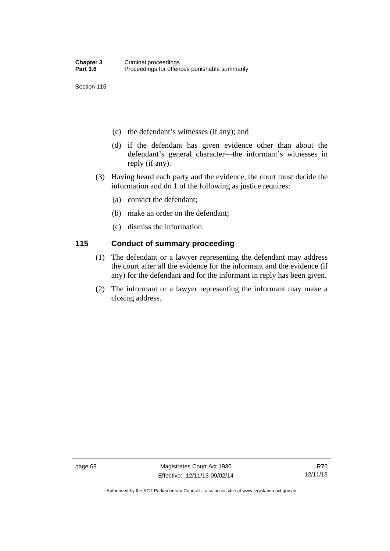Section 115

- (c) the defendant's witnesses (if any); and
- (d) if the defendant has given evidence other than about the defendant's general character—the informant's witnesses in reply (if any).
- (3) Having heard each party and the evidence, the court must decide the information and do 1 of the following as justice requires:
	- (a) convict the defendant;
	- (b) make an order on the defendant;
	- (c) dismiss the information.

## **115 Conduct of summary proceeding**

- (1) The defendant or a lawyer representing the defendant may address the court after all the evidence for the informant and the evidence (if any) for the defendant and for the informant in reply has been given.
- (2) The informant or a lawyer representing the informant may make a closing address.

Authorised by the ACT Parliamentary Counsel—also accessible at www.legislation.act.gov.au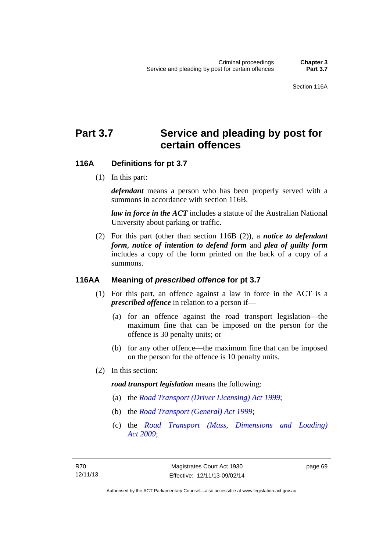# Part 3.7 Service and pleading by post for **certain offences**

## **116A Definitions for pt 3.7**

(1) In this part:

*defendant* means a person who has been properly served with a summons in accordance with section 116B.

*law in force in the ACT* includes a statute of the Australian National University about parking or traffic.

 (2) For this part (other than section 116B (2)), a *notice to defendant form*, *notice of intention to defend form* and *plea of guilty form* includes a copy of the form printed on the back of a copy of a summons.

## **116AA Meaning of** *prescribed offence* **for pt 3.7**

- (1) For this part, an offence against a law in force in the ACT is a *prescribed offence* in relation to a person if—
	- (a) for an offence against the road transport legislation—the maximum fine that can be imposed on the person for the offence is 30 penalty units; or
	- (b) for any other offence—the maximum fine that can be imposed on the person for the offence is 10 penalty units.
- (2) In this section:

#### *road transport legislation* means the following:

- (a) the *[Road Transport \(Driver Licensing\) Act 1999](http://www.legislation.act.gov.au/a/1999-78)*;
- (b) the *[Road Transport \(General\) Act 1999](http://www.legislation.act.gov.au/a/1999-77)*;
- (c) the *[Road Transport \(Mass, Dimensions and Loading\)](http://www.legislation.act.gov.au/a/2009-22)  [Act 2009](http://www.legislation.act.gov.au/a/2009-22)*;

page 69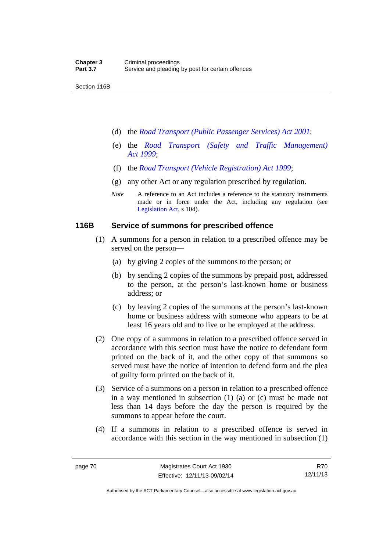Section 116B

- (d) the *[Road Transport \(Public Passenger Services\) Act 2001](http://www.legislation.act.gov.au/a/2001-62)*;
- (e) the *[Road Transport \(Safety and Traffic Management\)](http://www.legislation.act.gov.au/a/1999-80)  [Act 1999](http://www.legislation.act.gov.au/a/1999-80)*;
- (f) the *[Road Transport \(Vehicle Registration\) Act 1999](http://www.legislation.act.gov.au/a/1999-81)*;
- (g) any other Act or any regulation prescribed by regulation.
- *Note* A reference to an Act includes a reference to the statutory instruments made or in force under the Act, including any regulation (see [Legislation Act,](http://www.legislation.act.gov.au/a/2001-14) s 104).

#### **116B Service of summons for prescribed offence**

- (1) A summons for a person in relation to a prescribed offence may be served on the person—
	- (a) by giving 2 copies of the summons to the person; or
	- (b) by sending 2 copies of the summons by prepaid post, addressed to the person, at the person's last-known home or business address; or
	- (c) by leaving 2 copies of the summons at the person's last-known home or business address with someone who appears to be at least 16 years old and to live or be employed at the address.
- (2) One copy of a summons in relation to a prescribed offence served in accordance with this section must have the notice to defendant form printed on the back of it, and the other copy of that summons so served must have the notice of intention to defend form and the plea of guilty form printed on the back of it.
- (3) Service of a summons on a person in relation to a prescribed offence in a way mentioned in subsection (1) (a) or (c) must be made not less than 14 days before the day the person is required by the summons to appear before the court.
- (4) If a summons in relation to a prescribed offence is served in accordance with this section in the way mentioned in subsection (1)

R70 12/11/13

Authorised by the ACT Parliamentary Counsel—also accessible at www.legislation.act.gov.au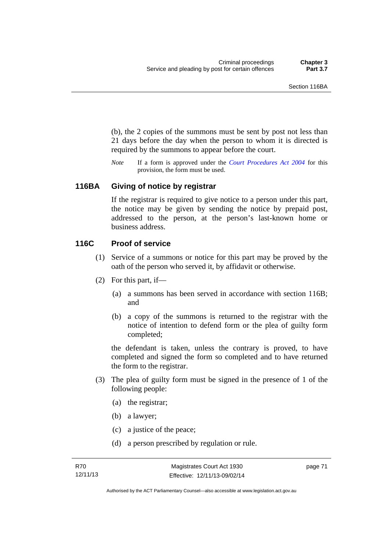(b), the 2 copies of the summons must be sent by post not less than 21 days before the day when the person to whom it is directed is required by the summons to appear before the court.

*Note* If a form is approved under the *[Court Procedures Act 2004](http://www.legislation.act.gov.au/a/2004-59)* for this provision, the form must be used.

## **116BA Giving of notice by registrar**

If the registrar is required to give notice to a person under this part, the notice may be given by sending the notice by prepaid post, addressed to the person, at the person's last-known home or business address.

#### **116C Proof of service**

- (1) Service of a summons or notice for this part may be proved by the oath of the person who served it, by affidavit or otherwise.
- (2) For this part, if—
	- (a) a summons has been served in accordance with section 116B; and
	- (b) a copy of the summons is returned to the registrar with the notice of intention to defend form or the plea of guilty form completed;

the defendant is taken, unless the contrary is proved, to have completed and signed the form so completed and to have returned the form to the registrar.

- (3) The plea of guilty form must be signed in the presence of 1 of the following people:
	- (a) the registrar;
	- (b) a lawyer;
	- (c) a justice of the peace;
	- (d) a person prescribed by regulation or rule.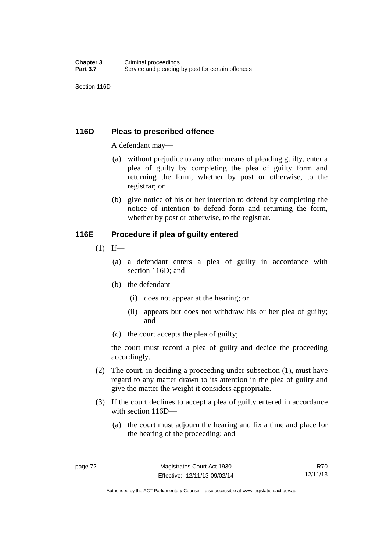## **116D Pleas to prescribed offence**

A defendant may—

- (a) without prejudice to any other means of pleading guilty, enter a plea of guilty by completing the plea of guilty form and returning the form, whether by post or otherwise, to the registrar; or
- (b) give notice of his or her intention to defend by completing the notice of intention to defend form and returning the form, whether by post or otherwise, to the registrar.

## **116E Procedure if plea of guilty entered**

- $(1)$  If—
	- (a) a defendant enters a plea of guilty in accordance with section 116D; and
	- (b) the defendant—
		- (i) does not appear at the hearing; or
		- (ii) appears but does not withdraw his or her plea of guilty; and
	- (c) the court accepts the plea of guilty;

the court must record a plea of guilty and decide the proceeding accordingly.

- (2) The court, in deciding a proceeding under subsection (1), must have regard to any matter drawn to its attention in the plea of guilty and give the matter the weight it considers appropriate.
- (3) If the court declines to accept a plea of guilty entered in accordance with section 116D—
	- (a) the court must adjourn the hearing and fix a time and place for the hearing of the proceeding; and

R70 12/11/13

Authorised by the ACT Parliamentary Counsel—also accessible at www.legislation.act.gov.au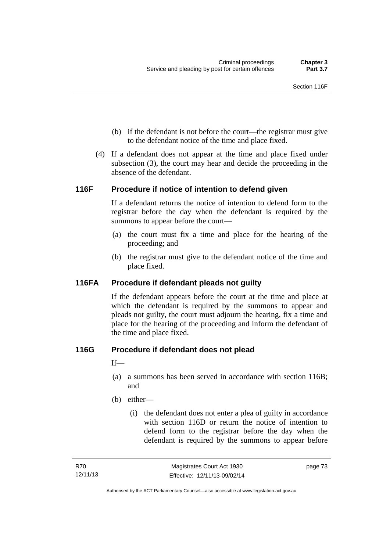- (b) if the defendant is not before the court—the registrar must give to the defendant notice of the time and place fixed.
- (4) If a defendant does not appear at the time and place fixed under subsection (3), the court may hear and decide the proceeding in the absence of the defendant.

## **116F Procedure if notice of intention to defend given**

If a defendant returns the notice of intention to defend form to the registrar before the day when the defendant is required by the summons to appear before the court—

- (a) the court must fix a time and place for the hearing of the proceeding; and
- (b) the registrar must give to the defendant notice of the time and place fixed.

## **116FA Procedure if defendant pleads not guilty**

If the defendant appears before the court at the time and place at which the defendant is required by the summons to appear and pleads not guilty, the court must adjourn the hearing, fix a time and place for the hearing of the proceeding and inform the defendant of the time and place fixed.

## **116G Procedure if defendant does not plead**

If—

- (a) a summons has been served in accordance with section 116B; and
- (b) either—
	- (i) the defendant does not enter a plea of guilty in accordance with section 116D or return the notice of intention to defend form to the registrar before the day when the defendant is required by the summons to appear before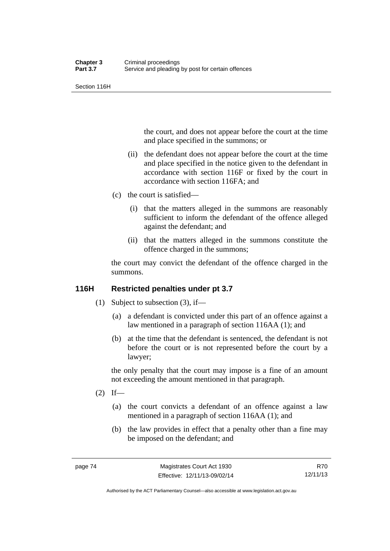Section 116H

the court, and does not appear before the court at the time and place specified in the summons; or

- (ii) the defendant does not appear before the court at the time and place specified in the notice given to the defendant in accordance with section 116F or fixed by the court in accordance with section 116FA; and
- (c) the court is satisfied—
	- (i) that the matters alleged in the summons are reasonably sufficient to inform the defendant of the offence alleged against the defendant; and
	- (ii) that the matters alleged in the summons constitute the offence charged in the summons;

the court may convict the defendant of the offence charged in the summons.

## **116H Restricted penalties under pt 3.7**

- (1) Subject to subsection (3), if—
	- (a) a defendant is convicted under this part of an offence against a law mentioned in a paragraph of section 116AA (1); and
	- (b) at the time that the defendant is sentenced, the defendant is not before the court or is not represented before the court by a lawyer;

the only penalty that the court may impose is a fine of an amount not exceeding the amount mentioned in that paragraph.

- $(2)$  If—
	- (a) the court convicts a defendant of an offence against a law mentioned in a paragraph of section 116AA (1); and
	- (b) the law provides in effect that a penalty other than a fine may be imposed on the defendant; and

R70 12/11/13

Authorised by the ACT Parliamentary Counsel—also accessible at www.legislation.act.gov.au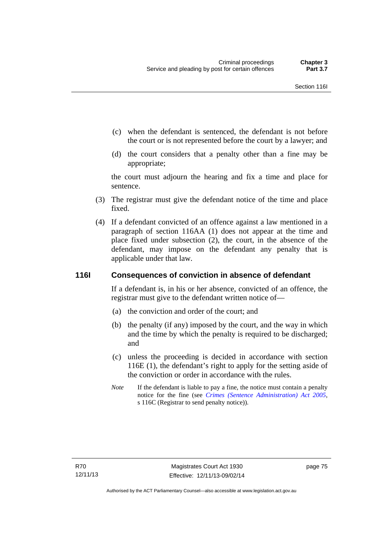- (c) when the defendant is sentenced, the defendant is not before the court or is not represented before the court by a lawyer; and
- (d) the court considers that a penalty other than a fine may be appropriate;

the court must adjourn the hearing and fix a time and place for sentence.

- (3) The registrar must give the defendant notice of the time and place fixed.
- (4) If a defendant convicted of an offence against a law mentioned in a paragraph of section 116AA (1) does not appear at the time and place fixed under subsection (2), the court, in the absence of the defendant, may impose on the defendant any penalty that is applicable under that law.

## **116I Consequences of conviction in absence of defendant**

If a defendant is, in his or her absence, convicted of an offence, the registrar must give to the defendant written notice of—

- (a) the conviction and order of the court; and
- (b) the penalty (if any) imposed by the court, and the way in which and the time by which the penalty is required to be discharged; and
- (c) unless the proceeding is decided in accordance with section 116E (1), the defendant's right to apply for the setting aside of the conviction or order in accordance with the rules.
- *Note* If the defendant is liable to pay a fine, the notice must contain a penalty notice for the fine (see *[Crimes \(Sentence Administration\) Act 2005](http://www.legislation.act.gov.au/a/2005-59)*, s 116C (Registrar to send penalty notice)).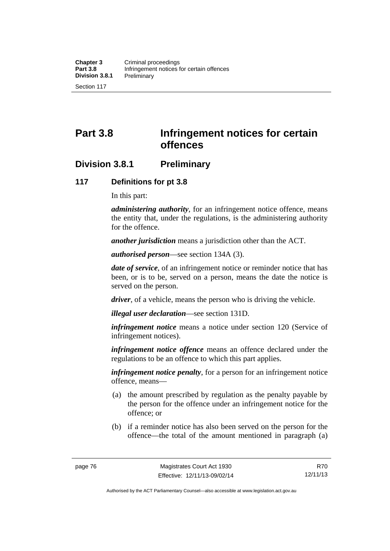# **Part 3.8 Infringement notices for certain offences**

## **Division 3.8.1 Preliminary**

## **117 Definitions for pt 3.8**

In this part:

*administering authority*, for an infringement notice offence, means the entity that, under the regulations, is the administering authority for the offence.

*another jurisdiction* means a jurisdiction other than the ACT.

*authorised person*—see section 134A (3).

*date of service*, of an infringement notice or reminder notice that has been, or is to be, served on a person, means the date the notice is served on the person.

*driver*, of a vehicle, means the person who is driving the vehicle.

*illegal user declaration*—see section 131D.

*infringement notice* means a notice under section 120 (Service of infringement notices).

*infringement notice offence* means an offence declared under the regulations to be an offence to which this part applies.

*infringement notice penalty*, for a person for an infringement notice offence, means—

- (a) the amount prescribed by regulation as the penalty payable by the person for the offence under an infringement notice for the offence; or
- (b) if a reminder notice has also been served on the person for the offence—the total of the amount mentioned in paragraph (a)

R70 12/11/13

Authorised by the ACT Parliamentary Counsel—also accessible at www.legislation.act.gov.au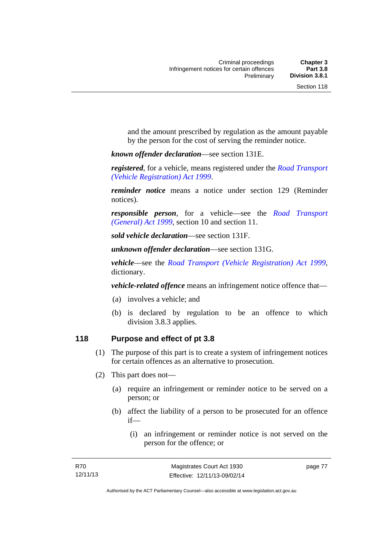and the amount prescribed by regulation as the amount payable by the person for the cost of serving the reminder notice.

*known offender declaration*—see section 131E.

*registered*, for a vehicle, means registered under the *[Road Transport](http://www.legislation.act.gov.au/a/1999-81)  [\(Vehicle Registration\) Act 1999](http://www.legislation.act.gov.au/a/1999-81)*.

*reminder notice* means a notice under section 129 (Reminder notices).

*responsible person*, for a vehicle—see the *[Road Transport](http://www.legislation.act.gov.au/a/1999-77)  [\(General\) Act 1999](http://www.legislation.act.gov.au/a/1999-77)*, section 10 and section 11.

*sold vehicle declaration*—see section 131F.

*unknown offender declaration*—see section 131G.

*vehicle*—see the *[Road Transport \(Vehicle Registration\) Act 1999](http://www.legislation.act.gov.au/a/1999-81)*, dictionary.

*vehicle-related offence* means an infringement notice offence that—

- (a) involves a vehicle; and
- (b) is declared by regulation to be an offence to which division 3.8.3 applies.

## **118 Purpose and effect of pt 3.8**

- (1) The purpose of this part is to create a system of infringement notices for certain offences as an alternative to prosecution.
- (2) This part does not—
	- (a) require an infringement or reminder notice to be served on a person; or
	- (b) affect the liability of a person to be prosecuted for an offence if—
		- (i) an infringement or reminder notice is not served on the person for the offence; or

page 77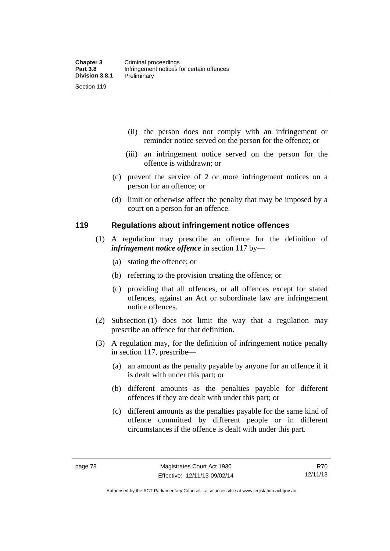- (ii) the person does not comply with an infringement or reminder notice served on the person for the offence; or
- (iii) an infringement notice served on the person for the offence is withdrawn; or
- (c) prevent the service of 2 or more infringement notices on a person for an offence; or
- (d) limit or otherwise affect the penalty that may be imposed by a court on a person for an offence.

#### **119 Regulations about infringement notice offences**

- (1) A regulation may prescribe an offence for the definition of *infringement notice offence* in section 117 by—
	- (a) stating the offence; or
	- (b) referring to the provision creating the offence; or
	- (c) providing that all offences, or all offences except for stated offences, against an Act or subordinate law are infringement notice offences.
- (2) Subsection (1) does not limit the way that a regulation may prescribe an offence for that definition.
- (3) A regulation may, for the definition of infringement notice penalty in section 117, prescribe—
	- (a) an amount as the penalty payable by anyone for an offence if it is dealt with under this part; or
	- (b) different amounts as the penalties payable for different offences if they are dealt with under this part; or
	- (c) different amounts as the penalties payable for the same kind of offence committed by different people or in different circumstances if the offence is dealt with under this part.

R70 12/11/13

Authorised by the ACT Parliamentary Counsel—also accessible at www.legislation.act.gov.au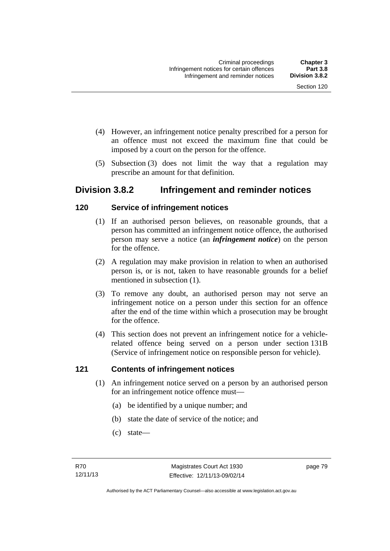- (4) However, an infringement notice penalty prescribed for a person for an offence must not exceed the maximum fine that could be imposed by a court on the person for the offence.
- (5) Subsection (3) does not limit the way that a regulation may prescribe an amount for that definition.

## **Division 3.8.2 Infringement and reminder notices**

## **120 Service of infringement notices**

- (1) If an authorised person believes, on reasonable grounds, that a person has committed an infringement notice offence, the authorised person may serve a notice (an *infringement notice*) on the person for the offence.
- (2) A regulation may make provision in relation to when an authorised person is, or is not, taken to have reasonable grounds for a belief mentioned in subsection (1).
- (3) To remove any doubt, an authorised person may not serve an infringement notice on a person under this section for an offence after the end of the time within which a prosecution may be brought for the offence.
- (4) This section does not prevent an infringement notice for a vehiclerelated offence being served on a person under section 131B (Service of infringement notice on responsible person for vehicle).

## **121 Contents of infringement notices**

- (1) An infringement notice served on a person by an authorised person for an infringement notice offence must—
	- (a) be identified by a unique number; and
	- (b) state the date of service of the notice; and
	- (c) state—

page 79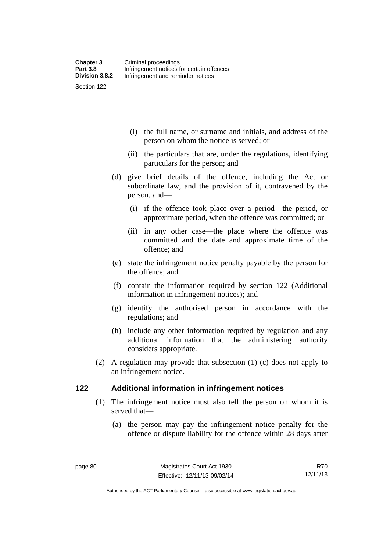(i) the full name, or surname and initials, and address of the person on whom the notice is served; or

- (ii) the particulars that are, under the regulations, identifying particulars for the person; and
- (d) give brief details of the offence, including the Act or subordinate law, and the provision of it, contravened by the person, and—
	- (i) if the offence took place over a period—the period, or approximate period, when the offence was committed; or
	- (ii) in any other case—the place where the offence was committed and the date and approximate time of the offence; and
- (e) state the infringement notice penalty payable by the person for the offence; and
- (f) contain the information required by section 122 (Additional information in infringement notices); and
- (g) identify the authorised person in accordance with the regulations; and
- (h) include any other information required by regulation and any additional information that the administering authority considers appropriate.
- (2) A regulation may provide that subsection (1) (c) does not apply to an infringement notice.

## **122 Additional information in infringement notices**

- (1) The infringement notice must also tell the person on whom it is served that—
	- (a) the person may pay the infringement notice penalty for the offence or dispute liability for the offence within 28 days after

Authorised by the ACT Parliamentary Counsel—also accessible at www.legislation.act.gov.au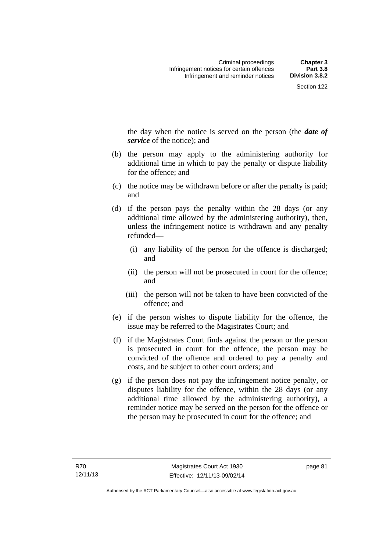the day when the notice is served on the person (the *date of service* of the notice); and

- (b) the person may apply to the administering authority for additional time in which to pay the penalty or dispute liability for the offence; and
- (c) the notice may be withdrawn before or after the penalty is paid; and
- (d) if the person pays the penalty within the 28 days (or any additional time allowed by the administering authority), then, unless the infringement notice is withdrawn and any penalty refunded—
	- (i) any liability of the person for the offence is discharged; and
	- (ii) the person will not be prosecuted in court for the offence; and
	- (iii) the person will not be taken to have been convicted of the offence; and
- (e) if the person wishes to dispute liability for the offence, the issue may be referred to the Magistrates Court; and
- (f) if the Magistrates Court finds against the person or the person is prosecuted in court for the offence, the person may be convicted of the offence and ordered to pay a penalty and costs, and be subject to other court orders; and
- (g) if the person does not pay the infringement notice penalty, or disputes liability for the offence, within the 28 days (or any additional time allowed by the administering authority), a reminder notice may be served on the person for the offence or the person may be prosecuted in court for the offence; and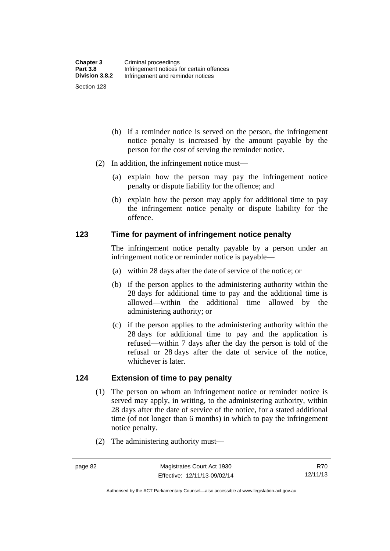- (h) if a reminder notice is served on the person, the infringement notice penalty is increased by the amount payable by the person for the cost of serving the reminder notice.
- (2) In addition, the infringement notice must—
	- (a) explain how the person may pay the infringement notice penalty or dispute liability for the offence; and
	- (b) explain how the person may apply for additional time to pay the infringement notice penalty or dispute liability for the offence.

## **123 Time for payment of infringement notice penalty**

The infringement notice penalty payable by a person under an infringement notice or reminder notice is payable—

- (a) within 28 days after the date of service of the notice; or
- (b) if the person applies to the administering authority within the 28 days for additional time to pay and the additional time is allowed—within the additional time allowed by the administering authority; or
- (c) if the person applies to the administering authority within the 28 days for additional time to pay and the application is refused—within 7 days after the day the person is told of the refusal or 28 days after the date of service of the notice, whichever is later.

## **124 Extension of time to pay penalty**

- (1) The person on whom an infringement notice or reminder notice is served may apply, in writing, to the administering authority, within 28 days after the date of service of the notice, for a stated additional time (of not longer than 6 months) in which to pay the infringement notice penalty.
- (2) The administering authority must—

Authorised by the ACT Parliamentary Counsel—also accessible at www.legislation.act.gov.au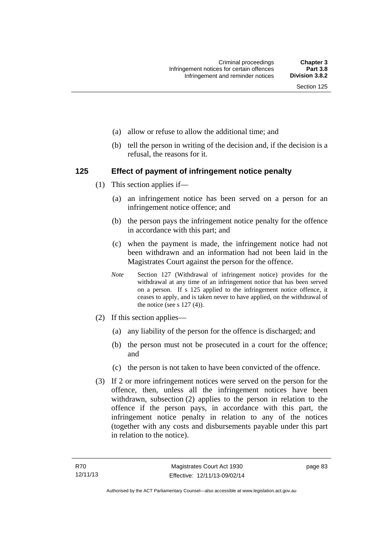- (a) allow or refuse to allow the additional time; and
- (b) tell the person in writing of the decision and, if the decision is a refusal, the reasons for it.

## **125 Effect of payment of infringement notice penalty**

- (1) This section applies if—
	- (a) an infringement notice has been served on a person for an infringement notice offence; and
	- (b) the person pays the infringement notice penalty for the offence in accordance with this part; and
	- (c) when the payment is made, the infringement notice had not been withdrawn and an information had not been laid in the Magistrates Court against the person for the offence.
	- *Note* Section 127 (Withdrawal of infringement notice) provides for the withdrawal at any time of an infringement notice that has been served on a person. If s 125 applied to the infringement notice offence, it ceases to apply, and is taken never to have applied, on the withdrawal of the notice (see s  $127(4)$ ).
- (2) If this section applies—
	- (a) any liability of the person for the offence is discharged; and
	- (b) the person must not be prosecuted in a court for the offence; and
	- (c) the person is not taken to have been convicted of the offence.
- (3) If 2 or more infringement notices were served on the person for the offence, then, unless all the infringement notices have been withdrawn, subsection (2) applies to the person in relation to the offence if the person pays, in accordance with this part, the infringement notice penalty in relation to any of the notices (together with any costs and disbursements payable under this part in relation to the notice).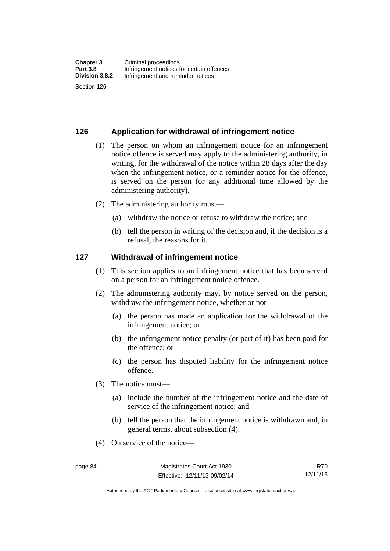## **126 Application for withdrawal of infringement notice**

- (1) The person on whom an infringement notice for an infringement notice offence is served may apply to the administering authority, in writing, for the withdrawal of the notice within 28 days after the day when the infringement notice, or a reminder notice for the offence, is served on the person (or any additional time allowed by the administering authority).
- (2) The administering authority must—
	- (a) withdraw the notice or refuse to withdraw the notice; and
	- (b) tell the person in writing of the decision and, if the decision is a refusal, the reasons for it.

#### **127 Withdrawal of infringement notice**

- (1) This section applies to an infringement notice that has been served on a person for an infringement notice offence.
- (2) The administering authority may, by notice served on the person, withdraw the infringement notice, whether or not—
	- (a) the person has made an application for the withdrawal of the infringement notice; or
	- (b) the infringement notice penalty (or part of it) has been paid for the offence; or
	- (c) the person has disputed liability for the infringement notice offence.
- (3) The notice must—
	- (a) include the number of the infringement notice and the date of service of the infringement notice; and
	- (b) tell the person that the infringement notice is withdrawn and, in general terms, about subsection (4).
- (4) On service of the notice—

R70 12/11/13

Authorised by the ACT Parliamentary Counsel—also accessible at www.legislation.act.gov.au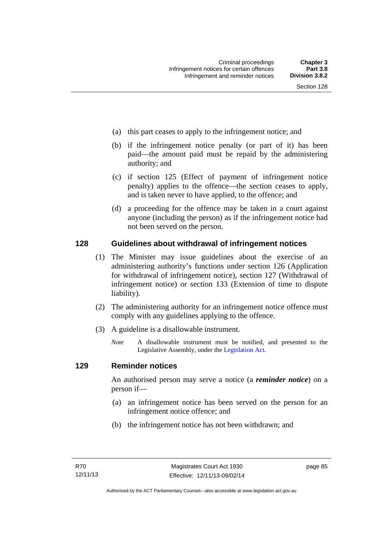- (a) this part ceases to apply to the infringement notice; and
- (b) if the infringement notice penalty (or part of it) has been paid—the amount paid must be repaid by the administering authority; and
- (c) if section 125 (Effect of payment of infringement notice penalty) applies to the offence—the section ceases to apply, and is taken never to have applied, to the offence; and
- (d) a proceeding for the offence may be taken in a court against anyone (including the person) as if the infringement notice had not been served on the person.

## **128 Guidelines about withdrawal of infringement notices**

- (1) The Minister may issue guidelines about the exercise of an administering authority's functions under section 126 (Application for withdrawal of infringement notice), section 127 (Withdrawal of infringement notice) or section 133 (Extension of time to dispute liability).
- (2) The administering authority for an infringement notice offence must comply with any guidelines applying to the offence.
- (3) A guideline is a disallowable instrument.
	- *Note* A disallowable instrument must be notified, and presented to the Legislative Assembly, under the [Legislation Act](http://www.legislation.act.gov.au/a/2001-14)*.*

## **129 Reminder notices**

An authorised person may serve a notice (a *reminder notice*) on a person if—

- (a) an infringement notice has been served on the person for an infringement notice offence; and
- (b) the infringement notice has not been withdrawn; and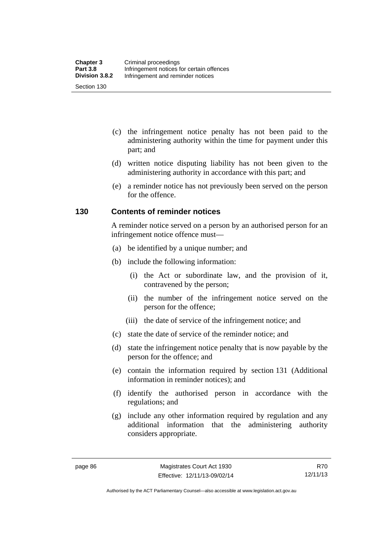- (c) the infringement notice penalty has not been paid to the administering authority within the time for payment under this part; and
- (d) written notice disputing liability has not been given to the administering authority in accordance with this part; and
- (e) a reminder notice has not previously been served on the person for the offence.

## **130 Contents of reminder notices**

A reminder notice served on a person by an authorised person for an infringement notice offence must—

- (a) be identified by a unique number; and
- (b) include the following information:
	- (i) the Act or subordinate law, and the provision of it, contravened by the person;
	- (ii) the number of the infringement notice served on the person for the offence;
	- (iii) the date of service of the infringement notice; and
- (c) state the date of service of the reminder notice; and
- (d) state the infringement notice penalty that is now payable by the person for the offence; and
- (e) contain the information required by section 131 (Additional information in reminder notices); and
- (f) identify the authorised person in accordance with the regulations; and
- (g) include any other information required by regulation and any additional information that the administering authority considers appropriate.

R70 12/11/13

Authorised by the ACT Parliamentary Counsel—also accessible at www.legislation.act.gov.au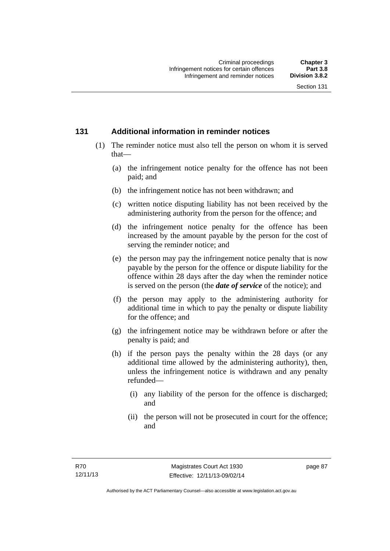## **131 Additional information in reminder notices**

- (1) The reminder notice must also tell the person on whom it is served that—
	- (a) the infringement notice penalty for the offence has not been paid; and
	- (b) the infringement notice has not been withdrawn; and
	- (c) written notice disputing liability has not been received by the administering authority from the person for the offence; and
	- (d) the infringement notice penalty for the offence has been increased by the amount payable by the person for the cost of serving the reminder notice; and
	- (e) the person may pay the infringement notice penalty that is now payable by the person for the offence or dispute liability for the offence within 28 days after the day when the reminder notice is served on the person (the *date of service* of the notice); and
	- (f) the person may apply to the administering authority for additional time in which to pay the penalty or dispute liability for the offence; and
	- (g) the infringement notice may be withdrawn before or after the penalty is paid; and
	- (h) if the person pays the penalty within the 28 days (or any additional time allowed by the administering authority), then, unless the infringement notice is withdrawn and any penalty refunded—
		- (i) any liability of the person for the offence is discharged; and
		- (ii) the person will not be prosecuted in court for the offence; and

page 87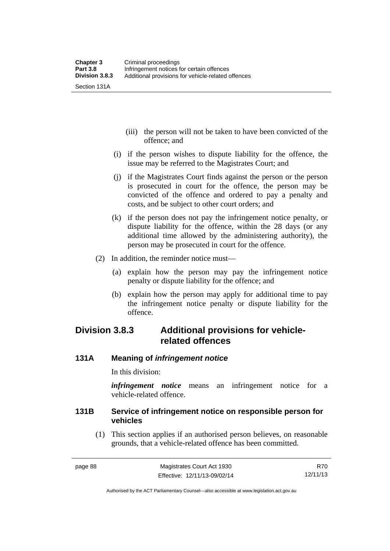- (iii) the person will not be taken to have been convicted of the offence; and
- (i) if the person wishes to dispute liability for the offence, the issue may be referred to the Magistrates Court; and
- (j) if the Magistrates Court finds against the person or the person is prosecuted in court for the offence, the person may be convicted of the offence and ordered to pay a penalty and costs, and be subject to other court orders; and
- (k) if the person does not pay the infringement notice penalty, or dispute liability for the offence, within the 28 days (or any additional time allowed by the administering authority), the person may be prosecuted in court for the offence.
- (2) In addition, the reminder notice must—
	- (a) explain how the person may pay the infringement notice penalty or dispute liability for the offence; and
	- (b) explain how the person may apply for additional time to pay the infringement notice penalty or dispute liability for the offence.

## **Division 3.8.3 Additional provisions for vehiclerelated offences**

## **131A Meaning of** *infringement notice*

In this division:

*infringement notice* means an infringement notice for a vehicle-related offence.

## **131B Service of infringement notice on responsible person for vehicles**

(1) This section applies if an authorised person believes, on reasonable grounds, that a vehicle-related offence has been committed.

Authorised by the ACT Parliamentary Counsel—also accessible at www.legislation.act.gov.au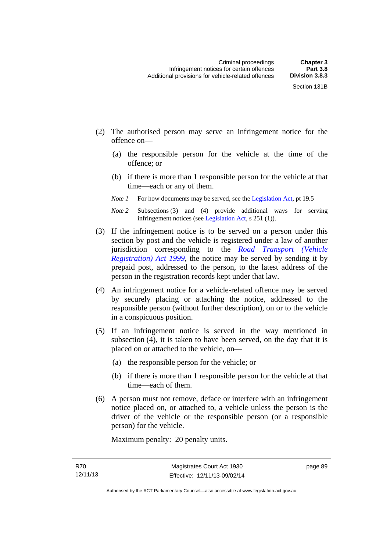- (2) The authorised person may serve an infringement notice for the offence on—
	- (a) the responsible person for the vehicle at the time of the offence; or
	- (b) if there is more than 1 responsible person for the vehicle at that time—each or any of them.
	- *Note 1* For how documents may be served, see the [Legislation Act,](http://www.legislation.act.gov.au/a/2001-14) pt 19.5
	- *Note 2* Subsections (3) and (4) provide additional ways for serving infringement notices (see [Legislation Act,](http://www.legislation.act.gov.au/a/2001-14) s 251 (1)).
- (3) If the infringement notice is to be served on a person under this section by post and the vehicle is registered under a law of another jurisdiction corresponding to the *[Road Transport \(Vehicle](http://www.legislation.act.gov.au/a/1999-81)  [Registration\) Act 1999](http://www.legislation.act.gov.au/a/1999-81)*, the notice may be served by sending it by prepaid post, addressed to the person, to the latest address of the person in the registration records kept under that law.
- (4) An infringement notice for a vehicle-related offence may be served by securely placing or attaching the notice, addressed to the responsible person (without further description), on or to the vehicle in a conspicuous position.
- (5) If an infringement notice is served in the way mentioned in subsection (4), it is taken to have been served, on the day that it is placed on or attached to the vehicle, on—
	- (a) the responsible person for the vehicle; or
	- (b) if there is more than 1 responsible person for the vehicle at that time—each of them.
- (6) A person must not remove, deface or interfere with an infringement notice placed on, or attached to, a vehicle unless the person is the driver of the vehicle or the responsible person (or a responsible person) for the vehicle.

Maximum penalty: 20 penalty units.

page 89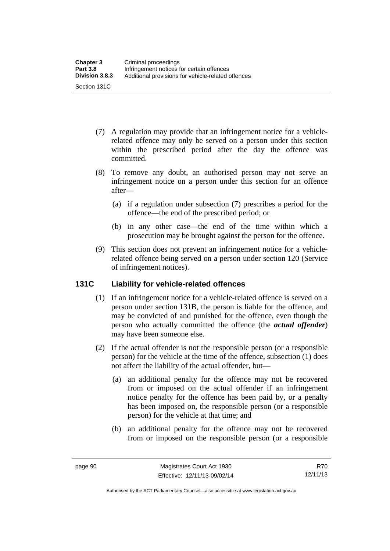- (7) A regulation may provide that an infringement notice for a vehiclerelated offence may only be served on a person under this section within the prescribed period after the day the offence was committed.
- (8) To remove any doubt, an authorised person may not serve an infringement notice on a person under this section for an offence after—
	- (a) if a regulation under subsection (7) prescribes a period for the offence—the end of the prescribed period; or
	- (b) in any other case—the end of the time within which a prosecution may be brought against the person for the offence.
- (9) This section does not prevent an infringement notice for a vehiclerelated offence being served on a person under section 120 (Service of infringement notices).

## **131C Liability for vehicle-related offences**

- (1) If an infringement notice for a vehicle-related offence is served on a person under section 131B, the person is liable for the offence, and may be convicted of and punished for the offence, even though the person who actually committed the offence (the *actual offender*) may have been someone else.
- (2) If the actual offender is not the responsible person (or a responsible person) for the vehicle at the time of the offence, subsection (1) does not affect the liability of the actual offender, but—
	- (a) an additional penalty for the offence may not be recovered from or imposed on the actual offender if an infringement notice penalty for the offence has been paid by, or a penalty has been imposed on, the responsible person (or a responsible person) for the vehicle at that time; and
	- (b) an additional penalty for the offence may not be recovered from or imposed on the responsible person (or a responsible

R70 12/11/13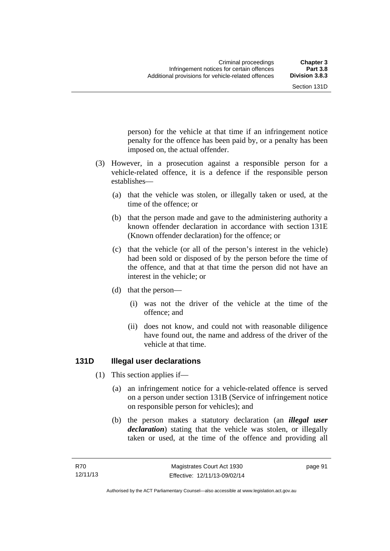person) for the vehicle at that time if an infringement notice penalty for the offence has been paid by, or a penalty has been

 (3) However, in a prosecution against a responsible person for a vehicle-related offence, it is a defence if the responsible person establishes—

imposed on, the actual offender.

- (a) that the vehicle was stolen, or illegally taken or used, at the time of the offence; or
- (b) that the person made and gave to the administering authority a known offender declaration in accordance with section 131E (Known offender declaration) for the offence; or
- (c) that the vehicle (or all of the person's interest in the vehicle) had been sold or disposed of by the person before the time of the offence, and that at that time the person did not have an interest in the vehicle; or
- (d) that the person—
	- (i) was not the driver of the vehicle at the time of the offence; and
	- (ii) does not know, and could not with reasonable diligence have found out, the name and address of the driver of the vehicle at that time.

## **131D Illegal user declarations**

- (1) This section applies if—
	- (a) an infringement notice for a vehicle-related offence is served on a person under section 131B (Service of infringement notice on responsible person for vehicles); and
	- (b) the person makes a statutory declaration (an *illegal user declaration*) stating that the vehicle was stolen, or illegally taken or used, at the time of the offence and providing all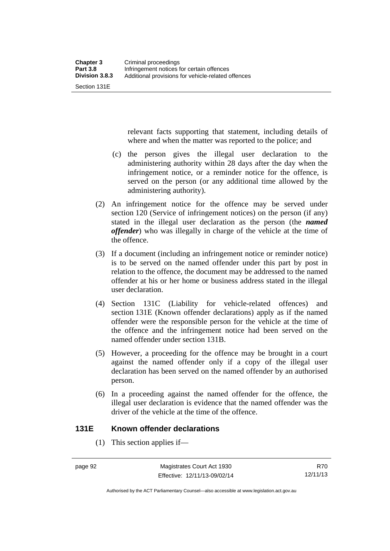Section 131E

relevant facts supporting that statement, including details of where and when the matter was reported to the police; and

- (c) the person gives the illegal user declaration to the administering authority within 28 days after the day when the infringement notice, or a reminder notice for the offence, is served on the person (or any additional time allowed by the administering authority).
- (2) An infringement notice for the offence may be served under section 120 (Service of infringement notices) on the person (if any) stated in the illegal user declaration as the person (the *named offender*) who was illegally in charge of the vehicle at the time of the offence.
- (3) If a document (including an infringement notice or reminder notice) is to be served on the named offender under this part by post in relation to the offence, the document may be addressed to the named offender at his or her home or business address stated in the illegal user declaration.
- (4) Section 131C (Liability for vehicle-related offences) and section 131E (Known offender declarations) apply as if the named offender were the responsible person for the vehicle at the time of the offence and the infringement notice had been served on the named offender under section 131B.
- (5) However, a proceeding for the offence may be brought in a court against the named offender only if a copy of the illegal user declaration has been served on the named offender by an authorised person.
- (6) In a proceeding against the named offender for the offence, the illegal user declaration is evidence that the named offender was the driver of the vehicle at the time of the offence.

## **131E Known offender declarations**

(1) This section applies if—

R70 12/11/13

Authorised by the ACT Parliamentary Counsel—also accessible at www.legislation.act.gov.au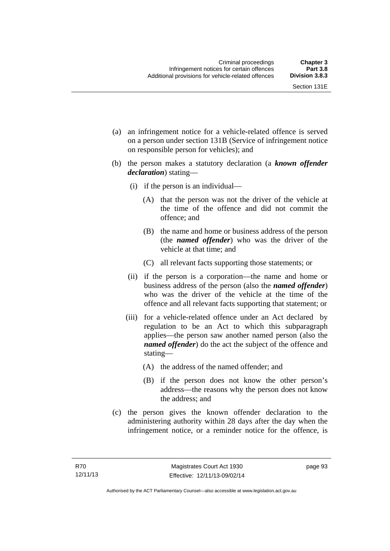- (a) an infringement notice for a vehicle-related offence is served on a person under section 131B (Service of infringement notice on responsible person for vehicles); and
- (b) the person makes a statutory declaration (a *known offender declaration*) stating—
	- (i) if the person is an individual—
		- (A) that the person was not the driver of the vehicle at the time of the offence and did not commit the offence; and
		- (B) the name and home or business address of the person (the *named offender*) who was the driver of the vehicle at that time; and
		- (C) all relevant facts supporting those statements; or
	- (ii) if the person is a corporation—the name and home or business address of the person (also the *named offender*) who was the driver of the vehicle at the time of the offence and all relevant facts supporting that statement; or
	- (iii) for a vehicle-related offence under an Act declared by regulation to be an Act to which this subparagraph applies—the person saw another named person (also the *named offender*) do the act the subject of the offence and stating—
		- (A) the address of the named offender; and
		- (B) if the person does not know the other person's address—the reasons why the person does not know the address; and
- (c) the person gives the known offender declaration to the administering authority within 28 days after the day when the infringement notice, or a reminder notice for the offence, is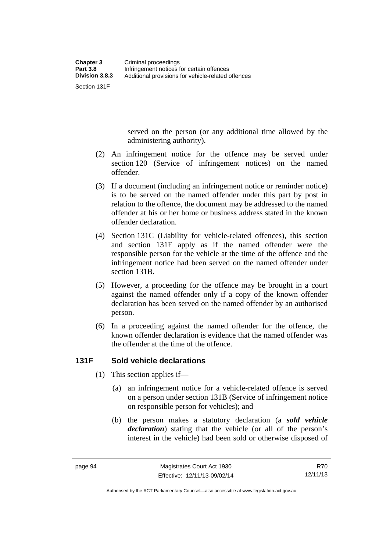Section 131F

served on the person (or any additional time allowed by the administering authority).

- (2) An infringement notice for the offence may be served under section 120 (Service of infringement notices) on the named offender.
- (3) If a document (including an infringement notice or reminder notice) is to be served on the named offender under this part by post in relation to the offence, the document may be addressed to the named offender at his or her home or business address stated in the known offender declaration.
- (4) Section 131C (Liability for vehicle-related offences), this section and section 131F apply as if the named offender were the responsible person for the vehicle at the time of the offence and the infringement notice had been served on the named offender under section 131B.
- (5) However, a proceeding for the offence may be brought in a court against the named offender only if a copy of the known offender declaration has been served on the named offender by an authorised person.
- (6) In a proceeding against the named offender for the offence, the known offender declaration is evidence that the named offender was the offender at the time of the offence.

# **131F Sold vehicle declarations**

- (1) This section applies if—
	- (a) an infringement notice for a vehicle-related offence is served on a person under section 131B (Service of infringement notice on responsible person for vehicles); and
	- (b) the person makes a statutory declaration (a *sold vehicle declaration*) stating that the vehicle (or all of the person's interest in the vehicle) had been sold or otherwise disposed of

R70 12/11/13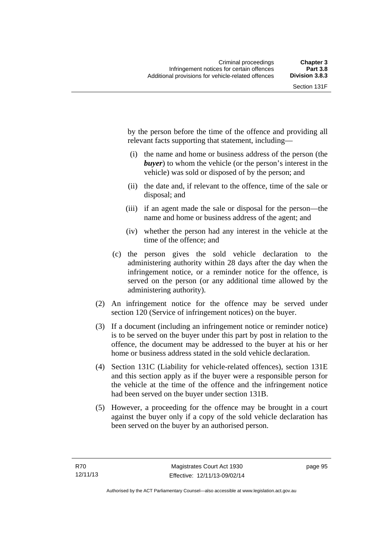by the person before the time of the offence and providing all relevant facts supporting that statement, including—

- (i) the name and home or business address of the person (the *buyer*) to whom the vehicle (or the person's interest in the vehicle) was sold or disposed of by the person; and
- (ii) the date and, if relevant to the offence, time of the sale or disposal; and
- (iii) if an agent made the sale or disposal for the person—the name and home or business address of the agent; and
- (iv) whether the person had any interest in the vehicle at the time of the offence; and
- (c) the person gives the sold vehicle declaration to the administering authority within 28 days after the day when the infringement notice, or a reminder notice for the offence, is served on the person (or any additional time allowed by the administering authority).
- (2) An infringement notice for the offence may be served under section 120 (Service of infringement notices) on the buyer.
- (3) If a document (including an infringement notice or reminder notice) is to be served on the buyer under this part by post in relation to the offence, the document may be addressed to the buyer at his or her home or business address stated in the sold vehicle declaration.
- (4) Section 131C (Liability for vehicle-related offences), section 131E and this section apply as if the buyer were a responsible person for the vehicle at the time of the offence and the infringement notice had been served on the buyer under section 131B.
- (5) However, a proceeding for the offence may be brought in a court against the buyer only if a copy of the sold vehicle declaration has been served on the buyer by an authorised person.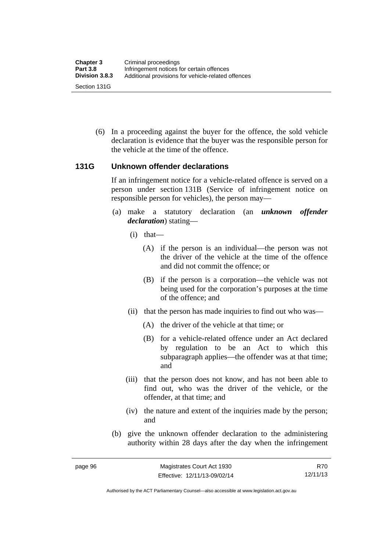(6) In a proceeding against the buyer for the offence, the sold vehicle declaration is evidence that the buyer was the responsible person for the vehicle at the time of the offence.

#### **131G Unknown offender declarations**

If an infringement notice for a vehicle-related offence is served on a person under section 131B (Service of infringement notice on responsible person for vehicles), the person may—

- (a) make a statutory declaration (an *unknown offender declaration*) stating—
	- (i) that—
		- (A) if the person is an individual—the person was not the driver of the vehicle at the time of the offence and did not commit the offence; or
		- (B) if the person is a corporation—the vehicle was not being used for the corporation's purposes at the time of the offence; and
	- (ii) that the person has made inquiries to find out who was—
		- (A) the driver of the vehicle at that time; or
		- (B) for a vehicle-related offence under an Act declared by regulation to be an Act to which this subparagraph applies—the offender was at that time; and
	- (iii) that the person does not know, and has not been able to find out, who was the driver of the vehicle, or the offender, at that time; and
	- (iv) the nature and extent of the inquiries made by the person; and
- (b) give the unknown offender declaration to the administering authority within 28 days after the day when the infringement

R70 12/11/13

Authorised by the ACT Parliamentary Counsel—also accessible at www.legislation.act.gov.au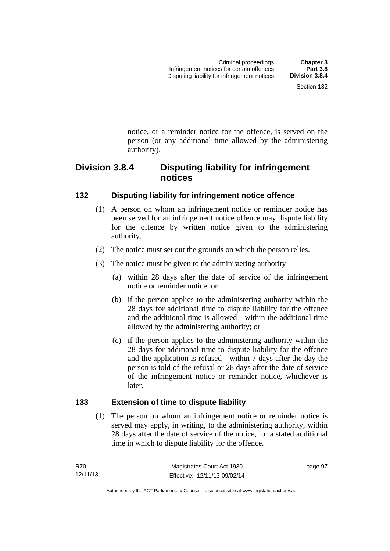notice, or a reminder notice for the offence, is served on the person (or any additional time allowed by the administering

# **Division 3.8.4 Disputing liability for infringement notices**

# **132 Disputing liability for infringement notice offence**

authority).

- (1) A person on whom an infringement notice or reminder notice has been served for an infringement notice offence may dispute liability for the offence by written notice given to the administering authority.
- (2) The notice must set out the grounds on which the person relies.
- (3) The notice must be given to the administering authority—
	- (a) within 28 days after the date of service of the infringement notice or reminder notice; or
	- (b) if the person applies to the administering authority within the 28 days for additional time to dispute liability for the offence and the additional time is allowed—within the additional time allowed by the administering authority; or
	- (c) if the person applies to the administering authority within the 28 days for additional time to dispute liability for the offence and the application is refused—within 7 days after the day the person is told of the refusal or 28 days after the date of service of the infringement notice or reminder notice, whichever is later.

# **133 Extension of time to dispute liability**

(1) The person on whom an infringement notice or reminder notice is served may apply, in writing, to the administering authority, within 28 days after the date of service of the notice, for a stated additional time in which to dispute liability for the offence.

page 97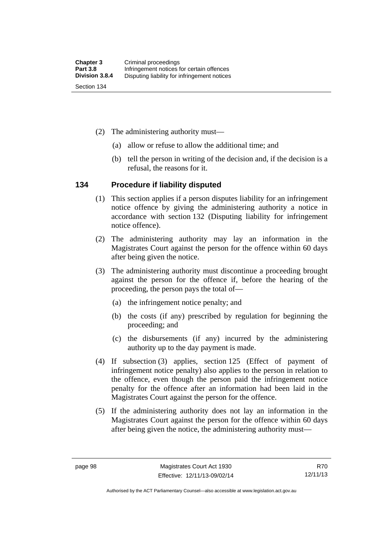- (2) The administering authority must—
	- (a) allow or refuse to allow the additional time; and
	- (b) tell the person in writing of the decision and, if the decision is a refusal, the reasons for it.

#### **134 Procedure if liability disputed**

- (1) This section applies if a person disputes liability for an infringement notice offence by giving the administering authority a notice in accordance with section 132 (Disputing liability for infringement notice offence).
- (2) The administering authority may lay an information in the Magistrates Court against the person for the offence within 60 days after being given the notice.
- (3) The administering authority must discontinue a proceeding brought against the person for the offence if, before the hearing of the proceeding, the person pays the total of—
	- (a) the infringement notice penalty; and
	- (b) the costs (if any) prescribed by regulation for beginning the proceeding; and
	- (c) the disbursements (if any) incurred by the administering authority up to the day payment is made.
- (4) If subsection (3) applies, section 125 (Effect of payment of infringement notice penalty) also applies to the person in relation to the offence, even though the person paid the infringement notice penalty for the offence after an information had been laid in the Magistrates Court against the person for the offence.
- (5) If the administering authority does not lay an information in the Magistrates Court against the person for the offence within 60 days after being given the notice, the administering authority must—

Authorised by the ACT Parliamentary Counsel—also accessible at www.legislation.act.gov.au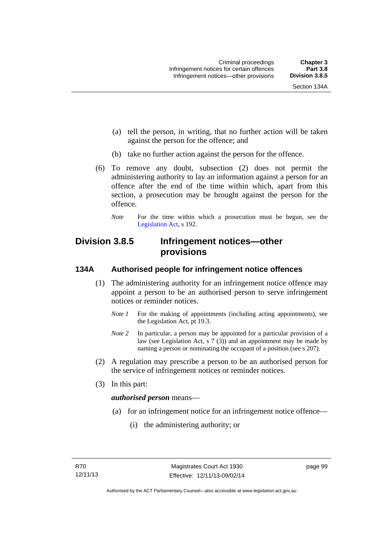- (a) tell the person, in writing, that no further action will be taken against the person for the offence; and
- (b) take no further action against the person for the offence.
- (6) To remove any doubt, subsection (2) does not permit the administering authority to lay an information against a person for an offence after the end of the time within which, apart from this section, a prosecution may be brought against the person for the offence.
	- *Note* For the time within which a prosecution must be begun, see the [Legislation Act,](http://www.legislation.act.gov.au/a/2001-14) s 192.

# **Division 3.8.5 Infringement notices—other provisions**

# **134A Authorised people for infringement notice offences**

- (1) The administering authority for an infringement notice offence may appoint a person to be an authorised person to serve infringement notices or reminder notices.
	- *Note 1* For the making of appointments (including acting appointments), see the [Legislation Act,](http://www.legislation.act.gov.au/a/2001-14) pt 19.3.
	- *Note 2* In particular, a person may be appointed for a particular provision of a law (see [Legislation Act,](http://www.legislation.act.gov.au/a/2001-14) s  $7(3)$ ) and an appointment may be made by naming a person or nominating the occupant of a position (see s 207).
- (2) A regulation may prescribe a person to be an authorised person for the service of infringement notices or reminder notices.
- (3) In this part:

#### *authorised person* means—

- (a) for an infringement notice for an infringement notice offence—
	- (i) the administering authority; or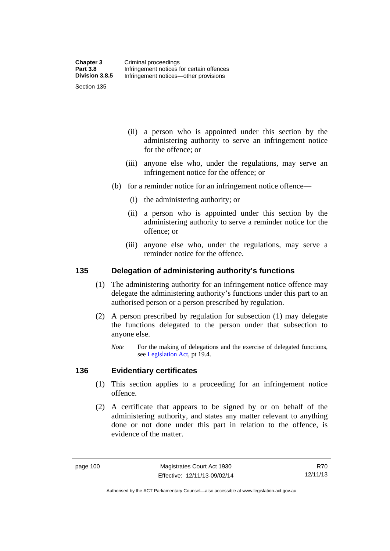Section 135

- (ii) a person who is appointed under this section by the administering authority to serve an infringement notice for the offence; or
- (iii) anyone else who, under the regulations, may serve an infringement notice for the offence; or
- (b) for a reminder notice for an infringement notice offence—
	- (i) the administering authority; or
	- (ii) a person who is appointed under this section by the administering authority to serve a reminder notice for the offence; or
	- (iii) anyone else who, under the regulations, may serve a reminder notice for the offence.

#### **135 Delegation of administering authority's functions**

- (1) The administering authority for an infringement notice offence may delegate the administering authority's functions under this part to an authorised person or a person prescribed by regulation.
- (2) A person prescribed by regulation for subsection (1) may delegate the functions delegated to the person under that subsection to anyone else.
	- *Note* For the making of delegations and the exercise of delegated functions, see [Legislation Act](http://www.legislation.act.gov.au/a/2001-14), pt 19.4.

#### **136 Evidentiary certificates**

- (1) This section applies to a proceeding for an infringement notice offence.
- (2) A certificate that appears to be signed by or on behalf of the administering authority, and states any matter relevant to anything done or not done under this part in relation to the offence, is evidence of the matter.

R70 12/11/13

Authorised by the ACT Parliamentary Counsel—also accessible at www.legislation.act.gov.au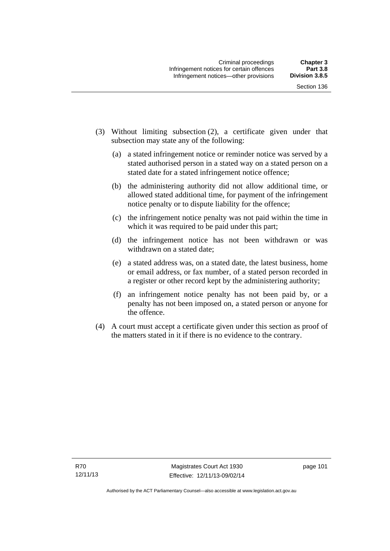- (3) Without limiting subsection (2), a certificate given under that subsection may state any of the following:
	- (a) a stated infringement notice or reminder notice was served by a stated authorised person in a stated way on a stated person on a stated date for a stated infringement notice offence;
	- (b) the administering authority did not allow additional time, or allowed stated additional time, for payment of the infringement notice penalty or to dispute liability for the offence;
	- (c) the infringement notice penalty was not paid within the time in which it was required to be paid under this part;
	- (d) the infringement notice has not been withdrawn or was withdrawn on a stated date;
	- (e) a stated address was, on a stated date, the latest business, home or email address, or fax number, of a stated person recorded in a register or other record kept by the administering authority;
	- (f) an infringement notice penalty has not been paid by, or a penalty has not been imposed on, a stated person or anyone for the offence.
- (4) A court must accept a certificate given under this section as proof of the matters stated in it if there is no evidence to the contrary.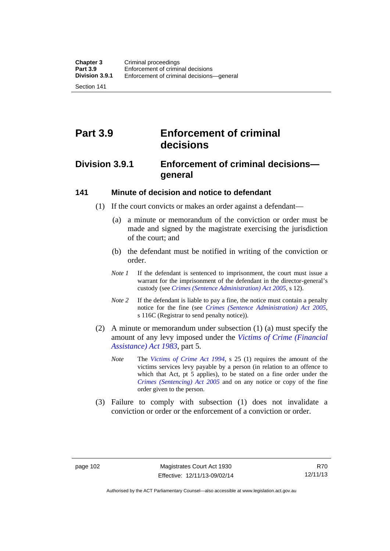Section 141

# **Part 3.9 Enforcement of criminal decisions**

# **Division 3.9.1 Enforcement of criminal decisions general**

#### **141 Minute of decision and notice to defendant**

- (1) If the court convicts or makes an order against a defendant—
	- (a) a minute or memorandum of the conviction or order must be made and signed by the magistrate exercising the jurisdiction of the court; and
	- (b) the defendant must be notified in writing of the conviction or order.
	- *Note 1* If the defendant is sentenced to imprisonment, the court must issue a warrant for the imprisonment of the defendant in the director-general's custody (see *[Crimes \(Sentence Administration\) Act 2005](http://www.legislation.act.gov.au/a/2005-59)*, s 12).
	- *Note* 2 If the defendant is liable to pay a fine, the notice must contain a penalty notice for the fine (see *[Crimes \(Sentence Administration\) Act 2005](http://www.legislation.act.gov.au/a/2005-59)*, s 116C (Registrar to send penalty notice)).
- (2) A minute or memorandum under subsection (1) (a) must specify the amount of any levy imposed under the *[Victims of Crime \(Financial](http://www.legislation.act.gov.au/a/1983-11)  [Assistance\) Act 1983](http://www.legislation.act.gov.au/a/1983-11)*, part 5.
	- *Note* The *[Victims of Crime Act 1994](http://www.legislation.act.gov.au/a/1994-83)*, s 25 (1) requires the amount of the victims services levy payable by a person (in relation to an offence to which that Act, pt 5 applies), to be stated on a fine order under the *[Crimes \(Sentencing\) Act 2005](http://www.legislation.act.gov.au/a/2005-58)* and on any notice or copy of the fine order given to the person.
- (3) Failure to comply with subsection (1) does not invalidate a conviction or order or the enforcement of a conviction or order.

Authorised by the ACT Parliamentary Counsel—also accessible at www.legislation.act.gov.au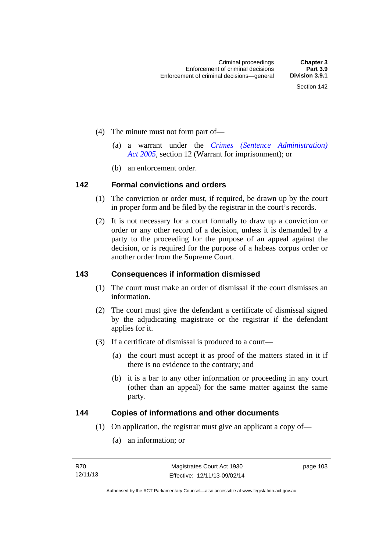- (4) The minute must not form part of—
	- (a) a warrant under the *[Crimes \(Sentence Administration\)](http://www.legislation.act.gov.au/a/2005-59)  [Act 2005](http://www.legislation.act.gov.au/a/2005-59)*, section 12 (Warrant for imprisonment); or
	- (b) an enforcement order.

#### **142 Formal convictions and orders**

- (1) The conviction or order must, if required, be drawn up by the court in proper form and be filed by the registrar in the court's records.
- (2) It is not necessary for a court formally to draw up a conviction or order or any other record of a decision, unless it is demanded by a party to the proceeding for the purpose of an appeal against the decision, or is required for the purpose of a habeas corpus order or another order from the Supreme Court.

#### **143 Consequences if information dismissed**

- (1) The court must make an order of dismissal if the court dismisses an information.
- (2) The court must give the defendant a certificate of dismissal signed by the adjudicating magistrate or the registrar if the defendant applies for it.
- (3) If a certificate of dismissal is produced to a court—
	- (a) the court must accept it as proof of the matters stated in it if there is no evidence to the contrary; and
	- (b) it is a bar to any other information or proceeding in any court (other than an appeal) for the same matter against the same party.

#### **144 Copies of informations and other documents**

- (1) On application, the registrar must give an applicant a copy of—
	- (a) an information; or

page 103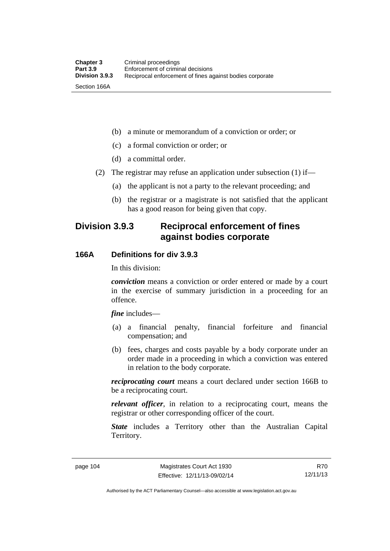(b) a minute or memorandum of a conviction or order; or

(c) a formal conviction or order; or

(d) a committal order.

(2) The registrar may refuse an application under subsection (1) if—

(a) the applicant is not a party to the relevant proceeding; and

 (b) the registrar or a magistrate is not satisfied that the applicant has a good reason for being given that copy.

# **Division 3.9.3 Reciprocal enforcement of fines against bodies corporate**

# **166A Definitions for div 3.9.3**

In this division:

*conviction* means a conviction or order entered or made by a court in the exercise of summary jurisdiction in a proceeding for an offence.

*fine* includes—

- (a) a financial penalty, financial forfeiture and financial compensation; and
- (b) fees, charges and costs payable by a body corporate under an order made in a proceeding in which a conviction was entered in relation to the body corporate.

*reciprocating court* means a court declared under section 166B to be a reciprocating court.

*relevant officer*, in relation to a reciprocating court, means the registrar or other corresponding officer of the court.

*State* includes a Territory other than the Australian Capital Territory.

R70 12/11/13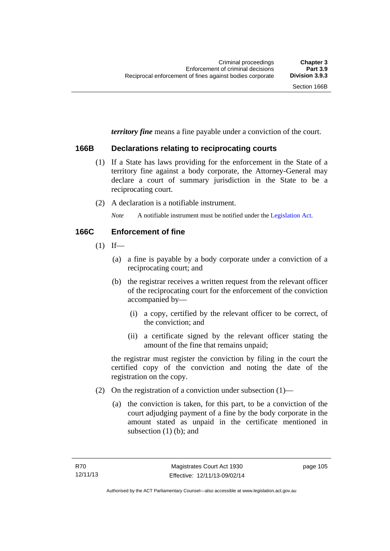*territory fine* means a fine payable under a conviction of the court.

### **166B Declarations relating to reciprocating courts**

- (1) If a State has laws providing for the enforcement in the State of a territory fine against a body corporate, the Attorney-General may declare a court of summary jurisdiction in the State to be a reciprocating court.
- (2) A declaration is a notifiable instrument.

*Note* A notifiable instrument must be notified under the [Legislation Act](http://www.legislation.act.gov.au/a/2001-14).

### **166C Enforcement of fine**

- $(1)$  If—
	- (a) a fine is payable by a body corporate under a conviction of a reciprocating court; and
	- (b) the registrar receives a written request from the relevant officer of the reciprocating court for the enforcement of the conviction accompanied by—
		- (i) a copy, certified by the relevant officer to be correct, of the conviction; and
		- (ii) a certificate signed by the relevant officer stating the amount of the fine that remains unpaid;

the registrar must register the conviction by filing in the court the certified copy of the conviction and noting the date of the registration on the copy.

- (2) On the registration of a conviction under subsection (1)—
	- (a) the conviction is taken, for this part, to be a conviction of the court adjudging payment of a fine by the body corporate in the amount stated as unpaid in the certificate mentioned in subsection (1) (b); and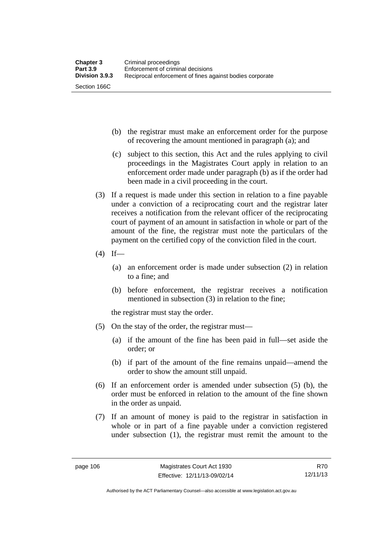- (b) the registrar must make an enforcement order for the purpose of recovering the amount mentioned in paragraph (a); and
- (c) subject to this section, this Act and the rules applying to civil proceedings in the Magistrates Court apply in relation to an enforcement order made under paragraph (b) as if the order had been made in a civil proceeding in the court.
- (3) If a request is made under this section in relation to a fine payable under a conviction of a reciprocating court and the registrar later receives a notification from the relevant officer of the reciprocating court of payment of an amount in satisfaction in whole or part of the amount of the fine, the registrar must note the particulars of the payment on the certified copy of the conviction filed in the court.
- $(4)$  If—
	- (a) an enforcement order is made under subsection (2) in relation to a fine; and
	- (b) before enforcement, the registrar receives a notification mentioned in subsection (3) in relation to the fine;

the registrar must stay the order.

- (5) On the stay of the order, the registrar must—
	- (a) if the amount of the fine has been paid in full—set aside the order; or
	- (b) if part of the amount of the fine remains unpaid—amend the order to show the amount still unpaid.
- (6) If an enforcement order is amended under subsection (5) (b), the order must be enforced in relation to the amount of the fine shown in the order as unpaid.
- (7) If an amount of money is paid to the registrar in satisfaction in whole or in part of a fine payable under a conviction registered under subsection (1), the registrar must remit the amount to the

R70 12/11/13

Authorised by the ACT Parliamentary Counsel—also accessible at www.legislation.act.gov.au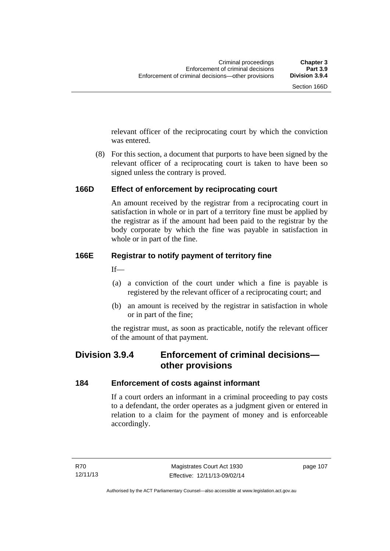relevant officer of the reciprocating court by which the conviction was entered.

 (8) For this section, a document that purports to have been signed by the relevant officer of a reciprocating court is taken to have been so signed unless the contrary is proved.

# **166D Effect of enforcement by reciprocating court**

An amount received by the registrar from a reciprocating court in satisfaction in whole or in part of a territory fine must be applied by the registrar as if the amount had been paid to the registrar by the body corporate by which the fine was payable in satisfaction in whole or in part of the fine.

# **166E Registrar to notify payment of territory fine**

 $If$ —

- (a) a conviction of the court under which a fine is payable is registered by the relevant officer of a reciprocating court; and
- (b) an amount is received by the registrar in satisfaction in whole or in part of the fine;

the registrar must, as soon as practicable, notify the relevant officer of the amount of that payment.

# **Division 3.9.4 Enforcement of criminal decisions other provisions**

# **184 Enforcement of costs against informant**

If a court orders an informant in a criminal proceeding to pay costs to a defendant, the order operates as a judgment given or entered in relation to a claim for the payment of money and is enforceable accordingly.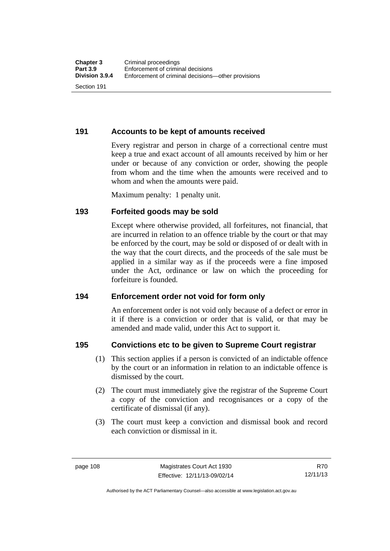**191 Accounts to be kept of amounts received** 

Every registrar and person in charge of a correctional centre must keep a true and exact account of all amounts received by him or her under or because of any conviction or order, showing the people from whom and the time when the amounts were received and to whom and when the amounts were paid.

Maximum penalty: 1 penalty unit.

# **193 Forfeited goods may be sold**

Except where otherwise provided, all forfeitures, not financial, that are incurred in relation to an offence triable by the court or that may be enforced by the court, may be sold or disposed of or dealt with in the way that the court directs, and the proceeds of the sale must be applied in a similar way as if the proceeds were a fine imposed under the Act, ordinance or law on which the proceeding for forfeiture is founded.

# **194 Enforcement order not void for form only**

An enforcement order is not void only because of a defect or error in it if there is a conviction or order that is valid, or that may be amended and made valid, under this Act to support it.

# **195 Convictions etc to be given to Supreme Court registrar**

- (1) This section applies if a person is convicted of an indictable offence by the court or an information in relation to an indictable offence is dismissed by the court.
- (2) The court must immediately give the registrar of the Supreme Court a copy of the conviction and recognisances or a copy of the certificate of dismissal (if any).
- (3) The court must keep a conviction and dismissal book and record each conviction or dismissal in it.

Authorised by the ACT Parliamentary Counsel—also accessible at www.legislation.act.gov.au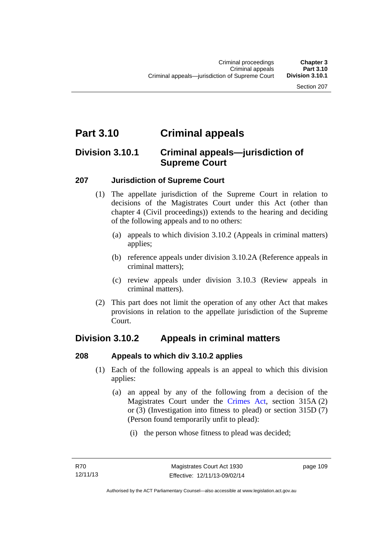# **Part 3.10 Criminal appeals**

# **Division 3.10.1 Criminal appeals—jurisdiction of Supreme Court**

# **207 Jurisdiction of Supreme Court**

- (1) The appellate jurisdiction of the Supreme Court in relation to decisions of the Magistrates Court under this Act (other than chapter 4 (Civil proceedings)) extends to the hearing and deciding of the following appeals and to no others:
	- (a) appeals to which division 3.10.2 (Appeals in criminal matters) applies;
	- (b) reference appeals under division 3.10.2A (Reference appeals in criminal matters);
	- (c) review appeals under division 3.10.3 (Review appeals in criminal matters).
- (2) This part does not limit the operation of any other Act that makes provisions in relation to the appellate jurisdiction of the Supreme Court.

# **Division 3.10.2 Appeals in criminal matters**

# **208 Appeals to which div 3.10.2 applies**

- (1) Each of the following appeals is an appeal to which this division applies:
	- (a) an appeal by any of the following from a decision of the Magistrates Court under the [Crimes Act](http://www.legislation.act.gov.au/a/1900-40/default.asp), section 315A (2) or (3) (Investigation into fitness to plead) or section 315D (7) (Person found temporarily unfit to plead):
		- (i) the person whose fitness to plead was decided;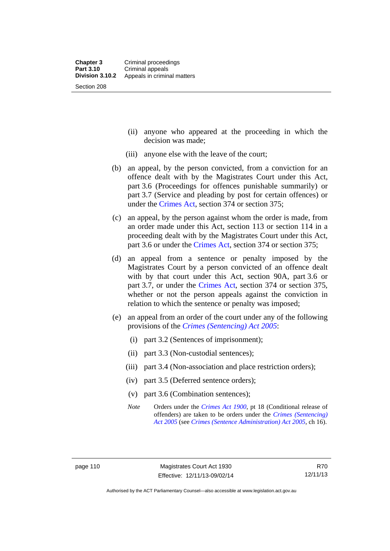- (ii) anyone who appeared at the proceeding in which the decision was made;
- (iii) anyone else with the leave of the court;
- (b) an appeal, by the person convicted, from a conviction for an offence dealt with by the Magistrates Court under this Act, part 3.6 (Proceedings for offences punishable summarily) or part 3.7 (Service and pleading by post for certain offences) or under the [Crimes Act,](http://www.legislation.act.gov.au/a/1900-40/default.asp) section 374 or section 375;
- (c) an appeal, by the person against whom the order is made, from an order made under this Act, section 113 or section 114 in a proceeding dealt with by the Magistrates Court under this Act, part 3.6 or under the [Crimes Act,](http://www.legislation.act.gov.au/a/1900-40/default.asp) section 374 or section 375;
- (d) an appeal from a sentence or penalty imposed by the Magistrates Court by a person convicted of an offence dealt with by that court under this Act, section 90A, part 3.6 or part 3.7, or under the [Crimes Act,](http://www.legislation.act.gov.au/a/1900-40/default.asp) section 374 or section 375, whether or not the person appeals against the conviction in relation to which the sentence or penalty was imposed;
- (e) an appeal from an order of the court under any of the following provisions of the *[Crimes \(Sentencing\) Act 2005](http://www.legislation.act.gov.au/a/2005-58)*:
	- (i) part 3.2 (Sentences of imprisonment);
	- (ii) part 3.3 (Non-custodial sentences);
	- (iii) part 3.4 (Non-association and place restriction orders);
	- (iv) part 3.5 (Deferred sentence orders);
	- (v) part 3.6 (Combination sentences);
	- *Note* Orders under the *[Crimes Act 1900](http://www.legislation.act.gov.au/a/1900-40)*, pt 18 (Conditional release of offenders) are taken to be orders under the *[Crimes \(Sentencing\)](http://www.legislation.act.gov.au/a/2005-58)  [Act 2005](http://www.legislation.act.gov.au/a/2005-58)* (see *[Crimes \(Sentence Administration\) Act 2005](http://www.legislation.act.gov.au/a/2005-59)*, ch 16).

R70 12/11/13

Authorised by the ACT Parliamentary Counsel—also accessible at www.legislation.act.gov.au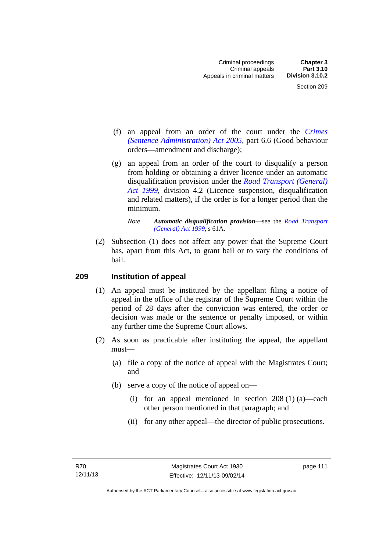- (f) an appeal from an order of the court under the *[Crimes](http://www.legislation.act.gov.au/a/2005-59)  [\(Sentence Administration\) Act 2005](http://www.legislation.act.gov.au/a/2005-59),* part 6.6 (Good behaviour orders—amendment and discharge);
- (g) an appeal from an order of the court to disqualify a person from holding or obtaining a driver licence under an automatic disqualification provision under the *[Road Transport \(General\)](http://www.legislation.act.gov.au/a/1999-77)  [Act 1999](http://www.legislation.act.gov.au/a/1999-77)*, division 4.2 (Licence suspension, disqualification and related matters), if the order is for a longer period than the minimum.

 (2) Subsection (1) does not affect any power that the Supreme Court has, apart from this Act, to grant bail or to vary the conditions of bail.

#### **209 Institution of appeal**

- (1) An appeal must be instituted by the appellant filing a notice of appeal in the office of the registrar of the Supreme Court within the period of 28 days after the conviction was entered, the order or decision was made or the sentence or penalty imposed, or within any further time the Supreme Court allows.
- (2) As soon as practicable after instituting the appeal, the appellant must—
	- (a) file a copy of the notice of appeal with the Magistrates Court; and
	- (b) serve a copy of the notice of appeal on—
		- (i) for an appeal mentioned in section  $208(1)(a)$ —each other person mentioned in that paragraph; and
		- (ii) for any other appeal—the director of public prosecutions.

*Note Automatic disqualification provision*—see the *[Road Transport](http://www.legislation.act.gov.au/a/1999-77)  [\(General\) Act 1999](http://www.legislation.act.gov.au/a/1999-77)*, s 61A.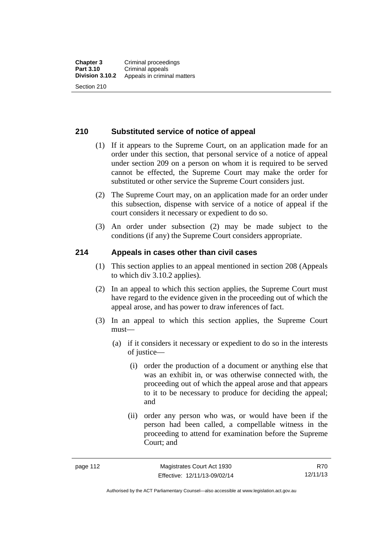#### **210 Substituted service of notice of appeal**

- (1) If it appears to the Supreme Court, on an application made for an order under this section, that personal service of a notice of appeal under section 209 on a person on whom it is required to be served cannot be effected, the Supreme Court may make the order for substituted or other service the Supreme Court considers just.
- (2) The Supreme Court may, on an application made for an order under this subsection, dispense with service of a notice of appeal if the court considers it necessary or expedient to do so.
- (3) An order under subsection (2) may be made subject to the conditions (if any) the Supreme Court considers appropriate.

#### **214 Appeals in cases other than civil cases**

- (1) This section applies to an appeal mentioned in section 208 (Appeals to which div 3.10.2 applies).
- (2) In an appeal to which this section applies, the Supreme Court must have regard to the evidence given in the proceeding out of which the appeal arose, and has power to draw inferences of fact.
- (3) In an appeal to which this section applies, the Supreme Court must—
	- (a) if it considers it necessary or expedient to do so in the interests of justice—
		- (i) order the production of a document or anything else that was an exhibit in, or was otherwise connected with, the proceeding out of which the appeal arose and that appears to it to be necessary to produce for deciding the appeal; and
		- (ii) order any person who was, or would have been if the person had been called, a compellable witness in the proceeding to attend for examination before the Supreme Court; and

R70 12/11/13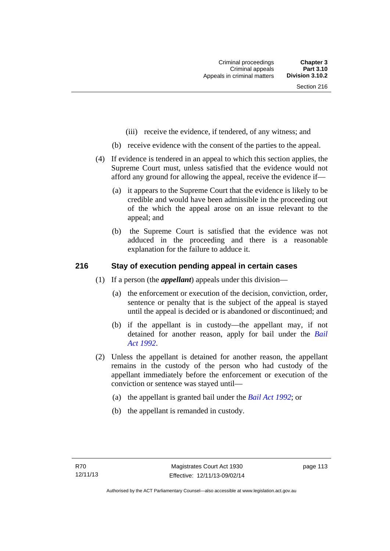- (iii) receive the evidence, if tendered, of any witness; and
- (b) receive evidence with the consent of the parties to the appeal.
- (4) If evidence is tendered in an appeal to which this section applies, the Supreme Court must, unless satisfied that the evidence would not afford any ground for allowing the appeal, receive the evidence if—
	- (a) it appears to the Supreme Court that the evidence is likely to be credible and would have been admissible in the proceeding out of the which the appeal arose on an issue relevant to the appeal; and
	- (b) the Supreme Court is satisfied that the evidence was not adduced in the proceeding and there is a reasonable explanation for the failure to adduce it.

### **216 Stay of execution pending appeal in certain cases**

- (1) If a person (the *appellant*) appeals under this division—
	- (a) the enforcement or execution of the decision, conviction, order, sentence or penalty that is the subject of the appeal is stayed until the appeal is decided or is abandoned or discontinued; and
	- (b) if the appellant is in custody—the appellant may, if not detained for another reason, apply for bail under the *[Bail](http://www.legislation.act.gov.au/a/1992-8)  [Act 1992](http://www.legislation.act.gov.au/a/1992-8)*.
- (2) Unless the appellant is detained for another reason, the appellant remains in the custody of the person who had custody of the appellant immediately before the enforcement or execution of the conviction or sentence was stayed until—
	- (a) the appellant is granted bail under the *[Bail Act 1992](http://www.legislation.act.gov.au/a/1992-8)*; or
	- (b) the appellant is remanded in custody.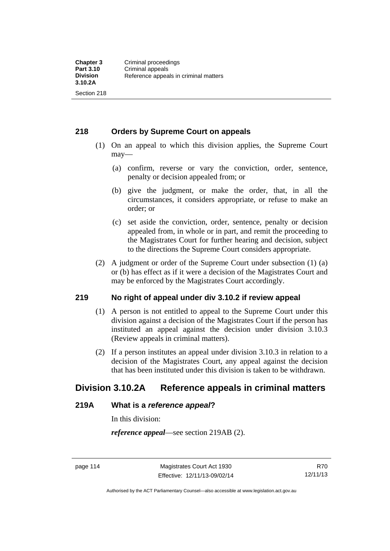### **218 Orders by Supreme Court on appeals**

- (1) On an appeal to which this division applies, the Supreme Court may—
	- (a) confirm, reverse or vary the conviction, order, sentence, penalty or decision appealed from; or
	- (b) give the judgment, or make the order, that, in all the circumstances, it considers appropriate, or refuse to make an order; or
	- (c) set aside the conviction, order, sentence, penalty or decision appealed from, in whole or in part, and remit the proceeding to the Magistrates Court for further hearing and decision, subject to the directions the Supreme Court considers appropriate.
- (2) A judgment or order of the Supreme Court under subsection (1) (a) or (b) has effect as if it were a decision of the Magistrates Court and may be enforced by the Magistrates Court accordingly.

### **219 No right of appeal under div 3.10.2 if review appeal**

- (1) A person is not entitled to appeal to the Supreme Court under this division against a decision of the Magistrates Court if the person has instituted an appeal against the decision under division 3.10.3 (Review appeals in criminal matters).
- (2) If a person institutes an appeal under division 3.10.3 in relation to a decision of the Magistrates Court, any appeal against the decision that has been instituted under this division is taken to be withdrawn.

# **Division 3.10.2A Reference appeals in criminal matters**

#### **219A What is a** *reference appeal***?**

In this division:

*reference appeal*—see section 219AB (2).

Authorised by the ACT Parliamentary Counsel—also accessible at www.legislation.act.gov.au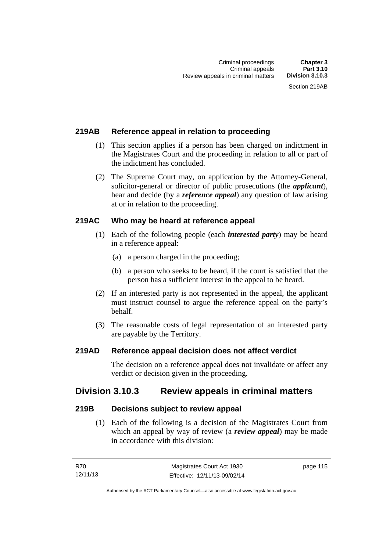# **219AB Reference appeal in relation to proceeding**

- (1) This section applies if a person has been charged on indictment in the Magistrates Court and the proceeding in relation to all or part of the indictment has concluded.
- (2) The Supreme Court may, on application by the Attorney-General, solicitor-general or director of public prosecutions (the *applicant*), hear and decide (by a *reference appeal*) any question of law arising at or in relation to the proceeding.

### **219AC Who may be heard at reference appeal**

- (1) Each of the following people (each *interested party*) may be heard in a reference appeal:
	- (a) a person charged in the proceeding;
	- (b) a person who seeks to be heard, if the court is satisfied that the person has a sufficient interest in the appeal to be heard.
- (2) If an interested party is not represented in the appeal, the applicant must instruct counsel to argue the reference appeal on the party's behalf.
- (3) The reasonable costs of legal representation of an interested party are payable by the Territory.

#### **219AD Reference appeal decision does not affect verdict**

The decision on a reference appeal does not invalidate or affect any verdict or decision given in the proceeding.

# **Division 3.10.3 Review appeals in criminal matters**

#### **219B Decisions subject to review appeal**

 (1) Each of the following is a decision of the Magistrates Court from which an appeal by way of review (a *review appeal*) may be made in accordance with this division:

page 115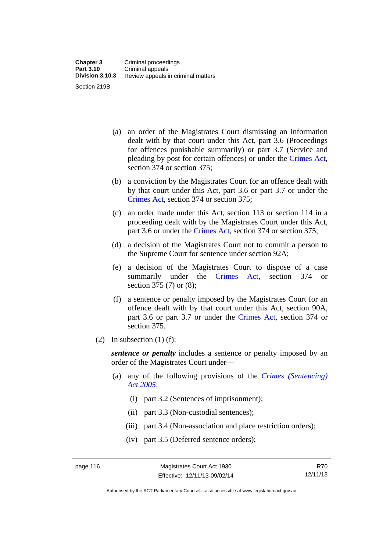- (a) an order of the Magistrates Court dismissing an information dealt with by that court under this Act, part 3.6 (Proceedings for offences punishable summarily) or part 3.7 (Service and pleading by post for certain offences) or under the [Crimes Act](http://www.legislation.act.gov.au/a/1900-40/default.asp), section 374 or section 375;
- (b) a conviction by the Magistrates Court for an offence dealt with by that court under this Act, part 3.6 or part 3.7 or under the [Crimes Act,](http://www.legislation.act.gov.au/a/1900-40/default.asp) section 374 or section 375;
- (c) an order made under this Act, section 113 or section 114 in a proceeding dealt with by the Magistrates Court under this Act, part 3.6 or under the [Crimes Act,](http://www.legislation.act.gov.au/a/1900-40/default.asp) section 374 or section 375;
- (d) a decision of the Magistrates Court not to commit a person to the Supreme Court for sentence under section 92A;
- (e) a decision of the Magistrates Court to dispose of a case summarily under the [Crimes Act,](http://www.legislation.act.gov.au/a/1900-40/default.asp) section 374 or section 375 (7) or (8);
- (f) a sentence or penalty imposed by the Magistrates Court for an offence dealt with by that court under this Act, section 90A, part 3.6 or part 3.7 or under the [Crimes Act,](http://www.legislation.act.gov.au/a/1900-40/default.asp) section 374 or section 375.
- (2) In subsection  $(1)$  (f):

*sentence or penalty* includes a sentence or penalty imposed by an order of the Magistrates Court under—

- (a) any of the following provisions of the *[Crimes \(Sentencing\)](http://www.legislation.act.gov.au/a/2005-58)  [Act 2005](http://www.legislation.act.gov.au/a/2005-58)*:
	- (i) part 3.2 (Sentences of imprisonment);
	- (ii) part 3.3 (Non-custodial sentences);
	- (iii) part 3.4 (Non-association and place restriction orders);
	- (iv) part 3.5 (Deferred sentence orders);

R70 12/11/13

Authorised by the ACT Parliamentary Counsel—also accessible at www.legislation.act.gov.au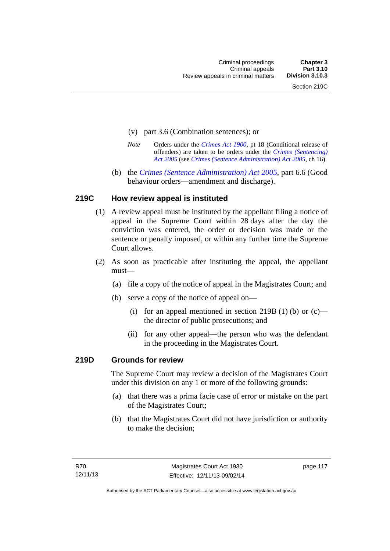- (v) part 3.6 (Combination sentences); or
- *Note* Orders under the *[Crimes Act 1900](http://www.legislation.act.gov.au/a/1900-40)*, pt 18 (Conditional release of offenders) are taken to be orders under the *[Crimes \(Sentencing\)](http://www.legislation.act.gov.au/a/2005-58)  [Act 2005](http://www.legislation.act.gov.au/a/2005-58)* (see *[Crimes \(Sentence Administration\) Act 2005](http://www.legislation.act.gov.au/a/2005-59)*, ch 16).
- (b) the *[Crimes \(Sentence Administration\) Act 2005](http://www.legislation.act.gov.au/a/2005-59),* part 6.6 (Good behaviour orders—amendment and discharge).

### **219C How review appeal is instituted**

- (1) A review appeal must be instituted by the appellant filing a notice of appeal in the Supreme Court within 28 days after the day the conviction was entered, the order or decision was made or the sentence or penalty imposed, or within any further time the Supreme Court allows.
- (2) As soon as practicable after instituting the appeal, the appellant must—
	- (a) file a copy of the notice of appeal in the Magistrates Court; and
	- (b) serve a copy of the notice of appeal on—
		- (i) for an appeal mentioned in section 219B (1) (b) or  $(c)$  the director of public prosecutions; and
		- (ii) for any other appeal—the person who was the defendant in the proceeding in the Magistrates Court.

#### **219D Grounds for review**

The Supreme Court may review a decision of the Magistrates Court under this division on any 1 or more of the following grounds:

- (a) that there was a prima facie case of error or mistake on the part of the Magistrates Court;
- (b) that the Magistrates Court did not have jurisdiction or authority to make the decision;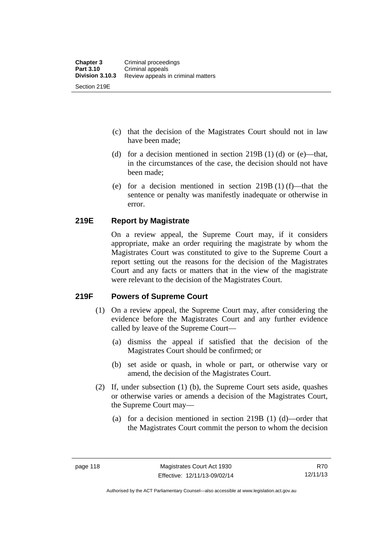- (c) that the decision of the Magistrates Court should not in law have been made;
- (d) for a decision mentioned in section 219B (1) (d) or (e)—that, in the circumstances of the case, the decision should not have been made;
- (e) for a decision mentioned in section 219B (1) (f)—that the sentence or penalty was manifestly inadequate or otherwise in error.

# **219E Report by Magistrate**

On a review appeal, the Supreme Court may, if it considers appropriate, make an order requiring the magistrate by whom the Magistrates Court was constituted to give to the Supreme Court a report setting out the reasons for the decision of the Magistrates Court and any facts or matters that in the view of the magistrate were relevant to the decision of the Magistrates Court.

# **219F Powers of Supreme Court**

- (1) On a review appeal, the Supreme Court may, after considering the evidence before the Magistrates Court and any further evidence called by leave of the Supreme Court—
	- (a) dismiss the appeal if satisfied that the decision of the Magistrates Court should be confirmed; or
	- (b) set aside or quash, in whole or part, or otherwise vary or amend, the decision of the Magistrates Court.
- (2) If, under subsection (1) (b), the Supreme Court sets aside, quashes or otherwise varies or amends a decision of the Magistrates Court, the Supreme Court may—
	- (a) for a decision mentioned in section 219B (1) (d)—order that the Magistrates Court commit the person to whom the decision

R70 12/11/13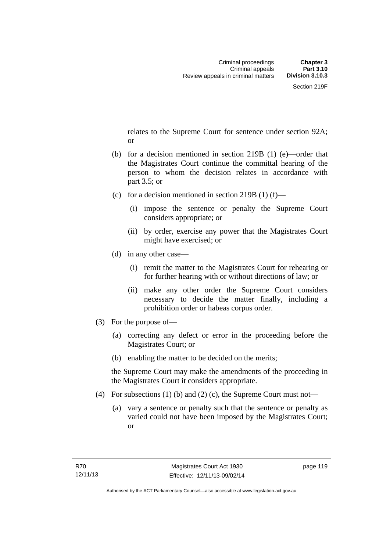relates to the Supreme Court for sentence under section 92A; or

- (b) for a decision mentioned in section 219B (1) (e)—order that the Magistrates Court continue the committal hearing of the person to whom the decision relates in accordance with part 3.5; or
- (c) for a decision mentioned in section 219B (1) (f)—
	- (i) impose the sentence or penalty the Supreme Court considers appropriate; or
	- (ii) by order, exercise any power that the Magistrates Court might have exercised; or
- (d) in any other case—
	- (i) remit the matter to the Magistrates Court for rehearing or for further hearing with or without directions of law; or
	- (ii) make any other order the Supreme Court considers necessary to decide the matter finally, including a prohibition order or habeas corpus order.
- (3) For the purpose of—
	- (a) correcting any defect or error in the proceeding before the Magistrates Court; or
	- (b) enabling the matter to be decided on the merits;

the Supreme Court may make the amendments of the proceeding in the Magistrates Court it considers appropriate.

- (4) For subsections (1) (b) and (2) (c), the Supreme Court must not—
	- (a) vary a sentence or penalty such that the sentence or penalty as varied could not have been imposed by the Magistrates Court; or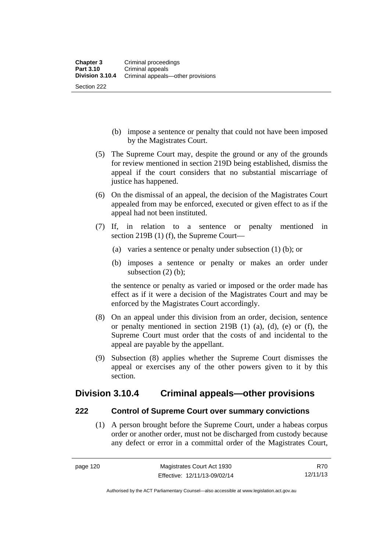- (b) impose a sentence or penalty that could not have been imposed by the Magistrates Court.
- (5) The Supreme Court may, despite the ground or any of the grounds for review mentioned in section 219D being established, dismiss the appeal if the court considers that no substantial miscarriage of justice has happened.
- (6) On the dismissal of an appeal, the decision of the Magistrates Court appealed from may be enforced, executed or given effect to as if the appeal had not been instituted.
- (7) If, in relation to a sentence or penalty mentioned in section 219B (1) (f), the Supreme Court—
	- (a) varies a sentence or penalty under subsection (1) (b); or
	- (b) imposes a sentence or penalty or makes an order under subsection (2) (b):

the sentence or penalty as varied or imposed or the order made has effect as if it were a decision of the Magistrates Court and may be enforced by the Magistrates Court accordingly.

- (8) On an appeal under this division from an order, decision, sentence or penalty mentioned in section 219B (1) (a), (d), (e) or (f), the Supreme Court must order that the costs of and incidental to the appeal are payable by the appellant.
- (9) Subsection (8) applies whether the Supreme Court dismisses the appeal or exercises any of the other powers given to it by this section.

# **Division 3.10.4 Criminal appeals—other provisions**

#### **222 Control of Supreme Court over summary convictions**

 (1) A person brought before the Supreme Court, under a habeas corpus order or another order, must not be discharged from custody because any defect or error in a committal order of the Magistrates Court,

R70 12/11/13

Authorised by the ACT Parliamentary Counsel—also accessible at www.legislation.act.gov.au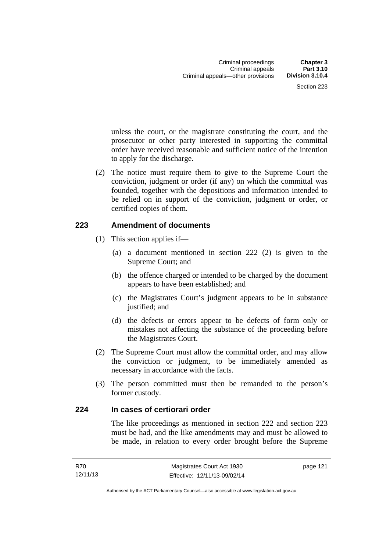unless the court, or the magistrate constituting the court, and the prosecutor or other party interested in supporting the committal order have received reasonable and sufficient notice of the intention to apply for the discharge.

 (2) The notice must require them to give to the Supreme Court the conviction, judgment or order (if any) on which the committal was founded, together with the depositions and information intended to be relied on in support of the conviction, judgment or order, or certified copies of them.

#### **223 Amendment of documents**

- (1) This section applies if—
	- (a) a document mentioned in section 222 (2) is given to the Supreme Court; and
	- (b) the offence charged or intended to be charged by the document appears to have been established; and
	- (c) the Magistrates Court's judgment appears to be in substance justified; and
	- (d) the defects or errors appear to be defects of form only or mistakes not affecting the substance of the proceeding before the Magistrates Court.
- (2) The Supreme Court must allow the committal order, and may allow the conviction or judgment, to be immediately amended as necessary in accordance with the facts.
- (3) The person committed must then be remanded to the person's former custody.

#### **224 In cases of certiorari order**

The like proceedings as mentioned in section 222 and section 223 must be had, and the like amendments may and must be allowed to be made, in relation to every order brought before the Supreme

page 121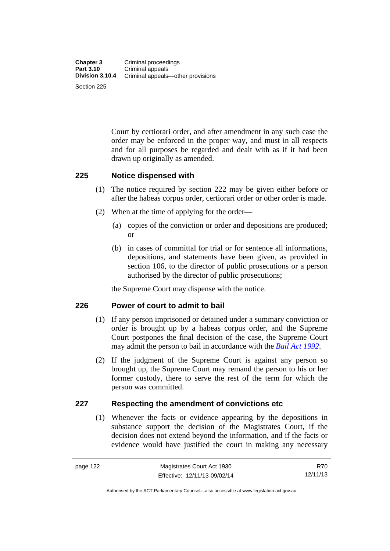Court by certiorari order, and after amendment in any such case the order may be enforced in the proper way, and must in all respects and for all purposes be regarded and dealt with as if it had been drawn up originally as amended.

### **225 Notice dispensed with**

- (1) The notice required by section 222 may be given either before or after the habeas corpus order, certiorari order or other order is made.
- (2) When at the time of applying for the order—
	- (a) copies of the conviction or order and depositions are produced; or
	- (b) in cases of committal for trial or for sentence all informations, depositions, and statements have been given, as provided in section 106, to the director of public prosecutions or a person authorised by the director of public prosecutions;

the Supreme Court may dispense with the notice.

# **226 Power of court to admit to bail**

- (1) If any person imprisoned or detained under a summary conviction or order is brought up by a habeas corpus order, and the Supreme Court postpones the final decision of the case, the Supreme Court may admit the person to bail in accordance with the *[Bail Act 1992](http://www.legislation.act.gov.au/a/1992-8)*.
- (2) If the judgment of the Supreme Court is against any person so brought up, the Supreme Court may remand the person to his or her former custody, there to serve the rest of the term for which the person was committed.

# **227 Respecting the amendment of convictions etc**

(1) Whenever the facts or evidence appearing by the depositions in substance support the decision of the Magistrates Court, if the decision does not extend beyond the information, and if the facts or evidence would have justified the court in making any necessary

R70 12/11/13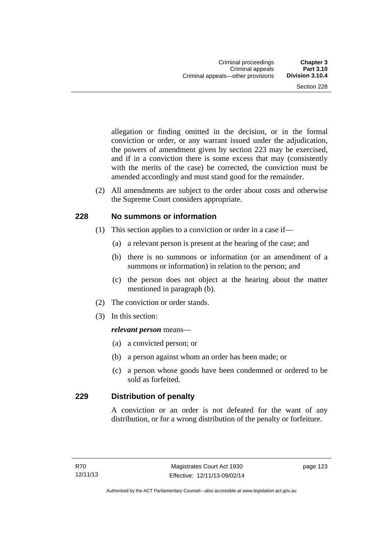allegation or finding omitted in the decision, or in the formal conviction or order, or any warrant issued under the adjudication, the powers of amendment given by section 223 may be exercised, and if in a conviction there is some excess that may (consistently with the merits of the case) be corrected, the conviction must be amended accordingly and must stand good for the remainder.

 (2) All amendments are subject to the order about costs and otherwise the Supreme Court considers appropriate.

#### **228 No summons or information**

- (1) This section applies to a conviction or order in a case if—
	- (a) a relevant person is present at the hearing of the case; and
	- (b) there is no summons or information (or an amendment of a summons or information) in relation to the person; and
	- (c) the person does not object at the hearing about the matter mentioned in paragraph (b).
- (2) The conviction or order stands.
- (3) In this section:

#### *relevant person* means—

- (a) a convicted person; or
- (b) a person against whom an order has been made; or
- (c) a person whose goods have been condemned or ordered to be sold as forfeited.

# **229 Distribution of penalty**

A conviction or an order is not defeated for the want of any distribution, or for a wrong distribution of the penalty or forfeiture.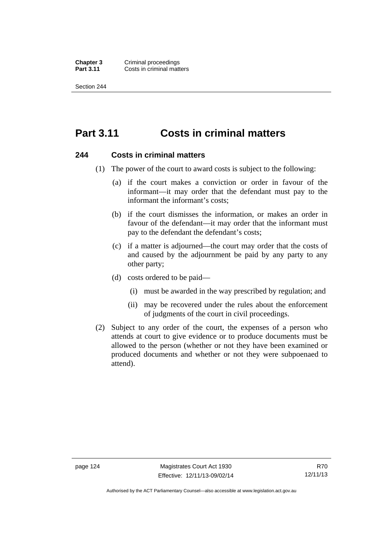**Chapter 3 Criminal proceedings**<br>**Part 3.11 Costs in criminal matt Costs in criminal matters** 

Section 244

# **Part 3.11 Costs in criminal matters**

#### **244 Costs in criminal matters**

- (1) The power of the court to award costs is subject to the following:
	- (a) if the court makes a conviction or order in favour of the informant—it may order that the defendant must pay to the informant the informant's costs;
	- (b) if the court dismisses the information, or makes an order in favour of the defendant—it may order that the informant must pay to the defendant the defendant's costs;
	- (c) if a matter is adjourned—the court may order that the costs of and caused by the adjournment be paid by any party to any other party;
	- (d) costs ordered to be paid—
		- (i) must be awarded in the way prescribed by regulation; and
		- (ii) may be recovered under the rules about the enforcement of judgments of the court in civil proceedings.
- (2) Subject to any order of the court, the expenses of a person who attends at court to give evidence or to produce documents must be allowed to the person (whether or not they have been examined or produced documents and whether or not they were subpoenaed to attend).

Authorised by the ACT Parliamentary Counsel—also accessible at www.legislation.act.gov.au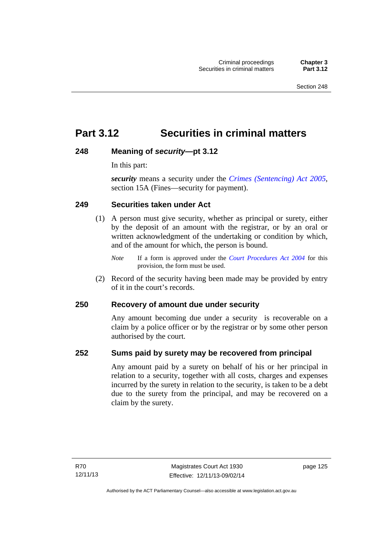# **Part 3.12 Securities in criminal matters**

# **248 Meaning of** *security***—pt 3.12**

In this part:

*security* means a security under the *[Crimes \(Sentencing\) Act 2005](http://www.legislation.act.gov.au/a/2005-58)*, section 15A (Fines—security for payment).

#### **249 Securities taken under Act**

- (1) A person must give security, whether as principal or surety, either by the deposit of an amount with the registrar, or by an oral or written acknowledgment of the undertaking or condition by which, and of the amount for which, the person is bound.
	- *Note* If a form is approved under the *[Court Procedures Act 2004](http://www.legislation.act.gov.au/a/2004-59)* for this provision, the form must be used.
- (2) Record of the security having been made may be provided by entry of it in the court's records.

# **250 Recovery of amount due under security**

Any amount becoming due under a security is recoverable on a claim by a police officer or by the registrar or by some other person authorised by the court.

#### **252 Sums paid by surety may be recovered from principal**

Any amount paid by a surety on behalf of his or her principal in relation to a security, together with all costs, charges and expenses incurred by the surety in relation to the security, is taken to be a debt due to the surety from the principal, and may be recovered on a claim by the surety.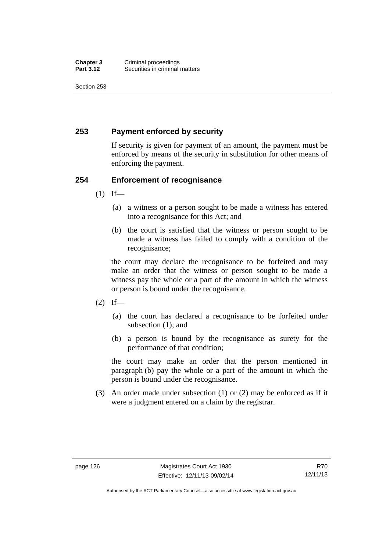Section 253

# **253 Payment enforced by security**

If security is given for payment of an amount, the payment must be enforced by means of the security in substitution for other means of enforcing the payment.

### **254 Enforcement of recognisance**

- $(1)$  If—
	- (a) a witness or a person sought to be made a witness has entered into a recognisance for this Act; and
	- (b) the court is satisfied that the witness or person sought to be made a witness has failed to comply with a condition of the recognisance;

the court may declare the recognisance to be forfeited and may make an order that the witness or person sought to be made a witness pay the whole or a part of the amount in which the witness or person is bound under the recognisance.

- $(2)$  If—
	- (a) the court has declared a recognisance to be forfeited under subsection (1); and
	- (b) a person is bound by the recognisance as surety for the performance of that condition;

the court may make an order that the person mentioned in paragraph (b) pay the whole or a part of the amount in which the person is bound under the recognisance.

 (3) An order made under subsection (1) or (2) may be enforced as if it were a judgment entered on a claim by the registrar.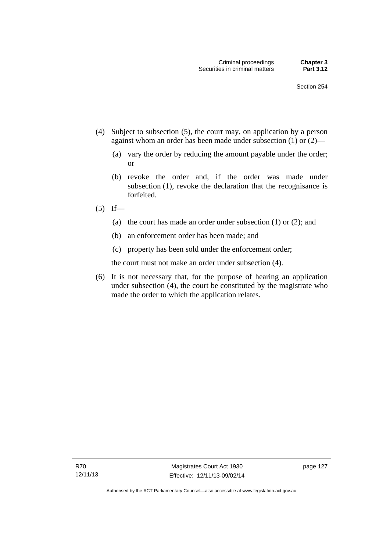- (4) Subject to subsection (5), the court may, on application by a person against whom an order has been made under subsection (1) or (2)—
	- (a) vary the order by reducing the amount payable under the order; or
	- (b) revoke the order and, if the order was made under subsection (1), revoke the declaration that the recognisance is forfeited.
- $(5)$  If—
	- (a) the court has made an order under subsection (1) or (2); and
	- (b) an enforcement order has been made; and
	- (c) property has been sold under the enforcement order;

the court must not make an order under subsection (4).

 (6) It is not necessary that, for the purpose of hearing an application under subsection (4), the court be constituted by the magistrate who made the order to which the application relates.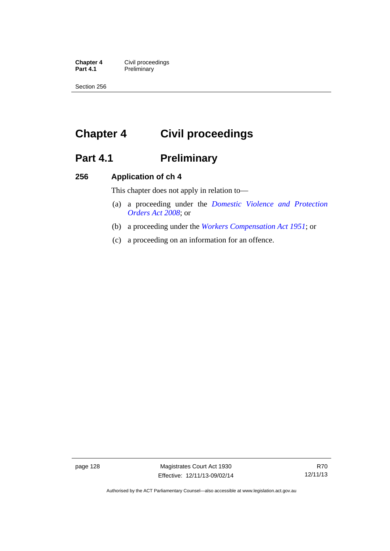**Chapter 4 Civil proceedings**<br>**Part 4.1 Preliminary Preliminary** 

Section 256

# **Chapter 4 Civil proceedings**

# Part 4.1 **Preliminary**

#### **256 Application of ch 4**

This chapter does not apply in relation to—

- (a) a proceeding under the *[Domestic Violence and Protection](http://www.legislation.act.gov.au/a/2008-46)  [Orders Act 2008](http://www.legislation.act.gov.au/a/2008-46)*; or
- (b) a proceeding under the *[Workers Compensation Act 1951](http://www.legislation.act.gov.au/a/1951-2)*; or
- (c) a proceeding on an information for an offence.

page 128 Magistrates Court Act 1930 Effective: 12/11/13-09/02/14

Authorised by the ACT Parliamentary Counsel—also accessible at www.legislation.act.gov.au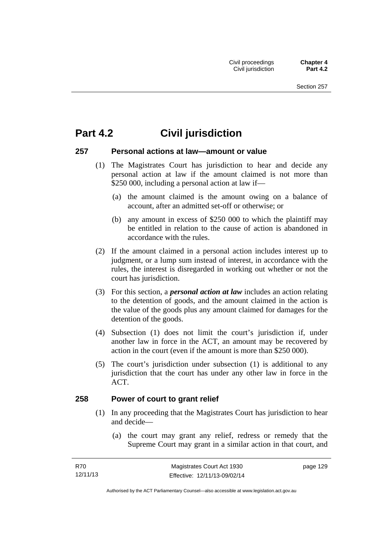# **Part 4.2 Civil jurisdiction**

### **257 Personal actions at law—amount or value**

- (1) The Magistrates Court has jurisdiction to hear and decide any personal action at law if the amount claimed is not more than \$250 000, including a personal action at law if—
	- (a) the amount claimed is the amount owing on a balance of account, after an admitted set-off or otherwise; or
	- (b) any amount in excess of \$250 000 to which the plaintiff may be entitled in relation to the cause of action is abandoned in accordance with the rules.
- (2) If the amount claimed in a personal action includes interest up to judgment, or a lump sum instead of interest, in accordance with the rules, the interest is disregarded in working out whether or not the court has jurisdiction.
- (3) For this section, a *personal action at law* includes an action relating to the detention of goods, and the amount claimed in the action is the value of the goods plus any amount claimed for damages for the detention of the goods.
- (4) Subsection (1) does not limit the court's jurisdiction if, under another law in force in the ACT, an amount may be recovered by action in the court (even if the amount is more than \$250 000).
- (5) The court's jurisdiction under subsection (1) is additional to any jurisdiction that the court has under any other law in force in the ACT.

### **258 Power of court to grant relief**

- (1) In any proceeding that the Magistrates Court has jurisdiction to hear and decide—
	- (a) the court may grant any relief, redress or remedy that the Supreme Court may grant in a similar action in that court, and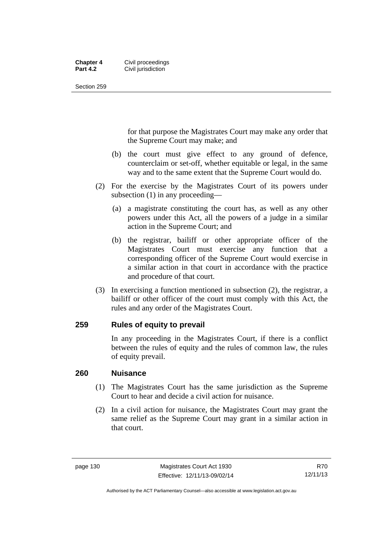#### **Chapter 4 Civil proceedings**<br>**Part 4.2 Civil iurisdiction Civil jurisdiction**

Section 259

for that purpose the Magistrates Court may make any order that the Supreme Court may make; and

- (b) the court must give effect to any ground of defence, counterclaim or set-off, whether equitable or legal, in the same way and to the same extent that the Supreme Court would do.
- (2) For the exercise by the Magistrates Court of its powers under subsection (1) in any proceeding—
	- (a) a magistrate constituting the court has, as well as any other powers under this Act, all the powers of a judge in a similar action in the Supreme Court; and
	- (b) the registrar, bailiff or other appropriate officer of the Magistrates Court must exercise any function that a corresponding officer of the Supreme Court would exercise in a similar action in that court in accordance with the practice and procedure of that court.
- (3) In exercising a function mentioned in subsection (2), the registrar, a bailiff or other officer of the court must comply with this Act, the rules and any order of the Magistrates Court.

### **259 Rules of equity to prevail**

In any proceeding in the Magistrates Court, if there is a conflict between the rules of equity and the rules of common law, the rules of equity prevail.

### **260 Nuisance**

- (1) The Magistrates Court has the same jurisdiction as the Supreme Court to hear and decide a civil action for nuisance.
- (2) In a civil action for nuisance, the Magistrates Court may grant the same relief as the Supreme Court may grant in a similar action in that court.

Authorised by the ACT Parliamentary Counsel—also accessible at www.legislation.act.gov.au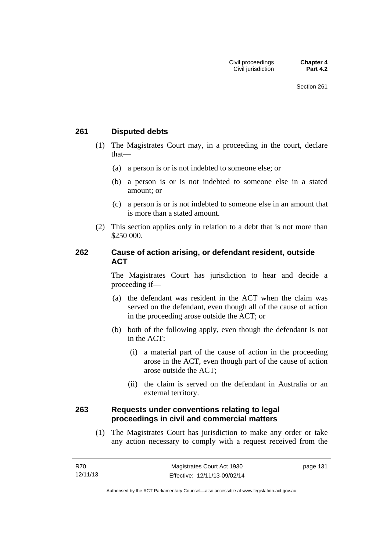### **261 Disputed debts**

- (1) The Magistrates Court may, in a proceeding in the court, declare that—
	- (a) a person is or is not indebted to someone else; or
	- (b) a person is or is not indebted to someone else in a stated amount; or
	- (c) a person is or is not indebted to someone else in an amount that is more than a stated amount.
- (2) This section applies only in relation to a debt that is not more than \$250 000.

### **262 Cause of action arising, or defendant resident, outside ACT**

The Magistrates Court has jurisdiction to hear and decide a proceeding if—

- (a) the defendant was resident in the ACT when the claim was served on the defendant, even though all of the cause of action in the proceeding arose outside the ACT; or
- (b) both of the following apply, even though the defendant is not in the ACT:
	- (i) a material part of the cause of action in the proceeding arose in the ACT, even though part of the cause of action arose outside the ACT;
	- (ii) the claim is served on the defendant in Australia or an external territory.

### **263 Requests under conventions relating to legal proceedings in civil and commercial matters**

 (1) The Magistrates Court has jurisdiction to make any order or take any action necessary to comply with a request received from the

page 131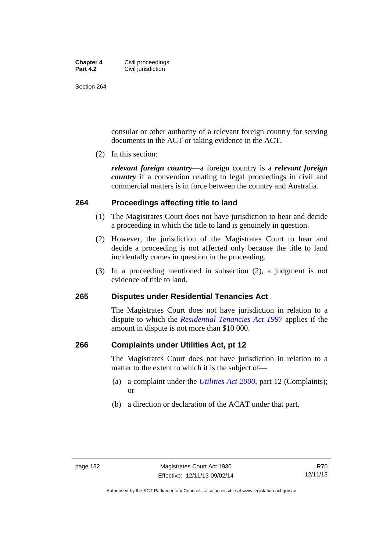#### **Chapter 4 Civil proceedings**<br>**Part 4.2 Civil iurisdiction Civil jurisdiction**

Section 264

consular or other authority of a relevant foreign country for serving documents in the ACT or taking evidence in the ACT.

(2) In this section:

*relevant foreign country*—a foreign country is a *relevant foreign country* if a convention relating to legal proceedings in civil and commercial matters is in force between the country and Australia.

### **264 Proceedings affecting title to land**

- (1) The Magistrates Court does not have jurisdiction to hear and decide a proceeding in which the title to land is genuinely in question.
- (2) However, the jurisdiction of the Magistrates Court to hear and decide a proceeding is not affected only because the title to land incidentally comes in question in the proceeding.
- (3) In a proceeding mentioned in subsection (2), a judgment is not evidence of title to land.

### **265 Disputes under Residential Tenancies Act**

The Magistrates Court does not have jurisdiction in relation to a dispute to which the *[Residential Tenancies Act 1997](http://www.legislation.act.gov.au/a/1997-84)* applies if the amount in dispute is not more than \$10 000.

#### **266 Complaints under Utilities Act, pt 12**

The Magistrates Court does not have jurisdiction in relation to a matter to the extent to which it is the subject of—

- (a) a complaint under the *[Utilities Act 2000](http://www.legislation.act.gov.au/a/2000-65)*, part 12 (Complaints); or
- (b) a direction or declaration of the ACAT under that part.

Authorised by the ACT Parliamentary Counsel—also accessible at www.legislation.act.gov.au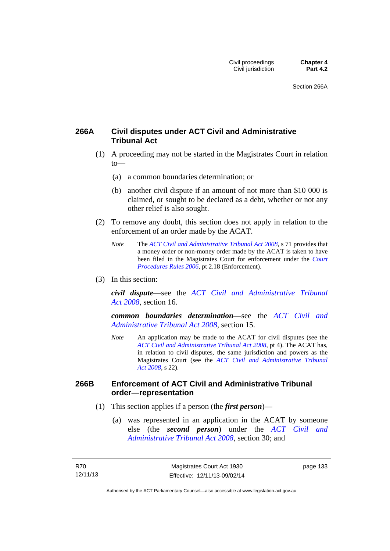### **266A Civil disputes under ACT Civil and Administrative Tribunal Act**

- (1) A proceeding may not be started in the Magistrates Court in relation to—
	- (a) a common boundaries determination; or
	- (b) another civil dispute if an amount of not more than \$10 000 is claimed, or sought to be declared as a debt, whether or not any other relief is also sought.
- (2) To remove any doubt, this section does not apply in relation to the enforcement of an order made by the ACAT.
	- *Note* The *[ACT Civil and Administrative Tribunal Act 2008](http://www.legislation.act.gov.au/a/2008-35)*, s 71 provides that a money order or non-money order made by the ACAT is taken to have been filed in the Magistrates Court for enforcement under the *[Court](http://www.legislation.act.gov.au/sl/2006-29)  [Procedures Rules 2006](http://www.legislation.act.gov.au/sl/2006-29)*, pt 2.18 (Enforcement).
- (3) In this section:

*civil dispute*—see the *[ACT Civil and Administrative Tribunal](http://www.legislation.act.gov.au/a/2008-35)  [Act 2008](http://www.legislation.act.gov.au/a/2008-35)*, section 16.

*common boundaries determination*—see the *[ACT Civil and](http://www.legislation.act.gov.au/a/2008-35)  [Administrative Tribunal Act 2008](http://www.legislation.act.gov.au/a/2008-35)*, section 15.

*Note* An application may be made to the ACAT for civil disputes (see the *[ACT Civil and Administrative Tribunal Act 2008](http://www.legislation.act.gov.au/a/2008-35/default.asp)*, pt 4). The ACAT has, in relation to civil disputes, the same jurisdiction and powers as the Magistrates Court (see the *[ACT Civil and Administrative Tribunal](http://www.legislation.act.gov.au/a/2008-35)  [Act 2008](http://www.legislation.act.gov.au/a/2008-35)*, s 22).

### **266B Enforcement of ACT Civil and Administrative Tribunal order—representation**

- (1) This section applies if a person (the *first person*)—
	- (a) was represented in an application in the ACAT by someone else (the *second person*) under the *[ACT Civil and](http://www.legislation.act.gov.au/a/2008-35)  [Administrative Tribunal Act 2008](http://www.legislation.act.gov.au/a/2008-35)*, section 30; and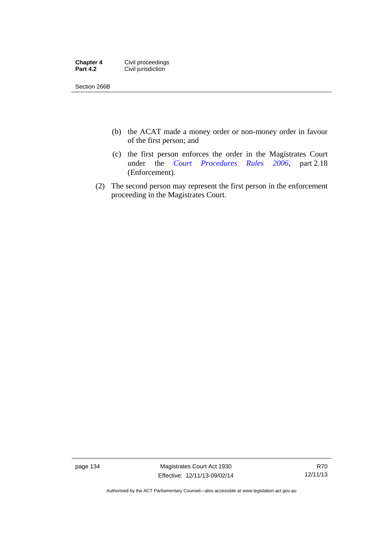| <b>Chapter 4</b> | Civil proceedings  |
|------------------|--------------------|
| <b>Part 4.2</b>  | Civil jurisdiction |

Section 266B

- (b) the ACAT made a money order or non-money order in favour of the first person; and
- (c) the first person enforces the order in the Magistrates Court under the *[Court Procedures Rules 2006](http://www.legislation.act.gov.au/sl/2006-29)*, part 2.18 (Enforcement).
- (2) The second person may represent the first person in the enforcement proceeding in the Magistrates Court.

page 134 Magistrates Court Act 1930 Effective: 12/11/13-09/02/14

Authorised by the ACT Parliamentary Counsel—also accessible at www.legislation.act.gov.au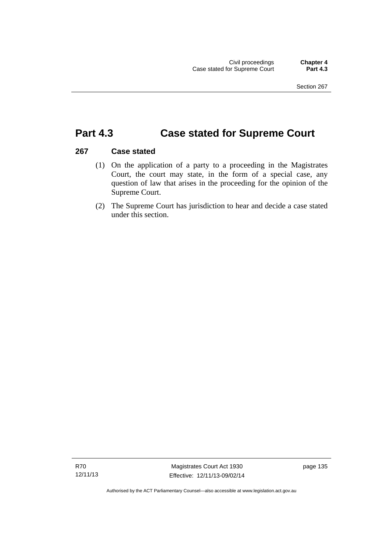# **Part 4.3 Case stated for Supreme Court**

### **267 Case stated**

- (1) On the application of a party to a proceeding in the Magistrates Court, the court may state, in the form of a special case, any question of law that arises in the proceeding for the opinion of the Supreme Court.
- (2) The Supreme Court has jurisdiction to hear and decide a case stated under this section.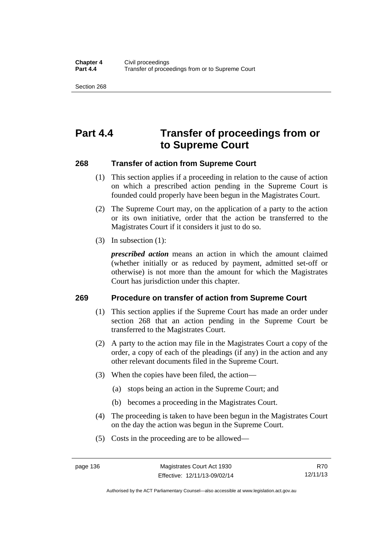Section 268

# **Part 4.4 Transfer of proceedings from or to Supreme Court**

### **268 Transfer of action from Supreme Court**

- (1) This section applies if a proceeding in relation to the cause of action on which a prescribed action pending in the Supreme Court is founded could properly have been begun in the Magistrates Court.
- (2) The Supreme Court may, on the application of a party to the action or its own initiative, order that the action be transferred to the Magistrates Court if it considers it just to do so.
- (3) In subsection (1):

*prescribed action* means an action in which the amount claimed (whether initially or as reduced by payment, admitted set-off or otherwise) is not more than the amount for which the Magistrates Court has jurisdiction under this chapter.

### **269 Procedure on transfer of action from Supreme Court**

- (1) This section applies if the Supreme Court has made an order under section 268 that an action pending in the Supreme Court be transferred to the Magistrates Court.
- (2) A party to the action may file in the Magistrates Court a copy of the order, a copy of each of the pleadings (if any) in the action and any other relevant documents filed in the Supreme Court.
- (3) When the copies have been filed, the action—
	- (a) stops being an action in the Supreme Court; and
	- (b) becomes a proceeding in the Magistrates Court.
- (4) The proceeding is taken to have been begun in the Magistrates Court on the day the action was begun in the Supreme Court.
- (5) Costs in the proceeding are to be allowed—

Authorised by the ACT Parliamentary Counsel—also accessible at www.legislation.act.gov.au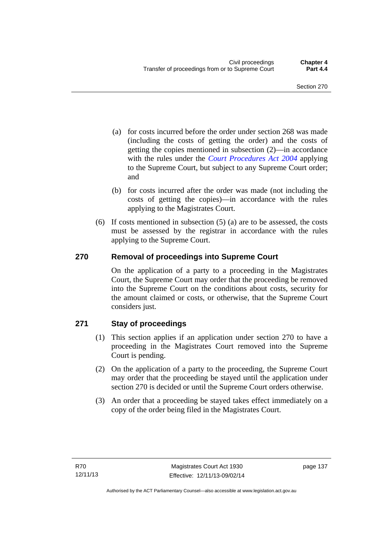- (a) for costs incurred before the order under section 268 was made (including the costs of getting the order) and the costs of getting the copies mentioned in subsection (2)—in accordance with the rules under the *[Court Procedures Act 2004](http://www.legislation.act.gov.au/a/2004-59)* applying to the Supreme Court, but subject to any Supreme Court order; and
- (b) for costs incurred after the order was made (not including the costs of getting the copies)—in accordance with the rules applying to the Magistrates Court.
- (6) If costs mentioned in subsection (5) (a) are to be assessed, the costs must be assessed by the registrar in accordance with the rules applying to the Supreme Court.

### **270 Removal of proceedings into Supreme Court**

On the application of a party to a proceeding in the Magistrates Court, the Supreme Court may order that the proceeding be removed into the Supreme Court on the conditions about costs, security for the amount claimed or costs, or otherwise, that the Supreme Court considers just.

### **271 Stay of proceedings**

- (1) This section applies if an application under section 270 to have a proceeding in the Magistrates Court removed into the Supreme Court is pending.
- (2) On the application of a party to the proceeding, the Supreme Court may order that the proceeding be stayed until the application under section 270 is decided or until the Supreme Court orders otherwise.
- (3) An order that a proceeding be stayed takes effect immediately on a copy of the order being filed in the Magistrates Court.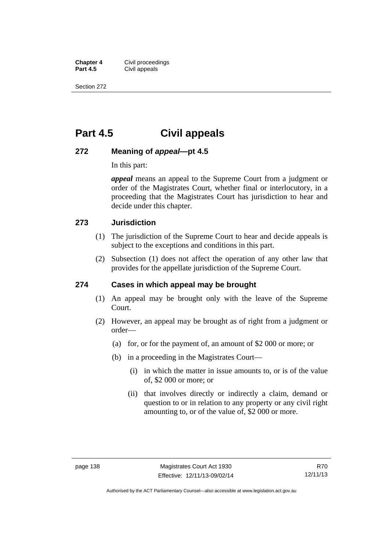**Chapter 4 Civil proceedings**<br>**Part 4.5 Civil appeals Civil appeals** 

Section 272

# **Part 4.5 Civil appeals**

### **272 Meaning of** *appeal***—pt 4.5**

In this part:

*appeal* means an appeal to the Supreme Court from a judgment or order of the Magistrates Court, whether final or interlocutory, in a proceeding that the Magistrates Court has jurisdiction to hear and decide under this chapter.

### **273 Jurisdiction**

- (1) The jurisdiction of the Supreme Court to hear and decide appeals is subject to the exceptions and conditions in this part.
- (2) Subsection (1) does not affect the operation of any other law that provides for the appellate jurisdiction of the Supreme Court.

### **274 Cases in which appeal may be brought**

- (1) An appeal may be brought only with the leave of the Supreme Court.
- (2) However, an appeal may be brought as of right from a judgment or order—
	- (a) for, or for the payment of, an amount of \$2 000 or more; or
	- (b) in a proceeding in the Magistrates Court—
		- (i) in which the matter in issue amounts to, or is of the value of, \$2 000 or more; or
		- (ii) that involves directly or indirectly a claim, demand or question to or in relation to any property or any civil right amounting to, or of the value of, \$2 000 or more.

Authorised by the ACT Parliamentary Counsel—also accessible at www.legislation.act.gov.au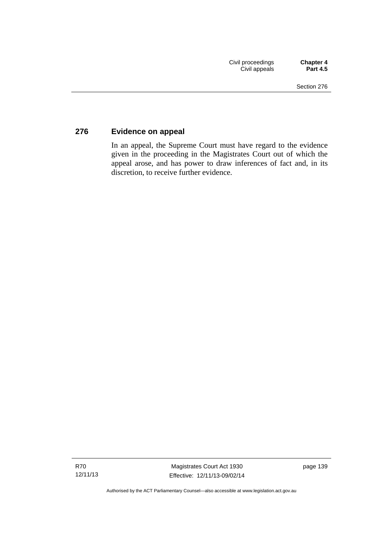### **276 Evidence on appeal**

In an appeal, the Supreme Court must have regard to the evidence given in the proceeding in the Magistrates Court out of which the appeal arose, and has power to draw inferences of fact and, in its discretion, to receive further evidence.

Authorised by the ACT Parliamentary Counsel—also accessible at www.legislation.act.gov.au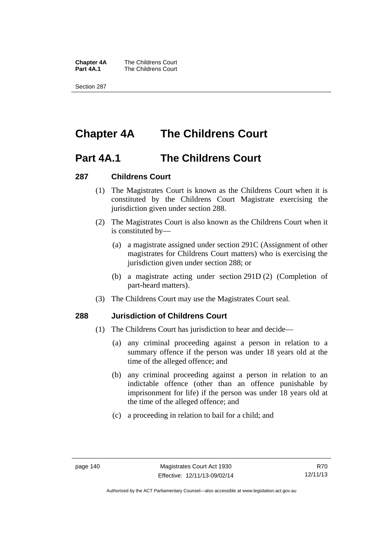**Chapter 4A** The Childrens Court<br>**Part 4A.1** The Childrens Court **The Childrens Court** 

Section 287

# **Chapter 4A The Childrens Court**

### **Part 4A.1 The Childrens Court**

#### **287 Childrens Court**

- (1) The Magistrates Court is known as the Childrens Court when it is constituted by the Childrens Court Magistrate exercising the jurisdiction given under section 288.
- (2) The Magistrates Court is also known as the Childrens Court when it is constituted by—
	- (a) a magistrate assigned under section 291C (Assignment of other magistrates for Childrens Court matters) who is exercising the jurisdiction given under section 288; or
	- (b) a magistrate acting under section 291D (2) (Completion of part-heard matters).
- (3) The Childrens Court may use the Magistrates Court seal.

### **288 Jurisdiction of Childrens Court**

- (1) The Childrens Court has jurisdiction to hear and decide—
	- (a) any criminal proceeding against a person in relation to a summary offence if the person was under 18 years old at the time of the alleged offence; and
	- (b) any criminal proceeding against a person in relation to an indictable offence (other than an offence punishable by imprisonment for life) if the person was under 18 years old at the time of the alleged offence; and
	- (c) a proceeding in relation to bail for a child; and

Authorised by the ACT Parliamentary Counsel—also accessible at www.legislation.act.gov.au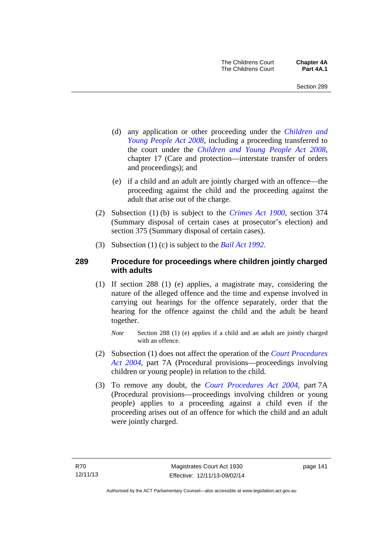- (d) any application or other proceeding under the *[Children and](http://www.legislation.act.gov.au/a/2008-19)  [Young People Act 2008](http://www.legislation.act.gov.au/a/2008-19)*, including a proceeding transferred to the court under the *[Children and Young People Act 2008](http://www.legislation.act.gov.au/a/2008-19)*, chapter 17 (Care and protection—interstate transfer of orders and proceedings); and
- (e) if a child and an adult are jointly charged with an offence—the proceeding against the child and the proceeding against the adult that arise out of the charge.
- (2) Subsection (1) (b) is subject to the *[Crimes Act 1900](http://www.legislation.act.gov.au/a/1900-40)*, section 374 (Summary disposal of certain cases at prosecutor's election) and section 375 (Summary disposal of certain cases).
- (3) Subsection (1) (c) is subject to the *[Bail Act 1992](http://www.legislation.act.gov.au/a/1992-8)*.

### **289 Procedure for proceedings where children jointly charged with adults**

- (1) If section 288 (1) (e) applies, a magistrate may, considering the nature of the alleged offence and the time and expense involved in carrying out hearings for the offence separately, order that the hearing for the offence against the child and the adult be heard together.
	- *Note* Section 288 (1) (e) applies if a child and an adult are jointly charged with an offence.
- (2) Subsection (1) does not affect the operation of the *[Court Procedures](http://www.legislation.act.gov.au/a/2004-59)  [Act 2004](http://www.legislation.act.gov.au/a/2004-59)*, part 7A (Procedural provisions—proceedings involving children or young people) in relation to the child.
- (3) To remove any doubt, the *[Court Procedures Act 2004](http://www.legislation.act.gov.au/a/2004-59)*, part 7A (Procedural provisions—proceedings involving children or young people) applies to a proceeding against a child even if the proceeding arises out of an offence for which the child and an adult were jointly charged.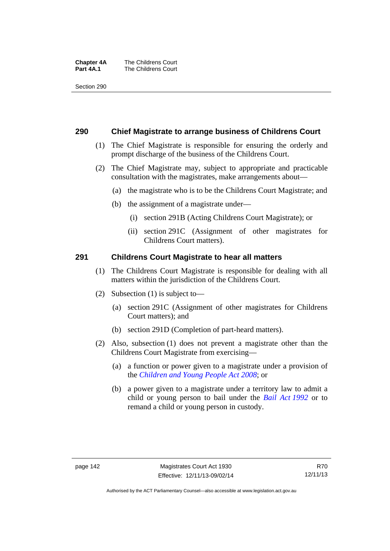#### **Chapter 4A** The Childrens Court<br>**Part 4A.1** The Childrens Court **The Childrens Court**

Section 290

#### **290 Chief Magistrate to arrange business of Childrens Court**

- (1) The Chief Magistrate is responsible for ensuring the orderly and prompt discharge of the business of the Childrens Court.
- (2) The Chief Magistrate may, subject to appropriate and practicable consultation with the magistrates, make arrangements about—
	- (a) the magistrate who is to be the Childrens Court Magistrate; and
	- (b) the assignment of a magistrate under—
		- (i) section 291B (Acting Childrens Court Magistrate); or
		- (ii) section 291C (Assignment of other magistrates for Childrens Court matters).

#### **291 Childrens Court Magistrate to hear all matters**

- (1) The Childrens Court Magistrate is responsible for dealing with all matters within the jurisdiction of the Childrens Court.
- (2) Subsection (1) is subject to—
	- (a) section 291C (Assignment of other magistrates for Childrens Court matters); and
	- (b) section 291D (Completion of part-heard matters).
- (2) Also, subsection (1) does not prevent a magistrate other than the Childrens Court Magistrate from exercising—
	- (a) a function or power given to a magistrate under a provision of the *[Children and Young People Act 2008](http://www.legislation.act.gov.au/a/2008-19)*; or
	- (b) a power given to a magistrate under a territory law to admit a child or young person to bail under the *[Bail Act 1992](http://www.legislation.act.gov.au/a/1992-8)* or to remand a child or young person in custody.

Authorised by the ACT Parliamentary Counsel—also accessible at www.legislation.act.gov.au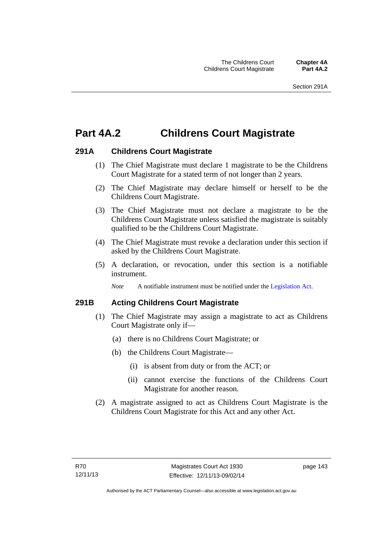# **Part 4A.2 Childrens Court Magistrate**

### **291A Childrens Court Magistrate**

- (1) The Chief Magistrate must declare 1 magistrate to be the Childrens Court Magistrate for a stated term of not longer than 2 years.
- (2) The Chief Magistrate may declare himself or herself to be the Childrens Court Magistrate.
- (3) The Chief Magistrate must not declare a magistrate to be the Childrens Court Magistrate unless satisfied the magistrate is suitably qualified to be the Childrens Court Magistrate.
- (4) The Chief Magistrate must revoke a declaration under this section if asked by the Childrens Court Magistrate.
- (5) A declaration, or revocation, under this section is a notifiable instrument.

*Note* A notifiable instrument must be notified under the [Legislation Act](http://www.legislation.act.gov.au/a/2001-14).

### **291B Acting Childrens Court Magistrate**

- (1) The Chief Magistrate may assign a magistrate to act as Childrens Court Magistrate only if—
	- (a) there is no Childrens Court Magistrate; or
	- (b) the Childrens Court Magistrate—
		- (i) is absent from duty or from the ACT; or
		- (ii) cannot exercise the functions of the Childrens Court Magistrate for another reason.
- (2) A magistrate assigned to act as Childrens Court Magistrate is the Childrens Court Magistrate for this Act and any other Act.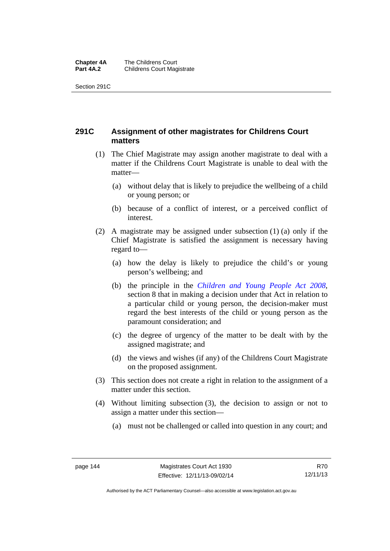#### **Chapter 4A** The Childrens Court<br>**Part 4A.2** Childrens Court Mag **Childrens Court Magistrate**

Section 291C

### **291C Assignment of other magistrates for Childrens Court matters**

- (1) The Chief Magistrate may assign another magistrate to deal with a matter if the Childrens Court Magistrate is unable to deal with the matter—
	- (a) without delay that is likely to prejudice the wellbeing of a child or young person; or
	- (b) because of a conflict of interest, or a perceived conflict of interest.
- (2) A magistrate may be assigned under subsection (1) (a) only if the Chief Magistrate is satisfied the assignment is necessary having regard to—
	- (a) how the delay is likely to prejudice the child's or young person's wellbeing; and
	- (b) the principle in the *[Children and Young People Act 2008](http://www.legislation.act.gov.au/a/2008-19)*, section 8 that in making a decision under that Act in relation to a particular child or young person, the decision-maker must regard the best interests of the child or young person as the paramount consideration; and
	- (c) the degree of urgency of the matter to be dealt with by the assigned magistrate; and
	- (d) the views and wishes (if any) of the Childrens Court Magistrate on the proposed assignment.
- (3) This section does not create a right in relation to the assignment of a matter under this section.
- (4) Without limiting subsection (3), the decision to assign or not to assign a matter under this section—
	- (a) must not be challenged or called into question in any court; and

R70 12/11/13

Authorised by the ACT Parliamentary Counsel—also accessible at www.legislation.act.gov.au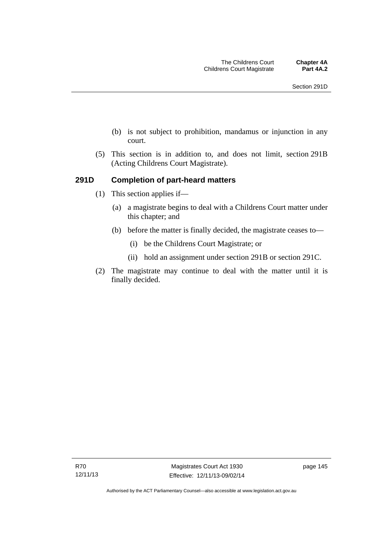- (b) is not subject to prohibition, mandamus or injunction in any court.
- (5) This section is in addition to, and does not limit, section 291B (Acting Childrens Court Magistrate).

### **291D Completion of part-heard matters**

- (1) This section applies if—
	- (a) a magistrate begins to deal with a Childrens Court matter under this chapter; and
	- (b) before the matter is finally decided, the magistrate ceases to—
		- (i) be the Childrens Court Magistrate; or
		- (ii) hold an assignment under section 291B or section 291C.
- (2) The magistrate may continue to deal with the matter until it is finally decided.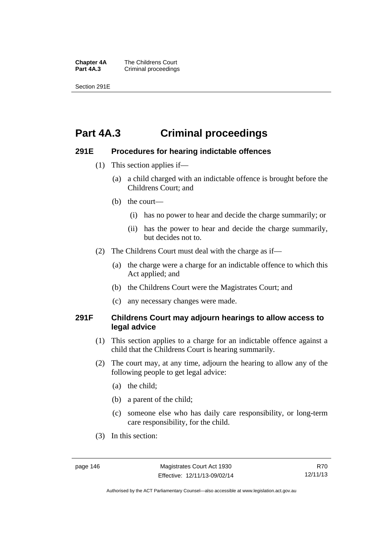**Chapter 4A** The Childrens Court<br>**Part 4A.3** Criminal proceedings **Criminal proceedings** 

Section 291E

# **Part 4A.3 Criminal proceedings**

### **291E Procedures for hearing indictable offences**

- (1) This section applies if—
	- (a) a child charged with an indictable offence is brought before the Childrens Court; and
	- (b) the court—
		- (i) has no power to hear and decide the charge summarily; or
		- (ii) has the power to hear and decide the charge summarily, but decides not to.
- (2) The Childrens Court must deal with the charge as if—
	- (a) the charge were a charge for an indictable offence to which this Act applied; and
	- (b) the Childrens Court were the Magistrates Court; and
	- (c) any necessary changes were made.

### **291F Childrens Court may adjourn hearings to allow access to legal advice**

- (1) This section applies to a charge for an indictable offence against a child that the Childrens Court is hearing summarily.
- (2) The court may, at any time, adjourn the hearing to allow any of the following people to get legal advice:
	- (a) the child;
	- (b) a parent of the child;
	- (c) someone else who has daily care responsibility, or long-term care responsibility, for the child.
- (3) In this section:

Authorised by the ACT Parliamentary Counsel—also accessible at www.legislation.act.gov.au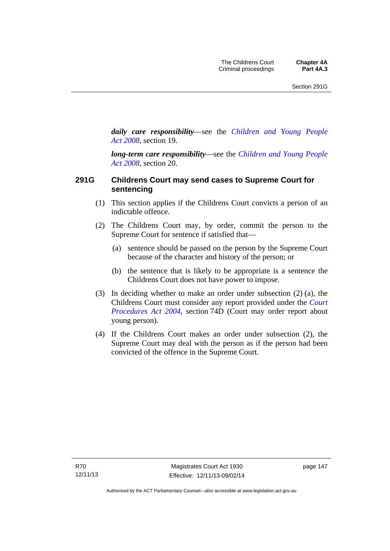*daily care responsibility*—see the *[Children and Young People](http://www.legislation.act.gov.au/a/2008-19)  [Act 2008](http://www.legislation.act.gov.au/a/2008-19)*, section 19.

*long-term care responsibility*—see the *[Children and Young People](http://www.legislation.act.gov.au/a/2008-19)  [Act 2008](http://www.legislation.act.gov.au/a/2008-19)*, section 20.

### **291G Childrens Court may send cases to Supreme Court for sentencing**

- (1) This section applies if the Childrens Court convicts a person of an indictable offence.
- (2) The Childrens Court may, by order, commit the person to the Supreme Court for sentence if satisfied that—
	- (a) sentence should be passed on the person by the Supreme Court because of the character and history of the person; or
	- (b) the sentence that is likely to be appropriate is a sentence the Childrens Court does not have power to impose.
- (3) In deciding whether to make an order under subsection (2) (a), the Childrens Court must consider any report provided under the *[Court](http://www.legislation.act.gov.au/a/2004-59)  [Procedures Act 2004](http://www.legislation.act.gov.au/a/2004-59)*, section 74D (Court may order report about young person).
- (4) If the Childrens Court makes an order under subsection (2), the Supreme Court may deal with the person as if the person had been convicted of the offence in the Supreme Court.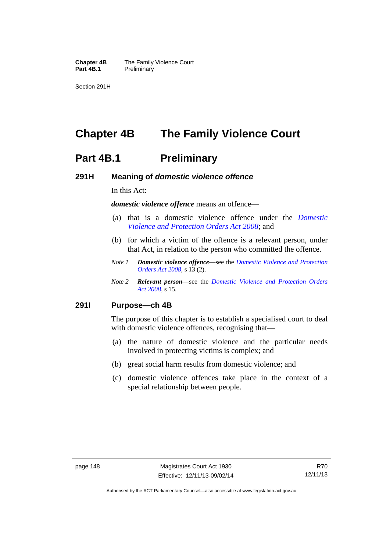**Chapter 4B** The Family Violence Court<br>**Part 4B.1** Preliminary **Preliminary** 

Section 291H

# **Chapter 4B The Family Violence Court**

### **Part 4B.1** Preliminary

#### **291H Meaning of** *domestic violence offence*

In this Act:

*domestic violence offence* means an offence—

- (a) that is a domestic violence offence under the *[Domestic](http://www.legislation.act.gov.au/a/2008-46)  [Violence and Protection Orders Act 2008](http://www.legislation.act.gov.au/a/2008-46)*; and
- (b) for which a victim of the offence is a relevant person, under that Act, in relation to the person who committed the offence.
- *Note 1 Domestic violence offence*—see the *[Domestic Violence and Protection](http://www.legislation.act.gov.au/a/2008-46)  [Orders Act 2008](http://www.legislation.act.gov.au/a/2008-46)*, s 13 (2).
- *Note 2 Relevant person*—see the *[Domestic Violence and Protection Orders](http://www.legislation.act.gov.au/a/2008-46)  [Act 2008](http://www.legislation.act.gov.au/a/2008-46)*, s 15.

#### **291I Purpose—ch 4B**

The purpose of this chapter is to establish a specialised court to deal with domestic violence offences, recognising that—

- (a) the nature of domestic violence and the particular needs involved in protecting victims is complex; and
- (b) great social harm results from domestic violence; and
- (c) domestic violence offences take place in the context of a special relationship between people.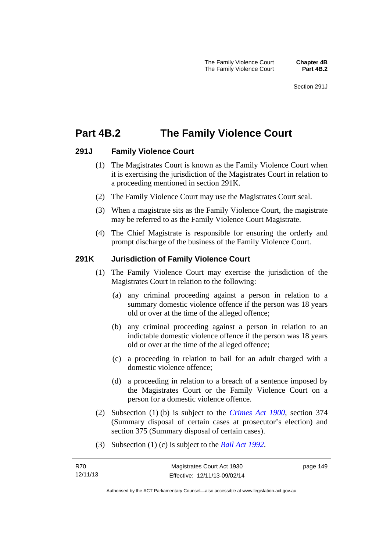# **Part 4B.2 The Family Violence Court**

### **291J Family Violence Court**

- (1) The Magistrates Court is known as the Family Violence Court when it is exercising the jurisdiction of the Magistrates Court in relation to a proceeding mentioned in section 291K.
- (2) The Family Violence Court may use the Magistrates Court seal.
- (3) When a magistrate sits as the Family Violence Court, the magistrate may be referred to as the Family Violence Court Magistrate.
- (4) The Chief Magistrate is responsible for ensuring the orderly and prompt discharge of the business of the Family Violence Court.

### **291K Jurisdiction of Family Violence Court**

- (1) The Family Violence Court may exercise the jurisdiction of the Magistrates Court in relation to the following:
	- (a) any criminal proceeding against a person in relation to a summary domestic violence offence if the person was 18 years old or over at the time of the alleged offence;
	- (b) any criminal proceeding against a person in relation to an indictable domestic violence offence if the person was 18 years old or over at the time of the alleged offence;
	- (c) a proceeding in relation to bail for an adult charged with a domestic violence offence;
	- (d) a proceeding in relation to a breach of a sentence imposed by the Magistrates Court or the Family Violence Court on a person for a domestic violence offence.
- (2) Subsection (1) (b) is subject to the *[Crimes Act 1900](http://www.legislation.act.gov.au/a/1900-40)*, section 374 (Summary disposal of certain cases at prosecutor's election) and section 375 (Summary disposal of certain cases).
- (3) Subsection (1) (c) is subject to the *[Bail Act 1992](http://www.legislation.act.gov.au/a/1992-8)*.

page 149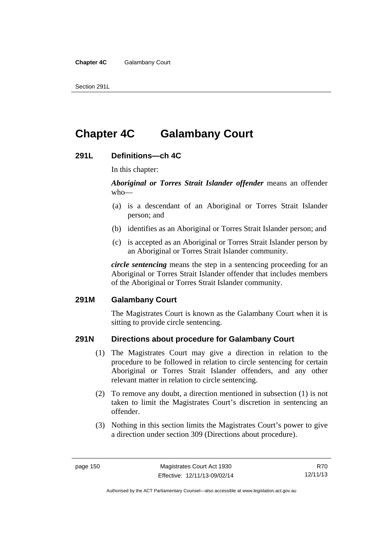Section 291L

# **Chapter 4C Galambany Court**

### **291L Definitions—ch 4C**

In this chapter:

*Aboriginal or Torres Strait Islander offender* means an offender who—

- (a) is a descendant of an Aboriginal or Torres Strait Islander person; and
- (b) identifies as an Aboriginal or Torres Strait Islander person; and
- (c) is accepted as an Aboriginal or Torres Strait Islander person by an Aboriginal or Torres Strait Islander community.

*circle sentencing* means the step in a sentencing proceeding for an Aboriginal or Torres Strait Islander offender that includes members of the Aboriginal or Torres Strait Islander community.

### **291M Galambany Court**

The Magistrates Court is known as the Galambany Court when it is sitting to provide circle sentencing.

### **291N Directions about procedure for Galambany Court**

- (1) The Magistrates Court may give a direction in relation to the procedure to be followed in relation to circle sentencing for certain Aboriginal or Torres Strait Islander offenders, and any other relevant matter in relation to circle sentencing.
- (2) To remove any doubt, a direction mentioned in subsection (1) is not taken to limit the Magistrates Court's discretion in sentencing an offender.
- (3) Nothing in this section limits the Magistrates Court's power to give a direction under section 309 (Directions about procedure).

R70 12/11/13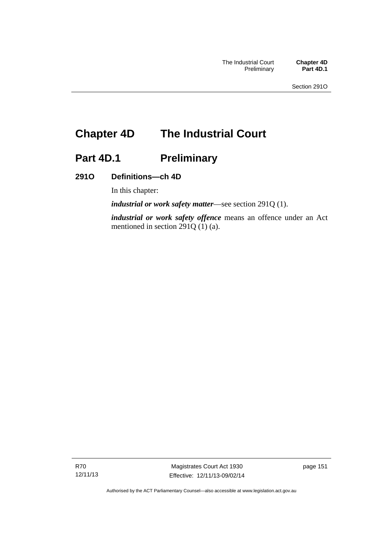# **Chapter 4D The Industrial Court**

# Part 4D.1 **Preliminary**

### **291O Definitions—ch 4D**

In this chapter:

*industrial or work safety matter*—see section 291Q (1).

*industrial or work safety offence* means an offence under an Act mentioned in section 291Q (1) (a).

R70 12/11/13

Magistrates Court Act 1930 Effective: 12/11/13-09/02/14 page 151

Authorised by the ACT Parliamentary Counsel—also accessible at www.legislation.act.gov.au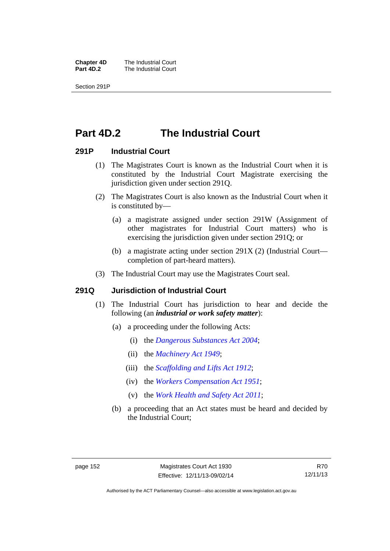**Chapter 4D** The Industrial Court<br>**Part 4D.2** The Industrial Court **The Industrial Court** 

Section 291P

## **Part 4D.2 The Industrial Court**

### **291P Industrial Court**

- (1) The Magistrates Court is known as the Industrial Court when it is constituted by the Industrial Court Magistrate exercising the jurisdiction given under section 291Q.
- (2) The Magistrates Court is also known as the Industrial Court when it is constituted by—
	- (a) a magistrate assigned under section 291W (Assignment of other magistrates for Industrial Court matters) who is exercising the jurisdiction given under section 291Q; or
	- (b) a magistrate acting under section 291X (2) (Industrial Court completion of part-heard matters).
- (3) The Industrial Court may use the Magistrates Court seal.

#### **291Q Jurisdiction of Industrial Court**

- (1) The Industrial Court has jurisdiction to hear and decide the following (an *industrial or work safety matter*):
	- (a) a proceeding under the following Acts:
		- (i) the *[Dangerous Substances Act 2004](http://www.legislation.act.gov.au/a/2004-7)*;
		- (ii) the *[Machinery Act 1949](http://www.legislation.act.gov.au/a/1949-11)*;
		- (iii) the *[Scaffolding and Lifts Act 1912](http://www.legislation.act.gov.au/a/1912-38)*;
		- (iv) the *[Workers Compensation Act 1951](http://www.legislation.act.gov.au/a/1951-2)*;
		- (v) the *[Work Health and Safety Act 2011](http://www.legislation.act.gov.au/a/2011-35)*;
	- (b) a proceeding that an Act states must be heard and decided by the Industrial Court;

R70 12/11/13

Authorised by the ACT Parliamentary Counsel—also accessible at www.legislation.act.gov.au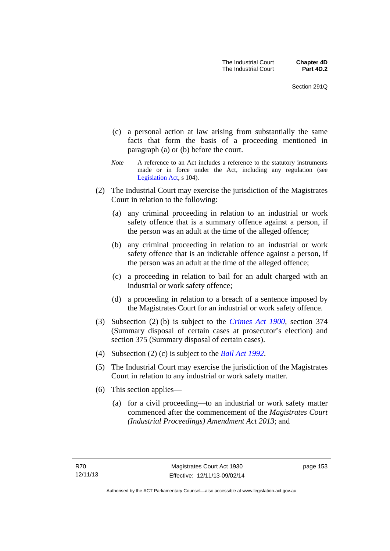- (c) a personal action at law arising from substantially the same facts that form the basis of a proceeding mentioned in paragraph (a) or (b) before the court.
- *Note* A reference to an Act includes a reference to the statutory instruments made or in force under the Act, including any regulation (see [Legislation Act,](http://www.legislation.act.gov.au/a/2001-14) s 104).
- (2) The Industrial Court may exercise the jurisdiction of the Magistrates Court in relation to the following:
	- (a) any criminal proceeding in relation to an industrial or work safety offence that is a summary offence against a person, if the person was an adult at the time of the alleged offence;
	- (b) any criminal proceeding in relation to an industrial or work safety offence that is an indictable offence against a person, if the person was an adult at the time of the alleged offence;
	- (c) a proceeding in relation to bail for an adult charged with an industrial or work safety offence;
	- (d) a proceeding in relation to a breach of a sentence imposed by the Magistrates Court for an industrial or work safety offence.
- (3) Subsection (2) (b) is subject to the *[Crimes Act 1900](http://www.legislation.act.gov.au/a/1900-40)*, section 374 (Summary disposal of certain cases at prosecutor's election) and section 375 (Summary disposal of certain cases).
- (4) Subsection (2) (c) is subject to the *[Bail Act 1992](http://www.legislation.act.gov.au/a/1992-8)*.
- (5) The Industrial Court may exercise the jurisdiction of the Magistrates Court in relation to any industrial or work safety matter.
- (6) This section applies—
	- (a) for a civil proceeding—to an industrial or work safety matter commenced after the commencement of the *Magistrates Court (Industrial Proceedings) Amendment Act 2013*; and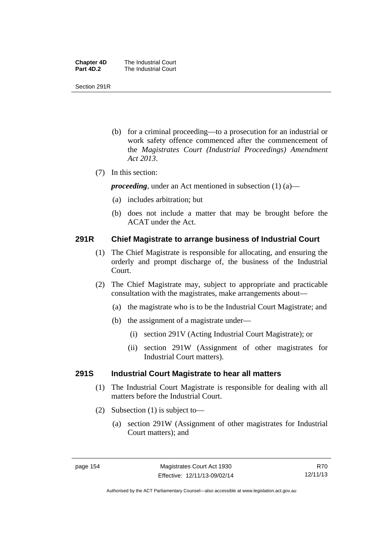| <b>Chapter 4D</b> | The Industrial Court |
|-------------------|----------------------|
| Part 4D.2         | The Industrial Court |

Section 291R

- (b) for a criminal proceeding—to a prosecution for an industrial or work safety offence commenced after the commencement of the *Magistrates Court (Industrial Proceedings) Amendment Act 2013*.
- (7) In this section:

*proceeding*, under an Act mentioned in subsection (1) (a)—

- (a) includes arbitration; but
- (b) does not include a matter that may be brought before the ACAT under the Act.

### **291R Chief Magistrate to arrange business of Industrial Court**

- (1) The Chief Magistrate is responsible for allocating, and ensuring the orderly and prompt discharge of, the business of the Industrial Court.
- (2) The Chief Magistrate may, subject to appropriate and practicable consultation with the magistrates, make arrangements about—
	- (a) the magistrate who is to be the Industrial Court Magistrate; and
	- (b) the assignment of a magistrate under—
		- (i) section 291V (Acting Industrial Court Magistrate); or
		- (ii) section 291W (Assignment of other magistrates for Industrial Court matters).

### **291S Industrial Court Magistrate to hear all matters**

- (1) The Industrial Court Magistrate is responsible for dealing with all matters before the Industrial Court.
- (2) Subsection (1) is subject to—
	- (a) section 291W (Assignment of other magistrates for Industrial Court matters); and

Authorised by the ACT Parliamentary Counsel—also accessible at www.legislation.act.gov.au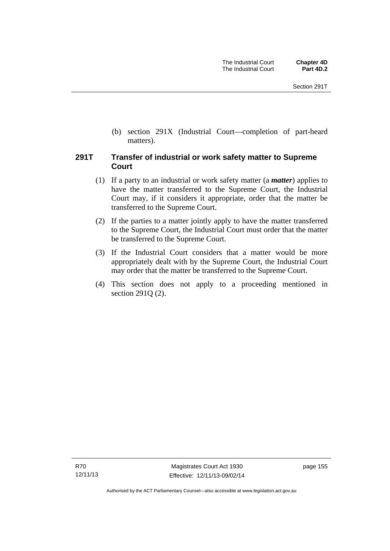(b) section 291X (Industrial Court—completion of part-heard matters).

### **291T Transfer of industrial or work safety matter to Supreme Court**

- (1) If a party to an industrial or work safety matter (a *matter*) applies to have the matter transferred to the Supreme Court, the Industrial Court may, if it considers it appropriate, order that the matter be transferred to the Supreme Court.
- (2) If the parties to a matter jointly apply to have the matter transferred to the Supreme Court, the Industrial Court must order that the matter be transferred to the Supreme Court.
- (3) If the Industrial Court considers that a matter would be more appropriately dealt with by the Supreme Court, the Industrial Court may order that the matter be transferred to the Supreme Court.
- (4) This section does not apply to a proceeding mentioned in section 291Q (2).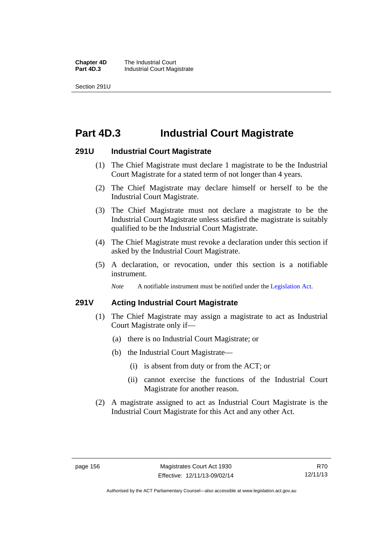**Chapter 4D** The Industrial Court<br>**Part 4D.3** Industrial Court Mag **Industrial Court Magistrate** 

Section 291U

### **Part 4D.3 Industrial Court Magistrate**

#### **291U Industrial Court Magistrate**

- (1) The Chief Magistrate must declare 1 magistrate to be the Industrial Court Magistrate for a stated term of not longer than 4 years.
- (2) The Chief Magistrate may declare himself or herself to be the Industrial Court Magistrate.
- (3) The Chief Magistrate must not declare a magistrate to be the Industrial Court Magistrate unless satisfied the magistrate is suitably qualified to be the Industrial Court Magistrate.
- (4) The Chief Magistrate must revoke a declaration under this section if asked by the Industrial Court Magistrate.
- (5) A declaration, or revocation, under this section is a notifiable instrument.

*Note* A notifiable instrument must be notified under the [Legislation Act](http://www.legislation.act.gov.au/a/2001-14).

#### **291V Acting Industrial Court Magistrate**

- (1) The Chief Magistrate may assign a magistrate to act as Industrial Court Magistrate only if—
	- (a) there is no Industrial Court Magistrate; or
	- (b) the Industrial Court Magistrate—
		- (i) is absent from duty or from the ACT; or
		- (ii) cannot exercise the functions of the Industrial Court Magistrate for another reason.
- (2) A magistrate assigned to act as Industrial Court Magistrate is the Industrial Court Magistrate for this Act and any other Act.

Authorised by the ACT Parliamentary Counsel—also accessible at www.legislation.act.gov.au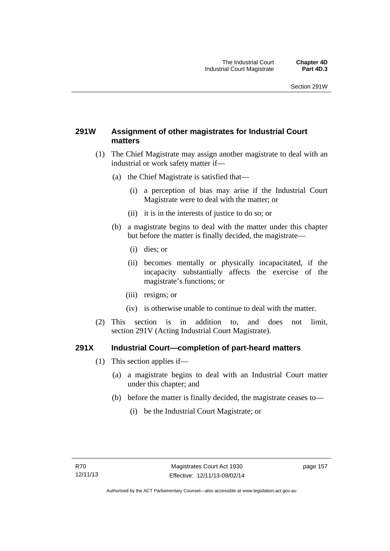### **291W Assignment of other magistrates for Industrial Court matters**

- (1) The Chief Magistrate may assign another magistrate to deal with an industrial or work safety matter if—
	- (a) the Chief Magistrate is satisfied that—
		- (i) a perception of bias may arise if the Industrial Court Magistrate were to deal with the matter; or
		- (ii) it is in the interests of justice to do so; or
	- (b) a magistrate begins to deal with the matter under this chapter but before the matter is finally decided, the magistrate—
		- (i) dies; or
		- (ii) becomes mentally or physically incapacitated, if the incapacity substantially affects the exercise of the magistrate's functions; or
		- (iii) resigns; or
		- (iv) is otherwise unable to continue to deal with the matter.
- (2) This section is in addition to, and does not limit, section 291V (Acting Industrial Court Magistrate).

### **291X Industrial Court—completion of part-heard matters**

- (1) This section applies if—
	- (a) a magistrate begins to deal with an Industrial Court matter under this chapter; and
	- (b) before the matter is finally decided, the magistrate ceases to—
		- (i) be the Industrial Court Magistrate; or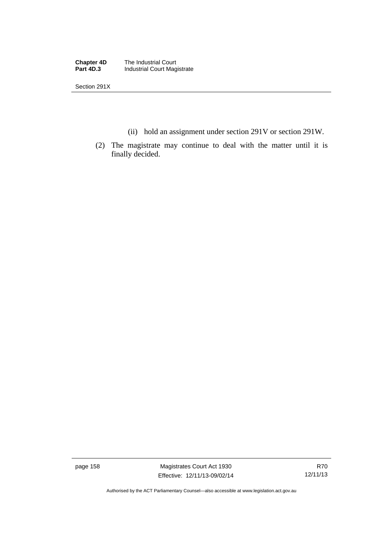**Chapter 4D** The Industrial Court<br>**Part 4D.3** Industrial Court Mag **Industrial Court Magistrate** 

Section 291X

- (ii) hold an assignment under section 291V or section 291W.
- (2) The magistrate may continue to deal with the matter until it is finally decided.

page 158 Magistrates Court Act 1930 Effective: 12/11/13-09/02/14

Authorised by the ACT Parliamentary Counsel—also accessible at www.legislation.act.gov.au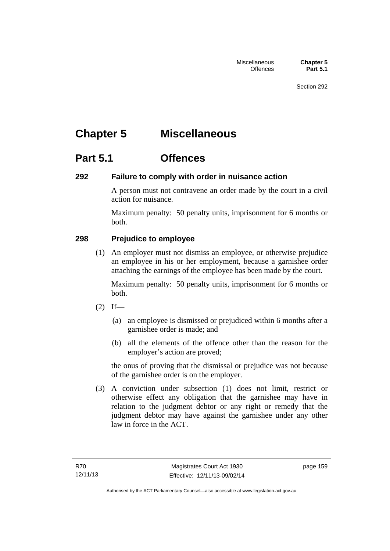# **Chapter 5 Miscellaneous**

### **Part 5.1 Offences**

### **292 Failure to comply with order in nuisance action**

A person must not contravene an order made by the court in a civil action for nuisance.

Maximum penalty: 50 penalty units, imprisonment for 6 months or both.

### **298 Prejudice to employee**

(1) An employer must not dismiss an employee, or otherwise prejudice an employee in his or her employment, because a garnishee order attaching the earnings of the employee has been made by the court.

Maximum penalty: 50 penalty units, imprisonment for 6 months or both.

- $(2)$  If—
	- (a) an employee is dismissed or prejudiced within 6 months after a garnishee order is made; and
	- (b) all the elements of the offence other than the reason for the employer's action are proved;

the onus of proving that the dismissal or prejudice was not because of the garnishee order is on the employer.

 (3) A conviction under subsection (1) does not limit, restrict or otherwise effect any obligation that the garnishee may have in relation to the judgment debtor or any right or remedy that the judgment debtor may have against the garnishee under any other law in force in the ACT.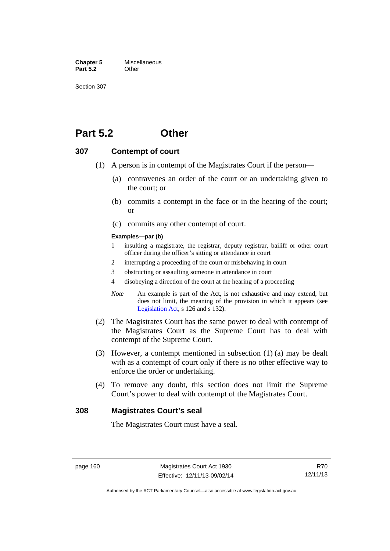**Chapter 5** Miscellaneous<br>**Part 5.2** Other **Part 5.2** 

Section 307

### **Part 5.2 Other**

### **307 Contempt of court**

- (1) A person is in contempt of the Magistrates Court if the person—
	- (a) contravenes an order of the court or an undertaking given to the court; or
	- (b) commits a contempt in the face or in the hearing of the court; or
	- (c) commits any other contempt of court.

#### **Examples—par (b)**

- 1 insulting a magistrate, the registrar, deputy registrar, bailiff or other court officer during the officer's sitting or attendance in court
- 2 interrupting a proceeding of the court or misbehaving in court
- 3 obstructing or assaulting someone in attendance in court
- 4 disobeying a direction of the court at the hearing of a proceeding
- *Note* An example is part of the Act, is not exhaustive and may extend, but does not limit, the meaning of the provision in which it appears (see [Legislation Act,](http://www.legislation.act.gov.au/a/2001-14) s 126 and s 132).
- (2) The Magistrates Court has the same power to deal with contempt of the Magistrates Court as the Supreme Court has to deal with contempt of the Supreme Court.
- (3) However, a contempt mentioned in subsection (1) (a) may be dealt with as a contempt of court only if there is no other effective way to enforce the order or undertaking.
- (4) To remove any doubt, this section does not limit the Supreme Court's power to deal with contempt of the Magistrates Court.

#### **308 Magistrates Court's seal**

The Magistrates Court must have a seal.

Authorised by the ACT Parliamentary Counsel—also accessible at www.legislation.act.gov.au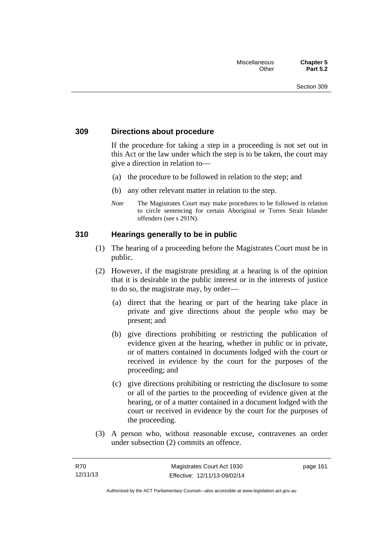### **309 Directions about procedure**

If the procedure for taking a step in a proceeding is not set out in this Act or the law under which the step is to be taken, the court may give a direction in relation to—

- (a) the procedure to be followed in relation to the step; and
- (b) any other relevant matter in relation to the step.
- *Note* The Magistrates Court may make procedures to be followed in relation to circle sentencing for certain Aboriginal or Torres Strait Islander offenders (see s 291N).

### **310 Hearings generally to be in public**

- (1) The hearing of a proceeding before the Magistrates Court must be in public.
- (2) However, if the magistrate presiding at a hearing is of the opinion that it is desirable in the public interest or in the interests of justice to do so, the magistrate may, by order—
	- (a) direct that the hearing or part of the hearing take place in private and give directions about the people who may be present; and
	- (b) give directions prohibiting or restricting the publication of evidence given at the hearing, whether in public or in private, or of matters contained in documents lodged with the court or received in evidence by the court for the purposes of the proceeding; and
	- (c) give directions prohibiting or restricting the disclosure to some or all of the parties to the proceeding of evidence given at the hearing, or of a matter contained in a document lodged with the court or received in evidence by the court for the purposes of the proceeding.
- (3) A person who, without reasonable excuse, contravenes an order under subsection (2) commits an offence.

page 161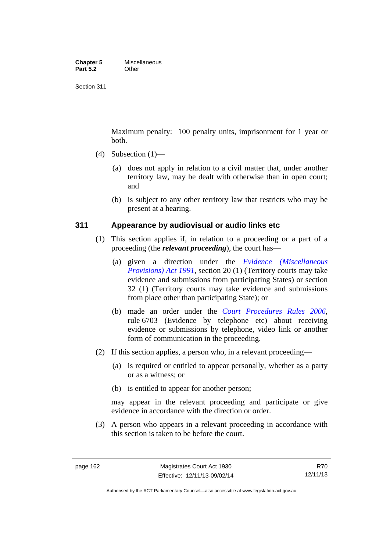#### **Chapter 5** Miscellaneous<br>**Part 5.2** Other **Part 5.2**

Section 311

Maximum penalty: 100 penalty units, imprisonment for 1 year or both.

- $(4)$  Subsection  $(1)$ 
	- (a) does not apply in relation to a civil matter that, under another territory law, may be dealt with otherwise than in open court; and
	- (b) is subject to any other territory law that restricts who may be present at a hearing.

### **311 Appearance by audiovisual or audio links etc**

- (1) This section applies if, in relation to a proceeding or a part of a proceeding (the *relevant proceeding*), the court has—
	- (a) given a direction under the *[Evidence \(Miscellaneous](http://www.legislation.act.gov.au/a/1991-34)  [Provisions\) Act 1991](http://www.legislation.act.gov.au/a/1991-34)*, section 20 (1) (Territory courts may take evidence and submissions from participating States) or section 32 (1) (Territory courts may take evidence and submissions from place other than participating State); or
	- (b) made an order under the *[Court Procedures Rules 2006](http://www.legislation.act.gov.au/sl/2006-29)*, rule 6703 (Evidence by telephone etc) about receiving evidence or submissions by telephone, video link or another form of communication in the proceeding.
- (2) If this section applies, a person who, in a relevant proceeding—
	- (a) is required or entitled to appear personally, whether as a party or as a witness; or
	- (b) is entitled to appear for another person;

may appear in the relevant proceeding and participate or give evidence in accordance with the direction or order.

 (3) A person who appears in a relevant proceeding in accordance with this section is taken to be before the court.

Authorised by the ACT Parliamentary Counsel—also accessible at www.legislation.act.gov.au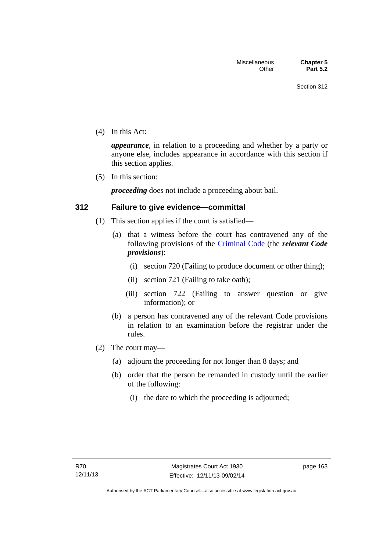(4) In this Act:

*appearance*, in relation to a proceeding and whether by a party or anyone else, includes appearance in accordance with this section if this section applies.

(5) In this section:

*proceeding* does not include a proceeding about bail.

### **312 Failure to give evidence—committal**

- (1) This section applies if the court is satisfied—
	- (a) that a witness before the court has contravened any of the following provisions of the [Criminal Code](http://www.legislation.act.gov.au/a/2002-51) (the *relevant Code provisions*):
		- (i) section 720 (Failing to produce document or other thing);
		- (ii) section 721 (Failing to take oath);
		- (iii) section 722 (Failing to answer question or give information); or
	- (b) a person has contravened any of the relevant Code provisions in relation to an examination before the registrar under the rules.
- (2) The court may—
	- (a) adjourn the proceeding for not longer than 8 days; and
	- (b) order that the person be remanded in custody until the earlier of the following:
		- (i) the date to which the proceeding is adjourned;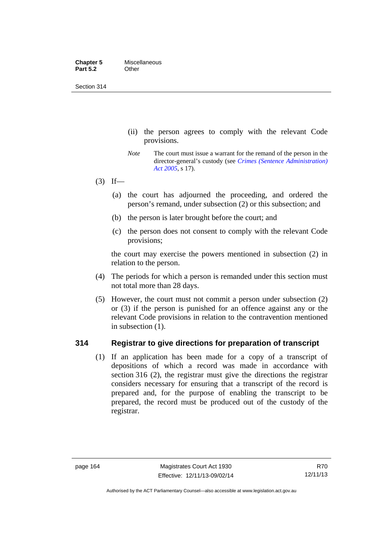Section 314

- (ii) the person agrees to comply with the relevant Code provisions.
- *Note* The court must issue a warrant for the remand of the person in the director-general's custody (see *[Crimes \(Sentence Administration\)](http://www.legislation.act.gov.au/a/2005-59)  [Act 2005](http://www.legislation.act.gov.au/a/2005-59)*, s 17).
- $(3)$  If—
	- (a) the court has adjourned the proceeding, and ordered the person's remand, under subsection (2) or this subsection; and
	- (b) the person is later brought before the court; and
	- (c) the person does not consent to comply with the relevant Code provisions;

the court may exercise the powers mentioned in subsection (2) in relation to the person.

- (4) The periods for which a person is remanded under this section must not total more than 28 days.
- (5) However, the court must not commit a person under subsection (2) or (3) if the person is punished for an offence against any or the relevant Code provisions in relation to the contravention mentioned in subsection (1).

### **314 Registrar to give directions for preparation of transcript**

(1) If an application has been made for a copy of a transcript of depositions of which a record was made in accordance with section 316 (2), the registrar must give the directions the registrar considers necessary for ensuring that a transcript of the record is prepared and, for the purpose of enabling the transcript to be prepared, the record must be produced out of the custody of the registrar.

Authorised by the ACT Parliamentary Counsel—also accessible at www.legislation.act.gov.au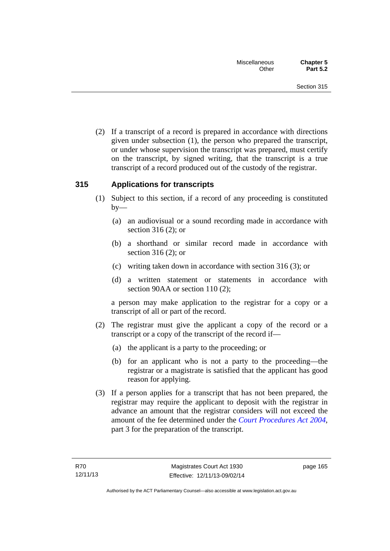(2) If a transcript of a record is prepared in accordance with directions given under subsection (1), the person who prepared the transcript, or under whose supervision the transcript was prepared, must certify on the transcript, by signed writing, that the transcript is a true transcript of a record produced out of the custody of the registrar.

### **315 Applications for transcripts**

- (1) Subject to this section, if a record of any proceeding is constituted  $by-$ 
	- (a) an audiovisual or a sound recording made in accordance with section 316 (2); or
	- (b) a shorthand or similar record made in accordance with section 316 (2); or
	- (c) writing taken down in accordance with section 316 (3); or
	- (d) a written statement or statements in accordance with section 90AA or section 110 (2);

a person may make application to the registrar for a copy or a transcript of all or part of the record.

- (2) The registrar must give the applicant a copy of the record or a transcript or a copy of the transcript of the record if—
	- (a) the applicant is a party to the proceeding; or
	- (b) for an applicant who is not a party to the proceeding—the registrar or a magistrate is satisfied that the applicant has good reason for applying.
- (3) If a person applies for a transcript that has not been prepared, the registrar may require the applicant to deposit with the registrar in advance an amount that the registrar considers will not exceed the amount of the fee determined under the *[Court Procedures Act 2004](http://www.legislation.act.gov.au/a/2004-59)*, part 3 for the preparation of the transcript.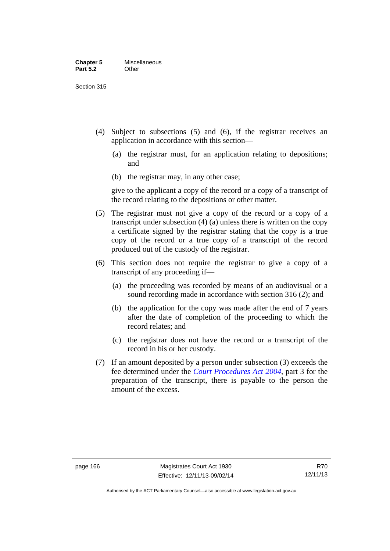Section 315

- (4) Subject to subsections (5) and (6), if the registrar receives an application in accordance with this section—
	- (a) the registrar must, for an application relating to depositions; and
	- (b) the registrar may, in any other case;

give to the applicant a copy of the record or a copy of a transcript of the record relating to the depositions or other matter.

- (5) The registrar must not give a copy of the record or a copy of a transcript under subsection (4) (a) unless there is written on the copy a certificate signed by the registrar stating that the copy is a true copy of the record or a true copy of a transcript of the record produced out of the custody of the registrar.
- (6) This section does not require the registrar to give a copy of a transcript of any proceeding if—
	- (a) the proceeding was recorded by means of an audiovisual or a sound recording made in accordance with section 316 (2); and
	- (b) the application for the copy was made after the end of 7 years after the date of completion of the proceeding to which the record relates; and
	- (c) the registrar does not have the record or a transcript of the record in his or her custody.
- (7) If an amount deposited by a person under subsection (3) exceeds the fee determined under the *[Court Procedures Act 2004](http://www.legislation.act.gov.au/a/2004-59)*, part 3 for the preparation of the transcript, there is payable to the person the amount of the excess.

R70 12/11/13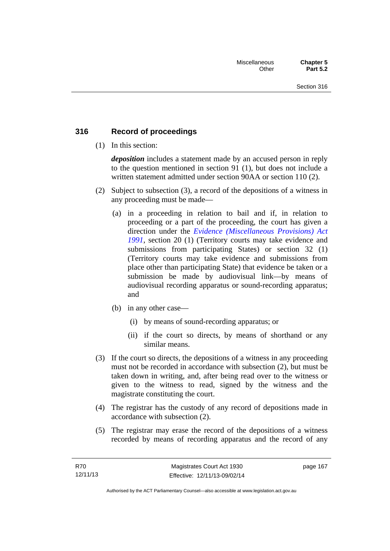### **316 Record of proceedings**

(1) In this section:

*deposition* includes a statement made by an accused person in reply to the question mentioned in section 91 (1), but does not include a written statement admitted under section 90AA or section 110 (2).

- (2) Subject to subsection (3), a record of the depositions of a witness in any proceeding must be made—
	- (a) in a proceeding in relation to bail and if, in relation to proceeding or a part of the proceeding, the court has given a direction under the *[Evidence \(Miscellaneous Provisions\) Act](http://www.legislation.act.gov.au/a/1991-34)  [1991](http://www.legislation.act.gov.au/a/1991-34)*, section 20 (1) (Territory courts may take evidence and submissions from participating States) or section 32 (1) (Territory courts may take evidence and submissions from place other than participating State) that evidence be taken or a submission be made by audiovisual link—by means of audiovisual recording apparatus or sound-recording apparatus; and
	- (b) in any other case—
		- (i) by means of sound-recording apparatus; or
		- (ii) if the court so directs, by means of shorthand or any similar means.
- (3) If the court so directs, the depositions of a witness in any proceeding must not be recorded in accordance with subsection (2), but must be taken down in writing, and, after being read over to the witness or given to the witness to read, signed by the witness and the magistrate constituting the court.
- (4) The registrar has the custody of any record of depositions made in accordance with subsection (2).
- (5) The registrar may erase the record of the depositions of a witness recorded by means of recording apparatus and the record of any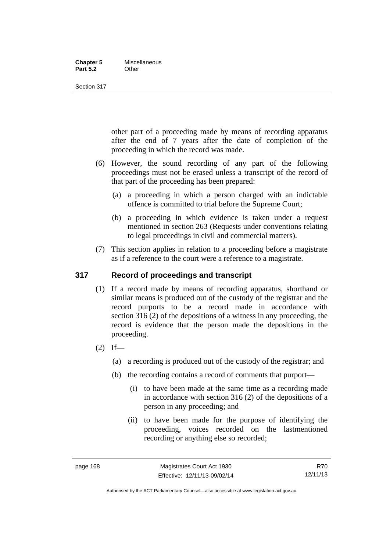#### **Chapter 5** Miscellaneous<br>**Part 5.2** Other **Part 5.2**

Section 317

other part of a proceeding made by means of recording apparatus after the end of 7 years after the date of completion of the proceeding in which the record was made.

- (6) However, the sound recording of any part of the following proceedings must not be erased unless a transcript of the record of that part of the proceeding has been prepared:
	- (a) a proceeding in which a person charged with an indictable offence is committed to trial before the Supreme Court;
	- (b) a proceeding in which evidence is taken under a request mentioned in section 263 (Requests under conventions relating to legal proceedings in civil and commercial matters).
- (7) This section applies in relation to a proceeding before a magistrate as if a reference to the court were a reference to a magistrate.

### **317 Record of proceedings and transcript**

- (1) If a record made by means of recording apparatus, shorthand or similar means is produced out of the custody of the registrar and the record purports to be a record made in accordance with section 316 (2) of the depositions of a witness in any proceeding, the record is evidence that the person made the depositions in the proceeding.
- $(2)$  If—
	- (a) a recording is produced out of the custody of the registrar; and
	- (b) the recording contains a record of comments that purport—
		- (i) to have been made at the same time as a recording made in accordance with section 316 (2) of the depositions of a person in any proceeding; and
		- (ii) to have been made for the purpose of identifying the proceeding, voices recorded on the lastmentioned recording or anything else so recorded;

R70 12/11/13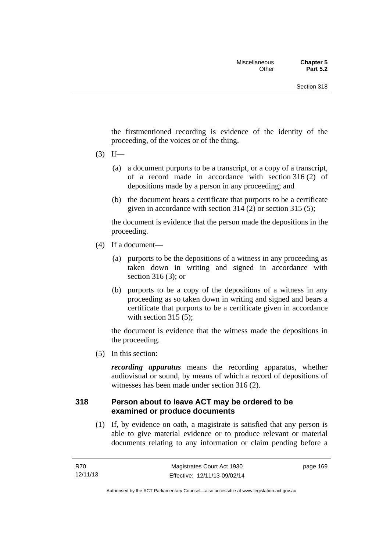the firstmentioned recording is evidence of the identity of the proceeding, of the voices or of the thing.

- $(3)$  If—
	- (a) a document purports to be a transcript, or a copy of a transcript, of a record made in accordance with section 316 (2) of depositions made by a person in any proceeding; and
	- (b) the document bears a certificate that purports to be a certificate given in accordance with section 314 (2) or section 315 (5);

the document is evidence that the person made the depositions in the proceeding.

- (4) If a document—
	- (a) purports to be the depositions of a witness in any proceeding as taken down in writing and signed in accordance with section 316 (3); or
	- (b) purports to be a copy of the depositions of a witness in any proceeding as so taken down in writing and signed and bears a certificate that purports to be a certificate given in accordance with section  $315(5)$ ;

the document is evidence that the witness made the depositions in the proceeding.

(5) In this section:

*recording apparatus* means the recording apparatus, whether audiovisual or sound, by means of which a record of depositions of witnesses has been made under section 316 (2).

### **318 Person about to leave ACT may be ordered to be examined or produce documents**

(1) If, by evidence on oath, a magistrate is satisfied that any person is able to give material evidence or to produce relevant or material documents relating to any information or claim pending before a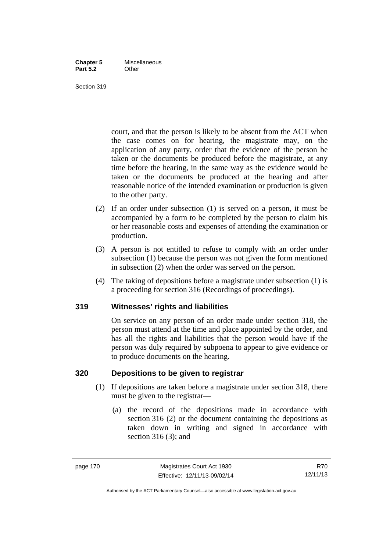#### **Chapter 5** Miscellaneous **Part 5.2** Other

Section 319

court, and that the person is likely to be absent from the ACT when the case comes on for hearing, the magistrate may, on the application of any party, order that the evidence of the person be taken or the documents be produced before the magistrate, at any time before the hearing, in the same way as the evidence would be taken or the documents be produced at the hearing and after reasonable notice of the intended examination or production is given to the other party.

- (2) If an order under subsection (1) is served on a person, it must be accompanied by a form to be completed by the person to claim his or her reasonable costs and expenses of attending the examination or production.
- (3) A person is not entitled to refuse to comply with an order under subsection (1) because the person was not given the form mentioned in subsection (2) when the order was served on the person.
- (4) The taking of depositions before a magistrate under subsection (1) is a proceeding for section 316 (Recordings of proceedings).

### **319 Witnesses' rights and liabilities**

On service on any person of an order made under section 318, the person must attend at the time and place appointed by the order, and has all the rights and liabilities that the person would have if the person was duly required by subpoena to appear to give evidence or to produce documents on the hearing.

### **320 Depositions to be given to registrar**

- (1) If depositions are taken before a magistrate under section 318, there must be given to the registrar—
	- (a) the record of the depositions made in accordance with section 316 (2) or the document containing the depositions as taken down in writing and signed in accordance with section 316 (3); and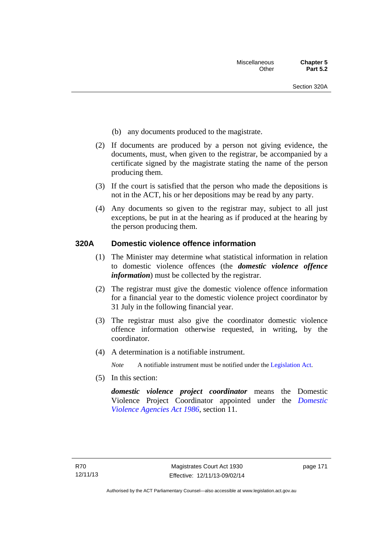- (b) any documents produced to the magistrate.
- (2) If documents are produced by a person not giving evidence, the documents, must, when given to the registrar, be accompanied by a certificate signed by the magistrate stating the name of the person producing them.
- (3) If the court is satisfied that the person who made the depositions is not in the ACT, his or her depositions may be read by any party.
- (4) Any documents so given to the registrar may, subject to all just exceptions, be put in at the hearing as if produced at the hearing by the person producing them.

### **320A Domestic violence offence information**

- (1) The Minister may determine what statistical information in relation to domestic violence offences (the *domestic violence offence information*) must be collected by the registrar.
- (2) The registrar must give the domestic violence offence information for a financial year to the domestic violence project coordinator by 31 July in the following financial year.
- (3) The registrar must also give the coordinator domestic violence offence information otherwise requested, in writing, by the coordinator.
- (4) A determination is a notifiable instrument.

*Note* A notifiable instrument must be notified under the [Legislation Act](http://www.legislation.act.gov.au/a/2001-14).

(5) In this section:

*domestic violence project coordinator* means the Domestic Violence Project Coordinator appointed under the *[Domestic](http://www.legislation.act.gov.au/a/1986-52)  [Violence Agencies Act 1986](http://www.legislation.act.gov.au/a/1986-52)*, section 11.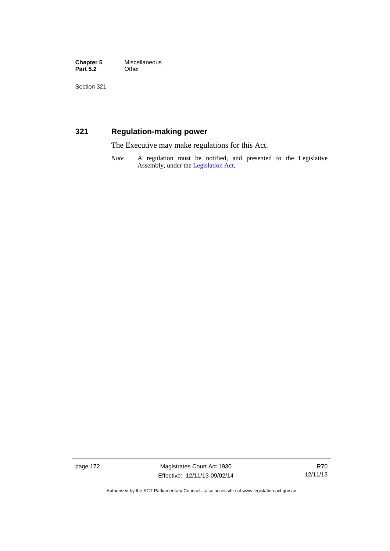**Chapter 5** Miscellaneous<br>**Part 5.2** Other **Part 5.2** 

Section 321

### **321 Regulation-making power**

The Executive may make regulations for this Act.

*Note* A regulation must be notified, and presented to the Legislative Assembly, under the [Legislation Act](http://www.legislation.act.gov.au/a/2001-14).

page 172 Magistrates Court Act 1930 Effective: 12/11/13-09/02/14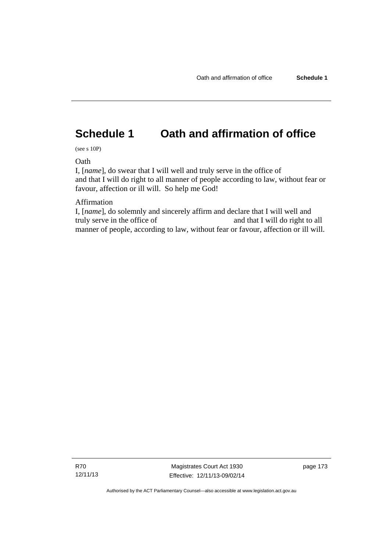# **Schedule 1 Oath and affirmation of office**

(see s 10P)

Oath

I, [*name*], do swear that I will well and truly serve in the office of and that I will do right to all manner of people according to law, without fear or favour, affection or ill will. So help me God!

Affirmation

I, [*name*], do solemnly and sincerely affirm and declare that I will well and truly serve in the office of and that I will do right to all manner of people, according to law, without fear or favour, affection or ill will.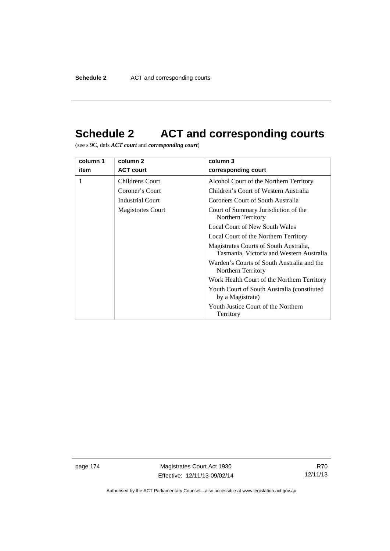# **Schedule 2 ACT and corresponding courts**

(see s 9C, defs *ACT court* and *corresponding court*)

| column 1 | column 2               | column 3                                                                           |
|----------|------------------------|------------------------------------------------------------------------------------|
| item     | <b>ACT court</b>       | corresponding court                                                                |
|          | <b>Childrens Court</b> | Alcohol Court of the Northern Territory                                            |
|          | Coroner's Court        | Children's Court of Western Australia                                              |
|          | Industrial Court       | Coroners Court of South Australia                                                  |
|          | Magistrates Court      | Court of Summary Jurisdiction of the<br>Northern Territory                         |
|          |                        | <b>Local Court of New South Wales</b>                                              |
|          |                        | Local Court of the Northern Territory                                              |
|          |                        | Magistrates Courts of South Australia,<br>Tasmania, Victoria and Western Australia |
|          |                        | Warden's Courts of South Australia and the<br>Northern Territory                   |
|          |                        | Work Health Court of the Northern Territory                                        |
|          |                        | Youth Court of South Australia (constituted<br>by a Magistrate)                    |
|          |                        | Youth Justice Court of the Northern<br>Territory                                   |

page 174 Magistrates Court Act 1930 Effective: 12/11/13-09/02/14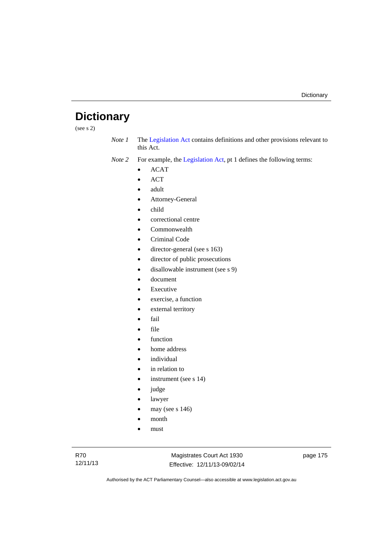# **Dictionary**

(see s 2)

*Note 1* The [Legislation Act](http://www.legislation.act.gov.au/a/2001-14) contains definitions and other provisions relevant to this Act.

*Note 2* For example, the [Legislation Act,](http://www.legislation.act.gov.au/a/2001-14) pt 1 defines the following terms:

- ACAT
- ACT
- adult
- Attorney-General
- child
- correctional centre
- Commonwealth
- Criminal Code
- director-general (see s 163)
- director of public prosecutions
- disallowable instrument (see s 9)
- document
- Executive
- exercise, a function
- external territory
- fail
- file
- function
- home address
- individual
- in relation to
- instrument (see s 14)
- judge
- lawyer
- may (see s 146)
- month
- must

Magistrates Court Act 1930 Effective: 12/11/13-09/02/14 page 175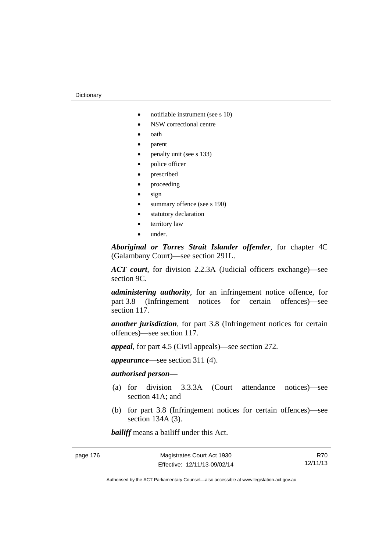- notifiable instrument (see s 10)
- NSW correctional centre
- oath
- parent
- penalty unit (see s 133)
- police officer
- prescribed
- proceeding
- sign
- summary offence (see s 190)
- statutory declaration
- territory law
- under.

*Aboriginal or Torres Strait Islander offender*, for chapter 4C (Galambany Court)—see section 291L.

*ACT court*, for division 2.2.3A (Judicial officers exchange)—see section 9C.

*administering authority*, for an infringement notice offence, for part 3.8 (Infringement notices for certain offences)—see section 117.

*another jurisdiction*, for part 3.8 (Infringement notices for certain offences)—see section 117.

*appeal*, for part 4.5 (Civil appeals)—see section 272.

*appearance*—see section 311 (4).

#### *authorised person*—

- (a) for division 3.3.3A (Court attendance notices)—see section 41A; and
- (b) for part 3.8 (Infringement notices for certain offences)—see section 134A (3).

*bailiff* means a bailiff under this Act.

R70 12/11/13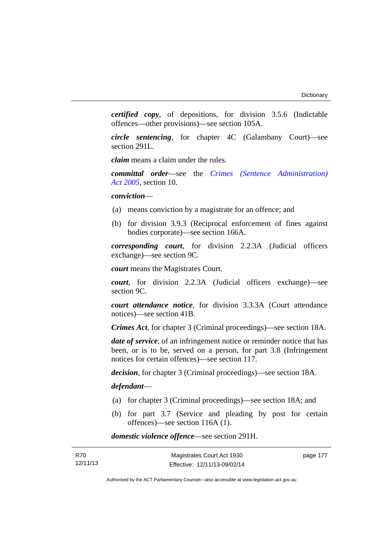*certified copy*, of depositions, for division 3.5.6 (Indictable offences—other provisions)—see section 105A.

*circle sentencing*, for chapter 4C (Galambany Court)—see section 291L.

*claim* means a claim under the rules.

*committal order*—see the *[Crimes \(Sentence Administration\)](http://www.legislation.act.gov.au/a/2005-59)  [Act 2005](http://www.legislation.act.gov.au/a/2005-59)*, section 10.

*conviction*—

- (a) means conviction by a magistrate for an offence; and
- (b) for division 3.9.3 (Reciprocal enforcement of fines against bodies corporate)—see section 166A.

*corresponding court*, for division 2.2.3A (Judicial officers exchange)—see section 9C.

*court* means the Magistrates Court.

*court*, for division 2.2.3A (Judicial officers exchange)—see section 9C.

*court attendance notice*, for division 3.3.3A (Court attendance notices)—see section 41B.

*Crimes Act*, for chapter 3 (Criminal proceedings)—see section 18A.

*date of service*, of an infringement notice or reminder notice that has been, or is to be, served on a person, for part 3.8 (Infringement notices for certain offences)—see section 117.

*decision*, for chapter 3 (Criminal proceedings)—see section 18A.

#### *defendant*—

- (a) for chapter 3 (Criminal proceedings)—see section 18A; and
- (b) for part 3.7 (Service and pleading by post for certain offences)—see section 116A (1).

*domestic violence offence*—see section 291H.

| R70      | Magistrates Court Act 1930   | page 177 |
|----------|------------------------------|----------|
| 12/11/13 | Effective: 12/11/13-09/02/14 |          |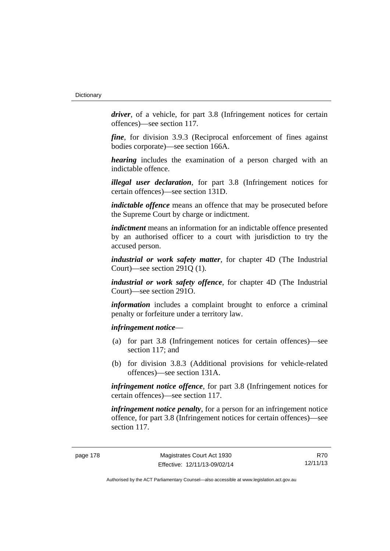*driver*, of a vehicle, for part 3.8 (Infringement notices for certain offences)—see section 117.

*fine*, for division 3.9.3 (Reciprocal enforcement of fines against bodies corporate)—see section 166A.

*hearing* includes the examination of a person charged with an indictable offence.

*illegal user declaration*, for part 3.8 (Infringement notices for certain offences)—see section 131D.

*indictable offence* means an offence that may be prosecuted before the Supreme Court by charge or indictment.

*indictment* means an information for an indictable offence presented by an authorised officer to a court with jurisdiction to try the accused person.

*industrial or work safety matter*, for chapter 4D (The Industrial Court)—see section 291Q (1).

*industrial or work safety offence*, for chapter 4D (The Industrial Court)—see section 291O.

*information* includes a complaint brought to enforce a criminal penalty or forfeiture under a territory law.

*infringement notice*—

- (a) for part 3.8 (Infringement notices for certain offences)—see section 117; and
- (b) for division 3.8.3 (Additional provisions for vehicle-related offences)—see section 131A.

*infringement notice offence*, for part 3.8 (Infringement notices for certain offences)—see section 117.

*infringement notice penalty*, for a person for an infringement notice offence, for part 3.8 (Infringement notices for certain offences)—see section 117.

R70 12/11/13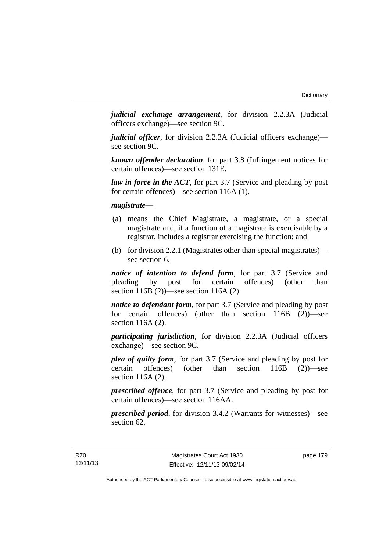*judicial exchange arrangement*, for division 2.2.3A (Judicial officers exchange)—see section 9C.

*judicial officer*, for division 2.2.3A (Judicial officers exchange) see section 9C.

*known offender declaration*, for part 3.8 (Infringement notices for certain offences)—see section 131E.

*law in force in the ACT*, for part 3.7 (Service and pleading by post for certain offences)—see section 116A (1).

*magistrate*—

- (a) means the Chief Magistrate, a magistrate, or a special magistrate and, if a function of a magistrate is exercisable by a registrar, includes a registrar exercising the function; and
- (b) for division 2.2.1 (Magistrates other than special magistrates) see section 6.

*notice of intention to defend form*, for part 3.7 (Service and pleading by post for certain offences) (other than section 116B (2))—see section 116A (2).

*notice to defendant form*, for part 3.7 (Service and pleading by post for certain offences) (other than section 116B (2))—see section 116A (2).

*participating jurisdiction*, for division 2.2.3A (Judicial officers exchange)—see section 9C.

*plea of guilty form*, for part 3.7 (Service and pleading by post for certain offences) (other than section 116B (2))—see section 116A (2).

*prescribed offence*, for part 3.7 (Service and pleading by post for certain offences)—see section 116AA.

*prescribed period*, for division 3.4.2 (Warrants for witnesses)—see section 62.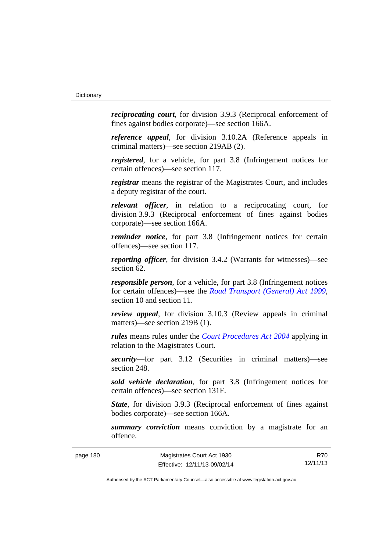*reciprocating court*, for division 3.9.3 (Reciprocal enforcement of fines against bodies corporate)—see section 166A.

*reference appeal*, for division 3.10.2A (Reference appeals in criminal matters)—see section 219AB (2).

*registered*, for a vehicle, for part 3.8 (Infringement notices for certain offences)—see section 117.

*registrar* means the registrar of the Magistrates Court, and includes a deputy registrar of the court.

*relevant officer*, in relation to a reciprocating court, for division 3.9.3 (Reciprocal enforcement of fines against bodies corporate)—see section 166A.

*reminder notice*, for part 3.8 (Infringement notices for certain offences)—see section 117.

*reporting officer*, for division 3.4.2 (Warrants for witnesses)—see section 62.

*responsible person*, for a vehicle, for part 3.8 (Infringement notices for certain offences)—see the *[Road Transport \(General\) Act 1999](http://www.legislation.act.gov.au/a/1999-77)*, section 10 and section 11.

*review appeal*, for division 3.10.3 (Review appeals in criminal matters)—see section 219B (1).

*rules* means rules under the *[Court Procedures Act 2004](http://www.legislation.act.gov.au/a/2004-59)* applying in relation to the Magistrates Court.

*security*—for part 3.12 (Securities in criminal matters)—see section 248

*sold vehicle declaration*, for part 3.8 (Infringement notices for certain offences)—see section 131F.

*State*, for division 3.9.3 (Reciprocal enforcement of fines against bodies corporate)—see section 166A.

*summary conviction* means conviction by a magistrate for an offence.

R70 12/11/13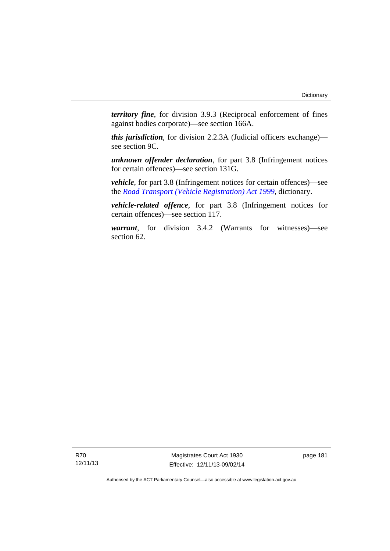*territory fine*, for division 3.9.3 (Reciprocal enforcement of fines against bodies corporate)—see section 166A.

*this jurisdiction*, for division 2.2.3A (Judicial officers exchange) see section 9C.

*unknown offender declaration*, for part 3.8 (Infringement notices for certain offences)—see section 131G.

*vehicle*, for part 3.8 (Infringement notices for certain offences)—see the *[Road Transport \(Vehicle Registration\) Act 1999](http://www.legislation.act.gov.au/a/1999-81)*, dictionary.

*vehicle-related offence*, for part 3.8 (Infringement notices for certain offences)—see section 117.

*warrant*, for division 3.4.2 (Warrants for witnesses)—see section 62.

R70 12/11/13

Magistrates Court Act 1930 Effective: 12/11/13-09/02/14 page 181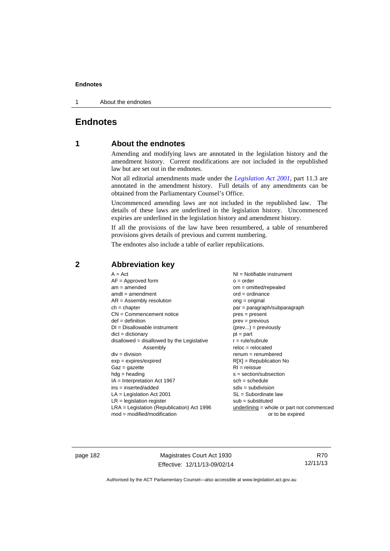1 About the endnotes

### **Endnotes**

### **1 About the endnotes**

Amending and modifying laws are annotated in the legislation history and the amendment history. Current modifications are not included in the republished law but are set out in the endnotes.

Not all editorial amendments made under the *[Legislation Act 2001](http://www.legislation.act.gov.au/a/2001-14)*, part 11.3 are annotated in the amendment history. Full details of any amendments can be obtained from the Parliamentary Counsel's Office.

Uncommenced amending laws are not included in the republished law. The details of these laws are underlined in the legislation history. Uncommenced expiries are underlined in the legislation history and amendment history.

If all the provisions of the law have been renumbered, a table of renumbered provisions gives details of previous and current numbering.

The endnotes also include a table of earlier republications.

|                                                   | $A = Act$<br>$AF =$ Approved form<br>$am = amended$<br>$amdt = amendment$<br>$AR = Assembly resolution$<br>$ch = chapter$<br>$CN =$ Commencement notice<br>$def = definition$<br>$DI = Disallowable instrument$<br>$dict = dictionary$<br>$disallowed = disallowed by the Legislative$<br>Assembly<br>$div = division$<br>$exp = expires/expired$<br>$Gaz = gazette$<br>$hdg = heading$<br>$IA = Interpretation Act 1967$<br>$ins = inserted/added$<br>$LA =$ Legislation Act 2001<br>$LR =$ legislation register | NI = Notifiable instrument<br>$o = order$<br>$om = omitted/repealed$<br>$ord = ordinance$<br>$orig = original$<br>par = paragraph/subparagraph<br>$pres = present$<br>$prev = previous$<br>$(\text{prev}) = \text{previously}$<br>$pt = part$<br>$r = rule/subrule$<br>$reloc = relocated$<br>$remum = renumbered$<br>$R[X]$ = Republication No<br>$RI = reissue$<br>$s = section/subsection$<br>$sch = schedule$<br>$sdiv = subdivision$<br>$SL = Subordinate$ law<br>$sub =$ substituted |
|---------------------------------------------------|-------------------------------------------------------------------------------------------------------------------------------------------------------------------------------------------------------------------------------------------------------------------------------------------------------------------------------------------------------------------------------------------------------------------------------------------------------------------------------------------------------------------|--------------------------------------------------------------------------------------------------------------------------------------------------------------------------------------------------------------------------------------------------------------------------------------------------------------------------------------------------------------------------------------------------------------------------------------------------------------------------------------------|
| $mod = modified/modification$<br>or to be expired | $LRA =$ Legislation (Republication) Act 1996                                                                                                                                                                                                                                                                                                                                                                                                                                                                      | $underlining = whole or part not commenced$                                                                                                                                                                                                                                                                                                                                                                                                                                                |

### **2 Abbreviation key**

page 182 Magistrates Court Act 1930 Effective: 12/11/13-09/02/14

R70 12/11/13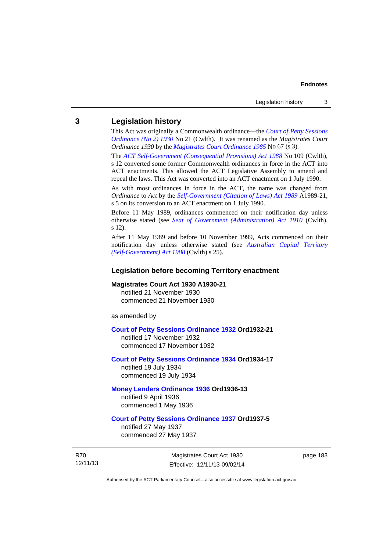#### **3 Legislation history**

This Act was originally a Commonwealth ordinance—the *[Court of Petty Sessions](http://www.legislation.act.gov.au/a/1930-21)  [Ordinance \(No 2\) 1930](http://www.legislation.act.gov.au/a/1930-21)* No 21 (Cwlth). It was renamed as the *Magistrates Court Ordinance 1930* by the *[Magistrates Court Ordinance 1985](http://www.legislation.act.gov.au/a/1985-67)* No 67 (s 3).

The *[ACT Self-Government \(Consequential Provisions\) Act 1988](http://www.comlaw.gov.au/Details/C2004A03702)* No 109 (Cwlth), s 12 converted some former Commonwealth ordinances in force in the ACT into ACT enactments. This allowed the ACT Legislative Assembly to amend and repeal the laws. This Act was converted into an ACT enactment on 1 July 1990.

As with most ordinances in force in the ACT, the name was changed from *Ordinance* to *Act* by the *[Self-Government \(Citation of Laws\) Act 1989](http://www.legislation.act.gov.au/a/alt_ord1989-21/default.asp)* A1989-21, s 5 on its conversion to an ACT enactment on 1 July 1990.

Before 11 May 1989, ordinances commenced on their notification day unless otherwise stated (see *[Seat of Government \(Administration\) Act 1910](http://www.comlaw.gov.au/Current/C1910A00025)* (Cwlth), s 12).

After 11 May 1989 and before 10 November 1999, Acts commenced on their notification day unless otherwise stated (see *[Australian Capital Territory](http://www.comlaw.gov.au/Current/C2004A03699)  [\(Self-Government\) Act 1988](http://www.comlaw.gov.au/Current/C2004A03699)* (Cwlth) s 25).

#### **Legislation before becoming Territory enactment**

#### **Magistrates Court Act 1930 A1930-21**

notified 21 November 1930 commenced 21 November 1930

as amended by

#### **[Court of Petty Sessions Ordinance 1932](http://www.legislation.act.gov.au/a/1932-21) Ord1932-21**

notified 17 November 1932 commenced 17 November 1932

#### **[Court of Petty Sessions Ordinance 1934](http://www.legislation.act.gov.au/a/1934-17) Ord1934-17**  notified 19 July 1934

commenced 19 July 1934

#### **[Money Lenders Ordinance 1936](http://www.legislation.act.gov.au/ord/1936-13) Ord1936-13**  notified 9 April 1936

commenced 1 May 1936

### **[Court of Petty Sessions Ordinance 1937](http://www.legislation.act.gov.au/a/1937-5) Ord1937-5**

notified 27 May 1937 commenced 27 May 1937

R70 12/11/13

Magistrates Court Act 1930 Effective: 12/11/13-09/02/14 page 183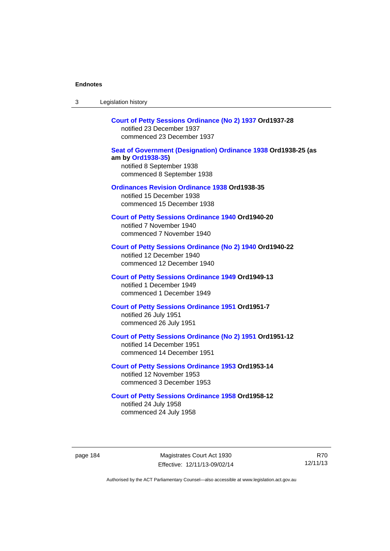| 3        | Legislation history                                                                                                                            |      |
|----------|------------------------------------------------------------------------------------------------------------------------------------------------|------|
|          | Court of Petty Sessions Ordinance (No 2) 1937 Ord1937-28<br>notified 23 December 1937<br>commenced 23 December 1937                            |      |
|          | Seat of Government (Designation) Ordinance 1938 Ord1938-25 (as<br>am by Ord1938-35)<br>notified 8 September 1938<br>commenced 8 September 1938 |      |
|          | <b>Ordinances Revision Ordinance 1938 Ord1938-35</b><br>notified 15 December 1938<br>commenced 15 December 1938                                |      |
|          | <b>Court of Petty Sessions Ordinance 1940 Ord1940-20</b><br>notified 7 November 1940<br>commenced 7 November 1940                              |      |
|          | Court of Petty Sessions Ordinance (No 2) 1940 Ord1940-22<br>notified 12 December 1940<br>commenced 12 December 1940                            |      |
|          | <b>Court of Petty Sessions Ordinance 1949 Ord1949-13</b><br>notified 1 December 1949<br>commenced 1 December 1949                              |      |
|          | <b>Court of Petty Sessions Ordinance 1951 Ord1951-7</b><br>notified 26 July 1951<br>commenced 26 July 1951                                     |      |
|          | Court of Petty Sessions Ordinance (No 2) 1951 Ord1951-12<br>notified 14 December 1951<br>commenced 14 December 1951                            |      |
|          | <b>Court of Petty Sessions Ordinance 1953 Ord1953-14</b><br>notified 12 November 1953<br>commenced 3 December 1953                             |      |
|          | <b>Court of Petty Sessions Ordinance 1958 Ord1958-12</b><br>notified 24 July 1958<br>commenced 24 July 1958                                    |      |
| page 184 | Magistrates Court Act 1930<br>Effective: 12/11/13-09/02/14                                                                                     | 12/1 |
|          |                                                                                                                                                |      |

R70 12/11/13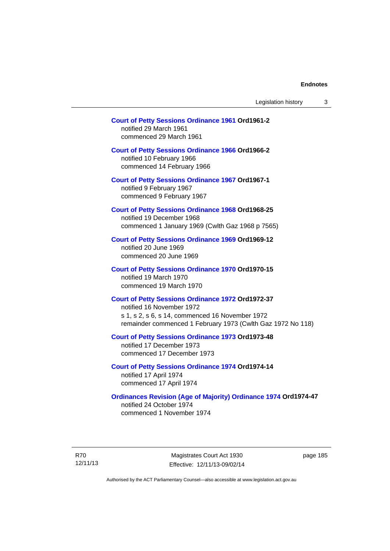| Legislation history |  |
|---------------------|--|
|---------------------|--|

### **[Court of Petty Sessions Ordinance 1961](http://www.legislation.act.gov.au/a/1961-2) Ord1961-2**  notified 29 March 1961

commenced 29 March 1961

### **[Court of Petty Sessions Ordinance 1966](http://www.legislation.act.gov.au/a/1966-2) Ord1966-2**

notified 10 February 1966 commenced 14 February 1966

**[Court of Petty Sessions Ordinance 1967](http://www.legislation.act.gov.au/a/1967-1) Ord1967-1** 

notified 9 February 1967 commenced 9 February 1967

#### **[Court of Petty Sessions Ordinance 1968](http://www.legislation.act.gov.au/a/1968-25) Ord1968-25**  notified 19 December 1968

commenced 1 January 1969 (Cwlth Gaz 1968 p 7565)

#### **[Court of Petty Sessions Ordinance 1969](http://www.legislation.act.gov.au/a/1969-12) Ord1969-12**  notified 20 June 1969 commenced 20 June 1969

#### **[Court of Petty Sessions Ordinance 1970](http://www.legislation.act.gov.au/a/1970-15) Ord1970-15**  notified 19 March 1970 commenced 19 March 1970

#### **[Court of Petty Sessions Ordinance 1972](http://www.legislation.act.gov.au/a/1972-37) Ord1972-37**  notified 16 November 1972

s 1, s 2, s 6, s 14, commenced 16 November 1972 remainder commenced 1 February 1973 (Cwlth Gaz 1972 No 118)

#### **[Court of Petty Sessions Ordinance 1973](http://www.legislation.act.gov.au/a/1973-48) Ord1973-48**  notified 17 December 1973

commenced 17 December 1973

#### **[Court of Petty Sessions Ordinance 1974](http://www.legislation.act.gov.au/a/1974-14) Ord1974-14**  notified 17 April 1974 commenced 17 April 1974

### **[Ordinances Revision \(Age of Majority\) Ordinance 1974](http://www.legislation.act.gov.au/a/1974-47) Ord1974-47**  notified 24 October 1974

commenced 1 November 1974

R70 12/11/13

Magistrates Court Act 1930 Effective: 12/11/13-09/02/14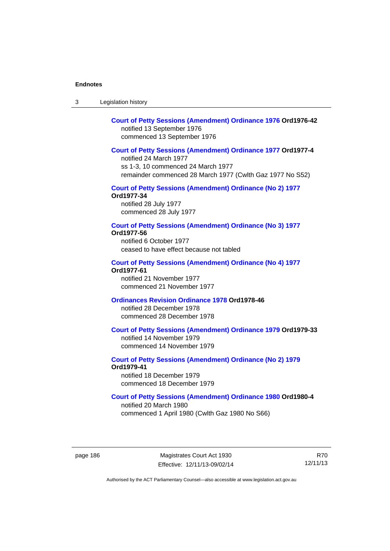3 Legislation history

### **[Court of Petty Sessions \(Amendment\) Ordinance 1976](http://www.legislation.act.gov.au/a/1976-42) Ord1976-42**  notified 13 September 1976 commenced 13 September 1976

#### **[Court of Petty Sessions \(Amendment\) Ordinance 1977](http://www.legislation.act.gov.au/a/1977-4) Ord1977-4**

notified 24 March 1977 ss 1-3, 10 commenced 24 March 1977 remainder commenced 28 March 1977 (Cwlth Gaz 1977 No S52)

#### **[Court of Petty Sessions \(Amendment\) Ordinance \(No 2\) 1977](http://www.legislation.act.gov.au/a/1977-34)**

**Ord1977-34**  notified 28 July 1977 commenced 28 July 1977

#### **[Court of Petty Sessions \(Amendment\) Ordinance \(No 3\) 1977](http://www.legislation.act.gov.au/ord/1977-56)**

**Ord1977-56**  notified 6 October 1977

ceased to have effect because not tabled

#### **[Court of Petty Sessions \(Amendment\) Ordinance \(No 4\) 1977](http://www.legislation.act.gov.au/a/1977-61) Ord1977-61**

notified 21 November 1977 commenced 21 November 1977

#### **[Ordinances Revision Ordinance 1978](http://www.legislation.act.gov.au/a/1978-46) Ord1978-46**

notified 28 December 1978 commenced 28 December 1978

#### **[Court of Petty Sessions \(Amendment\) Ordinance 1979](http://www.legislation.act.gov.au/a/1979-33) Ord1979-33**

notified 14 November 1979 commenced 14 November 1979

### **[Court of Petty Sessions \(Amendment\) Ordinance \(No 2\) 1979](http://www.legislation.act.gov.au/a/1979-41) Ord1979-41**

notified 18 December 1979 commenced 18 December 1979

### **[Court of Petty Sessions \(Amendment\) Ordinance 1980](http://www.legislation.act.gov.au/a/1980-4) Ord1980-4**

notified 20 March 1980 commenced 1 April 1980 (Cwlth Gaz 1980 No S66)

page 186 Magistrates Court Act 1930 Effective: 12/11/13-09/02/14

R70 12/11/13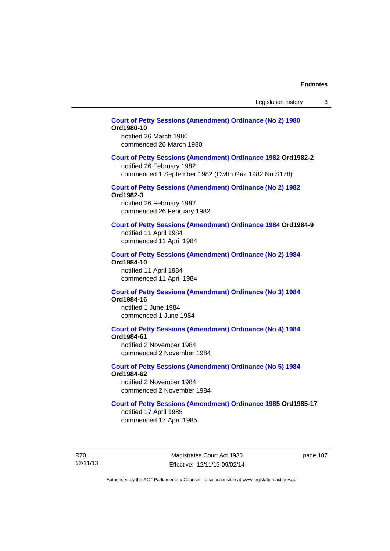### **[Court of Petty Sessions \(Amendment\) Ordinance \(No 2\) 1980](http://www.legislation.act.gov.au/a/1980-10) Ord1980-10**

notified 26 March 1980 commenced 26 March 1980

#### **[Court of Petty Sessions \(Amendment\) Ordinance 1982](http://www.legislation.act.gov.au/a/1982-2) Ord1982-2**

notified 26 February 1982 commenced 1 September 1982 (Cwlth Gaz 1982 No S178)

### **[Court of Petty Sessions \(Amendment\) Ordinance \(No 2\) 1982](http://www.legislation.act.gov.au/a/1982-3)**

**Ord1982-3** 

notified 26 February 1982 commenced 26 February 1982

#### **[Court of Petty Sessions \(Amendment\) Ordinance 1984](http://www.legislation.act.gov.au/a/1984-9) Ord1984-9**

notified 11 April 1984 commenced 11 April 1984

#### **[Court of Petty Sessions \(Amendment\) Ordinance \(No 2\) 1984](http://www.legislation.act.gov.au/a/1984-10) Ord1984-10**

notified 11 April 1984 commenced 11 April 1984

#### **[Court of Petty Sessions \(Amendment\) Ordinance \(No 3\) 1984](http://www.legislation.act.gov.au/a/1984-16) Ord1984-16**

notified 1 June 1984 commenced 1 June 1984

### **[Court of Petty Sessions \(Amendment\) Ordinance \(No 4\) 1984](http://www.legislation.act.gov.au/a/1984-61)**

**Ord1984-61** 

notified 2 November 1984 commenced 2 November 1984

### **[Court of Petty Sessions \(Amendment\) Ordinance \(No 5\) 1984](http://www.legislation.act.gov.au/a/1984-62)**

**Ord1984-62** 

notified 2 November 1984 commenced 2 November 1984

#### **[Court of Petty Sessions \(Amendment\) Ordinance 1985](http://www.legislation.act.gov.au/a/1985-17) Ord1985-17**

notified 17 April 1985 commenced 17 April 1985

R70 12/11/13

Magistrates Court Act 1930 Effective: 12/11/13-09/02/14 page 187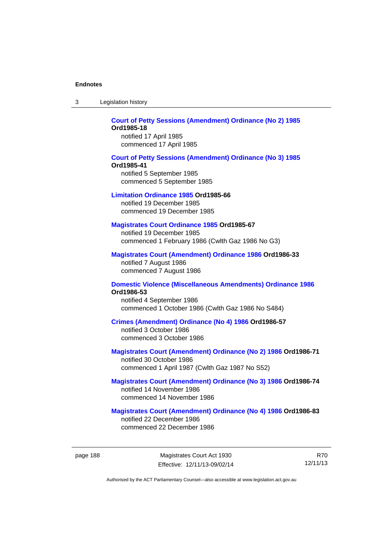| -3 | Legislation history |  |
|----|---------------------|--|
|----|---------------------|--|

#### **[Court of Petty Sessions \(Amendment\) Ordinance \(No 2\) 1985](http://www.legislation.act.gov.au/a/1985-18) Ord1985-18**  notified 17 April 1985

commenced 17 April 1985

#### **[Court of Petty Sessions \(Amendment\) Ordinance \(No 3\) 1985](http://www.legislation.act.gov.au/a/1985-41) Ord1985-41**  notified 5 September 1985 commenced 5 September 1985

#### **[Limitation Ordinance 1985](http://www.legislation.act.gov.au/a/1985-66) Ord1985-66**

notified 19 December 1985 commenced 19 December 1985

#### **[Magistrates Court Ordinance 1985](http://www.legislation.act.gov.au/a/1985-67) Ord1985-67**

notified 19 December 1985 commenced 1 February 1986 (Cwlth Gaz 1986 No G3)

### **[Magistrates Court \(Amendment\) Ordinance 1986](http://www.legislation.act.gov.au/a/1986-33) Ord1986-33**

notified 7 August 1986 commenced 7 August 1986

#### **[Domestic Violence \(Miscellaneous Amendments\) Ordinance 1986](http://www.legislation.act.gov.au/a/1986-53) Ord1986-53**

notified 4 September 1986 commenced 1 October 1986 (Cwlth Gaz 1986 No S484)

#### **[Crimes \(Amendment\) Ordinance \(No 4\) 1986](http://www.legislation.act.gov.au/a/1986-57) Ord1986-57**

notified 3 October 1986 commenced 3 October 1986

#### **[Magistrates Court \(Amendment\) Ordinance \(No 2\) 1986](http://www.legislation.act.gov.au/a/1986-71) Ord1986-71**

notified 30 October 1986 commenced 1 April 1987 (Cwlth Gaz 1987 No S52)

#### **[Magistrates Court \(Amendment\) Ordinance \(No 3\) 1986](http://www.legislation.act.gov.au/a/1986-74) Ord1986-74**  notified 14 November 1986 commenced 14 November 1986

### **[Magistrates Court \(Amendment\) Ordinance \(No 4\) 1986](http://www.legislation.act.gov.au/a/1986-83) Ord1986-83**

notified 22 December 1986 commenced 22 December 1986

R70 12/11/13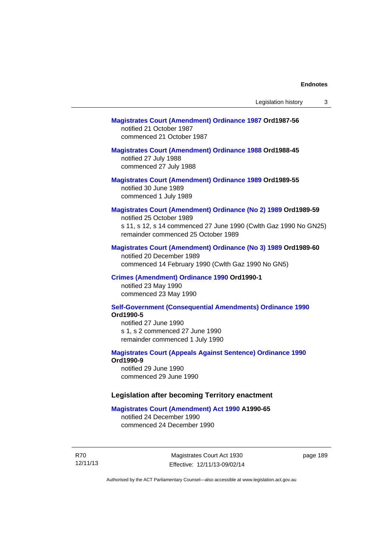#### **[Magistrates Court \(Amendment\) Ordinance 1987](http://www.legislation.act.gov.au/a/1987-56) Ord1987-56**  notified 21 October 1987 commenced 21 October 1987

### **[Magistrates Court \(Amendment\) Ordinance 1988](http://www.legislation.act.gov.au/a/1988-45) Ord1988-45**

notified 27 July 1988 commenced 27 July 1988

#### **[Magistrates Court \(Amendment\) Ordinance 1989](http://www.legislation.act.gov.au/a/1989-55) Ord1989-55**  notified 30 June 1989 commenced 1 July 1989

### **[Magistrates Court \(Amendment\) Ordinance \(No 2\) 1989](http://www.legislation.act.gov.au/a/1989-59) Ord1989-59**

notified 25 October 1989 s 11, s 12, s 14 commenced 27 June 1990 (Cwlth Gaz 1990 No GN25) remainder commenced 25 October 1989

#### **[Magistrates Court \(Amendment\) Ordinance \(No 3\) 1989](http://www.legislation.act.gov.au/a/1989-60) Ord1989-60**

notified 20 December 1989 commenced 14 February 1990 (Cwlth Gaz 1990 No GN5)

#### **[Crimes \(Amendment\) Ordinance 1990](http://www.legislation.act.gov.au/a/alt_ord1990-1) Ord1990-1**

notified 23 May 1990 commenced 23 May 1990

#### **[Self-Government \(Consequential Amendments\) Ordinance 1990](http://www.legislation.act.gov.au/a/alt_ord1990-5) Ord1990-5**

notified 27 June 1990 s 1, s 2 commenced 27 June 1990 remainder commenced 1 July 1990

#### **[Magistrates Court \(Appeals Against Sentence\) Ordinance 1990](http://www.legislation.act.gov.au/a/alt_ord1990-9) Ord1990-9**

notified 29 June 1990 commenced 29 June 1990

#### **Legislation after becoming Territory enactment**

#### **[Magistrates Court \(Amendment\) Act 1990](http://www.legislation.act.gov.au/a/1990-65) A1990-65**

notified 24 December 1990 commenced 24 December 1990

R70 12/11/13

Magistrates Court Act 1930 Effective: 12/11/13-09/02/14 page 189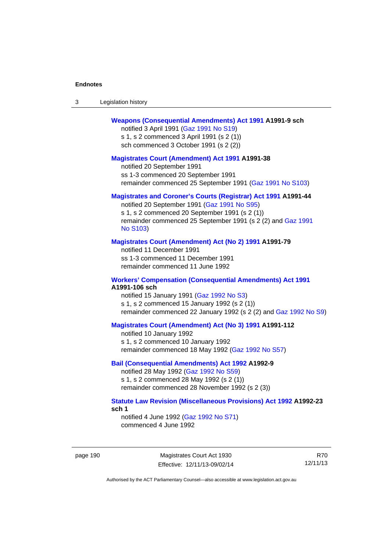| -3 | Legislation history |  |
|----|---------------------|--|
|----|---------------------|--|

#### **[Weapons \(Consequential Amendments\) Act 1991](http://www.legislation.act.gov.au/a/1991-9) A1991-9 sch**

notified 3 April 1991 ([Gaz 1991 No S19](http://www.legislation.act.gov.au/gaz/1991-S19/default.asp)) s 1, s 2 commenced 3 April 1991 (s 2 (1)) sch commenced 3 October 1991 (s 2 (2))

#### **[Magistrates Court \(Amendment\) Act 1991](http://www.legislation.act.gov.au/a/1991-38) A1991-38**

notified 20 September 1991 ss 1-3 commenced 20 September 1991 remainder commenced 25 September 1991 [\(Gaz 1991 No S103](http://www.legislation.act.gov.au/gaz/1991-S103/default.asp))

#### **[Magistrates and Coroner's Courts \(Registrar\) Act 1991](http://www.legislation.act.gov.au/a/1991-44) A1991-44**

notified 20 September 1991 [\(Gaz 1991 No S95\)](http://www.legislation.act.gov.au/gaz/1991-S95/default.asp) s 1, s 2 commenced 20 September 1991 (s 2 (1)) remainder commenced 25 September 1991 (s 2 (2) and [Gaz 1991](http://www.legislation.act.gov.au/gaz/1991-S103/default.asp)  [No S103\)](http://www.legislation.act.gov.au/gaz/1991-S103/default.asp)

#### **[Magistrates Court \(Amendment\) Act \(No 2\) 1991](http://www.legislation.act.gov.au/a/1991-79) A1991-79**

notified 11 December 1991 ss 1-3 commenced 11 December 1991 remainder commenced 11 June 1992

#### **[Workers' Compensation \(Consequential Amendments\) Act 1991](http://www.legislation.act.gov.au/a/1991-106) A1991-106 sch**

notified 15 January 1991 ([Gaz 1992 No S3\)](http://www.legislation.act.gov.au/gaz/1992-S3/default.asp) s 1, s 2 commenced 15 January 1992 (s 2 (1)) remainder commenced 22 January 1992 (s 2 (2) and [Gaz 1992 No S9](http://www.legislation.act.gov.au/gaz/1992-S9/default.asp))

#### **[Magistrates Court \(Amendment\) Act \(No 3\) 1991](http://www.legislation.act.gov.au/a/1991-112) A1991-112**

notified 10 January 1992 s 1, s 2 commenced 10 January 1992 remainder commenced 18 May 1992 [\(Gaz 1992 No S57\)](http://www.legislation.act.gov.au/gaz/1992-S57/default.asp)

#### **[Bail \(Consequential Amendments\) Act 1992](http://www.legislation.act.gov.au/a/1992-9) A1992-9**

notified 28 May 1992 ([Gaz 1992 No S59](http://www.legislation.act.gov.au/gaz/1992-S59/default.asp)) s 1, s 2 commenced 28 May 1992 (s 2 (1)) remainder commenced 28 November 1992 (s 2 (3))

#### **[Statute Law Revision \(Miscellaneous Provisions\) Act 1992](http://www.legislation.act.gov.au/a/1992-23) A1992-23 sch 1**

notified 4 June 1992 [\(Gaz 1992 No S71\)](http://www.legislation.act.gov.au/gaz/1992-S71/default.asp) commenced 4 June 1992

page 190 Magistrates Court Act 1930 Effective: 12/11/13-09/02/14

R70 12/11/13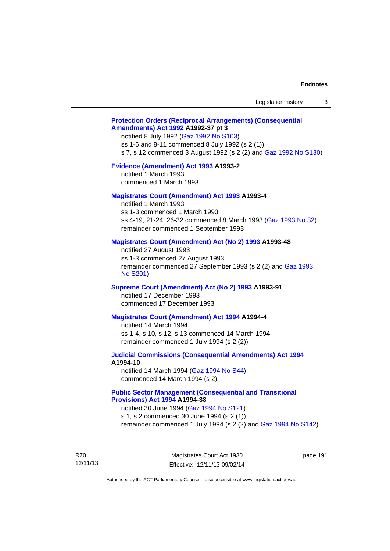#### **[Protection Orders \(Reciprocal Arrangements\) \(Consequential](http://www.legislation.act.gov.au/a/1992-37)  [Amendments\) Act 1992](http://www.legislation.act.gov.au/a/1992-37) A1992-37 pt 3**

notified 8 July 1992 [\(Gaz 1992 No S103](http://www.legislation.act.gov.au/gaz/1992-S103/default.asp)) ss 1-6 and 8-11 commenced 8 July 1992 (s 2 (1)) s 7, s 12 commenced 3 August 1992 (s 2 (2) and [Gaz 1992 No S130](http://www.legislation.act.gov.au/gaz/1992-S130/default.asp))

#### **[Evidence \(Amendment\) Act 1993](http://www.legislation.act.gov.au/a/1993-2) A1993-2**

notified 1 March 1993 commenced 1 March 1993

#### **[Magistrates Court \(Amendment\) Act 1993](http://www.legislation.act.gov.au/a/1993-4) A1993-4**

notified 1 March 1993 ss 1-3 commenced 1 March 1993 ss 4-19, 21-24, 26-32 commenced 8 March 1993 [\(Gaz 1993 No 32](http://www.legislation.act.gov.au/gaz/1993-32/default.asp)) remainder commenced 1 September 1993

#### **[Magistrates Court \(Amendment\) Act \(No 2\) 1993](http://www.legislation.act.gov.au/a/1993-48) A1993-48**

notified 27 August 1993 ss 1-3 commenced 27 August 1993 remainder commenced 27 September 1993 (s 2 (2) and [Gaz 1993](http://www.legislation.act.gov.au/gaz/1993-S201/default.asp)  [No S201\)](http://www.legislation.act.gov.au/gaz/1993-S201/default.asp)

#### **[Supreme Court \(Amendment\) Act \(No 2\) 1993](http://www.legislation.act.gov.au/a/1993-91) A1993-91**

notified 17 December 1993 commenced 17 December 1993

#### **[Magistrates Court \(Amendment\) Act 1994](http://www.legislation.act.gov.au/a/1994-4) A1994-4**

notified 14 March 1994 ss 1-4, s 10, s 12, s 13 commenced 14 March 1994 remainder commenced 1 July 1994 (s 2 (2))

### **[Judicial Commissions \(Consequential Amendments\) Act 1994](http://www.legislation.act.gov.au/a/1994-10) A1994-10**

notified 14 March 1994 ([Gaz 1994 No S44](http://www.legislation.act.gov.au/gaz/1994-S44/default.asp)) commenced 14 March 1994 (s 2)

#### **[Public Sector Management \(Consequential and Transitional](http://www.legislation.act.gov.au/a/1994-38)  [Provisions\) Act 1994](http://www.legislation.act.gov.au/a/1994-38) A1994-38**

notified 30 June 1994 ([Gaz 1994 No S121\)](http://www.legislation.act.gov.au/gaz/1994-S121/default.asp) s 1, s 2 commenced 30 June 1994 (s 2 (1))

remainder commenced 1 July 1994 (s 2 (2) and [Gaz 1994 No S142\)](http://www.legislation.act.gov.au/gaz/1994-S142/default.asp)

R70 12/11/13

Magistrates Court Act 1930 Effective: 12/11/13-09/02/14 page 191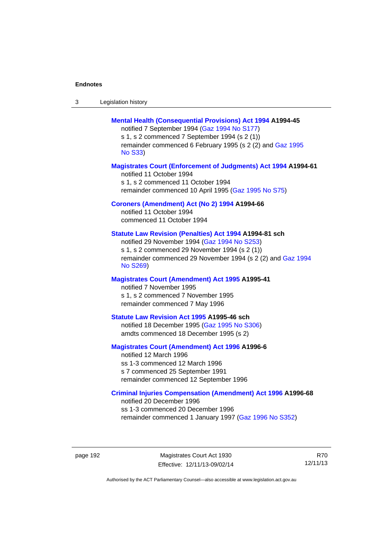| -3 | Legislation history |  |
|----|---------------------|--|
|----|---------------------|--|

#### **[Mental Health \(Consequential Provisions\) Act 1994](http://www.legislation.act.gov.au/a/1994-45) A1994-45**

notified 7 September 1994 [\(Gaz 1994 No S177\)](http://www.legislation.act.gov.au/gaz/1994-S177/default.asp) s 1, s 2 commenced 7 September 1994 (s 2 (1)) remainder commenced 6 February 1995 (s 2 (2) and [Gaz 1995](http://www.legislation.act.gov.au/gaz/1995-S33/default.asp)  [No S33](http://www.legislation.act.gov.au/gaz/1995-S33/default.asp))

#### **[Magistrates Court \(Enforcement of Judgments\) Act 1994](http://www.legislation.act.gov.au/a/1994-61) A1994-61**

notified 11 October 1994 s 1, s 2 commenced 11 October 1994 remainder commenced 10 April 1995 [\(Gaz 1995 No S75\)](http://www.legislation.act.gov.au/gaz/1995-S75/default.asp)

#### **[Coroners \(Amendment\) Act \(No 2\) 1994](http://www.legislation.act.gov.au/a/1994-66) A1994-66**

notified 11 October 1994 commenced 11 October 1994

#### **[Statute Law Revision \(Penalties\) Act 1994](http://www.legislation.act.gov.au/a/1994-81) A1994-81 sch**

notified 29 November 1994 [\(Gaz 1994 No S253](http://www.legislation.act.gov.au/gaz/1994-S253/default.asp)) s 1, s 2 commenced 29 November 1994 (s 2 (1)) remainder commenced 29 November 1994 (s 2 (2) and [Gaz 1994](http://www.legislation.act.gov.au/gaz/1994-S269/default.asp)  [No S269\)](http://www.legislation.act.gov.au/gaz/1994-S269/default.asp)

#### **[Magistrates Court \(Amendment\) Act 1995](http://www.legislation.act.gov.au/a/1995-41) A1995-41**

notified 7 November 1995 s 1, s 2 commenced 7 November 1995 remainder commenced 7 May 1996

#### **[Statute Law Revision Act 1995](http://www.legislation.act.gov.au/a/1995-46) A1995-46 sch**

notified 18 December 1995 [\(Gaz 1995 No S306](http://www.legislation.act.gov.au/gaz/1995-S306/default.asp)) amdts commenced 18 December 1995 (s 2)

#### **[Magistrates Court \(Amendment\) Act 1996](http://www.legislation.act.gov.au/a/1996-6) A1996-6**

notified 12 March 1996 ss 1-3 commenced 12 March 1996 s 7 commenced 25 September 1991 remainder commenced 12 September 1996

#### **[Criminal Injuries Compensation \(Amendment\) Act 1996](http://www.legislation.act.gov.au/a/1996-68) A1996-68**

notified 20 December 1996 ss 1-3 commenced 20 December 1996 remainder commenced 1 January 1997 [\(Gaz 1996 No S352](http://www.legislation.act.gov.au/gaz/1996-S352/default.asp))

page 192 Magistrates Court Act 1930 Effective: 12/11/13-09/02/14

R70 12/11/13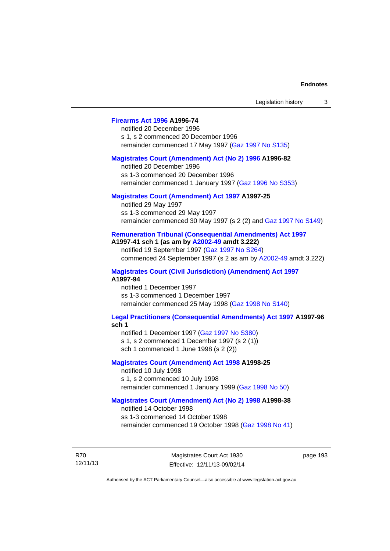### **[Firearms Act 1996](http://www.legislation.act.gov.au/a/1996-74) A1996-74**

notified 20 December 1996 s 1, s 2 commenced 20 December 1996 remainder commenced 17 May 1997 [\(Gaz 1997 No S135](http://www.legislation.act.gov.au/gaz/1997-S135/default.asp))

#### **[Magistrates Court \(Amendment\) Act \(No 2\) 1996](http://www.legislation.act.gov.au/a/1996-82) A1996-82**

notified 20 December 1996 ss 1-3 commenced 20 December 1996 remainder commenced 1 January 1997 [\(Gaz 1996 No S353](http://www.legislation.act.gov.au/gaz/1996-S353/default.asp))

#### **[Magistrates Court \(Amendment\) Act 1997](http://www.legislation.act.gov.au/a/1997-25) A1997-25**

notified 29 May 1997 ss 1-3 commenced 29 May 1997 remainder commenced 30 May 1997 (s 2 (2) and [Gaz 1997 No S149\)](http://www.legislation.act.gov.au/gaz/1997-S149/default.asp)

#### **[Remuneration Tribunal \(Consequential Amendments\) Act 1997](http://www.legislation.act.gov.au/a/1997-41) A1997-41 sch 1 (as am by [A2002-49](http://www.legislation.act.gov.au/a/2002-49) amdt 3.222)**

notified 19 September 1997 [\(Gaz 1997 No S264](http://www.legislation.act.gov.au/gaz/1997-S264/default.asp)) commenced 24 September 1997 (s 2 as am by [A2002-49](http://www.legislation.act.gov.au/a/2002-49) amdt 3.222)

**[Magistrates Court \(Civil Jurisdiction\) \(Amendment\) Act 1997](http://www.legislation.act.gov.au/a/1997-94) A1997-94** 

notified 1 December 1997 ss 1-3 commenced 1 December 1997 remainder commenced 25 May 1998 [\(Gaz 1998 No S140](http://www.legislation.act.gov.au/gaz/1998-S140/default.asp))

## **[Legal Practitioners \(Consequential Amendments\) Act 1997](http://www.legislation.act.gov.au/a/1997-96) A1997-96**

**sch 1** 

notified 1 December 1997 ([Gaz 1997 No S380\)](http://www.legislation.act.gov.au/gaz/1997-S380/default.asp) s 1, s 2 commenced 1 December 1997 (s 2 (1)) sch 1 commenced 1 June 1998 (s 2 (2))

#### **[Magistrates Court \(Amendment\) Act 1998](http://www.legislation.act.gov.au/a/1998-25) A1998-25**

notified 10 July 1998 s 1, s 2 commenced 10 July 1998 remainder commenced 1 January 1999 [\(Gaz 1998 No 50](http://www.legislation.act.gov.au/gaz/1998-50/default.asp))

### **[Magistrates Court \(Amendment\) Act \(No 2\) 1998](http://www.legislation.act.gov.au/a/1998-38) A1998-38**

notified 14 October 1998 ss 1-3 commenced 14 October 1998 remainder commenced 19 October 1998 ([Gaz 1998 No 41\)](http://www.legislation.act.gov.au/gaz/1998-41/default.asp)

R70 12/11/13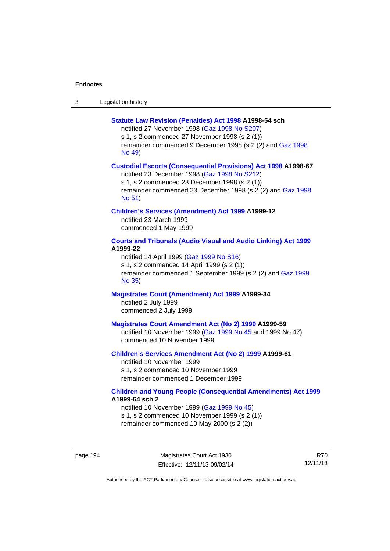| -3 | Legislation history |
|----|---------------------|
|----|---------------------|

#### **[Statute Law Revision \(Penalties\) Act 1998](http://www.legislation.act.gov.au/a/1998-54) A1998-54 sch**

notified 27 November 1998 [\(Gaz 1998 No S207](http://www.legislation.act.gov.au/gaz/1998-S207/default.asp)) s 1, s 2 commenced 27 November 1998 (s 2 (1)) remainder commenced 9 December 1998 (s 2 (2) and [Gaz 1998](http://www.legislation.act.gov.au/gaz/1998-49/default.asp)  [No 49\)](http://www.legislation.act.gov.au/gaz/1998-49/default.asp)

#### **[Custodial Escorts \(Consequential Provisions\) Act 1998](http://www.legislation.act.gov.au/a/1998-67) A1998-67**

notified 23 December 1998 [\(Gaz 1998 No S212](http://www.legislation.act.gov.au/gaz/1998-S212/default.asp)) s 1, s 2 commenced 23 December 1998 (s 2 (1)) remainder commenced 23 December 1998 (s 2 (2) and [Gaz 1998](http://www.legislation.act.gov.au/gaz/1998-51/default.asp)  [No 51\)](http://www.legislation.act.gov.au/gaz/1998-51/default.asp)

#### **[Children's Services \(Amendment\) Act 1999](http://www.legislation.act.gov.au/a/1999-12) A1999-12**

notified 23 March 1999 commenced 1 May 1999

### **[Courts and Tribunals \(Audio Visual and Audio Linking\) Act 1999](http://www.legislation.act.gov.au/a/1999-22) A1999-22**

notified 14 April 1999 [\(Gaz 1999 No S16\)](http://www.legislation.act.gov.au/gaz/1999-S16/default.asp) s 1, s 2 commenced 14 April 1999 (s 2 (1)) remainder commenced 1 September 1999 (s 2 (2) and [Gaz 1999](http://www.legislation.act.gov.au/gaz/1999-35/default.asp)  [No 35\)](http://www.legislation.act.gov.au/gaz/1999-35/default.asp)

#### **[Magistrates Court \(Amendment\) Act 1999](http://www.legislation.act.gov.au/a/1999-34) A1999-34**  notified 2 July 1999 commenced 2 July 1999

#### **[Magistrates Court Amendment Act \(No 2\) 1999](http://www.legislation.act.gov.au/a/1999-59) A1999-59**

notified 10 November 1999 [\(Gaz 1999 No 45 a](http://www.legislation.act.gov.au/gaz/1999-45/default.asp)nd 1999 No 47) commenced 10 November 1999

#### **[Children's Services Amendment Act \(No 2\) 1999](http://www.legislation.act.gov.au/a/1999-61) A1999-61**  notified 10 November 1999 s 1, s 2 commenced 10 November 1999

remainder commenced 1 December 1999

#### **[Children and Young People \(Consequential Amendments\) Act 1999](http://www.legislation.act.gov.au/a/1999-64) A1999-64 sch 2**

notified 10 November 1999 [\(Gaz 1999 No 45](http://www.legislation.act.gov.au/gaz/1999-45/default.asp)) s 1, s 2 commenced 10 November 1999 (s 2 (1)) remainder commenced 10 May 2000 (s 2 (2))

page 194 Magistrates Court Act 1930 Effective: 12/11/13-09/02/14

R70 12/11/13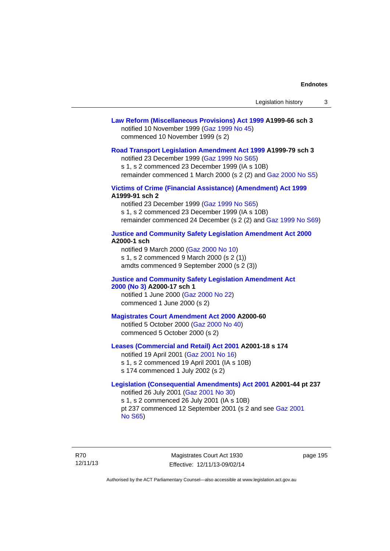#### **[Law Reform \(Miscellaneous Provisions\) Act 1999](http://www.legislation.act.gov.au/a/1999-66) A1999-66 sch 3**  notified 10 November 1999 [\(Gaz 1999 No 45](http://www.legislation.act.gov.au/gaz/1999-45/default.asp)) commenced 10 November 1999 (s 2)

#### **[Road Transport Legislation Amendment Act 1999](http://www.legislation.act.gov.au/a/1999-79) A1999-79 sch 3**

notified 23 December 1999 [\(Gaz 1999 No S65\)](http://www.legislation.act.gov.au/gaz/1999-S65/default.asp) s 1, s 2 commenced 23 December 1999 (IA s 10B) remainder commenced 1 March 2000 (s 2 (2) and [Gaz 2000 No S5\)](http://www.legislation.act.gov.au/gaz/2000-S5/default.asp)

#### **[Victims of Crime \(Financial Assistance\) \(Amendment\) Act 1999](http://www.legislation.act.gov.au/a/1999-91) A1999-91 sch 2**

notified 23 December 1999 [\(Gaz 1999 No S65\)](http://www.legislation.act.gov.au/gaz/1999-S65/default.asp) s 1, s 2 commenced 23 December 1999 (IA s 10B) remainder commenced 24 December (s 2 (2) and [Gaz 1999 No S69](http://www.legislation.act.gov.au/gaz/1999-S69/default.asp))

#### **[Justice and Community Safety Legislation Amendment Act 2000](http://www.legislation.act.gov.au/a/2000-1) A2000-1 sch**

notified 9 March 2000 [\(Gaz 2000 No 10](http://www.legislation.act.gov.au/gaz/2000-10/default.asp)) s 1, s 2 commenced 9 March 2000 (s 2 (1)) amdts commenced 9 September 2000 (s 2 (3))

#### **[Justice and Community Safety Legislation Amendment Act](http://www.legislation.act.gov.au/a/2000-17)  [2000 \(No 3\)](http://www.legislation.act.gov.au/a/2000-17) A2000-17 sch 1**

notified 1 June 2000 [\(Gaz 2000 No 22](http://www.legislation.act.gov.au/gaz/2000-22/default.asp)) commenced 1 June 2000 (s 2)

#### **[Magistrates Court Amendment Act 2000](http://www.legislation.act.gov.au/a/2000-60) A2000-60**

notified 5 October 2000 [\(Gaz 2000 No 40\)](http://www.legislation.act.gov.au/gaz/2000-40/default.asp) commenced 5 October 2000 (s 2)

#### **[Leases \(Commercial and Retail\) Act 2001](http://www.legislation.act.gov.au/a/2001-18) A2001-18 s 174**

notified 19 April 2001 [\(Gaz 2001 No 16\)](http://www.legislation.act.gov.au/gaz/2001-16/default.asp) s 1, s 2 commenced 19 April 2001 (IA s 10B) s 174 commenced 1 July 2002 (s 2)

#### **[Legislation \(Consequential Amendments\) Act 2001](http://www.legislation.act.gov.au/a/2001-44) A2001-44 pt 237**  notified 26 July 2001 ([Gaz 2001 No 30\)](http://www.legislation.act.gov.au/gaz/2001-30/default.asp)

s 1, s 2 commenced 26 July 2001 (IA s 10B) pt 237 commenced 12 September 2001 (s 2 and see [Gaz 2001](http://www.legislation.act.gov.au/gaz/2001-S65/default.asp)  [No S65](http://www.legislation.act.gov.au/gaz/2001-S65/default.asp))

R70 12/11/13

Magistrates Court Act 1930 Effective: 12/11/13-09/02/14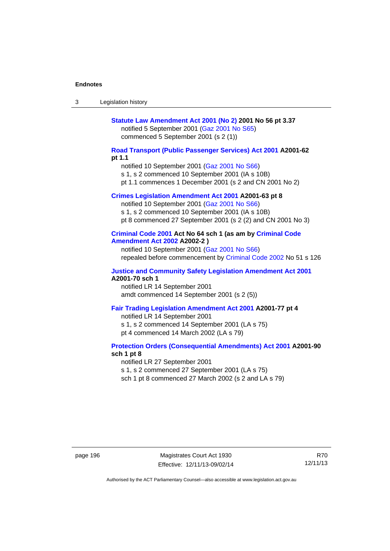| Legislation history<br>-3 |  |
|---------------------------|--|
|---------------------------|--|

### **[Statute Law Amendment Act 2001 \(No 2\)](http://www.legislation.act.gov.au/a/2001-56) 2001 No 56 pt 3.37**  notified 5 September 2001 [\(Gaz 2001 No S65\)](http://www.legislation.act.gov.au/gaz/2001-S65/default.asp) commenced 5 September 2001 (s 2 (1))

#### **[Road Transport \(Public Passenger Services\) Act 2001](http://www.legislation.act.gov.au/a/2001-62) A2001-62 pt 1.1**

notified 10 September 2001 [\(Gaz 2001 No S66\)](http://www.legislation.act.gov.au/gaz/2001-S66/default.asp)

s 1, s 2 commenced 10 September 2001 (IA s 10B)

pt 1.1 commences 1 December 2001 (s 2 and CN 2001 No 2)

### **[Crimes Legislation Amendment Act 2001](http://www.legislation.act.gov.au/a/2001-63) A2001-63 pt 8**

notified 10 September 2001 [\(Gaz 2001 No S66\)](http://www.legislation.act.gov.au/gaz/2001-S66/default.asp) s 1, s 2 commenced 10 September 2001 (IA s 10B) pt 8 commenced 27 September 2001 (s 2 (2) and CN 2001 No 3)

#### **[Criminal Code 2001](http://www.legislation.act.gov.au/a/2001-64) Act No 64 sch 1 (as am by [Criminal Code](http://www.legislation.act.gov.au/a/2002-2)  [Amendment Act 2002](http://www.legislation.act.gov.au/a/2002-2) A2002-2 )**

notified 10 September 2001 [\(Gaz 2001 No S66\)](http://www.legislation.act.gov.au/gaz/2001-S66/default.asp) repealed before commencement by [Criminal Code 2002](http://www.legislation.act.gov.au/a/2002-51) No 51 s 126

#### **[Justice and Community Safety Legislation Amendment Act 2001](http://www.legislation.act.gov.au/a/2001-70) A2001-70 sch 1**

notified LR 14 September 2001 amdt commenced 14 September 2001 (s 2 (5))

#### **[Fair Trading Legislation Amendment Act 2001](http://www.legislation.act.gov.au/a/2001-77) A2001-77 pt 4**

notified LR 14 September 2001 s 1, s 2 commenced 14 September 2001 (LA s 75) pt 4 commenced 14 March 2002 (LA s 79)

#### **[Protection Orders \(Consequential Amendments\) Act 2001](http://www.legislation.act.gov.au/a/2001-90) A2001-90 sch 1 pt 8**

notified LR 27 September 2001

s 1, s 2 commenced 27 September 2001 (LA s 75)

sch 1 pt 8 commenced 27 March 2002 (s 2 and LA s 79)

page 196 Magistrates Court Act 1930 Effective: 12/11/13-09/02/14

R70 12/11/13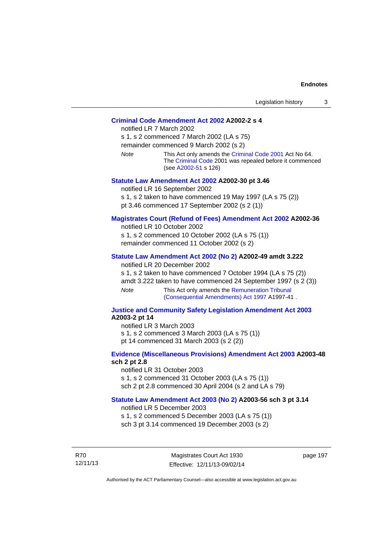#### **[Criminal Code Amendment Act 2002](http://www.legislation.act.gov.au/a/2002-2) A2002-2 s 4**

notified LR 7 March 2002 s 1, s 2 commenced 7 March 2002 (LA s 75) remainder commenced 9 March 2002 (s 2) *Note* This Act only amends the [Criminal Code 2001](http://www.legislation.act.gov.au/a/2001-64) Act No 64. The [Criminal Code](http://www.legislation.act.gov.au/a/2002-51) 2001 was repealed before it commenced (see [A2002-51](http://www.legislation.act.gov.au/a/2002-51) s 126)

#### **[Statute Law Amendment Act 2002](http://www.legislation.act.gov.au/a/2002-30) A2002-30 pt 3.46**

notified LR 16 September 2002 s 1, s 2 taken to have commenced 19 May 1997 (LA s 75 (2)) pt 3.46 commenced 17 September 2002 (s 2 (1))

#### **[Magistrates Court \(Refund of Fees\) Amendment Act 2002](http://www.legislation.act.gov.au/a/2002-36) A2002-36**

notified LR 10 October 2002 s 1, s 2 commenced 10 October 2002 (LA s 75 (1)) remainder commenced 11 October 2002 (s 2)

#### **[Statute Law Amendment Act 2002 \(No 2\)](http://www.legislation.act.gov.au/a/2002-49) A2002-49 amdt 3.222**

notified LR 20 December 2002

s 1, s 2 taken to have commenced 7 October 1994 (LA s 75 (2)) amdt 3.222 taken to have commenced 24 September 1997 (s 2 (3)) *Note* This Act only amends the [Remuneration Tribunal](http://www.legislation.act.gov.au/a/1997-41)  [\(Consequential Amendments\) Act 1997](http://www.legislation.act.gov.au/a/1997-41) A1997-41 .

#### **[Justice and Community Safety Legislation Amendment Act 2003](http://www.legislation.act.gov.au/a/2003-2) A2003-2 pt 14**

notified LR 3 March 2003 s 1, s 2 commenced 3 March 2003 (LA s 75 (1)) pt 14 commenced 31 March 2003 (s 2 (2))

#### **[Evidence \(Miscellaneous Provisions\) Amendment Act 2003](http://www.legislation.act.gov.au/a/2003-48) A2003-48 sch 2 pt 2.8**

notified LR 31 October 2003 s 1, s 2 commenced 31 October 2003 (LA s 75 (1)) sch 2 pt 2.8 commenced 30 April 2004 (s 2 and LA s 79)

#### **[Statute Law Amendment Act 2003 \(No 2\)](http://www.legislation.act.gov.au/a/2003-56) A2003-56 sch 3 pt 3.14**

notified LR 5 December 2003 s 1, s 2 commenced 5 December 2003 (LA s 75 (1)) sch 3 pt 3.14 commenced 19 December 2003 (s 2)

R70 12/11/13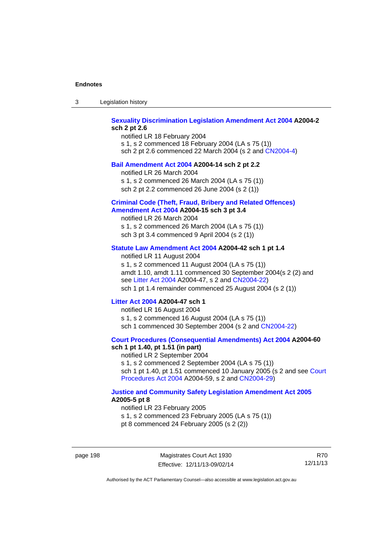| -3 | Legislation history |  |
|----|---------------------|--|
|----|---------------------|--|

#### **[Sexuality Discrimination Legislation Amendment Act 2004](http://www.legislation.act.gov.au/a/2004-2) A2004-2 sch 2 pt 2.6**

notified LR 18 February 2004 s 1, s 2 commenced 18 February 2004 (LA s 75 (1)) sch 2 pt 2.6 commenced 22 March 2004 (s 2 and [CN2004-4\)](http://www.legislation.act.gov.au/cn/2004-4/default.asp)

#### **[Bail Amendment Act 2004](http://www.legislation.act.gov.au/a/2004-14) A2004-14 sch 2 pt 2.2**

notified LR 26 March 2004

s 1, s 2 commenced 26 March 2004 (LA s 75 (1))

sch 2 pt 2.2 commenced 26 June 2004 (s 2 (1))

#### **[Criminal Code \(Theft, Fraud, Bribery and Related Offences\)](http://www.legislation.act.gov.au/a/2004-15)  [Amendment Act 2004](http://www.legislation.act.gov.au/a/2004-15) A2004-15 sch 3 pt 3.4**

notified LR 26 March 2004 s 1, s 2 commenced 26 March 2004 (LA s 75 (1)) sch 3 pt 3.4 commenced 9 April 2004 (s 2 (1))

#### **[Statute Law Amendment Act 2004](http://www.legislation.act.gov.au/a/2004-42) A2004-42 sch 1 pt 1.4**

notified LR 11 August 2004 s 1, s 2 commenced 11 August 2004 (LA s 75 (1)) amdt 1.10, amdt 1.11 commenced 30 September 2004(s 2 (2) and see [Litter Act 2004](http://www.legislation.act.gov.au/a/2004-47) A2004-47, s 2 and [CN2004-22\)](http://www.legislation.act.gov.au/cn/2004-22/default.asp) sch 1 pt 1.4 remainder commenced 25 August 2004 (s 2 (1))

#### **[Litter Act 2004](http://www.legislation.act.gov.au/a/2004-47) A2004-47 sch 1**

notified LR 16 August 2004 s 1, s 2 commenced 16 August 2004 (LA s 75 (1)) sch 1 commenced 30 September 2004 (s 2 and [CN2004-22\)](http://www.legislation.act.gov.au/cn/2004-22/default.asp)

#### **[Court Procedures \(Consequential Amendments\) Act 2004](http://www.legislation.act.gov.au/a/2004-60) A2004-60 sch 1 pt 1.40, pt 1.51 (in part)**

notified LR 2 September 2004 s 1, s 2 commenced 2 September 2004 (LA s 75 (1)) sch 1 pt 1.40, pt 1.51 commenced 10 January 2005 (s 2 and see [Court](http://www.legislation.act.gov.au/a/2004-59)  [Procedures Act 2004](http://www.legislation.act.gov.au/a/2004-59) A2004-59, s 2 and [CN2004-29\)](http://www.legislation.act.gov.au/cn/2004-29/default.asp)

#### **[Justice and Community Safety Legislation Amendment Act 2005](http://www.legislation.act.gov.au/a/2005-5) A2005-5 pt 8**

notified LR 23 February 2005 s 1, s 2 commenced 23 February 2005 (LA s 75 (1)) pt 8 commenced 24 February 2005 (s 2 (2))

page 198 Magistrates Court Act 1930 Effective: 12/11/13-09/02/14

R70 12/11/13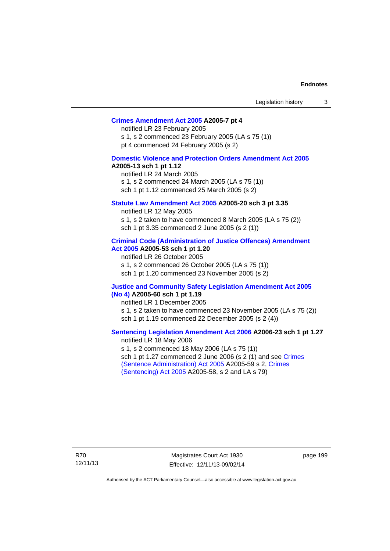#### **[Crimes Amendment Act 2005](http://www.legislation.act.gov.au/a/2005-7) A2005-7 pt 4**

notified LR 23 February 2005 s 1, s 2 commenced 23 February 2005 (LA s 75 (1)) pt 4 commenced 24 February 2005 (s 2)

#### **[Domestic Violence and Protection Orders Amendment Act 2005](http://www.legislation.act.gov.au/a/2005-13) A2005-13 sch 1 pt 1.12**

notified LR 24 March 2005 s 1, s 2 commenced 24 March 2005 (LA s 75 (1)) sch 1 pt 1.12 commenced 25 March 2005 (s 2)

#### **[Statute Law Amendment Act 2005](http://www.legislation.act.gov.au/a/2005-20) A2005-20 sch 3 pt 3.35**

notified LR 12 May 2005 s 1, s 2 taken to have commenced 8 March 2005 (LA s 75 (2)) sch 1 pt 3.35 commenced 2 June 2005 (s 2 (1))

#### **[Criminal Code \(Administration of Justice Offences\) Amendment](http://www.legislation.act.gov.au/a/2005-53)  [Act 2005](http://www.legislation.act.gov.au/a/2005-53) A2005-53 sch 1 pt 1.20**

notified LR 26 October 2005 s 1, s 2 commenced 26 October 2005 (LA s 75 (1)) sch 1 pt 1.20 commenced 23 November 2005 (s 2)

#### **[Justice and Community Safety Legislation Amendment Act 2005](http://www.legislation.act.gov.au/a/2005-60)  [\(No 4\)](http://www.legislation.act.gov.au/a/2005-60) A2005-60 sch 1 pt 1.19**

notified LR 1 December 2005 s 1, s 2 taken to have commenced 23 November 2005 (LA s 75 (2)) sch 1 pt 1.19 commenced 22 December 2005 (s 2 (4))

#### **[Sentencing Legislation Amendment Act 2006](http://www.legislation.act.gov.au/a/2006-23) A2006-23 sch 1 pt 1.27**  notified LR 18 May 2006

s 1, s 2 commenced 18 May 2006 (LA s 75 (1)) sch 1 pt 1.27 commenced 2 June 2006 (s 2 (1) and see [Crimes](http://www.legislation.act.gov.au/a/2005-59)  [\(Sentence Administration\) Act 2005](http://www.legislation.act.gov.au/a/2005-59) A2005-59 s 2, [Crimes](http://www.legislation.act.gov.au/a/2005-58)  [\(Sentencing\) Act 2005](http://www.legislation.act.gov.au/a/2005-58) A2005-58, s 2 and LA s 79)

R70 12/11/13

Magistrates Court Act 1930 Effective: 12/11/13-09/02/14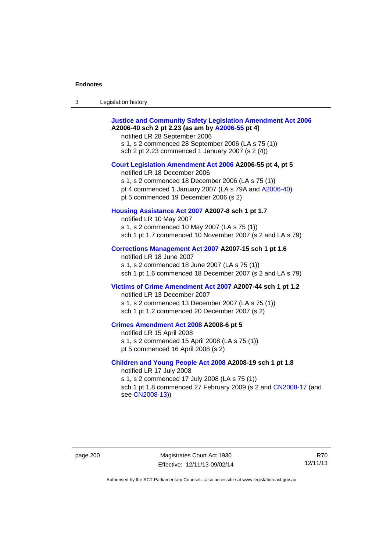| Legislation history<br>3 |  |
|--------------------------|--|
|--------------------------|--|

| <b>Justice and Community Safety Legislation Amendment Act 2006</b><br>A2006-40 sch 2 pt 2.23 (as am by A2006-55 pt 4)<br>notified LR 28 September 2006<br>s 1, s 2 commenced 28 September 2006 (LA s 75 (1))<br>sch 2 pt 2.23 commenced 1 January 2007 (s 2 (4)) |
|------------------------------------------------------------------------------------------------------------------------------------------------------------------------------------------------------------------------------------------------------------------|
| Court Legislation Amendment Act 2006 A2006-55 pt 4, pt 5<br>notified LR 18 December 2006<br>s 1, s 2 commenced 18 December 2006 (LA s 75 (1))<br>pt 4 commenced 1 January 2007 (LA s 79A and A2006-40)<br>pt 5 commenced 19 December 2006 (s 2)                  |
| Housing Assistance Act 2007 A2007-8 sch 1 pt 1.7<br>notified LR 10 May 2007<br>s 1, s 2 commenced 10 May 2007 (LA s 75 (1))<br>sch 1 pt 1.7 commenced 10 November 2007 (s 2 and LA s 79)                                                                         |
| Corrections Management Act 2007 A2007-15 sch 1 pt 1.6<br>notified LR 18 June 2007<br>s 1, s 2 commenced 18 June 2007 (LA s 75 (1))<br>sch 1 pt 1.6 commenced 18 December 2007 (s 2 and LA s 79)                                                                  |
| Victims of Crime Amendment Act 2007 A2007-44 sch 1 pt 1.2<br>notified LR 13 December 2007<br>s 1, s 2 commenced 13 December 2007 (LA s 75 (1))<br>sch 1 pt 1.2 commenced 20 December 2007 (s 2)                                                                  |
| Crimes Amendment Act 2008 A2008-6 pt 5<br>notified LR 15 April 2008<br>s 1, s 2 commenced 15 April 2008 (LA s 75 (1))<br>pt 5 commenced 16 April 2008 (s 2)                                                                                                      |
| Children and Young People Act 2008 A2008-19 sch 1 pt 1.8<br>notified LR 17 July 2008<br>s 1, s 2 commenced 17 July 2008 (LA s 75 (1))<br>sch 1 pt 1.8 commenced 27 February 2009 (s 2 and CN2008-17 (and<br>see CN2008-13))                                      |

page 200 Magistrates Court Act 1930 Effective: 12/11/13-09/02/14

R70 12/11/13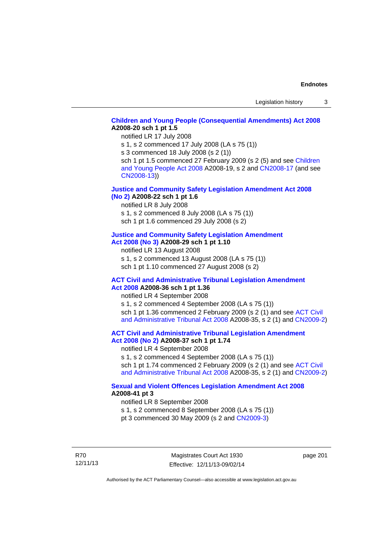# **[Children and Young People \(Consequential Amendments\) Act 2008](http://www.legislation.act.gov.au/a/2008-20) A2008-20 sch 1 pt 1.5**

notified LR 17 July 2008

s 1, s 2 commenced 17 July 2008 (LA s 75 (1))

s 3 commenced 18 July 2008 (s 2 (1))

sch 1 pt 1.5 commenced 27 February 2009 (s 2 (5) and see Children [and Young People Act 2008](http://www.legislation.act.gov.au/a/2008-19) A2008-19, s 2 and [CN2008-17 \(](http://www.legislation.act.gov.au/cn/2008-17/default.asp)and see [CN2008-13](http://www.legislation.act.gov.au/cn/2008-13/default.asp)))

## **[Justice and Community Safety Legislation Amendment Act 2008](http://www.legislation.act.gov.au/a/2008-22)  [\(No 2\)](http://www.legislation.act.gov.au/a/2008-22) A2008-22 sch 1 pt 1.6**

notified LR 8 July 2008

s 1, s 2 commenced 8 July 2008 (LA s 75 (1))

sch 1 pt 1.6 commenced 29 July 2008 (s 2)

# **[Justice and Community Safety Legislation Amendment](http://www.legislation.act.gov.au/a/2008-29)**

**[Act 2008 \(No 3\)](http://www.legislation.act.gov.au/a/2008-29) A2008-29 sch 1 pt 1.10** 

notified LR 13 August 2008

s 1, s 2 commenced 13 August 2008 (LA s 75 (1)) sch 1 pt 1.10 commenced 27 August 2008 (s 2)

## **[ACT Civil and Administrative Tribunal Legislation Amendment](http://www.legislation.act.gov.au/a/2008-36)  [Act 2008](http://www.legislation.act.gov.au/a/2008-36) A2008-36 sch 1 pt 1.36**

notified LR 4 September 2008

s 1, s 2 commenced 4 September 2008 (LA s 75 (1)) sch 1 pt 1.36 commenced 2 February 2009 (s 2 (1) and see ACT Civil [and Administrative Tribunal Act 2008](http://www.legislation.act.gov.au/a/2008-35) A2008-35, s 2 (1) and [CN2009-2](http://www.legislation.act.gov.au/cn/2009-2/default.asp))

**[ACT Civil and Administrative Tribunal Legislation Amendment](http://www.legislation.act.gov.au/a/2008-37)  [Act 2008 \(No 2\)](http://www.legislation.act.gov.au/a/2008-37) A2008-37 sch 1 pt 1.74** 

notified LR 4 September 2008

s 1, s 2 commenced 4 September 2008 (LA s 75 (1)) sch 1 pt 1.74 commenced 2 February 2009 (s 2 (1) and see ACT Civil [and Administrative Tribunal Act 2008](http://www.legislation.act.gov.au/a/2008-35) A2008-35, s 2 (1) and [CN2009-2](http://www.legislation.act.gov.au/cn/2009-2/default.asp))

# **[Sexual and Violent Offences Legislation Amendment Act 2008](http://www.legislation.act.gov.au/a/2008-41) A2008-41 pt 3**

notified LR 8 September 2008

s 1, s 2 commenced 8 September 2008 (LA s 75 (1))

pt 3 commenced 30 May 2009 (s 2 and [CN2009-3\)](http://www.legislation.act.gov.au/cn/2009-3/default.asp)

R70 12/11/13

Magistrates Court Act 1930 Effective: 12/11/13-09/02/14 page 201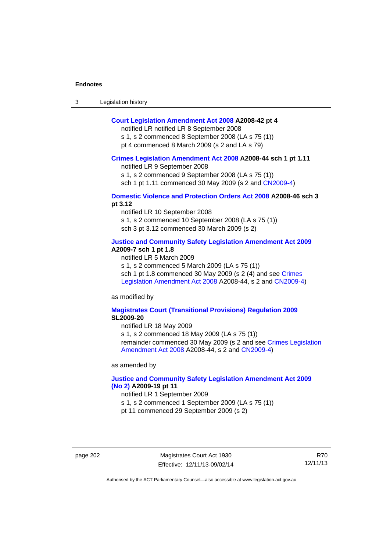| 3 | Legislation history |  |
|---|---------------------|--|
|---|---------------------|--|

## **[Court Legislation Amendment Act 2008](http://www.legislation.act.gov.au/a/2008-42) A2008-42 pt 4**

notified LR notified LR 8 September 2008

s 1, s 2 commenced 8 September 2008 (LA s 75 (1)) pt 4 commenced 8 March 2009 (s 2 and LA s 79)

#### **[Crimes Legislation Amendment Act 2008](http://www.legislation.act.gov.au/a/2008-44) A2008-44 sch 1 pt 1.11**

notified LR 9 September 2008

s 1, s 2 commenced 9 September 2008 (LA s 75 (1))

sch 1 pt 1.11 commenced 30 May 2009 (s 2 and [CN2009-4](http://www.legislation.act.gov.au/cn/2009-4/default.asp))

## **[Domestic Violence and Protection Orders Act 2008](http://www.legislation.act.gov.au/a/2008-46) A2008-46 sch 3 pt 3.12**

notified LR 10 September 2008 s 1, s 2 commenced 10 September 2008 (LA s 75 (1)) sch 3 pt 3.12 commenced 30 March 2009 (s 2)

## **[Justice and Community Safety Legislation Amendment Act 2009](http://www.legislation.act.gov.au/a/2009-7) A2009-7 sch 1 pt 1.8**

notified LR 5 March 2009

s 1, s 2 commenced 5 March 2009 (LA s 75 (1))

sch 1 pt 1.8 commenced 30 May 2009 (s 2 (4) and see [Crimes](http://www.legislation.act.gov.au/a/2008-44)  [Legislation Amendment Act 2008](http://www.legislation.act.gov.au/a/2008-44) A2008-44, s 2 and [CN2009-4\)](http://www.legislation.act.gov.au/cn/2009-4/default.asp)

as modified by

## **[Magistrates Court \(Transitional Provisions\) Regulation 2009](http://www.legislation.act.gov.au/sl/2009-20) SL2009-20**

notified LR 18 May 2009

s 1, s 2 commenced 18 May 2009 (LA s 75 (1)) remainder commenced 30 May 2009 (s 2 and see [Crimes Legislation](http://www.legislation.act.gov.au/a/2008-44)  [Amendment Act 2008](http://www.legislation.act.gov.au/a/2008-44) A2008-44, s 2 and [CN2009-4](http://www.legislation.act.gov.au/cn/2009-4/default.asp))

as amended by

## **[Justice and Community Safety Legislation Amendment Act 2009](http://www.legislation.act.gov.au/a/2009-19)  [\(No 2\)](http://www.legislation.act.gov.au/a/2009-19) A2009-19 pt 11**

notified LR 1 September 2009

s 1, s 2 commenced 1 September 2009 (LA s 75 (1))

pt 11 commenced 29 September 2009 (s 2)

page 202 Magistrates Court Act 1930 Effective: 12/11/13-09/02/14

R70 12/11/13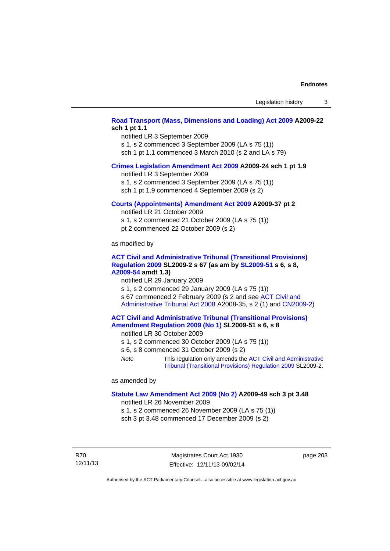# **[Road Transport \(Mass, Dimensions and Loading\) Act 2009](http://www.legislation.act.gov.au/a/2009-22) A2009-22 sch 1 pt 1.1**

notified LR 3 September 2009 s 1, s 2 commenced 3 September 2009 (LA s 75 (1))

sch 1 pt 1.1 commenced 3 March 2010 (s 2 and LA s 79)

## **[Crimes Legislation Amendment Act 2009](http://www.legislation.act.gov.au/a/2009-24) A2009-24 sch 1 pt 1.9**

notified LR 3 September 2009

s 1, s 2 commenced 3 September 2009 (LA s 75 (1))

sch 1 pt 1.9 commenced 4 September 2009 (s 2)

## **[Courts \(Appointments\) Amendment Act 2009](http://www.legislation.act.gov.au/a/2009-37) A2009-37 pt 2**

notified LR 21 October 2009 s 1, s 2 commenced 21 October 2009 (LA s 75 (1)) pt 2 commenced 22 October 2009 (s 2)

as modified by

## **[ACT Civil and Administrative Tribunal \(Transitional Provisions\)](http://www.legislation.act.gov.au/sl/2009-2)  [Regulation 2009](http://www.legislation.act.gov.au/sl/2009-2) SL2009-2 s 67 (as am by [SL2009-51](http://www.legislation.act.gov.au/sl/2009-51) s 6, s 8, [A2009-54](http://www.legislation.act.gov.au/a/2009-54) amdt 1.3)**

notified LR 29 January 2009

s 1, s 2 commenced 29 January 2009 (LA s 75 (1)) s 67 commenced 2 February 2009 (s 2 and see [ACT Civil and](http://www.legislation.act.gov.au/a/2008-35)  [Administrative Tribunal Act 2008](http://www.legislation.act.gov.au/a/2008-35) A2008-35, s 2 (1) and [CN2009-2\)](http://www.legislation.act.gov.au/cn/2009-2/default.asp)

## **[ACT Civil and Administrative Tribunal \(Transitional Provisions\)](http://www.legislation.act.gov.au/sl/2009-51)  [Amendment Regulation 2009 \(No 1\)](http://www.legislation.act.gov.au/sl/2009-51) SL2009-51 s 6, s 8**

notified LR 30 October 2009

- s 1, s 2 commenced 30 October 2009 (LA s 75 (1))
- s 6, s 8 commenced 31 October 2009 (s 2)
- *Note* This regulation only amends the [ACT Civil and Administrative](http://www.legislation.act.gov.au/sl/2009-2)  [Tribunal \(Transitional Provisions\) Regulation 2009](http://www.legislation.act.gov.au/sl/2009-2) SL2009-2.

as amended by

### **[Statute Law Amendment Act 2009 \(No 2\)](http://www.legislation.act.gov.au/a/2009-49) A2009-49 sch 3 pt 3.48**

notified LR 26 November 2009

s 1, s 2 commenced 26 November 2009 (LA s 75 (1)) sch 3 pt 3.48 commenced 17 December 2009 (s 2)

R70 12/11/13

Magistrates Court Act 1930 Effective: 12/11/13-09/02/14 page 203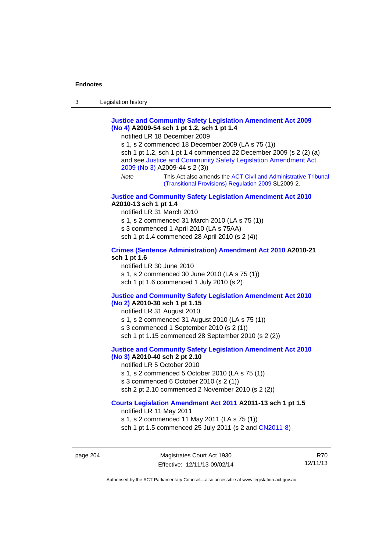# **[Justice and Community Safety Legislation Amendment Act 2009](http://www.legislation.act.gov.au/a/2009-54)  [\(No 4\)](http://www.legislation.act.gov.au/a/2009-54) A2009-54 sch 1 pt 1.2, sch 1 pt 1.4**

notified LR 18 December 2009

s 1, s 2 commenced 18 December 2009 (LA s 75 (1)) sch 1 pt 1.2, sch 1 pt 1.4 commenced 22 December 2009 (s 2 (2) (a) and see [Justice and Community Safety Legislation Amendment Act](http://www.legislation.act.gov.au/a/2009-44)  [2009 \(No 3\)](http://www.legislation.act.gov.au/a/2009-44) A2009-44 s 2 (3)) *Note* This Act also amends the [ACT Civil and Administrative Tribunal](http://www.legislation.act.gov.au/sl/2009-2) 

[\(Transitional Provisions\) Regulation 2009](http://www.legislation.act.gov.au/sl/2009-2) SL2009-2.

## **[Justice and Community Safety Legislation Amendment Act 2010](http://www.legislation.act.gov.au/a/2010-13) A2010-13 sch 1 pt 1.4**

notified LR 31 March 2010 s 1, s 2 commenced 31 March 2010 (LA s 75 (1)) s 3 commenced 1 April 2010 (LA s 75AA) sch 1 pt 1.4 commenced 28 April 2010 (s 2 (4))

## **[Crimes \(Sentence Administration\) Amendment Act 2010](http://www.legislation.act.gov.au/a/2010-21) A2010-21 sch 1 pt 1.6**

notified LR 30 June 2010 s 1, s 2 commenced 30 June 2010 (LA s 75 (1)) sch 1 pt 1.6 commenced 1 July 2010 (s 2)

## **[Justice and Community Safety Legislation Amendment Act 2010](http://www.legislation.act.gov.au/a/2010-30)**

# **[\(No 2\)](http://www.legislation.act.gov.au/a/2010-30) A2010-30 sch 1 pt 1.15**

notified LR 31 August 2010

s 1, s 2 commenced 31 August 2010 (LA s 75 (1))

s 3 commenced 1 September 2010 (s 2 (1))

sch 1 pt 1.15 commenced 28 September 2010 (s 2 (2))

# **[Justice and Community Safety Legislation Amendment Act 2010](http://www.legislation.act.gov.au/a/2010-40)**

# **[\(No 3\)](http://www.legislation.act.gov.au/a/2010-40) A2010-40 sch 2 pt 2.10**

notified LR 5 October 2010

- s 1, s 2 commenced 5 October 2010 (LA s 75 (1))
- s 3 commenced 6 October 2010 (s 2 (1))
- sch 2 pt 2.10 commenced 2 November 2010 (s 2 (2))

# **[Courts Legislation Amendment Act 2011](http://www.legislation.act.gov.au/a/2011-13) A2011-13 sch 1 pt 1.5**

notified LR 11 May 2011 s 1, s 2 commenced 11 May 2011 (LA s 75 (1)) sch 1 pt 1.5 commenced 25 July 2011 (s 2 and [CN2011-8\)](http://www.legislation.act.gov.au/cn/2011-8/default.asp)

page 204 Magistrates Court Act 1930 Effective: 12/11/13-09/02/14

R70 12/11/13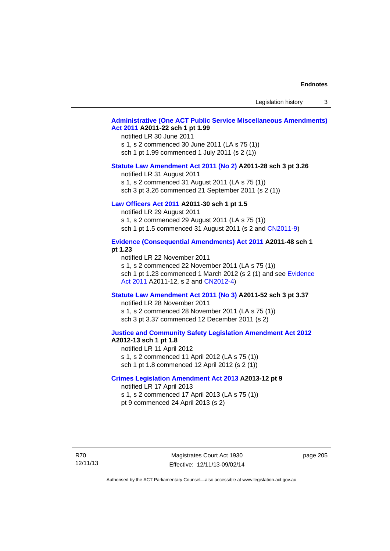Legislation history 3

## **[Administrative \(One ACT Public Service Miscellaneous Amendments\)](http://www.legislation.act.gov.au/a/2011-22)  [Act 2011](http://www.legislation.act.gov.au/a/2011-22) A2011-22 sch 1 pt 1.99**

notified LR 30 June 2011 s 1, s 2 commenced 30 June 2011 (LA s 75 (1)) sch 1 pt 1.99 commenced 1 July 2011 (s 2 (1))

#### **[Statute Law Amendment Act 2011 \(No 2\)](http://www.legislation.act.gov.au/a/2011-28) A2011-28 sch 3 pt 3.26**

notified LR 31 August 2011 s 1, s 2 commenced 31 August 2011 (LA s 75 (1)) sch 3 pt 3.26 commenced 21 September 2011 (s 2 (1))

# **[Law Officers Act 2011](http://www.legislation.act.gov.au/a/2011-30) A2011-30 sch 1 pt 1.5**

notified LR 29 August 2011 s 1, s 2 commenced 29 August 2011 (LA s 75 (1)) sch 1 pt 1.5 commenced 31 August 2011 (s 2 and [CN2011-9](http://www.legislation.act.gov.au/cn/2011-9/default.asp))

## **[Evidence \(Consequential Amendments\) Act 2011](http://www.legislation.act.gov.au/a/2011-48) A2011-48 sch 1 pt 1.23**

notified LR 22 November 2011 s 1, s 2 commenced 22 November 2011 (LA s 75 (1)) sch 1 pt 1.23 commenced 1 March 2012 (s 2 (1) and see [Evidence](http://www.legislation.act.gov.au/a/2011-12)  [Act 2011](http://www.legislation.act.gov.au/a/2011-12) A2011-12, s 2 and [CN2012-4](http://www.legislation.act.gov.au/cn/2012-4/default.asp))

## **[Statute Law Amendment Act 2011 \(No 3\)](http://www.legislation.act.gov.au/a/2011-52) A2011-52 sch 3 pt 3.37**

notified LR 28 November 2011 s 1, s 2 commenced 28 November 2011 (LA s 75 (1)) sch 3 pt 3.37 commenced 12 December 2011 (s 2)

## **[Justice and Community Safety Legislation Amendment Act 2012](http://www.legislation.act.gov.au/a/2012-13) A2012-13 sch 1 pt 1.8**

notified LR 11 April 2012 s 1, s 2 commenced 11 April 2012 (LA s 75 (1)) sch 1 pt 1.8 commenced 12 April 2012 (s 2 (1))

## **[Crimes Legislation Amendment Act 2013](http://www.legislation.act.gov.au/a/2013-12) A2013-12 pt 9**  notified LR 17 April 2013

s 1, s 2 commenced 17 April 2013 (LA s 75 (1)) pt 9 commenced 24 April 2013 (s 2)

R70 12/11/13

Magistrates Court Act 1930 Effective: 12/11/13-09/02/14 page 205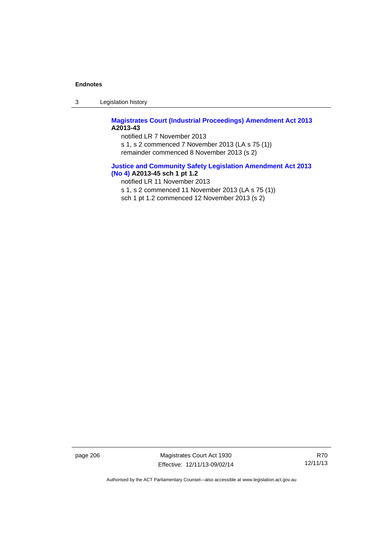3 Legislation history

# **[Magistrates Court \(Industrial Proceedings\) Amendment Act 2013](http://www.legislation.act.gov.au/a/2013-43) A2013-43**

notified LR 7 November 2013 s 1, s 2 commenced 7 November 2013 (LA s 75 (1)) remainder commenced 8 November 2013 (s 2)

# **[Justice and Community Safety Legislation Amendment Act 2013](http://www.legislation.act.gov.au/a/2013-45)  [\(No](http://www.legislation.act.gov.au/a/2013-45) 4) A2013-45 sch 1 pt 1.2**

notified LR 11 November 2013

s 1, s 2 commenced 11 November 2013 (LA s 75 (1))

sch 1 pt 1.2 commenced 12 November 2013 (s 2)

page 206 Magistrates Court Act 1930 Effective: 12/11/13-09/02/14

R70 12/11/13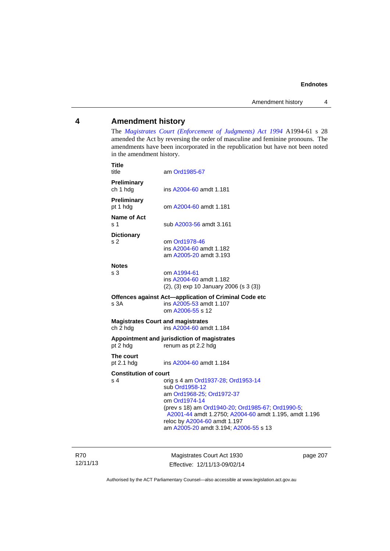# **4 Amendment history**

The *[Magistrates Court \(Enforcement of Judgments\) Act 1994](http://www.legislation.act.gov.au/a/1994-61/default.asp)* A1994-61 s 28 amended the Act by reversing the order of masculine and feminine pronouns. The amendments have been incorporated in the republication but have not been noted in the amendment history.

| Preliminary<br>ch 1 hdg<br>ins A2004-60 amdt 1.181<br>Preliminary<br>pt 1 hdg<br>om A2004-60 amdt 1.181<br>Name of Act<br>s 1<br>sub A2003-56 amdt 3.161<br><b>Dictionary</b><br>s 2<br>om Ord1978-46<br>ins A2004-60 amdt 1.182<br>am A2005-20 amdt 3.193<br><b>Notes</b><br>s <sub>3</sub><br>om A1994-61<br>ins A2004-60 amdt 1.182<br>$(2)$ , $(3)$ exp 10 January 2006 (s 3 $(3)$ )<br>Offences against Act-application of Criminal Code etc<br>ins A2005-53 amdt 1.107<br>s 3A<br>om A2006-55 s 12<br><b>Magistrates Court and magistrates</b><br>ch 2 hdg<br>ins A2004-60 amdt 1.184<br>Appointment and jurisdiction of magistrates<br>pt 2 hdg<br>renum as pt 2.2 hdg<br>The court<br>pt $2.1$ hdg<br>ins A2004-60 amdt 1.184<br><b>Constitution of court</b><br>s 4<br>orig s 4 am Ord1937-28; Ord1953-14<br>sub Ord1958-12<br>am Ord1968-25; Ord1972-37<br>om Ord1974-14<br>(prev s 18) am Ord1940-20; Ord1985-67; Ord1990-5;<br>A2001-44 amdt 1.2750; A2004-60 amdt 1.195, amdt 1.196<br>reloc by A2004-60 amdt 1.197<br>am A2005-20 amdt 3.194; A2006-55 s 13 | Title<br>title | am Ord1985-67 |
|---------------------------------------------------------------------------------------------------------------------------------------------------------------------------------------------------------------------------------------------------------------------------------------------------------------------------------------------------------------------------------------------------------------------------------------------------------------------------------------------------------------------------------------------------------------------------------------------------------------------------------------------------------------------------------------------------------------------------------------------------------------------------------------------------------------------------------------------------------------------------------------------------------------------------------------------------------------------------------------------------------------------------------------------------------------------------|----------------|---------------|
|                                                                                                                                                                                                                                                                                                                                                                                                                                                                                                                                                                                                                                                                                                                                                                                                                                                                                                                                                                                                                                                                           |                |               |
|                                                                                                                                                                                                                                                                                                                                                                                                                                                                                                                                                                                                                                                                                                                                                                                                                                                                                                                                                                                                                                                                           |                |               |
|                                                                                                                                                                                                                                                                                                                                                                                                                                                                                                                                                                                                                                                                                                                                                                                                                                                                                                                                                                                                                                                                           |                |               |
|                                                                                                                                                                                                                                                                                                                                                                                                                                                                                                                                                                                                                                                                                                                                                                                                                                                                                                                                                                                                                                                                           |                |               |
|                                                                                                                                                                                                                                                                                                                                                                                                                                                                                                                                                                                                                                                                                                                                                                                                                                                                                                                                                                                                                                                                           |                |               |
|                                                                                                                                                                                                                                                                                                                                                                                                                                                                                                                                                                                                                                                                                                                                                                                                                                                                                                                                                                                                                                                                           |                |               |
|                                                                                                                                                                                                                                                                                                                                                                                                                                                                                                                                                                                                                                                                                                                                                                                                                                                                                                                                                                                                                                                                           |                |               |
|                                                                                                                                                                                                                                                                                                                                                                                                                                                                                                                                                                                                                                                                                                                                                                                                                                                                                                                                                                                                                                                                           |                |               |
|                                                                                                                                                                                                                                                                                                                                                                                                                                                                                                                                                                                                                                                                                                                                                                                                                                                                                                                                                                                                                                                                           |                |               |
|                                                                                                                                                                                                                                                                                                                                                                                                                                                                                                                                                                                                                                                                                                                                                                                                                                                                                                                                                                                                                                                                           |                |               |

R70 12/11/13

Magistrates Court Act 1930 Effective: 12/11/13-09/02/14 page 207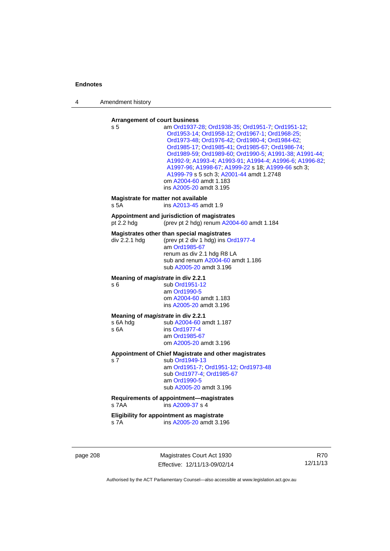4 Amendment history

### **Arrangement of court business**

| s 5                                                    | am Ord1937-28; Ord1938-35; Ord1951-7; Ord1951-12;<br>Ord1953-14; Ord1958-12; Ord1967-1; Ord1968-25;<br>Ord1973-48; Ord1976-42; Ord1980-4; Ord1984-62;<br>Ord1985-17, Ord1985-41, Ord1985-67, Ord1986-74,<br>Ord1989-59, Ord1989-60, Ord1990-5, A1991-38, A1991-44,<br>A1992-9; A1993-4; A1993-91; A1994-4; A1996-6; A1996-82;<br>A1997-96; A1998-67; A1999-22 s 18; A1999-66 sch 3;<br>A1999-79 s 5 sch 3; A2001-44 amdt 1.2748<br>om A2004-60 amdt 1.183<br>ins A2005-20 amdt 3.195 |
|--------------------------------------------------------|--------------------------------------------------------------------------------------------------------------------------------------------------------------------------------------------------------------------------------------------------------------------------------------------------------------------------------------------------------------------------------------------------------------------------------------------------------------------------------------|
| Magistrate for matter not available<br>s 5A            | ins A2013-45 amdt 1.9                                                                                                                                                                                                                                                                                                                                                                                                                                                                |
| pt 2.2 hdg                                             | Appointment and jurisdiction of magistrates<br>(prev pt 2 hdg) renum A2004-60 amdt 1.184                                                                                                                                                                                                                                                                                                                                                                                             |
| div 2.2.1 hdg                                          | Magistrates other than special magistrates<br>(prev pt 2 div 1 hdg) ins Ord1977-4<br>am Ord1985-67<br>renum as div 2.1 hdg R8 LA<br>sub and renum A2004-60 amdt 1.186<br>sub A2005-20 amdt 3.196                                                                                                                                                                                                                                                                                     |
| Meaning of <i>magistrate</i> in div 2.2.1<br>s 6       | sub Ord1951-12<br>am Ord1990-5<br>om A2004-60 amdt 1.183<br>ins A2005-20 amdt 3.196                                                                                                                                                                                                                                                                                                                                                                                                  |
| Meaning of magistrate in div 2.2.1<br>s 6A hdg<br>s 6A | sub A2004-60 amdt 1.187<br>ins Ord1977-4<br>am Ord1985-67<br>om A2005-20 amdt 3.196                                                                                                                                                                                                                                                                                                                                                                                                  |
| s 7                                                    | Appointment of Chief Magistrate and other magistrates<br>sub Ord1949-13<br>am Ord1951-7; Ord1951-12; Ord1973-48<br>sub Ord1977-4, Ord1985-67<br>am Ord1990-5<br>sub A2005-20 amdt 3.196                                                                                                                                                                                                                                                                                              |
| s 7AA                                                  | Requirements of appointment-magistrates<br>ins A2009-37 s 4                                                                                                                                                                                                                                                                                                                                                                                                                          |
| s 7A                                                   | Eligibility for appointment as magistrate<br>ins A2005-20 amdt 3.196                                                                                                                                                                                                                                                                                                                                                                                                                 |

page 208 Magistrates Court Act 1930 Effective: 12/11/13-09/02/14

R70 12/11/13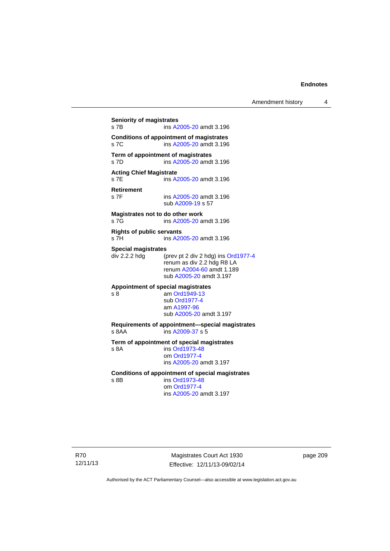# **Seniority of magistrates**  s 7B ins [A2005-20](http://www.legislation.act.gov.au/a/2005-20) amdt 3.196 **Conditions of appointment of magistrates**  s 7C ins [A2005-20](http://www.legislation.act.gov.au/a/2005-20) amdt 3.196 **Term of appointment of magistrates**  s 7D ins [A2005-20](http://www.legislation.act.gov.au/a/2005-20) amdt 3.196 **Acting Chief Magistrate**  s 7E ins [A2005-20](http://www.legislation.act.gov.au/a/2005-20) amdt 3.196 **Retirement**  ins [A2005-20](http://www.legislation.act.gov.au/a/2005-20) amdt 3.196 sub [A2009-19](http://www.legislation.act.gov.au/a/2009-19) s 57 **Magistrates not to do other work**  s 7G **ins [A2005-20](http://www.legislation.act.gov.au/a/2005-20)** amdt 3.196 **Rights of public servants**  s 7H ins [A2005-20](http://www.legislation.act.gov.au/a/2005-20) amdt 3.196 **Special magistrates**<br>div 2.2.2 hdg (p (prev pt 2 div 2 hdg) ins [Ord1977-4](http://www.legislation.act.gov.au/a/1977-4) renum as div 2.2 hdg R8 LA renum [A2004-60](http://www.legislation.act.gov.au/a/2004-60) amdt 1.189 sub [A2005-20](http://www.legislation.act.gov.au/a/2005-20) amdt 3.197 **Appointment of special magistrates**  s 8 am [Ord1949-13](http://www.legislation.act.gov.au/a/1949-13) sub [Ord1977-4](http://www.legislation.act.gov.au/a/1977-4) am [A1997-96](http://www.legislation.act.gov.au/a/1997-96) sub [A2005-20](http://www.legislation.act.gov.au/a/2005-20) amdt 3.197 **Requirements of appointment—special magistrates**  s 8AA ins [A2009-37](http://www.legislation.act.gov.au/a/2009-37) s 5 **Term of appointment of special magistrates**  s 8A ins [Ord1973-48](http://www.legislation.act.gov.au/a/1973-48) om [Ord1977-4](http://www.legislation.act.gov.au/a/1977-4) ins [A2005-20](http://www.legislation.act.gov.au/a/2005-20) amdt 3.197 **Conditions of appointment of special magistrates**  s 8B ins [Ord1973-48](http://www.legislation.act.gov.au/a/1973-48) om [Ord1977-4](http://www.legislation.act.gov.au/a/1977-4) ins [A2005-20](http://www.legislation.act.gov.au/a/2005-20) amdt 3.197

R70 12/11/13

Magistrates Court Act 1930 Effective: 12/11/13-09/02/14 page 209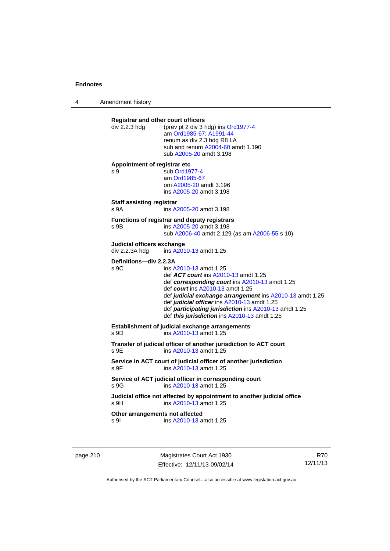4 Amendment history

| div 2.2.3 hdg                                | <b>Registrar and other court officers</b><br>(prev pt 2 div 3 hdg) ins Ord1977-4<br>am Ord1985-67; A1991-44<br>renum as div 2.3 hdg R8 LA<br>sub and renum A2004-60 amdt 1.190<br>sub A2005-20 amdt 3.198                                                                                                                                                                       |
|----------------------------------------------|---------------------------------------------------------------------------------------------------------------------------------------------------------------------------------------------------------------------------------------------------------------------------------------------------------------------------------------------------------------------------------|
| Appointment of registrar etc<br>s 9          | sub Ord1977-4<br>am Ord1985-67<br>om A2005-20 amdt 3.196<br>ins A2005-20 amdt 3.198                                                                                                                                                                                                                                                                                             |
| <b>Staff assisting registrar</b><br>s 9A     | ins A2005-20 amdt 3.198                                                                                                                                                                                                                                                                                                                                                         |
| s 9B                                         | Functions of registrar and deputy registrars<br>ins A2005-20 amdt 3.198<br>sub A2006-40 amdt 2.129 (as am A2006-55 s 10)                                                                                                                                                                                                                                                        |
| Judicial officers exchange<br>div 2.2.3A hdg | ins A2010-13 amdt 1.25                                                                                                                                                                                                                                                                                                                                                          |
| Definitions-div 2.2.3A<br>s 9C               | ins A2010-13 amdt 1.25<br>def ACT court ins A2010-13 amdt 1.25<br>def corresponding court ins A2010-13 amdt 1.25<br>def <i>court</i> ins A2010-13 amdt 1.25<br>def judicial exchange arrangement ins A2010-13 amdt 1.25<br>def judicial officer ins A2010-13 amdt 1.25<br>def participating jurisdiction ins A2010-13 amdt 1.25<br>def this jurisdiction ins A2010-13 amdt 1.25 |
| s 9D                                         | Establishment of judicial exchange arrangements<br>ins A2010-13 amdt 1.25                                                                                                                                                                                                                                                                                                       |
| s 9E                                         | Transfer of judicial officer of another jurisdiction to ACT court<br>ins A2010-13 amdt 1.25                                                                                                                                                                                                                                                                                     |
| S <sub>9F</sub>                              | Service in ACT court of judicial officer of another jurisdiction<br>ins A2010-13 amdt 1.25                                                                                                                                                                                                                                                                                      |
| s 9G                                         | Service of ACT judicial officer in corresponding court<br>ins A2010-13 amdt 1.25                                                                                                                                                                                                                                                                                                |
| s 9H                                         | Judicial office not affected by appointment to another judicial office<br>ins A2010-13 amdt 1.25                                                                                                                                                                                                                                                                                |
|                                              | Other arrangements not affected                                                                                                                                                                                                                                                                                                                                                 |

page 210 Magistrates Court Act 1930 Effective: 12/11/13-09/02/14

R70 12/11/13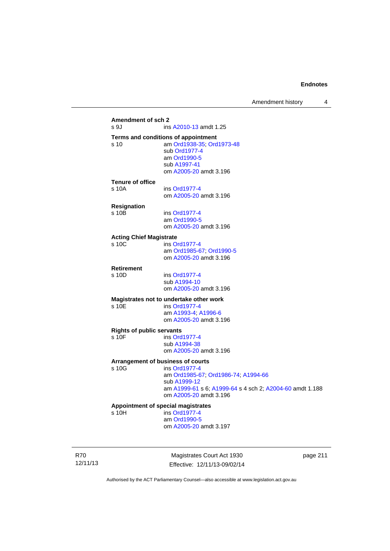# **Amendment of sch 2**  ins [A2010-13](http://www.legislation.act.gov.au/a/2010-13) amdt 1.25 **Terms and conditions of appointment**  s 10 am [Ord1938-35](http://www.legislation.act.gov.au/a/1938-35); [Ord1973-48](http://www.legislation.act.gov.au/a/1973-48) sub [Ord1977-4](http://www.legislation.act.gov.au/a/1977-4) am [Ord1990-5](http://www.legislation.act.gov.au/a/alt_ord1990-5) sub [A1997-41](http://www.legislation.act.gov.au/a/1997-41) om [A2005-20](http://www.legislation.act.gov.au/a/2005-20) amdt 3.196 **Tenure of office**  s 10A ins [Ord1977-4](http://www.legislation.act.gov.au/a/1977-4) om [A2005-20](http://www.legislation.act.gov.au/a/2005-20) amdt 3.196 **Resignation**  ins [Ord1977-4](http://www.legislation.act.gov.au/a/1977-4) am [Ord1990-5](http://www.legislation.act.gov.au/a/alt_ord1990-5) om [A2005-20](http://www.legislation.act.gov.au/a/2005-20) amdt 3.196 **Acting Chief Magistrate**  s 10C ins [Ord1977-4](http://www.legislation.act.gov.au/a/1977-4) am [Ord1985-67](http://www.legislation.act.gov.au/a/1985-67); [Ord1990-5](http://www.legislation.act.gov.au/a/alt_ord1990-5) om [A2005-20](http://www.legislation.act.gov.au/a/2005-20) amdt 3.196 **Retirement**  s 10D ins [Ord1977-4](http://www.legislation.act.gov.au/a/1977-4) sub [A1994-10](http://www.legislation.act.gov.au/a/1994-10) om [A2005-20](http://www.legislation.act.gov.au/a/2005-20) amdt 3.196 **Magistrates not to undertake other work**  ins [Ord1977-4](http://www.legislation.act.gov.au/a/1977-4) am [A1993-4;](http://www.legislation.act.gov.au/a/1993-4) [A1996-6](http://www.legislation.act.gov.au/a/1996-6) om [A2005-20](http://www.legislation.act.gov.au/a/2005-20) amdt 3.196 **Rights of public servants**  s 10F ins [Ord1977-4](http://www.legislation.act.gov.au/a/1977-4) sub [A1994-38](http://www.legislation.act.gov.au/a/1994-38) om [A2005-20](http://www.legislation.act.gov.au/a/2005-20) amdt 3.196 **Arrangement of business of courts**  ins [Ord1977-4](http://www.legislation.act.gov.au/a/1977-4) am [Ord1985-67](http://www.legislation.act.gov.au/a/1985-67); [Ord1986-74](http://www.legislation.act.gov.au/a/1986-74); [A1994-66](http://www.legislation.act.gov.au/a/1994-66) sub [A1999-12](http://www.legislation.act.gov.au/a/1999-12) am [A1999-61](http://www.legislation.act.gov.au/a/1999-61) s 6; [A1999-64](http://www.legislation.act.gov.au/a/1999-64) s 4 sch 2; [A2004-60](http://www.legislation.act.gov.au/a/2004-60) amdt 1.188 om [A2005-20](http://www.legislation.act.gov.au/a/2005-20) amdt 3.196 **Appointment of special magistrates**  s 10H ins [Ord1977-4](http://www.legislation.act.gov.au/a/1977-4) am [Ord1990-5](http://www.legislation.act.gov.au/a/alt_ord1990-5) om [A2005-20](http://www.legislation.act.gov.au/a/2005-20) amdt 3.197

R70 12/11/13

Magistrates Court Act 1930 Effective: 12/11/13-09/02/14 page 211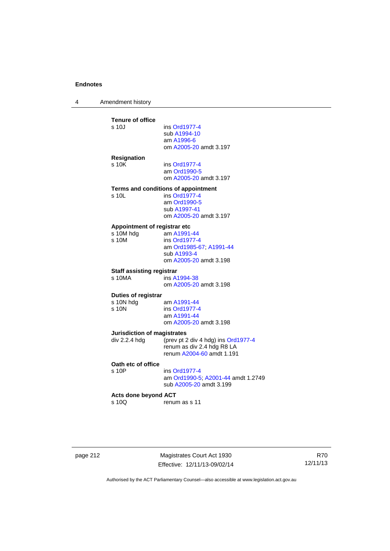4 Amendment history

| <b>Tenure of office</b>              |                                      |
|--------------------------------------|--------------------------------------|
| s 10J                                | ins Ord1977-4                        |
|                                      | sub A1994-10                         |
|                                      | am A1996-6<br>om A2005-20 amdt 3.197 |
|                                      |                                      |
| <b>Resignation</b>                   |                                      |
| s 10K                                | ins Ord1977-4                        |
|                                      | am Ord1990-5                         |
|                                      | om A2005-20 amdt 3.197               |
|                                      | Terms and conditions of appointment  |
| s 10L                                | ins Ord1977-4                        |
|                                      | am Ord1990-5                         |
|                                      | sub A1997-41                         |
|                                      | om A2005-20 amdt 3.197               |
| Appointment of registrar etc         |                                      |
| s 10M hdg                            | am A1991-44                          |
| s 10M                                | ins Ord1977-4                        |
|                                      | am Ord1985-67; A1991-44              |
|                                      | sub A1993-4                          |
|                                      | om A2005-20 amdt 3.198               |
| <b>Staff assisting registrar</b>     |                                      |
| $s$ 10MA                             | ins A1994-38                         |
|                                      | om A2005-20 amdt 3.198               |
| Duties of registrar                  |                                      |
| s 10N hdg                            | am A1991-44                          |
| s <sub>10N</sub>                     | ins Ord1977-4                        |
|                                      | am A1991-44                          |
|                                      | om A2005-20 amdt 3.198               |
| <b>Jurisdiction of magistrates</b>   |                                      |
| div 2.2.4 hdg                        | (prev pt 2 div 4 hdg) ins Ord1977-4  |
|                                      | renum as div 2.4 hdg R8 LA           |
|                                      | renum A2004-60 amdt 1.191            |
| Oath etc of office                   |                                      |
| s 10P                                | ins Ord1977-4                        |
|                                      | am Ord1990-5; A2001-44 amdt 1.2      |
|                                      | sub A2005-20 amdt 3.199              |
|                                      |                                      |
| <b>Acts done beyond ACT</b><br>s 10Q | renum as s 11                        |
|                                      |                                      |
|                                      |                                      |

page 212 Magistrates Court Act 1930 Effective: 12/11/13-09/02/14

R70 12/11/13

Authorised by the ACT Parliamentary Counsel—also accessible at www.legislation.act.gov.au

 $1.2749$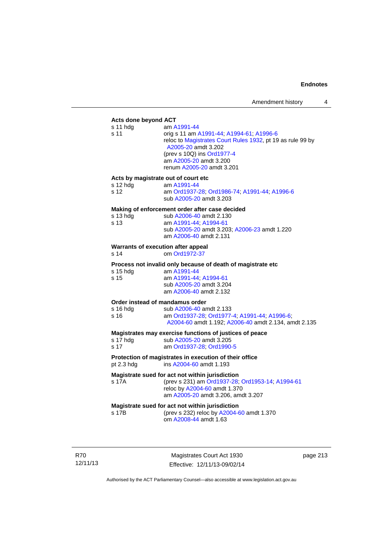# **Acts done beyond ACT**

| Acts done beyond ACT                                    |                                                                                                                                                                                                                                   |
|---------------------------------------------------------|-----------------------------------------------------------------------------------------------------------------------------------------------------------------------------------------------------------------------------------|
| s 11 hdg<br>s 11                                        | am A1991-44<br>orig s 11 am A1991-44; A1994-61; A1996-6<br>reloc to Magistrates Court Rules 1932, pt 19 as rule 99 by<br>A2005-20 amdt 3.202<br>(prev s 10Q) ins Ord1977-4<br>am A2005-20 amdt 3.200<br>renum A2005-20 amdt 3.201 |
| Acts by magistrate out of court etc<br>s 12 hdg<br>s 12 | am A1991-44<br>am Ord1937-28; Ord1986-74; A1991-44; A1996-6<br>sub A2005-20 amdt 3.203                                                                                                                                            |
|                                                         | Making of enforcement order after case decided                                                                                                                                                                                    |
| s 13 hdg<br>s 13                                        | sub A2006-40 amdt 2.130<br>am A1991-44; A1994-61<br>sub A2005-20 amdt 3.203; A2006-23 amdt 1.220<br>am A2006-40 amdt 2.131                                                                                                        |
| Warrants of execution after appeal<br>s 14              | om Ord1972-37                                                                                                                                                                                                                     |
|                                                         | Process not invalid only because of death of magistrate etc                                                                                                                                                                       |
| s 15 hdg<br>s 15                                        | am A1991-44<br>am A1991-44; A1994-61<br>sub A2005-20 amdt 3.204<br>am A2006-40 amdt 2.132                                                                                                                                         |
| Order instead of mandamus order                         |                                                                                                                                                                                                                                   |
| $s$ 16 hdg<br>s 16                                      | sub A2006-40 amdt 2.133<br>am Ord1937-28; Ord1977-4; A1991-44; A1996-6;<br>A2004-60 amdt 1.192; A2006-40 amdt 2.134, amdt 2.135                                                                                                   |
| s 17 hdg<br>s 17                                        | Magistrates may exercise functions of justices of peace<br>sub A2005-20 amdt 3.205<br>am Ord1937-28; Ord1990-5                                                                                                                    |
| pt 2.3 hdg                                              | Protection of magistrates in execution of their office<br>ins A2004-60 amdt 1.193                                                                                                                                                 |
| s 17A                                                   | Magistrate sued for act not within jurisdiction<br>(prev s 231) am Ord1937-28; Ord1953-14; A1994-61<br>reloc by A2004-60 amdt 1.370<br>am A2005-20 amdt 3.206, amdt 3.207                                                         |
| s 17B                                                   | Magistrate sued for act not within jurisdiction<br>(prev s 232) reloc by A2004-60 amdt 1.370<br>om A2008-44 amdt 1.63                                                                                                             |
|                                                         |                                                                                                                                                                                                                                   |

R70 12/11/13

Magistrates Court Act 1930 Effective: 12/11/13-09/02/14 page 213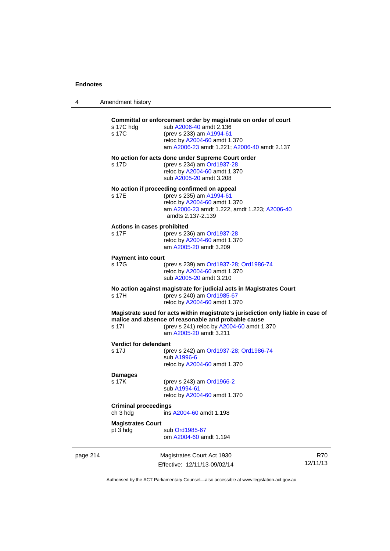4 Amendment history

|          | s 17C hdg<br>s 17C                      | Committal or enforcement order by magistrate on order of court<br>sub A2006-40 amdt 2.136<br>(prev s 233) am A1994-61                                                                                          |                        |
|----------|-----------------------------------------|----------------------------------------------------------------------------------------------------------------------------------------------------------------------------------------------------------------|------------------------|
|          |                                         | reloc by A2004-60 amdt 1.370<br>am A2006-23 amdt 1.221; A2006-40 amdt 2.137                                                                                                                                    |                        |
|          | s 17D                                   | No action for acts done under Supreme Court order<br>(prev s 234) am Ord1937-28<br>reloc by A2004-60 amdt 1.370<br>sub A2005-20 amdt 3.208                                                                     |                        |
|          | s 17E                                   | No action if proceeding confirmed on appeal<br>(prev s 235) am A1994-61<br>reloc by A2004-60 amdt 1.370<br>am A2006-23 amdt 1.222, amdt 1.223; A2006-40<br>amdts 2.137-2.139                                   |                        |
|          | Actions in cases prohibited<br>s 17F    | (prev s 236) am Ord1937-28<br>reloc by A2004-60 amdt 1.370<br>am A2005-20 amdt 3.209                                                                                                                           |                        |
|          | <b>Payment into court</b><br>s 17G      | (prev s 239) am Ord1937-28; Ord1986-74<br>reloc by A2004-60 amdt 1.370<br>sub A2005-20 amdt 3.210                                                                                                              |                        |
|          | s 17H                                   | No action against magistrate for judicial acts in Magistrates Court<br>(prev s 240) am Ord1985-67<br>reloc by A2004-60 amdt 1.370                                                                              |                        |
|          | s 17I                                   | Magistrate sued for acts within magistrate's jurisdiction only liable in case of<br>malice and absence of reasonable and probable cause<br>(prev s 241) reloc by A2004-60 amdt 1.370<br>am A2005-20 amdt 3.211 |                        |
|          | Verdict for defendant<br>s 17J          | (prev s 242) am Ord1937-28; Ord1986-74<br>sub A1996-6<br>reloc by A2004-60 amdt 1.370                                                                                                                          |                        |
|          | <b>Damages</b><br>s 17K                 | (prev s 243) am Ord1966-2<br>sub A1994-61<br>reloc by A2004-60 amdt 1.370                                                                                                                                      |                        |
|          | <b>Criminal proceedings</b><br>ch 3 hdg | ins A2004-60 amdt 1.198                                                                                                                                                                                        |                        |
|          | <b>Magistrates Court</b><br>pt 3 hdg    | sub Ord1985-67<br>om A2004-60 amdt 1.194                                                                                                                                                                       |                        |
| page 214 |                                         | Magistrates Court Act 1930<br>Effective: 12/11/13-09/02/14                                                                                                                                                     | <b>R70</b><br>12/11/13 |

Authorised by the ACT Parliamentary Counsel—also accessible at www.legislation.act.gov.au

Effective: 12/11/13-09/02/14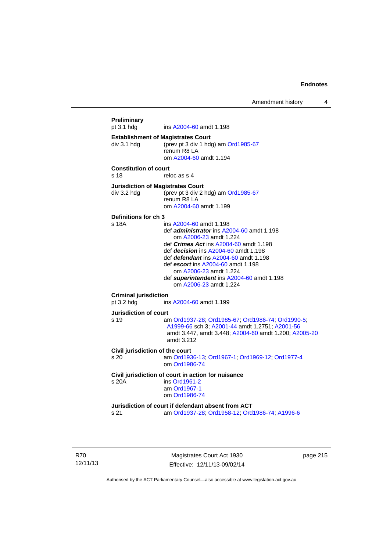Amendment history 4

```
Preliminary 
                 A2004-60 amdt 1.198
Establishment of Magistrates Court 
div 3.1 hdg (prev pt 3 div 1 hdg) am Ord1985-67
                 renum R8 LA 
                  om A2004-60 amdt 1.194
Constitution of court 
s 18 reloc as s 4
Jurisdiction of Magistrates Court 
div 3.2 hdg (prev pt 3 div 2 hdg) am Ord1985-67
                 renum R8 LA 
                  om A2004-60 amdt 1.199
Definitions for ch 3 
s 18A ins A2004-60 amdt 1.198 
                  def administrator ins A2004-60 amdt 1.198 
                      om A2006-23 amdt 1.224
                  def Crimes Act ins A2004-60 amdt 1.198
                  def decision ins A2004-60 amdt 1.198 
                  def defendant ins A2004-60 amdt 1.198 
                  def escort ins A2004-60 amdt 1.198 
                      om A2006-23 amdt 1.224
                  def superintendent ins A2004-60 amdt 1.198 
                     om A2006-23 amdt 1.224
Criminal jurisdiction 
pt 3.2 hdg ins A2004-60 amdt 1.199 
Jurisdiction of court 
s 19 am Ord1937-28; Ord1985-67; Ord1986-74; Ord1990-5; 
                  A1999-66 sch 3; A2001-44 amdt 1.2751; A2001-56
                  amdt 3.447, amdt 3.448; A2004-60 amdt 1.200; A2005-20
                  amdt 3.212
Civil jurisdiction of the court 
s 20 am Ord1936-13; Ord1967-1; Ord1969-12; Ord1977-4
                  om Ord1986-74
Civil jurisdiction of court in action for nuisance 
s 20A ins Ord1961-2
                  am Ord1967-1
                  om Ord1986-74
Jurisdiction of court if defendant absent from ACT 
s 21 am Ord1937-28; Ord1958-12; Ord1986-74; A1996-6
```
R70 12/11/13

Magistrates Court Act 1930 Effective: 12/11/13-09/02/14 page 215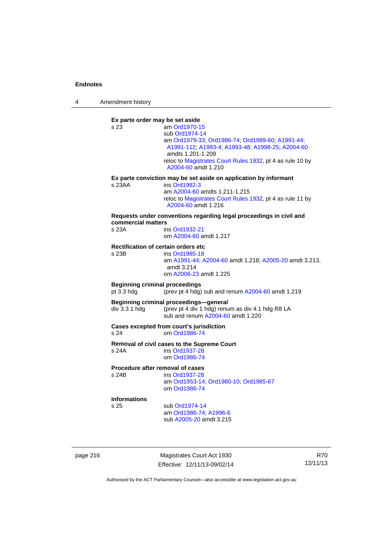4 Amendment history

**Ex parte order may be set aside**  s 23 am [Ord1970-15](http://www.legislation.act.gov.au/a/1970-15) sub [Ord1974-14](http://www.legislation.act.gov.au/a/1974-14) am [Ord1979-33](http://www.legislation.act.gov.au/a/1979-33); [Ord1986-74;](http://www.legislation.act.gov.au/a/1986-74) [Ord1989-60](http://www.legislation.act.gov.au/a/1989-60); [A1991-44](http://www.legislation.act.gov.au/a/1991-44); [A1991-112;](http://www.legislation.act.gov.au/a/1991-112) [A1993-4](http://www.legislation.act.gov.au/a/1993-4); [A1993-48](http://www.legislation.act.gov.au/a/1993-48); [A1998-25](http://www.legislation.act.gov.au/a/1998-25); [A2004-60](http://www.legislation.act.gov.au/a/2004-60) amdts 1.201-1.209 reloc to [Magistrates Court Rules 1932](http://www.legislation.act.gov.au/sl/1932-4/default.asp), pt 4 as rule 10 by [A2004-60](http://www.legislation.act.gov.au/a/2004-60) amdt 1.210 **Ex parte conviction may be set aside on application by informant**  s 23AA ins [Ord1982-3](http://www.legislation.act.gov.au/a/1982-3) am [A2004-60](http://www.legislation.act.gov.au/a/2004-60) amdts 1.211-1.215 reloc to [Magistrates Court Rules 1932](http://www.legislation.act.gov.au/sl/1932-4/default.asp), pt 4 as rule 11 by [A2004-60](http://www.legislation.act.gov.au/a/2004-60) amdt 1.216 **Requests under conventions regarding legal proceedings in civil and commercial matters**  s 23A ins [Ord1932-21](http://www.legislation.act.gov.au/a/1932-21) om [A2004-60](http://www.legislation.act.gov.au/a/2004-60) amdt 1.217 **Rectification of certain orders etc**  ins [Ord1985-18](http://www.legislation.act.gov.au/a/1985-18) am [A1991-44](http://www.legislation.act.gov.au/a/1991-44); [A2004-60](http://www.legislation.act.gov.au/a/2004-60) amdt 1.218; [A2005-20](http://www.legislation.act.gov.au/a/2005-20) amdt 3.213, amdt 3.214 om [A2006-23](http://www.legislation.act.gov.au/a/2006-23) amdt 1.225 **Beginning criminal proceedings**  pt 3.3 hdg (prev pt 4 hdg) sub and renum [A2004-60](http://www.legislation.act.gov.au/a/2004-60) amdt 1.219 **Beginning criminal proceedings—general**  div 3.3.1 hdg (prev pt 4 div 1 hdg) renum as div 4.1 hdg R8 LA sub and renum [A2004-60](http://www.legislation.act.gov.au/a/2004-60) amdt 1.220 **Cases excepted from court's jurisdiction**  s 24 om [Ord1986-74](http://www.legislation.act.gov.au/a/1986-74) **Removal of civil cases to the Supreme Court**  s 24A ins [Ord1937-28](http://www.legislation.act.gov.au/a/1937-28) om [Ord1986-74](http://www.legislation.act.gov.au/a/1986-74) **Procedure after removal of cases**  s 24B ins [Ord1937-28](http://www.legislation.act.gov.au/a/1937-28) am [Ord1953-14](http://www.legislation.act.gov.au/a/1953-14); [Ord1980-10;](http://www.legislation.act.gov.au/a/1980-10) [Ord1985-67](http://www.legislation.act.gov.au/a/1985-67) om [Ord1986-74](http://www.legislation.act.gov.au/a/1986-74) **Informations** sub [Ord1974-14](http://www.legislation.act.gov.au/a/1974-14) am [Ord1986-74](http://www.legislation.act.gov.au/a/1986-74); [A1996-6](http://www.legislation.act.gov.au/a/1996-6) sub [A2005-20](http://www.legislation.act.gov.au/a/2005-20) amdt 3.215

page 216 Magistrates Court Act 1930 Effective: 12/11/13-09/02/14

R70 12/11/13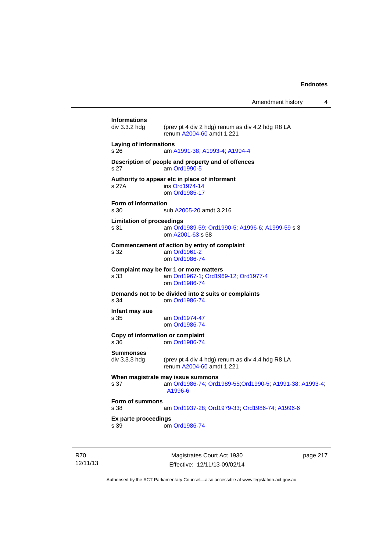Amendment history 4

|                                          | Manietrates Court Act 1930                                                                               | 217 مەدە |
|------------------------------------------|----------------------------------------------------------------------------------------------------------|----------|
| s 39                                     | om Ord1986-74                                                                                            |          |
| Ex parte proceedings                     |                                                                                                          |          |
| Form of summons<br>s 38                  | am Ord1937-28; Ord1979-33; Ord1986-74; A1996-6                                                           |          |
| s 37                                     | When magistrate may issue summons<br>am Ord1986-74; Ord1989-55; Ord1990-5; A1991-38; A1993-4;<br>A1996-6 |          |
| <b>Summonses</b><br>div 3.3.3 hdg        | (prev pt 4 div 4 hdg) renum as div 4.4 hdg R8 LA<br>renum A2004-60 amdt 1.221                            |          |
| Copy of information or complaint<br>s 36 | om Ord1986-74                                                                                            |          |
| Infant may sue<br>s 35                   | am Ord1974-47<br>om Ord1986-74                                                                           |          |
| s 34                                     | Demands not to be divided into 2 suits or complaints<br>om Ord1986-74                                    |          |
| s 33                                     | Complaint may be for 1 or more matters<br>am Ord1967-1, Ord1969-12, Ord1977-4<br>om Ord1986-74           |          |
| s 32                                     | Commencement of action by entry of complaint<br>am Ord1961-2<br>om Ord1986-74                            |          |
| <b>Limitation of proceedings</b><br>s 31 | am Ord1989-59; Ord1990-5; A1996-6; A1999-59 s 3<br>om A2001-63 s 58                                      |          |
| Form of information<br>s 30              | sub A2005-20 amdt 3.216                                                                                  |          |
| s 27A                                    | Authority to appear etc in place of informant<br>ins Ord1974-14<br>om Ord1985-17                         |          |
| s 27                                     | Description of people and property and of offences<br>am Ord1990-5                                       |          |
| Laying of informations<br>s 26           | am A1991-38, A1993-4, A1994-4                                                                            |          |
| <b>Informations</b><br>div 3.3.2 hdg     | (prev pt 4 div 2 hdg) renum as div 4.2 hdg R8 LA<br>renum A2004-60 amdt 1.221                            |          |
|                                          |                                                                                                          |          |

R70 12/11/13

Magistrates Court Act 1930 Effective: 12/11/13-09/02/14 page 217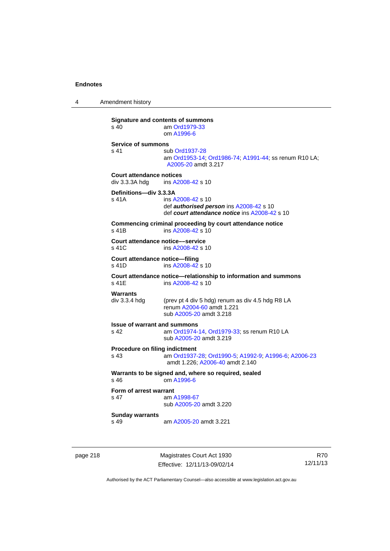4 Amendment history

**Signature and contents of summons**<br>s 40 am Ord1979-33 am [Ord1979-33](http://www.legislation.act.gov.au/a/1979-33) om [A1996-6](http://www.legislation.act.gov.au/a/1996-6) **Service of summons**  s 41 sub [Ord1937-28](http://www.legislation.act.gov.au/a/1937-28) am [Ord1953-14](http://www.legislation.act.gov.au/a/1953-14); [Ord1986-74](http://www.legislation.act.gov.au/a/1986-74); [A1991-44](http://www.legislation.act.gov.au/a/1991-44); ss renum R10 LA; [A2005-20](http://www.legislation.act.gov.au/a/2005-20) amdt 3.217 **Court attendance notices**<br>div 3.3.3A hdq ins A20 ins [A2008-42](http://www.legislation.act.gov.au/a/2008-42) s 10 **Definitions—div 3.3.3A**  s 41A ins [A2008-42](http://www.legislation.act.gov.au/a/2008-42) s 10 def *authorised person* ins [A2008-42](http://www.legislation.act.gov.au/a/2008-42) s 10 def *court attendance notice* ins [A2008-42](http://www.legislation.act.gov.au/a/2008-42) s 10 **Commencing criminal proceeding by court attendance notice**  s 41B ins [A2008-42](http://www.legislation.act.gov.au/a/2008-42) s 10 **Court attendance notice—service**<br>s 41C ins A2008-42 s 1 ins [A2008-42](http://www.legislation.act.gov.au/a/2008-42) s 10 **Court attendance notice—filing**  s 41D ins [A2008-42](http://www.legislation.act.gov.au/a/2008-42) s 10 **Court attendance notice—relationship to information and summons**  ins [A2008-42](http://www.legislation.act.gov.au/a/2008-42) s 10 **Warrants**  div 3.3.4 hdg (prev pt 4 div 5 hdg) renum as div 4.5 hdg R8 LA renum [A2004-60](http://www.legislation.act.gov.au/a/2004-60) amdt 1.221 sub [A2005-20](http://www.legislation.act.gov.au/a/2005-20) amdt 3.218 **Issue of warrant and summons**  s 42 am [Ord1974-14](http://www.legislation.act.gov.au/a/1974-14), [Ord1979-33](http://www.legislation.act.gov.au/a/1979-33); ss renum R10 LA sub [A2005-20](http://www.legislation.act.gov.au/a/2005-20) amdt 3.219 **Procedure on filing indictment**  s 43 am [Ord1937-28](http://www.legislation.act.gov.au/a/1937-28); [Ord1990-5](http://www.legislation.act.gov.au/a/alt_ord1990-5); [A1992-9](http://www.legislation.act.gov.au/a/1992-9); [A1996-6](http://www.legislation.act.gov.au/a/1996-6); [A2006-23](http://www.legislation.act.gov.au/a/2006-23) amdt 1.226; [A2006-40](http://www.legislation.act.gov.au/a/2006-40) amdt 2.140 **Warrants to be signed and, where so required, sealed**  s 46 om [A1996-6](http://www.legislation.act.gov.au/a/1996-6) **Form of arrest warrant**<br>**s** 47 am / am [A1998-67](http://www.legislation.act.gov.au/a/1998-67) sub [A2005-20](http://www.legislation.act.gov.au/a/2005-20) amdt 3.220 **Sunday warrants**  s 49 am [A2005-20](http://www.legislation.act.gov.au/a/2005-20) amdt 3.221

page 218 Magistrates Court Act 1930 Effective: 12/11/13-09/02/14

R70 12/11/13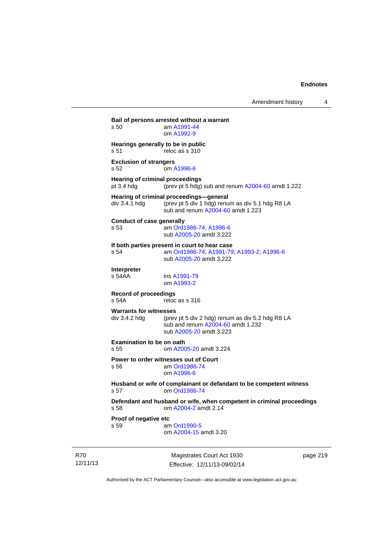**Bail of persons arrested without a warrant**  s 50 am [A1991-44](http://www.legislation.act.gov.au/a/1991-44) om [A1992-9](http://www.legislation.act.gov.au/a/1992-9) **Hearings generally to be in public**  s 51 reloc as s 310 **Exclusion of strangers**  s 52 om [A1996-6](http://www.legislation.act.gov.au/a/1996-6) **Hearing of criminal proceedings**  pt 3.4 hdg (prev pt 5 hdg) sub and renum [A2004-60](http://www.legislation.act.gov.au/a/2004-60) amdt 1.222 **Hearing of criminal proceedings—general**  div 3.4.1 hdg (prev pt 5 div 1 hdg) renum as div 5.1 hdg R8 LA sub and renum [A2004-60](http://www.legislation.act.gov.au/a/2004-60) amdt 1.223 **Conduct of case generally**  s 53 am [Ord1986-74](http://www.legislation.act.gov.au/a/1986-74); [A1996-6](http://www.legislation.act.gov.au/a/1996-6) sub [A2005-20](http://www.legislation.act.gov.au/a/2005-20) amdt 3.222 **If both parties present in court to hear case**  s 54 am [Ord1986-74](http://www.legislation.act.gov.au/a/1986-74); [A1991-79](http://www.legislation.act.gov.au/a/1991-79); [A1993-2](http://www.legislation.act.gov.au/a/1993-2); [A1996-6](http://www.legislation.act.gov.au/a/1996-6) sub [A2005-20](http://www.legislation.act.gov.au/a/2005-20) amdt 3.222 **Interpreter**  ins [A1991-79](http://www.legislation.act.gov.au/a/1991-79) om [A1993-2](http://www.legislation.act.gov.au/a/1993-2) **Record of proceedings**  s 54A reloc as s 316 **Warrants for witnesses**<br>div 3.4.2 hda (prev (prev pt 5 div 2 hdg) renum as div 5.2 hdg R8 LA sub and renum [A2004-60](http://www.legislation.act.gov.au/a/2004-60) amdt 1.232 sub [A2005-20](http://www.legislation.act.gov.au/a/2005-20) amdt 3.223 **Examination to be on oath**  s 55 om [A2005-20](http://www.legislation.act.gov.au/a/2005-20) amdt 3.224 **Power to order witnesses out of Court**  s 56 am [Ord1986-74](http://www.legislation.act.gov.au/a/1986-74) om [A1996-6](http://www.legislation.act.gov.au/a/1996-6) **Husband or wife of complainant or defandant to be competent witness**  s 57 om [Ord1986-74](http://www.legislation.act.gov.au/a/1986-74) **Defendant and husband or wife, when competent in criminal proceedings**  s 58 om [A2004-2](http://www.legislation.act.gov.au/a/2004-2) amdt 2.14 **Proof of negative etc**  s 59 am [Ord1990-5](http://www.legislation.act.gov.au/a/alt_ord1990-5) om [A2004-15](http://www.legislation.act.gov.au/a/2004-15) amdt 3.20

R70 12/11/13

Magistrates Court Act 1930 Effective: 12/11/13-09/02/14 page 219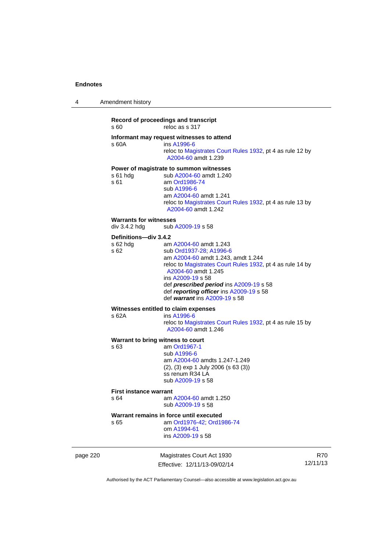| 4 | Amendment history |  |
|---|-------------------|--|
|   |                   |  |

# **Record of proceedings and transcript**  s 60 reloc as s 317 **Informant may request witnesses to attend**  ins [A1996-6](http://www.legislation.act.gov.au/a/1996-6) reloc to [Magistrates Court Rules 1932](http://www.legislation.act.gov.au/sl/1932-4/default.asp), pt 4 as rule 12 by [A2004-60](http://www.legislation.act.gov.au/a/2004-60) amdt 1.239 **Power of magistrate to summon witnesses**  s 61 hdg sub [A2004-60](http://www.legislation.act.gov.au/a/2004-60) amdt 1.240<br>s 61 am Ord1986-74 am [Ord1986-74](http://www.legislation.act.gov.au/a/1986-74) sub [A1996-6](http://www.legislation.act.gov.au/a/1996-6) am [A2004-60](http://www.legislation.act.gov.au/a/2004-60) amdt 1.241 reloc to [Magistrates Court Rules 1932](http://www.legislation.act.gov.au/sl/1932-4/default.asp), pt 4 as rule 13 by [A2004-60](http://www.legislation.act.gov.au/a/2004-60) amdt 1.242 **Warrants for witnesses**<br>div 3.4.2 hdg sub / sub [A2009-19](http://www.legislation.act.gov.au/a/2009-19) s 58 **Definitions—div 3.4.2**  s 62 hdg am [A2004-60](http://www.legislation.act.gov.au/a/2004-60) amdt 1.243 s 62 sub [Ord1937-28](http://www.legislation.act.gov.au/a/1937-28); [A1996-6](http://www.legislation.act.gov.au/a/1996-6) am [A2004-60](http://www.legislation.act.gov.au/a/2004-60) amdt 1.243, amdt 1.244 reloc to [Magistrates Court Rules 1932](http://www.legislation.act.gov.au/sl/1932-4/default.asp), pt 4 as rule 14 by [A2004-60](http://www.legislation.act.gov.au/a/2004-60) amdt 1.245 ins [A2009-19](http://www.legislation.act.gov.au/a/2009-19) s 58 def *prescribed period* ins [A2009-19](http://www.legislation.act.gov.au/a/2009-19) s 58 def *reporting officer* ins [A2009-19](http://www.legislation.act.gov.au/a/2009-19) s 58 def *warrant* ins [A2009-19](http://www.legislation.act.gov.au/a/2009-19) s 58 **Witnesses entitled to claim expenses**  s 62A ins [A1996-6](http://www.legislation.act.gov.au/a/1996-6) reloc to [Magistrates Court Rules 1932](http://www.legislation.act.gov.au/sl/1932-4/default.asp), pt 4 as rule 15 by [A2004-60](http://www.legislation.act.gov.au/a/2004-60) amdt 1.246 **Warrant to bring witness to court**  s 63 am [Ord1967-1](http://www.legislation.act.gov.au/a/1967-1) sub [A1996-6](http://www.legislation.act.gov.au/a/1996-6)

 am [A2004-60](http://www.legislation.act.gov.au/a/2004-60) amdts 1.247-1.249 (2), (3) exp 1 July 2006 (s 63 (3)) ss renum R34 LA sub [A2009-19](http://www.legislation.act.gov.au/a/2009-19) s 58

#### **First instance warrant**

s 64 am [A2004-60](http://www.legislation.act.gov.au/a/2004-60) amdt 1.250 sub [A2009-19](http://www.legislation.act.gov.au/a/2009-19) s 58

#### **Warrant remains in force until executed**

s 65 am [Ord1976-42](http://www.legislation.act.gov.au/a/1976-42); [Ord1986-74](http://www.legislation.act.gov.au/a/1986-74) om [A1994-61](http://www.legislation.act.gov.au/a/1994-61) ins [A2009-19](http://www.legislation.act.gov.au/a/2009-19) s 58

page 220 Magistrates Court Act 1930 Effective: 12/11/13-09/02/14

R70 12/11/13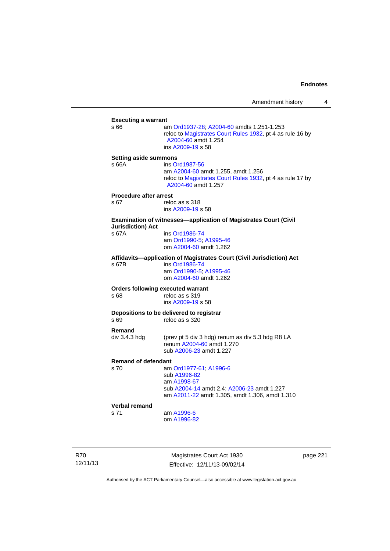| <b>Executing a warrant</b>                                                                                                                         |
|----------------------------------------------------------------------------------------------------------------------------------------------------|
| am Ord1937-28; A2004-60 amdts 1.251-1.253<br>reloc to Magistrates Court Rules 1932, pt 4 as rule 16 by<br>A2004-60 amdt 1.254<br>ins A2009-19 s 58 |
| <b>Setting aside summons</b>                                                                                                                       |
| ins Ord1987-56                                                                                                                                     |
| am A2004-60 amdt 1.255, amdt 1.256<br>reloc to Magistrates Court Rules 1932, pt 4 as rule 17 by<br>A2004-60 amdt 1.257                             |
| <b>Procedure after arrest</b>                                                                                                                      |
| reloc as s 318<br>ins A2009-19 s 58                                                                                                                |
| Examination of witnesses-application of Magistrates Court (Civil                                                                                   |
| ins Ord1986-74                                                                                                                                     |
| am Ord1990-5; A1995-46                                                                                                                             |
| om A2004-60 amdt 1.262                                                                                                                             |
| Affidavits-application of Magistrates Court (Civil Jurisdiction) Act                                                                               |
| ins Ord1986-74                                                                                                                                     |
| am Ord1990-5; A1995-46                                                                                                                             |
| om A2004-60 amdt 1.262                                                                                                                             |
| <b>Orders following executed warrant</b>                                                                                                           |
| reloc as s 319                                                                                                                                     |
| ins A2009-19 s 58                                                                                                                                  |
| Depositions to be delivered to registrar                                                                                                           |
| reloc as s 320                                                                                                                                     |
|                                                                                                                                                    |
| (prev pt 5 div 3 hdg) renum as div 5.3 hdg R8 LA                                                                                                   |
| renum A2004-60 amdt 1.270                                                                                                                          |
| sub A2006-23 amdt 1.227                                                                                                                            |
| <b>Remand of defendant</b>                                                                                                                         |
| am Ord1977-61; A1996-6                                                                                                                             |
| sub A1996-82                                                                                                                                       |
| am A1998-67                                                                                                                                        |
| sub A2004-14 amdt 2.4; A2006-23 amdt 1.227                                                                                                         |
| am A2011-22 amdt 1.305, amdt 1.306, amdt 1.310                                                                                                     |
|                                                                                                                                                    |
| am A1996-6                                                                                                                                         |
| om A1996-82                                                                                                                                        |
|                                                                                                                                                    |

R70 12/11/13

Magistrates Court Act 1930 Effective: 12/11/13-09/02/14 page 221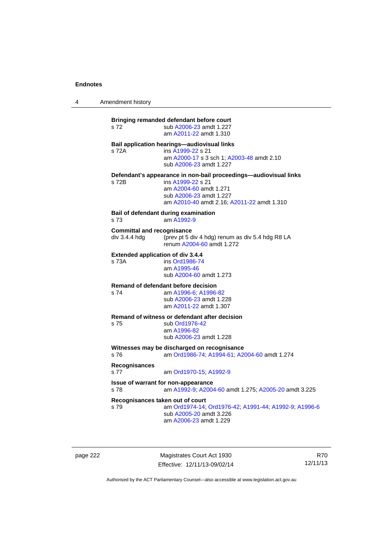4 Amendment history

**Bringing remanded defendant before court**  s 72 sub [A2006-23](http://www.legislation.act.gov.au/a/2006-23) amdt 1.227 am [A2011-22](http://www.legislation.act.gov.au/a/2011-22) amdt 1.310 **Bail application hearings—audiovisual links**  s 72A ins [A1999-22](http://www.legislation.act.gov.au/a/1999-22) s 21 am [A2000-17](http://www.legislation.act.gov.au/a/2000-17) s 3 sch 1; [A2003-48](http://www.legislation.act.gov.au/a/2003-48) amdt 2.10 sub [A2006-23](http://www.legislation.act.gov.au/a/2006-23) amdt 1.227 **Defendant's appearance in non-bail proceedings—audiovisual links**  s 72B ins [A1999-22](http://www.legislation.act.gov.au/a/1999-22) s 21 am [A2004-60](http://www.legislation.act.gov.au/a/2004-60) amdt 1.271 sub [A2006-23](http://www.legislation.act.gov.au/a/2006-23) amdt 1.227 am [A2010-40](http://www.legislation.act.gov.au/a/2010-40) amdt 2.16; [A2011-22](http://www.legislation.act.gov.au/a/2011-22) amdt 1.310 **Bail of defendant during examination**  s 73 am [A1992-9](http://www.legislation.act.gov.au/a/1992-9) **Committal and recognisance**  div 3.4.4 hdg (prev pt 5 div 4 hdg) renum as div 5.4 hdg R8 LA renum [A2004-60](http://www.legislation.act.gov.au/a/2004-60) amdt 1.272 **Extended application of div 3.4.4**  ins [Ord1986-74](http://www.legislation.act.gov.au/a/1986-74) am [A1995-46](http://www.legislation.act.gov.au/a/1995-46) sub [A2004-60](http://www.legislation.act.gov.au/a/2004-60) amdt 1.273 **Remand of defendant before decision**  s 74 am [A1996-6;](http://www.legislation.act.gov.au/a/1996-6) [A1996-82](http://www.legislation.act.gov.au/a/1996-82) sub [A2006-23](http://www.legislation.act.gov.au/a/2006-23) amdt 1.228 am [A2011-22](http://www.legislation.act.gov.au/a/2011-22) amdt 1.307 **Remand of witness or defendant after decision**  s 75 sub [Ord1976-42](http://www.legislation.act.gov.au/a/1976-42) am [A1996-82](http://www.legislation.act.gov.au/a/1996-82) sub [A2006-23](http://www.legislation.act.gov.au/a/2006-23) amdt 1.228 **Witnesses may be discharged on recognisance**<br>s 76 am Ord1986-74: A1994-61: A2 s 76 am [Ord1986-74](http://www.legislation.act.gov.au/a/1986-74); [A1994-61](http://www.legislation.act.gov.au/a/1994-61); [A2004-60](http://www.legislation.act.gov.au/a/2004-60) amdt 1.274 **Recognisances**  s 77 am [Ord1970-15](http://www.legislation.act.gov.au/a/1970-15); [A1992-9](http://www.legislation.act.gov.au/a/1992-9) **Issue of warrant for non-appearance**  s 78 am [A1992-9;](http://www.legislation.act.gov.au/a/1992-9) [A2004-60](http://www.legislation.act.gov.au/a/2004-60) amdt 1.275; [A2005-20](http://www.legislation.act.gov.au/a/2005-20) amdt 3.225 **Recognisances taken out of court**  s 79 am [Ord1974-14](http://www.legislation.act.gov.au/a/1974-14); [Ord1976-42](http://www.legislation.act.gov.au/a/1976-42); [A1991-44](http://www.legislation.act.gov.au/a/1991-44); [A1992-9](http://www.legislation.act.gov.au/a/1992-9); [A1996-6](http://www.legislation.act.gov.au/a/1996-6) sub [A2005-20](http://www.legislation.act.gov.au/a/2005-20) amdt 3.226 am [A2006-23](http://www.legislation.act.gov.au/a/2006-23) amdt 1.229

page 222 Magistrates Court Act 1930 Effective: 12/11/13-09/02/14

R70 12/11/13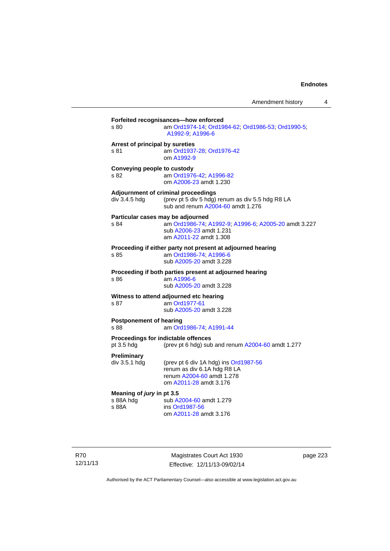| s 80                                    | am Ord1974-14, Ord1984-62, Ord1986-53, Ord1990-5,<br>A1992-9; A1996-6                                                                          |
|-----------------------------------------|------------------------------------------------------------------------------------------------------------------------------------------------|
| Arrest of principal by sureties<br>s 81 | am Ord1937-28; Ord1976-42<br>om A1992-9                                                                                                        |
| Conveying people to custody<br>s 82     | am Ord1976-42; A1996-82<br>om A2006-23 amdt 1.230                                                                                              |
| div 3.4.5 hdg                           | Adjournment of criminal proceedings<br>(prev pt 5 div 5 hdg) renum as div 5.5 hdg R8 LA<br>sub and renum A2004-60 amdt 1.276                   |
| s 84                                    | Particular cases may be adjourned<br>am Ord1986-74; A1992-9; A1996-6; A2005-20 amdt 3.227<br>sub A2006-23 amdt 1.231<br>am A2011-22 amdt 1.308 |
| s 85                                    | Proceeding if either party not present at adjourned hearing<br>am Ord1986-74; A1996-6<br>sub A2005-20 amdt 3.228                               |
| \$86                                    | Proceeding if both parties present at adjourned hearing<br>am A1996-6<br>sub A2005-20 amdt 3.228                                               |
| s 87                                    | Witness to attend adjourned etc hearing<br>am Ord1977-61<br>sub A2005-20 amdt 3.228                                                            |
| <b>Postponement of hearing</b><br>s 88  | am Ord1986-74; A1991-44                                                                                                                        |
| pt 3.5 hdg                              | Proceedings for indictable offences<br>(prev pt 6 hdg) sub and renum A2004-60 amdt 1.277                                                       |
| <b>Preliminary</b><br>div 3.5.1 hdg     | (prev pt 6 div 1A hdg) ins Ord1987-56<br>renum as div 6.1A hdg R8 LA<br>renum A2004-60 amdt 1.278<br>om A2011-28 amdt 3.176                    |
|                                         | Meaning of jury in pt 3.5                                                                                                                      |

R70 12/11/13

Magistrates Court Act 1930 Effective: 12/11/13-09/02/14 page 223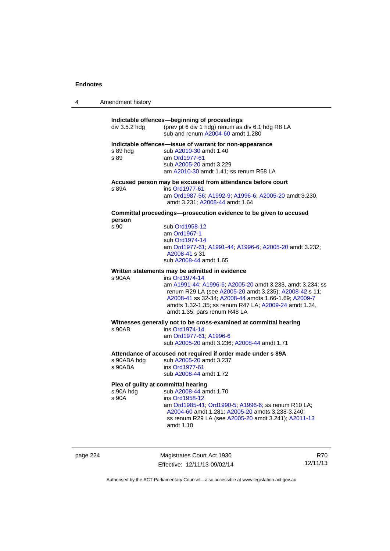| 4 | Amendment history |
|---|-------------------|
|---|-------------------|

| div 3.5.2 hdg                                             | Indictable offences-beginning of proceedings<br>(prev pt 6 div 1 hdg) renum as div 6.1 hdg R8 LA<br>sub and renum A2004-60 amdt 1.280                                                                                                                                                  |
|-----------------------------------------------------------|----------------------------------------------------------------------------------------------------------------------------------------------------------------------------------------------------------------------------------------------------------------------------------------|
| s 89 hdg<br>s 89                                          | Indictable offences—issue of warrant for non-appearance<br>sub A2010-30 amdt 1.40<br>am Ord1977-61<br>sub A2005-20 amdt 3.229<br>am A2010-30 amdt 1.41; ss renum R58 LA                                                                                                                |
| s 89A                                                     | Accused person may be excused from attendance before court<br>ins Ord1977-61<br>am Ord1987-56; A1992-9; A1996-6; A2005-20 amdt 3.230,<br>amdt 3.231: A2008-44 amdt 1.64                                                                                                                |
|                                                           | Committal proceedings-prosecution evidence to be given to accused                                                                                                                                                                                                                      |
| person<br>s 90                                            | sub Ord1958-12<br>am Ord1967-1<br>sub Ord1974-14<br>am Ord1977-61, A1991-44, A1996-6, A2005-20 amdt 3.232;<br>A2008-41 s 31<br>sub A2008-44 amdt 1.65                                                                                                                                  |
|                                                           | Written statements may be admitted in evidence                                                                                                                                                                                                                                         |
| s 90AA                                                    | ins Ord1974-14<br>am A1991-44; A1996-6; A2005-20 amdt 3.233, amdt 3.234; ss<br>renum R29 LA (see A2005-20 amdt 3.235); A2008-42 s 11;<br>A2008-41 ss 32-34; A2008-44 amdts 1.66-1.69; A2009-7<br>amdts 1.32-1.35; ss renum R47 LA; A2009-24 amdt 1.34,<br>amdt 1.35; pars renum R48 LA |
|                                                           | Witnesses generally not to be cross-examined at committal hearing                                                                                                                                                                                                                      |
| s 90AB                                                    | ins Ord1974-14<br>am Ord1977-61, A1996-6<br>sub A2005-20 amdt 3.236; A2008-44 amdt 1.71                                                                                                                                                                                                |
| s 90ABA hda<br>s 90ABA                                    | Attendance of accused not required if order made under s 89A<br>sub A2005-20 amdt 3.237<br>ins Ord1977-61<br>sub A2008-44 amdt 1.72                                                                                                                                                    |
| Plea of guilty at committal hearing<br>s 90A hdg<br>s 90A | sub A2008-44 amdt 1.70<br>ins Ord1958-12<br>am Ord1985-41; Ord1990-5; A1996-6; ss renum R10 LA;<br>A2004-60 amdt 1.281; A2005-20 amdts 3.238-3.240;<br>ss renum R29 LA (see A2005-20 amdt 3.241); A2011-13<br>amdt 1.10                                                                |

page 224 Magistrates Court Act 1930 Effective: 12/11/13-09/02/14

R70 12/11/13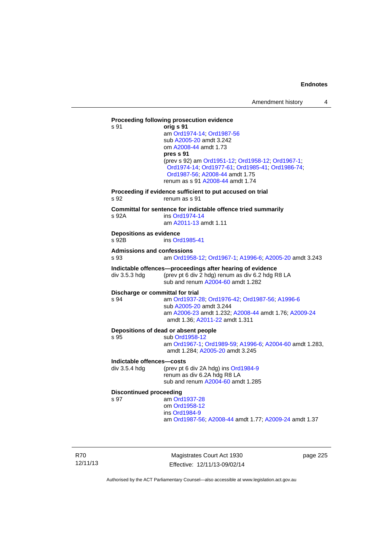# **Proceeding following prosecution evidence**  s 91 **orig s 91** am [Ord1974-14](http://www.legislation.act.gov.au/a/1974-14); [Ord1987-56](http://www.legislation.act.gov.au/a/1987-56) sub [A2005-20](http://www.legislation.act.gov.au/a/2005-20) amdt 3.242 om [A2008-44](http://www.legislation.act.gov.au/a/2008-44) amdt 1.73 **pres s 91** (prev s 92) am [Ord1951-12;](http://www.legislation.act.gov.au/a/1951-12) [Ord1958-12;](http://www.legislation.act.gov.au/a/1958-12) [Ord1967-1;](http://www.legislation.act.gov.au/a/1967-1) [Ord1974-14;](http://www.legislation.act.gov.au/a/1974-14) [Ord1977-61](http://www.legislation.act.gov.au/a/1977-61); [Ord1985-41](http://www.legislation.act.gov.au/a/1985-41); [Ord1986-74](http://www.legislation.act.gov.au/a/1986-74); [Ord1987-56;](http://www.legislation.act.gov.au/a/1987-56) [A2008-44](http://www.legislation.act.gov.au/a/2008-44) amdt 1.75 renum as s 91 [A2008-44](http://www.legislation.act.gov.au/a/2008-44) amdt 1.74 **Proceeding if evidence sufficient to put accused on trial**  s 92 renum as s 91 **Committal for sentence for indictable offence tried summarily**  s 92A ins [Ord1974-14](http://www.legislation.act.gov.au/a/1974-14) am [A2011-13](http://www.legislation.act.gov.au/a/2011-13) amdt 1.11 **Depositions as evidence**  s 92B ins [Ord1985-41](http://www.legislation.act.gov.au/a/1985-41) **Admissions and confessions**  s 93 am [Ord1958-12](http://www.legislation.act.gov.au/a/1958-12); [Ord1967-1](http://www.legislation.act.gov.au/a/1967-1); [A1996-6](http://www.legislation.act.gov.au/a/1996-6); [A2005-20](http://www.legislation.act.gov.au/a/2005-20) amdt 3.243 **Indictable offences—proceedings after hearing of evidence**  div 3.5.3 hdg (prev pt 6 div 2 hdg) renum as div 6.2 hdg R8 LA sub and renum [A2004-60](http://www.legislation.act.gov.au/a/2004-60) amdt 1.282 **Discharge or committal for trial**  s 94 am [Ord1937-28](http://www.legislation.act.gov.au/a/1937-28); [Ord1976-42](http://www.legislation.act.gov.au/a/1976-42); [Ord1987-56](http://www.legislation.act.gov.au/a/1987-56); [A1996-6](http://www.legislation.act.gov.au/a/1996-6) sub [A2005-20](http://www.legislation.act.gov.au/a/2005-20) amdt 3.244 am [A2006-23](http://www.legislation.act.gov.au/a/2006-23) amdt 1.232; [A2008-44](http://www.legislation.act.gov.au/a/2008-44) amdt 1.76; [A2009-24](http://www.legislation.act.gov.au/a/2009-24) amdt 1.36; [A2011-22](http://www.legislation.act.gov.au/a/2011-22) amdt 1.311 **Depositions of dead or absent people**  s 95 sub [Ord1958-12](http://www.legislation.act.gov.au/a/1958-12) am [Ord1967-1;](http://www.legislation.act.gov.au/a/1967-1) [Ord1989-59](http://www.legislation.act.gov.au/a/1989-59); [A1996-6](http://www.legislation.act.gov.au/a/1996-6); [A2004-60](http://www.legislation.act.gov.au/a/2004-60) amdt 1.283, amdt 1.284; [A2005-20](http://www.legislation.act.gov.au/a/2005-20) amdt 3.245 **Indictable offences—costs**  div 3.5.4 hdg (prev pt 6 div 2A hdg) ins [Ord1984-9](http://www.legislation.act.gov.au/a/1984-9) renum as div 6.2A hdg R8 LA sub and renum [A2004-60](http://www.legislation.act.gov.au/a/2004-60) amdt 1.285 **Discontinued proceeding**<br>s 97 am Orc am [Ord1937-28](http://www.legislation.act.gov.au/a/1937-28) om [Ord1958-12](http://www.legislation.act.gov.au/a/1958-12) ins [Ord1984-9](http://www.legislation.act.gov.au/a/1984-9) am [Ord1987-56](http://www.legislation.act.gov.au/a/1987-56); [A2008-44](http://www.legislation.act.gov.au/a/2008-44) amdt 1.77; [A2009-24](http://www.legislation.act.gov.au/a/2009-24) amdt 1.37

R70 12/11/13

Magistrates Court Act 1930 Effective: 12/11/13-09/02/14 page 225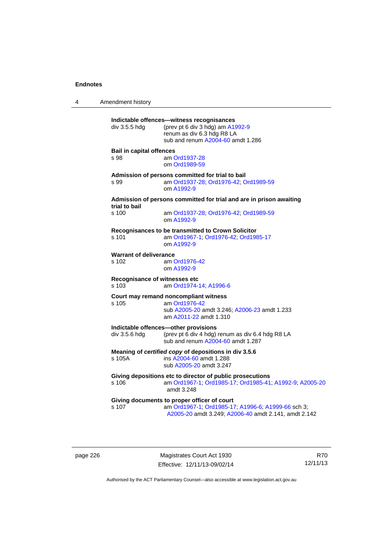4 Amendment history **Indictable offences—witness recognisances**  div 3.5.5 hdg (prev pt 6 div 3 hdg) am  $A1992-9$ renum as div 6.3 hdg R8 LA sub and renum [A2004-60](http://www.legislation.act.gov.au/a/2004-60) amdt 1.286 **Bail in capital offences**  s 98 am [Ord1937-28](http://www.legislation.act.gov.au/a/1937-28) om [Ord1989-59](http://www.legislation.act.gov.au/a/1989-59) **Admission of persons committed for trial to bail**  s 99 am [Ord1937-28](http://www.legislation.act.gov.au/a/1937-28); [Ord1976-42](http://www.legislation.act.gov.au/a/1976-42); [Ord1989-59](http://www.legislation.act.gov.au/a/1989-59) om [A1992-9](http://www.legislation.act.gov.au/a/1992-9) **Admission of persons committed for trial and are in prison awaiting trial to bail**  am [Ord1937-28](http://www.legislation.act.gov.au/a/1937-28); [Ord1976-42;](http://www.legislation.act.gov.au/a/1976-42) [Ord1989-59](http://www.legislation.act.gov.au/a/1989-59) om [A1992-9](http://www.legislation.act.gov.au/a/1992-9) **Recognisances to be transmitted to Crown Solicitor**  s 101 am [Ord1967-1;](http://www.legislation.act.gov.au/a/1967-1) [Ord1976-42](http://www.legislation.act.gov.au/a/1976-42); [Ord1985-17](http://www.legislation.act.gov.au/a/1985-17) om [A1992-9](http://www.legislation.act.gov.au/a/1992-9) **Warrant of deliverance**<br>s 102 am ( am [Ord1976-42](http://www.legislation.act.gov.au/a/1976-42) om [A1992-9](http://www.legislation.act.gov.au/a/1992-9) **Recognisance of witnesses etc**  s 103 am [Ord1974-14](http://www.legislation.act.gov.au/a/1974-14); [A1996-6](http://www.legislation.act.gov.au/a/1996-6) **Court may remand noncompliant witness**  s 105 am [Ord1976-42](http://www.legislation.act.gov.au/a/1976-42) sub [A2005-20](http://www.legislation.act.gov.au/a/2005-20) amdt 3.246; [A2006-23](http://www.legislation.act.gov.au/a/2006-23) amdt 1.233 am [A2011-22](http://www.legislation.act.gov.au/a/2011-22) amdt 1.310 **Indictable offences—other provisions**  div 3.5.6 hdg (prev pt 6 div 4 hdg) renum as div 6.4 hdg R8 LA sub and renum [A2004-60](http://www.legislation.act.gov.au/a/2004-60) amdt 1.287 **Meaning of** *certified copy* **of depositions in div 3.5.6**  s 105A ins [A2004-60](http://www.legislation.act.gov.au/a/2004-60) amdt 1.288 sub [A2005-20](http://www.legislation.act.gov.au/a/2005-20) amdt 3.247 **Giving depositions etc to director of public prosecutions**  am [Ord1967-1;](http://www.legislation.act.gov.au/a/1967-1) [Ord1985-17](http://www.legislation.act.gov.au/a/1985-17); [Ord1985-41](http://www.legislation.act.gov.au/a/1985-41); [A1992-9](http://www.legislation.act.gov.au/a/1992-9); [A2005-20](http://www.legislation.act.gov.au/a/2005-20) amdt 3.248 **Giving documents to proper officer of court**  s 107 am [Ord1967-1;](http://www.legislation.act.gov.au/a/1967-1) [Ord1985-17](http://www.legislation.act.gov.au/a/1985-17); [A1996-6](http://www.legislation.act.gov.au/a/1996-6); [A1999-66](http://www.legislation.act.gov.au/a/1999-66) sch 3; [A2005-20](http://www.legislation.act.gov.au/a/2005-20) amdt 3.249; [A2006-40](http://www.legislation.act.gov.au/a/2006-40) amdt 2.141, amdt 2.142

page 226 Magistrates Court Act 1930 Effective: 12/11/13-09/02/14

R70 12/11/13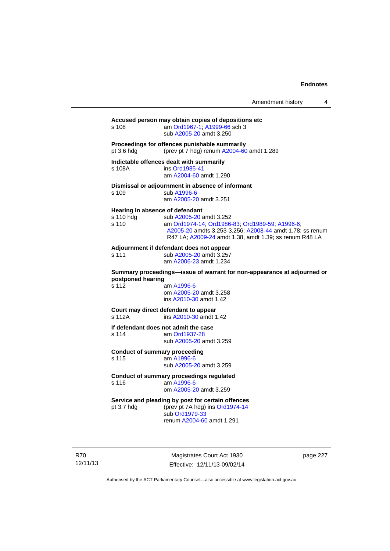### **Accused person may obtain copies of depositions etc**

s 108 am [Ord1967-1;](http://www.legislation.act.gov.au/a/1967-1) [A1999-66](http://www.legislation.act.gov.au/a/1999-66) sch 3 sub [A2005-20](http://www.legislation.act.gov.au/a/2005-20) amdt 3.250

#### **Proceedings for offences punishable summarily**

pt 3.6 hdg (prev pt 7 hdg) renum [A2004-60](http://www.legislation.act.gov.au/a/2004-60) amdt 1.289

#### **Indictable offences dealt with summarily**

s 108A ins [Ord1985-41](http://www.legislation.act.gov.au/a/1985-41) am [A2004-60](http://www.legislation.act.gov.au/a/2004-60) amdt 1.290

### **Dismissal or adjournment in absence of informant**

s 109 sub [A1996-6](http://www.legislation.act.gov.au/a/1996-6) am [A2005-20](http://www.legislation.act.gov.au/a/2005-20) amdt 3.251

## **Hearing in absence of defendant**

| s 110 hdq | sub A2005-20 amdt 3.252                                  |
|-----------|----------------------------------------------------------|
| s 110     | am Ord1974-14, Ord1986-83, Ord1989-59, A1996-6.          |
|           | A2005-20 amdts 3.253-3.256; A2008-44 amdt 1.78; ss renum |
|           | R47 LA: A2009-24 amdt 1.38, amdt 1.39; ss renum R48 LA   |

# **Adjournment if defendant does not appear**

s 111 sub [A2005-20](http://www.legislation.act.gov.au/a/2005-20) amdt 3.257 am [A2006-23](http://www.legislation.act.gov.au/a/2006-23) amdt 1.234

**Summary proceedings—issue of warrant for non-appearance at adjourned or postponed hearing** 

s 112 am [A1996-6](http://www.legislation.act.gov.au/a/1996-6) om [A2005-20](http://www.legislation.act.gov.au/a/2005-20) amdt 3.258 ins [A2010-30](http://www.legislation.act.gov.au/a/2010-30) amdt 1.42

## **Court may direct defendant to appear**

s 112A ins [A2010-30](http://www.legislation.act.gov.au/a/2010-30) amdt 1.42

**If defendant does not admit the case**  am [Ord1937-28](http://www.legislation.act.gov.au/a/1937-28)

sub [A2005-20](http://www.legislation.act.gov.au/a/2005-20) amdt 3.259

## **Conduct of summary proceeding**

s 115 am [A1996-6](http://www.legislation.act.gov.au/a/1996-6) sub [A2005-20](http://www.legislation.act.gov.au/a/2005-20) amdt 3.259

#### **Conduct of summary proceedings regulated**  s 116 am [A1996-6](http://www.legislation.act.gov.au/a/1996-6)

om [A2005-20](http://www.legislation.act.gov.au/a/2005-20) amdt 3.259

# **Service and pleading by post for certain offences**

pt 3.7 hdg (prev pt 7A hdg) ins [Ord1974-14](http://www.legislation.act.gov.au/a/1974-14) sub [Ord1979-33](http://www.legislation.act.gov.au/a/1979-33) renum [A2004-60](http://www.legislation.act.gov.au/a/2004-60) amdt 1.291

R70 12/11/13

Magistrates Court Act 1930 Effective: 12/11/13-09/02/14 page 227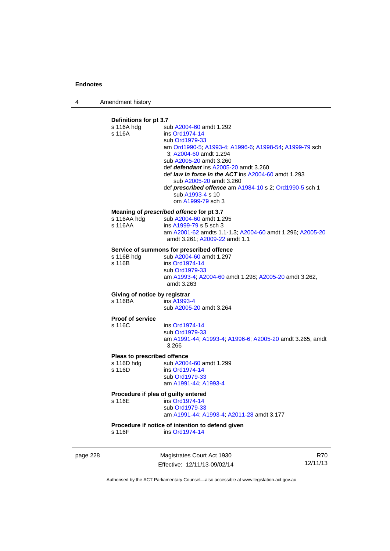4 Amendment history

# **Definitions for pt 3.7**

| s 116A hdg<br>s 116A                                | sub A2004-60 amdt 1.292<br>ins Ord1974-14<br>sub Ord1979-33<br>am Ord1990-5; A1993-4; A1996-6; A1998-54; A1999-79 sch<br>3; A2004-60 amdt 1.294<br>sub A2005-20 amdt 3.260<br>def <i>defendant</i> ins A2005-20 amdt 3.260<br>def <i>law in force in the ACT</i> ins $A2004-60$ amdt 1.293<br>sub A2005-20 amdt 3.260<br>def prescribed offence am A1984-10 s 2; Ord1990-5 sch 1<br>sub A1993-4 s 10<br>om A1999-79 sch 3 |
|-----------------------------------------------------|---------------------------------------------------------------------------------------------------------------------------------------------------------------------------------------------------------------------------------------------------------------------------------------------------------------------------------------------------------------------------------------------------------------------------|
| s 116AA hdg<br>s 116AA                              | Meaning of prescribed offence for pt 3.7<br>sub A2004-60 amdt 1.295<br>ins A1999-79 s 5 sch 3<br>am A2001-62 amdts 1.1-1.3; A2004-60 amdt 1.296; A2005-20<br>amdt 3.261; A2009-22 amdt 1.1                                                                                                                                                                                                                                |
| s 116B hdq<br>s 116B                                | Service of summons for prescribed offence<br>sub A2004-60 amdt 1.297<br>ins Ord1974-14<br>sub Ord1979-33<br>am A1993-4; A2004-60 amdt 1.298; A2005-20 amdt 3.262,<br>amdt 3.263                                                                                                                                                                                                                                           |
| Giving of notice by registrar<br>s 116BA            | ins A1993-4<br>sub A2005-20 amdt 3.264                                                                                                                                                                                                                                                                                                                                                                                    |
| <b>Proof of service</b><br>s 116C                   | ins Ord1974-14<br>sub Ord1979-33<br>am A1991-44; A1993-4; A1996-6; A2005-20 amdt 3.265, amdt<br>3.266                                                                                                                                                                                                                                                                                                                     |
| Pleas to prescribed offence<br>s 116D hdg<br>s 116D | sub A2004-60 amdt 1.299<br>ins Ord1974-14<br>sub Ord1979-33<br>am A1991-44, A1993-4                                                                                                                                                                                                                                                                                                                                       |
| s 116E                                              | Procedure if plea of guilty entered<br>ins Ord1974-14<br>sub Ord1979-33<br>am A1991-44; A1993-4; A2011-28 amdt 3.177                                                                                                                                                                                                                                                                                                      |
| s 116F                                              | Procedure if notice of intention to defend given<br>ins Ord1974-14                                                                                                                                                                                                                                                                                                                                                        |

page 228 Magistrates Court Act 1930 Effective: 12/11/13-09/02/14

R70 12/11/13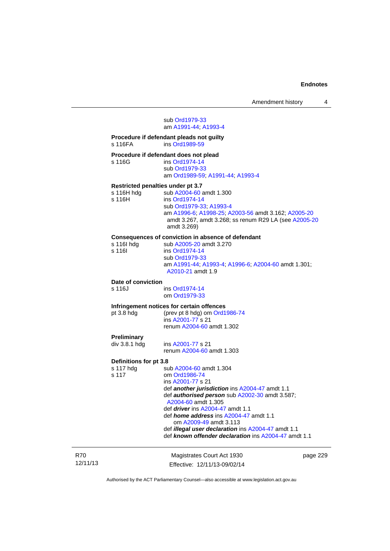## sub [Ord1979-33](http://www.legislation.act.gov.au/a/1979-33) am [A1991-44](http://www.legislation.act.gov.au/a/1991-44); [A1993-4](http://www.legislation.act.gov.au/a/1993-4)

#### **Procedure if defendant pleads not guilty**  ins [Ord1989-59](http://www.legislation.act.gov.au/a/1989-59)

| Procedure if defendant does not plead |                                  |  |
|---------------------------------------|----------------------------------|--|
| s 116G                                | ins Ord1974-14                   |  |
|                                       | sub Ord1979-33                   |  |
|                                       | am Ord1989-59, A1991-44, A1993-4 |  |

#### **Restricted penalties under pt 3.7**

s 116H hdg sub [A2004-60](http://www.legislation.act.gov.au/a/2004-60) amdt 1.300<br>s 116H ins Ord1974-14 ins [Ord1974-14](http://www.legislation.act.gov.au/a/1974-14) sub [Ord1979-33](http://www.legislation.act.gov.au/a/1979-33); [A1993-4](http://www.legislation.act.gov.au/a/1993-4)

 am [A1996-6;](http://www.legislation.act.gov.au/a/1996-6) [A1998-25](http://www.legislation.act.gov.au/a/1998-25); [A2003-56](http://www.legislation.act.gov.au/a/2003-56) amdt 3.162; [A2005-20](http://www.legislation.act.gov.au/a/2005-20) amdt 3.267, amdt 3.268; ss renum R29 LA (see [A2005-20](http://www.legislation.act.gov.au/a/2005-20) amdt 3.269)

## **Consequences of conviction in absence of defendant**

| s 116l hda | sub A2005-20 amdt 3.270                                                  |
|------------|--------------------------------------------------------------------------|
| s 116I     | ins Ord1974-14                                                           |
|            | sub Ord1979-33                                                           |
|            | am A1991-44, A1993-4, A1996-6, A2004-60 amdt 1.301;<br>A2010-21 amdt 1.9 |
|            |                                                                          |

# **Date of conviction**

ins [Ord1974-14](http://www.legislation.act.gov.au/a/1974-14) om [Ord1979-33](http://www.legislation.act.gov.au/a/1979-33)

# **Infringement notices for certain offences**<br>pt 3.8 hdg (prev pt 8 hdg) om Ord1

(prev pt 8 hdg) om [Ord1986-74](http://www.legislation.act.gov.au/a/1986-74) ins [A2001-77](http://www.legislation.act.gov.au/a/2001-77) s 21 renum [A2004-60](http://www.legislation.act.gov.au/a/2004-60) amdt 1.302

# **Preliminary**

ins [A2001-77](http://www.legislation.act.gov.au/a/2001-77) s 21 renum [A2004-60](http://www.legislation.act.gov.au/a/2004-60) amdt 1.303

# **Definitions for pt 3.8**

| om Ord1986-74                                             |
|-----------------------------------------------------------|
| ins A2001-77 s 21                                         |
| def another jurisdiction ins A2004-47 amdt 1.1            |
| def <b>authorised person</b> sub A2002-30 amdt 3.587;     |
| A2004-60 amdt 1.305                                       |
| def <i>driver</i> ins A2004-47 amdt 1.1                   |
| def <i>home address</i> ins $A2004-47$ amdt 1.1           |
| om A2009-49 amdt 3.113                                    |
| def <i>illegal user declaration</i> ins A2004-47 amdt 1.1 |
| def known offender declaration ins A2004-47 amdt 1.1      |
|                                                           |

| R70      | Magistrates Court Act 1930   | page 229 |
|----------|------------------------------|----------|
| 12/11/13 | Effective: 12/11/13-09/02/14 |          |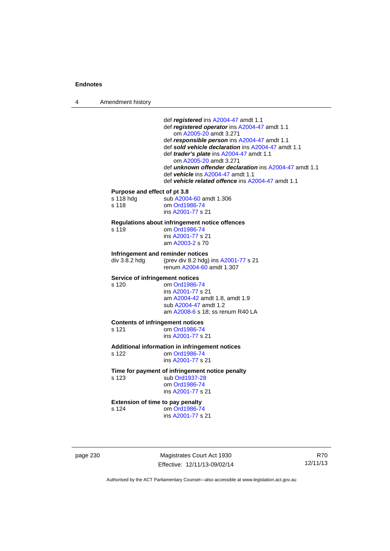4 Amendment history

 def *registered* ins [A2004-47](http://www.legislation.act.gov.au/a/2004-47) amdt 1.1 def *registered operator* ins [A2004-47](http://www.legislation.act.gov.au/a/2004-47) amdt 1.1 om [A2005-20](http://www.legislation.act.gov.au/a/2005-20) amdt 3.271 def *responsible person* ins [A2004-47](http://www.legislation.act.gov.au/a/2004-47) amdt 1.1 def *sold vehicle declaration* ins [A2004-47](http://www.legislation.act.gov.au/a/2004-47) amdt 1.1 def *trader's plate* ins [A2004-47](http://www.legislation.act.gov.au/a/2004-47) amdt 1.1 om [A2005-20](http://www.legislation.act.gov.au/a/2005-20) amdt 3.271 def *unknown offender declaration* ins [A2004-47](http://www.legislation.act.gov.au/a/2004-47) amdt 1.1 def *vehicle* ins [A2004-47](http://www.legislation.act.gov.au/a/2004-47) amdt 1.1 def *vehicle related offence* ins [A2004-47](http://www.legislation.act.gov.au/a/2004-47) amdt 1.1 **Purpose and effect of pt 3.8**<br>s 118 hdg sub A2004 sub [A2004-60](http://www.legislation.act.gov.au/a/2004-60) amdt 1.306 s 118 om [Ord1986-74](http://www.legislation.act.gov.au/a/1986-74) ins [A2001-77](http://www.legislation.act.gov.au/a/2001-77) s 21 **Regulations about infringement notice offences**  s 119 om [Ord1986-74](http://www.legislation.act.gov.au/a/1986-74) ins [A2001-77](http://www.legislation.act.gov.au/a/2001-77) s 21 am [A2003-2](http://www.legislation.act.gov.au/a/2003-2) s 70 **Infringement and reminder notices**  div 3.8.2 hdg (prev div 8.2 hdg) ins [A2001-77](http://www.legislation.act.gov.au/a/2001-77) s 21 renum [A2004-60](http://www.legislation.act.gov.au/a/2004-60) amdt 1.307 **Service of infringement notices**  s 120 om [Ord1986-74](http://www.legislation.act.gov.au/a/1986-74) ins [A2001-77](http://www.legislation.act.gov.au/a/2001-77) s 21 am [A2004-42](http://www.legislation.act.gov.au/a/2004-42) amdt 1.8, amdt 1.9 sub [A2004-47](http://www.legislation.act.gov.au/a/2004-47) amdt 1.2 am [A2008-6](http://www.legislation.act.gov.au/a/2008-6) s 18; ss renum R40 LA **Contents of infringement notices**  s 121 om [Ord1986-74](http://www.legislation.act.gov.au/a/1986-74) ins [A2001-77](http://www.legislation.act.gov.au/a/2001-77) s 21 **Additional information in infringement notices**  s 122 om [Ord1986-74](http://www.legislation.act.gov.au/a/1986-74) ins [A2001-77](http://www.legislation.act.gov.au/a/2001-77) s 21 **Time for payment of infringement notice penalty**  s 123 sub [Ord1937-28](http://www.legislation.act.gov.au/a/1937-28) om [Ord1986-74](http://www.legislation.act.gov.au/a/1986-74) ins [A2001-77](http://www.legislation.act.gov.au/a/2001-77) s 21 **Extension of time to pay penalty**  s 124 om [Ord1986-74](http://www.legislation.act.gov.au/a/1986-74) ins [A2001-77](http://www.legislation.act.gov.au/a/2001-77) s 21

page 230 Magistrates Court Act 1930 Effective: 12/11/13-09/02/14

R70 12/11/13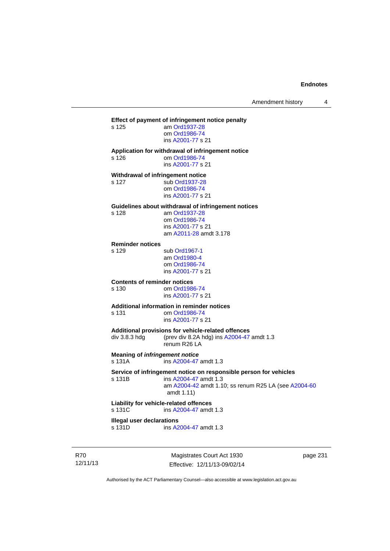Amendment history 4

## **Effect of payment of infringement notice penalty**

| am Ord1937-28     |
|-------------------|
| om Ord1986-74     |
| ins A2001-77 s 21 |
|                   |

#### **Application for withdrawal of infringement notice**

| s 126 | om Ord1986-74     |
|-------|-------------------|
|       | ins A2001-77 s 21 |

# **Withdrawal of infringement notice**

s 127

s 126

| <b>SUD ORT 937-28</b> |
|-----------------------|
| om Ord1986-74         |
| ins A2001-77 s 21     |
|                       |

#### **Guidelines about withdrawal of infringement notices**  s 128

| s 128 | am Ord1937-28          |
|-------|------------------------|
|       | om Ord1986-74          |
|       | ins A2001-77 s 21      |
|       | am A2011-28 amdt 3.178 |

#### **Reminder notices**

s 129 sub [Ord1967-1](http://www.legislation.act.gov.au/a/1967-1)

 am [Ord1980-4](http://www.legislation.act.gov.au/a/1980-4) om [Ord1986-74](http://www.legislation.act.gov.au/a/1986-74) ins [A2001-77](http://www.legislation.act.gov.au/a/2001-77) s 21

# **Contents of reminder notices**

s 130 om [Ord1986-74](http://www.legislation.act.gov.au/a/1986-74) ins [A2001-77](http://www.legislation.act.gov.au/a/2001-77) s 21

# **Additional information in reminder notices**

om [Ord1986-74](http://www.legislation.act.gov.au/a/1986-74) ins [A2001-77](http://www.legislation.act.gov.au/a/2001-77) s 21

#### **Additional provisions for vehicle-related offences**

div 3.8.3 hdg (prev div 8.2A hdg) ins [A2004-47](http://www.legislation.act.gov.au/a/2004-47) amdt 1.3 renum R26 LA

**Meaning of** *infringement notice*

s 131A ins [A2004-47](http://www.legislation.act.gov.au/a/2004-47) amdt 1.3

# **Service of infringement notice on responsible person for vehicles**

 $ins$  [A2004-47](http://www.legislation.act.gov.au/a/2004-47) amdt 1.3 am [A2004-42](http://www.legislation.act.gov.au/a/2004-42) amdt 1.10; ss renum R25 LA (see [A2004-60](http://www.legislation.act.gov.au/a/2004-60) amdt 1.11)

# **Liability for vehicle-related offences**

s 131C ins [A2004-47](http://www.legislation.act.gov.au/a/2004-47) amdt 1.3

#### **Illegal user declarations**

s 131D ins [A2004-47](http://www.legislation.act.gov.au/a/2004-47) amdt 1.3

R70 12/11/13

Magistrates Court Act 1930 Effective: 12/11/13-09/02/14 page 231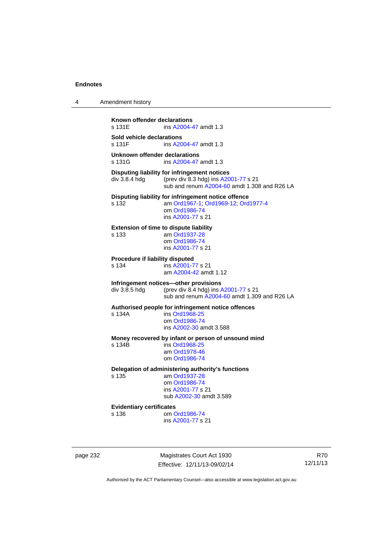| 4 | Amendment history |  |
|---|-------------------|--|
|---|-------------------|--|

**Known offender declarations**<br>s 131E ins A2004-4 ins [A2004-47](http://www.legislation.act.gov.au/a/2004-47) amdt 1.3 **Sold vehicle declarations**  ins [A2004-47](http://www.legislation.act.gov.au/a/2004-47) amdt 1.3 **Unknown offender declarations**  s 131G **ins A2004-47** amdt 1.3 **Disputing liability for infringement notices**  div 3.8.4 hdg (prev div 8.3 hdg) ins [A2001-77](http://www.legislation.act.gov.au/a/2001-77) s 21 sub and renum [A2004-60](http://www.legislation.act.gov.au/a/2004-60) amdt 1.308 and R26 LA **Disputing liability for infringement notice offence**  s 132 am [Ord1967-1;](http://www.legislation.act.gov.au/a/1967-1) [Ord1969-12](http://www.legislation.act.gov.au/a/1969-12); [Ord1977-4](http://www.legislation.act.gov.au/a/1977-4) om [Ord1986-74](http://www.legislation.act.gov.au/a/1986-74) ins [A2001-77](http://www.legislation.act.gov.au/a/2001-77) s 21 **Extension of time to dispute liability**  s 133 am [Ord1937-28](http://www.legislation.act.gov.au/a/1937-28) om [Ord1986-74](http://www.legislation.act.gov.au/a/1986-74) ins [A2001-77](http://www.legislation.act.gov.au/a/2001-77) s 21 **Procedure if liability disputed**  s 134 ins [A2001-77](http://www.legislation.act.gov.au/a/2001-77) s 21 am [A2004-42](http://www.legislation.act.gov.au/a/2004-42) amdt 1.12 **Infringement notices—other provisions**  div 3.8.5 hdg (prev div 8.4 hdg) ins [A2001-77](http://www.legislation.act.gov.au/a/2001-77) s 21 sub and renum [A2004-60](http://www.legislation.act.gov.au/a/2004-60) amdt 1.309 and R26 LA **Authorised people for infringement notice offences**  s 134A ins [Ord1968-25](http://www.legislation.act.gov.au/a/1968-25) om [Ord1986-74](http://www.legislation.act.gov.au/a/1986-74) ins [A2002-30](http://www.legislation.act.gov.au/a/2002-30) amdt 3.588 **Money recovered by infant or person of unsound mind**  s 134B ins [Ord1968-25](http://www.legislation.act.gov.au/a/1968-25) am [Ord1978-46](http://www.legislation.act.gov.au/a/1978-46) om [Ord1986-74](http://www.legislation.act.gov.au/a/1986-74) **Delegation of administering authority's functions**  s 135 am [Ord1937-28](http://www.legislation.act.gov.au/a/1937-28) om [Ord1986-74](http://www.legislation.act.gov.au/a/1986-74) ins [A2001-77](http://www.legislation.act.gov.au/a/2001-77) s 21 sub [A2002-30](http://www.legislation.act.gov.au/a/2002-30) amdt 3.589 **Evidentiary certificates**  om [Ord1986-74](http://www.legislation.act.gov.au/a/1986-74) ins [A2001-77](http://www.legislation.act.gov.au/a/2001-77) s 21

page 232 Magistrates Court Act 1930 Effective: 12/11/13-09/02/14

R70 12/11/13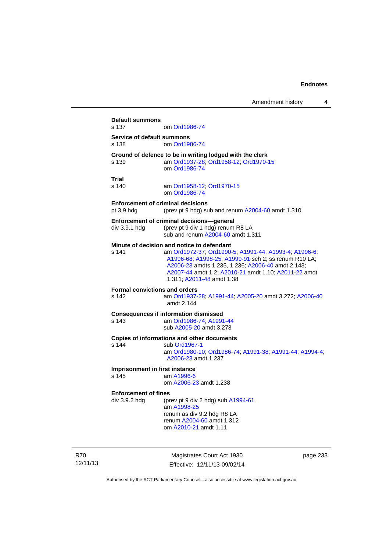**Default summons**  om [Ord1986-74](http://www.legislation.act.gov.au/a/1986-74) **Service of default summons**  s 138 om [Ord1986-74](http://www.legislation.act.gov.au/a/1986-74) **Ground of defence to be in writing lodged with the clerk s 139 am Ord1937-28; Ord1958-12; Ord1970-**am [Ord1937-28](http://www.legislation.act.gov.au/a/1937-28); [Ord1958-12;](http://www.legislation.act.gov.au/a/1958-12) [Ord1970-15](http://www.legislation.act.gov.au/a/1970-15) om [Ord1986-74](http://www.legislation.act.gov.au/a/1986-74) **Trial**  s 140 am [Ord1958-12](http://www.legislation.act.gov.au/a/1958-12); [Ord1970-15](http://www.legislation.act.gov.au/a/1970-15) om [Ord1986-74](http://www.legislation.act.gov.au/a/1986-74) **Enforcement of criminal decisions**  pt 3.9 hdg (prev pt 9 hdg) sub and renum [A2004-60](http://www.legislation.act.gov.au/a/2004-60) amdt 1.310 **Enforcement of criminal decisions—general**  div 3.9.1 hdg (prev pt 9 div 1 hdg) renum R8 LA sub and renum [A2004-60](http://www.legislation.act.gov.au/a/2004-60) amdt 1.311 **Minute of decision and notice to defendant**  s 141 am [Ord1972-37](http://www.legislation.act.gov.au/a/1972-37); [Ord1990-5](http://www.legislation.act.gov.au/a/alt_ord1990-5); [A1991-44](http://www.legislation.act.gov.au/a/1991-44); [A1993-4](http://www.legislation.act.gov.au/a/1993-4); [A1996-6](http://www.legislation.act.gov.au/a/1996-6); [A1996-68;](http://www.legislation.act.gov.au/a/1996-68) [A1998-25](http://www.legislation.act.gov.au/a/1998-25); [A1999-91](http://www.legislation.act.gov.au/a/1999-91) sch 2; ss renum R10 LA; [A2006-23](http://www.legislation.act.gov.au/a/2006-23) amdts 1.235, 1.236; [A2006-40](http://www.legislation.act.gov.au/a/2006-40) amdt 2.143; [A2007-44](http://www.legislation.act.gov.au/a/2007-44) amdt 1.2; [A2010-21](http://www.legislation.act.gov.au/a/2010-21) amdt 1.10; [A2011-22](http://www.legislation.act.gov.au/a/2011-22) amdt 1.311; [A2011-48](http://www.legislation.act.gov.au/a/2011-48) amdt 1.38 **Formal convictions and orders**<br>s 142 am Ord1937 am [Ord1937-28](http://www.legislation.act.gov.au/a/1937-28); [A1991-44;](http://www.legislation.act.gov.au/a/1991-44) [A2005-20](http://www.legislation.act.gov.au/a/2005-20) amdt 3.272; [A2006-40](http://www.legislation.act.gov.au/a/2006-40) amdt 2.144 **Consequences if information dismissed**  s 143 am [Ord1986-74](http://www.legislation.act.gov.au/a/1986-74); [A1991-44](http://www.legislation.act.gov.au/a/1991-44) sub [A2005-20](http://www.legislation.act.gov.au/a/2005-20) amdt 3.273 **Copies of informations and other documents**  s 144 sub [Ord1967-1](http://www.legislation.act.gov.au/a/1967-1) am [Ord1980-10](http://www.legislation.act.gov.au/a/1980-10); [Ord1986-74;](http://www.legislation.act.gov.au/a/1986-74) [A1991-38](http://www.legislation.act.gov.au/a/1991-38); [A1991-44](http://www.legislation.act.gov.au/a/1991-44); [A1994-4](http://www.legislation.act.gov.au/a/1994-4); [A2006-23](http://www.legislation.act.gov.au/a/2006-23) amdt 1.237 **Imprisonment in first instance**  s 145 am [A1996-6](http://www.legislation.act.gov.au/a/1996-6) om [A2006-23](http://www.legislation.act.gov.au/a/2006-23) amdt 1.238 **Enforcement of fines**  div  $3.9.2$  hdg (prev pt 9 div 2 hdg) sub  $A1994-61$  am [A1998-25](http://www.legislation.act.gov.au/a/1998-25) renum as div 9.2 hdg R8 LA renum [A2004-60](http://www.legislation.act.gov.au/a/2004-60) amdt 1.312 om [A2010-21](http://www.legislation.act.gov.au/a/2010-21) amdt 1.11

R70 12/11/13

Magistrates Court Act 1930 Effective: 12/11/13-09/02/14 page 233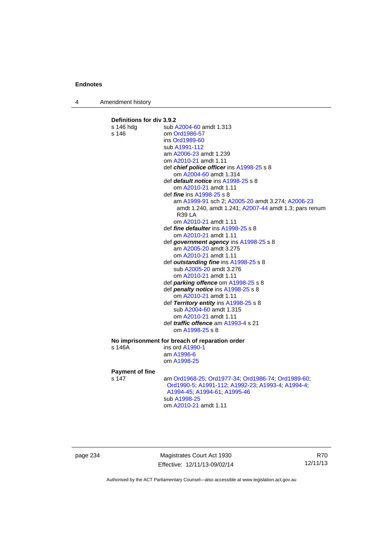4 Amendment history

# **Definitions for div 3.9.2**

|                                                | s 146 hdg              | sub A2004-60 amdt 1.313                               |
|------------------------------------------------|------------------------|-------------------------------------------------------|
|                                                | s 146                  | om Ord1986-57                                         |
|                                                |                        | ins Ord1989-60                                        |
|                                                |                        | sub A1991-112                                         |
|                                                |                        | am A2006-23 amdt 1.239                                |
|                                                |                        | om A2010-21 amdt 1.11                                 |
|                                                |                        | def chief police officer ins A1998-25 s 8             |
|                                                |                        | om A2004-60 amdt 1.314                                |
|                                                |                        | def <i>default notice</i> ins A1998-25 s 8            |
|                                                |                        | om A2010-21 amdt 1.11                                 |
|                                                |                        | def <i>fine</i> ins A1998-25 s 8                      |
|                                                |                        | am A1999-91 sch 2; A2005-20 amdt 3.274; A2006-23      |
|                                                |                        | amdt 1.240, amdt 1.241; A2007-44 amdt 1.3; pars renum |
|                                                |                        | <b>R39 LA</b>                                         |
|                                                |                        | om A2010-21 amdt 1.11                                 |
|                                                |                        | def <i>fine defaulter</i> ins A1998-25 s 8            |
|                                                |                        | om A2010-21 amdt 1.11                                 |
|                                                |                        | def government agency ins A1998-25 s 8                |
|                                                |                        | am A2005-20 amdt 3.275                                |
|                                                |                        | om A2010-21 amdt 1.11                                 |
|                                                |                        | def outstanding fine ins A1998-25 s 8                 |
|                                                |                        | sub A2005-20 amdt 3.276                               |
|                                                |                        | om A2010-21 amdt 1.11                                 |
|                                                |                        | def <i>parking offence</i> om A1998-25 s 8            |
|                                                |                        | def penalty notice ins A1998-25 s 8                   |
|                                                |                        | om A2010-21 amdt 1.11                                 |
|                                                |                        | def Territory entity ins A1998-25 s 8                 |
|                                                |                        | sub A2004-60 amdt 1.315                               |
|                                                |                        | om A2010-21 amdt 1.11                                 |
|                                                |                        | def <i>traffic offence</i> am A1993-4 s 21            |
|                                                |                        | om A1998-25 s 8                                       |
| No imprisonment for breach of reparation order |                        |                                                       |
|                                                | s 146A                 | ins ord A1990-1                                       |
|                                                |                        | am A1996-6                                            |
|                                                |                        | om A1998-25                                           |
|                                                | <b>Payment of fine</b> |                                                       |
|                                                | s 147                  | am Ord1968-25; Ord1977-34; Ord1986-74; Ord1989-60;    |
|                                                |                        | Ord1990-5, A1991-112, A1992-23, A1993-4, A1994-4,     |
|                                                |                        | A1994-45, A1994-61, A1995-46                          |
|                                                |                        | sub A1998-25                                          |
|                                                |                        | om A2010-21 amdt 1.11                                 |
|                                                |                        |                                                       |
|                                                |                        |                                                       |

page 234 Magistrates Court Act 1930 Effective: 12/11/13-09/02/14

R70 12/11/13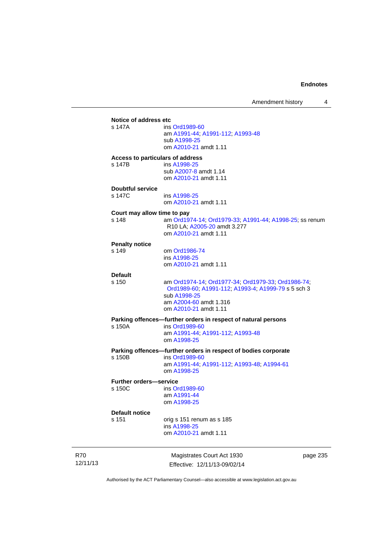Amendment history 4

# **Notice of address etc**  ins [Ord1989-60](http://www.legislation.act.gov.au/a/1989-60) am [A1991-44](http://www.legislation.act.gov.au/a/1991-44); [A1991-112](http://www.legislation.act.gov.au/a/1991-112); [A1993-48](http://www.legislation.act.gov.au/a/1993-48) sub [A1998-25](http://www.legislation.act.gov.au/a/1998-25) om [A2010-21](http://www.legislation.act.gov.au/a/2010-21) amdt 1.11 **Access to particulars of address**  s 147B ins [A1998-25](http://www.legislation.act.gov.au/a/1998-25) sub [A2007-8](http://www.legislation.act.gov.au/a/2007-8) amdt 1.14 om [A2010-21](http://www.legislation.act.gov.au/a/2010-21) amdt 1.11 **Doubtful service**  ins [A1998-25](http://www.legislation.act.gov.au/a/1998-25) om [A2010-21](http://www.legislation.act.gov.au/a/2010-21) amdt 1.11 **Court may allow time to pay**  s 148 am [Ord1974-14](http://www.legislation.act.gov.au/a/1974-14); [Ord1979-33](http://www.legislation.act.gov.au/a/1979-33); [A1991-44](http://www.legislation.act.gov.au/a/1991-44); [A1998-25](http://www.legislation.act.gov.au/a/1998-25); ss renum R10 LA; [A2005-20](http://www.legislation.act.gov.au/a/2005-20) amdt 3.277 om [A2010-21](http://www.legislation.act.gov.au/a/2010-21) amdt 1.11 **Penalty notice**  s 149 om [Ord1986-74](http://www.legislation.act.gov.au/a/1986-74) ins [A1998-25](http://www.legislation.act.gov.au/a/1998-25) om [A2010-21](http://www.legislation.act.gov.au/a/2010-21) amdt 1.11 **Default**  am [Ord1974-14](http://www.legislation.act.gov.au/a/1974-14); [Ord1977-34](http://www.legislation.act.gov.au/a/1977-34); [Ord1979-33](http://www.legislation.act.gov.au/a/1979-33); [Ord1986-74](http://www.legislation.act.gov.au/a/1986-74); [Ord1989-60](http://www.legislation.act.gov.au/a/1989-60); [A1991-112](http://www.legislation.act.gov.au/a/1991-112); [A1993-4](http://www.legislation.act.gov.au/a/1993-4); [A1999-79](http://www.legislation.act.gov.au/a/1999-79) s 5 sch 3 sub [A1998-25](http://www.legislation.act.gov.au/a/1998-25) am [A2004-60](http://www.legislation.act.gov.au/a/2004-60) amdt 1.316 om [A2010-21](http://www.legislation.act.gov.au/a/2010-21) amdt 1.11 **Parking offences—further orders in respect of natural persons**  s 150A ins [Ord1989-60](http://www.legislation.act.gov.au/a/1989-60) am [A1991-44](http://www.legislation.act.gov.au/a/1991-44); [A1991-112](http://www.legislation.act.gov.au/a/1991-112); [A1993-48](http://www.legislation.act.gov.au/a/1993-48) om [A1998-25](http://www.legislation.act.gov.au/a/1998-25) **Parking offences—further orders in respect of bodies corporate**  ins [Ord1989-60](http://www.legislation.act.gov.au/a/1989-60) am [A1991-44](http://www.legislation.act.gov.au/a/1991-44); [A1991-112](http://www.legislation.act.gov.au/a/1991-112); [A1993-48](http://www.legislation.act.gov.au/a/1993-48); [A1994-61](http://www.legislation.act.gov.au/a/1994-61) om [A1998-25](http://www.legislation.act.gov.au/a/1998-25) **Further orders—service**  s 150C ins [Ord1989-60](http://www.legislation.act.gov.au/a/1989-60) am [A1991-44](http://www.legislation.act.gov.au/a/1991-44) om [A1998-25](http://www.legislation.act.gov.au/a/1998-25) **Default notice**  orig s 151 renum as s 185 ins [A1998-25](http://www.legislation.act.gov.au/a/1998-25) om [A2010-21](http://www.legislation.act.gov.au/a/2010-21) amdt 1.11

R70 12/11/13

Magistrates Court Act 1930 Effective: 12/11/13-09/02/14 page 235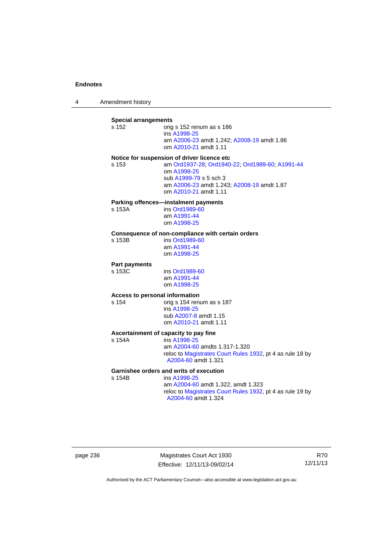4 Amendment history

| <b>Special arrangements</b><br>$s$ 152         | orig s 152 renum as s 186<br>ins A1998-25<br>am A2006-23 amdt 1.242; A2008-19 amdt 1.86<br>om A2010-21 amdt 1.11                                                                                               |
|------------------------------------------------|----------------------------------------------------------------------------------------------------------------------------------------------------------------------------------------------------------------|
| s 153                                          | Notice for suspension of driver licence etc<br>am Ord1937-28; Ord1940-22; Ord1989-60; A1991-44<br>om A1998-25<br>sub A1999-79 s 5 sch 3<br>am A2006-23 amdt 1.243; A2008-19 amdt 1.87<br>om A2010-21 amdt 1.11 |
| s 153A                                         | Parking offences-instalment payments<br>ins Ord1989-60<br>am A1991-44<br>om A1998-25                                                                                                                           |
| s 153B                                         | Consequence of non-compliance with certain orders<br>ins Ord1989-60<br>am A1991-44<br>om A1998-25                                                                                                              |
| <b>Part payments</b><br>s 153C                 | ins Ord1989-60<br>am A1991-44<br>om A1998-25                                                                                                                                                                   |
| <b>Access to personal information</b><br>s 154 | orig s 154 renum as s 187<br>ins A1998-25<br>sub A2007-8 amdt 1.15<br>om A2010-21 amdt 1.11                                                                                                                    |
| s 154A                                         | Ascertainment of capacity to pay fine<br>ins A1998-25<br>am A2004-60 amdts 1.317-1.320<br>reloc to Magistrates Court Rules 1932, pt 4 as rule 18 by<br>A2004-60 amdt 1.321                                     |
| s 154B                                         | Garnishee orders and writs of execution<br>ins A1998-25<br>am A2004-60 amdt 1.322, amdt 1.323<br>reloc to Magistrates Court Rules 1932, pt 4 as rule 19 by<br>A2004-60 amdt 1.324                              |

page 236 Magistrates Court Act 1930 Effective: 12/11/13-09/02/14

R70 12/11/13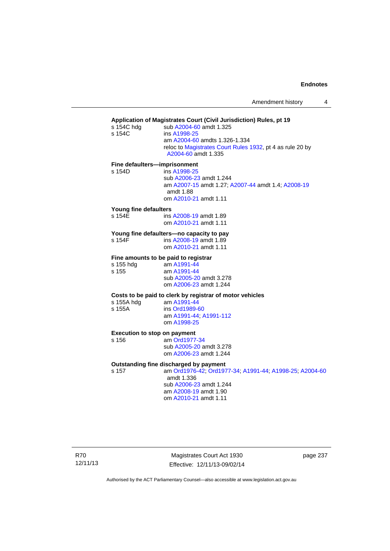| s 154C hdg<br>s 154C                         | Application of Magistrates Court (Civil Jurisdiction) Rules, pt 19<br>sub A2004-60 amdt 1.325<br>ins A1998-25<br>am A2004-60 amdts 1.326-1.334<br>reloc to Magistrates Court Rules 1932, pt 4 as rule 20 by<br>A2004-60 amdt 1.335 |          |
|----------------------------------------------|------------------------------------------------------------------------------------------------------------------------------------------------------------------------------------------------------------------------------------|----------|
| Fine defaulters-imprisonment<br>s 154D       | ins A1998-25<br>sub A2006-23 amdt 1.244<br>am A2007-15 amdt 1.27; A2007-44 amdt 1.4; A2008-19<br>amdt 1.88<br>om A2010-21 amdt 1.11                                                                                                |          |
| Young fine defaulters<br>s 154E              | ins A2008-19 amdt 1.89<br>om A2010-21 amdt 1.11                                                                                                                                                                                    |          |
| s 154F                                       | Young fine defaulters-no capacity to pay<br>ins A2008-19 amdt 1.89<br>om A2010-21 amdt 1.11                                                                                                                                        |          |
| s 155 hdg<br>s 155                           | Fine amounts to be paid to registrar<br>am A1991-44<br>am A1991-44<br>sub A2005-20 amdt 3.278<br>om A2006-23 amdt 1.244                                                                                                            |          |
| s 155A hdg<br>s 155A                         | Costs to be paid to clerk by registrar of motor vehicles<br>am A1991-44<br>ins Ord1989-60<br>am A1991-44; A1991-112<br>om A1998-25                                                                                                 |          |
| <b>Execution to stop on payment</b><br>s 156 | am Ord1977-34<br>sub A2005-20 amdt 3.278<br>om A2006-23 amdt 1.244                                                                                                                                                                 |          |
| s 157                                        | Outstanding fine discharged by payment<br>am Ord1976-42; Ord1977-34; A1991-44; A1998-25; A2004-60<br>amdt 1.336<br>sub A2006-23 amdt 1.244<br>am A2008-19 amdt 1.90<br>om A2010-21 amdt 1.11                                       |          |
|                                              | Magistrates Court Act 1930                                                                                                                                                                                                         | page 237 |

Authorised by the ACT Parliamentary Counsel—also accessible at www.legislation.act.gov.au

Effective: 12/11/13-09/02/14

R70 12/11/13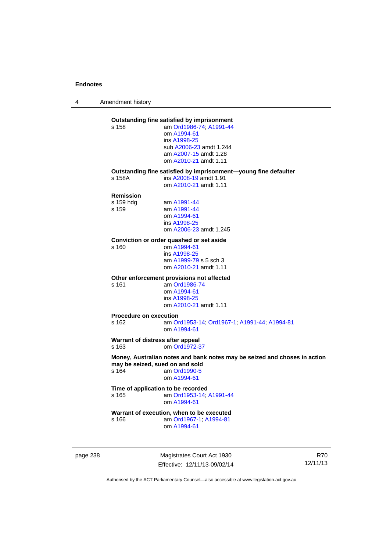4 Amendment history

### **Outstanding fine satisfied by imprisonment**  s 158 am [Ord1986-74](http://www.legislation.act.gov.au/a/1986-74); [A1991-44](http://www.legislation.act.gov.au/a/1991-44) om [A1994-61](http://www.legislation.act.gov.au/a/1994-61) ins [A1998-25](http://www.legislation.act.gov.au/a/1998-25) sub [A2006-23](http://www.legislation.act.gov.au/a/2006-23) amdt 1.244 am [A2007-15](http://www.legislation.act.gov.au/a/2007-15) amdt 1.28 om [A2010-21](http://www.legislation.act.gov.au/a/2010-21) amdt 1.11 **Outstanding fine satisfied by imprisonment—young fine defaulter**  s 158A ins [A2008-19](http://www.legislation.act.gov.au/a/2008-19) amdt 1.91 om [A2010-21](http://www.legislation.act.gov.au/a/2010-21) amdt 1.11 **Remission**  s 159 hdg am [A1991-44](http://www.legislation.act.gov.au/a/1991-44) s 159 am [A1991-44](http://www.legislation.act.gov.au/a/1991-44) om [A1994-61](http://www.legislation.act.gov.au/a/1994-61) ins [A1998-25](http://www.legislation.act.gov.au/a/1998-25) om [A2006-23](http://www.legislation.act.gov.au/a/2006-23) amdt 1.245 **Conviction or order quashed or set aside**  s 160 om [A1994-61](http://www.legislation.act.gov.au/a/1994-61) ins [A1998-25](http://www.legislation.act.gov.au/a/1998-25) am [A1999-79](http://www.legislation.act.gov.au/a/1999-79) s 5 sch 3 om [A2010-21](http://www.legislation.act.gov.au/a/2010-21) amdt 1.11 **Other enforcement provisions not affected**  s 161 am [Ord1986-74](http://www.legislation.act.gov.au/a/1986-74) om [A1994-61](http://www.legislation.act.gov.au/a/1994-61) ins [A1998-25](http://www.legislation.act.gov.au/a/1998-25) om [A2010-21](http://www.legislation.act.gov.au/a/2010-21) amdt 1.11 **Procedure on execution**  s 162 am [Ord1953-14](http://www.legislation.act.gov.au/a/1953-14); [Ord1967-1](http://www.legislation.act.gov.au/a/1967-1); [A1991-44](http://www.legislation.act.gov.au/a/1991-44); [A1994-81](http://www.legislation.act.gov.au/a/1994-81) om [A1994-61](http://www.legislation.act.gov.au/a/1994-61) **Warrant of distress after appeal**  s 163 om [Ord1972-37](http://www.legislation.act.gov.au/a/1972-37) **Money, Australian notes and bank notes may be seized and choses in action may be seized, sued on and sold**  s 164 am [Ord1990-5](http://www.legislation.act.gov.au/a/alt_ord1990-5) om [A1994-61](http://www.legislation.act.gov.au/a/1994-61) **Time of application to be recorded**  s 165 am [Ord1953-14](http://www.legislation.act.gov.au/a/1953-14); [A1991-44](http://www.legislation.act.gov.au/a/1991-44) om [A1994-61](http://www.legislation.act.gov.au/a/1994-61) **Warrant of execution, when to be executed**<br>s 166 **am** Ord1967-1: A1994-81 am [Ord1967-1;](http://www.legislation.act.gov.au/a/1967-1) [A1994-81](http://www.legislation.act.gov.au/a/1994-81) om [A1994-61](http://www.legislation.act.gov.au/a/1994-61)

page 238 Magistrates Court Act 1930 Effective: 12/11/13-09/02/14

R70 12/11/13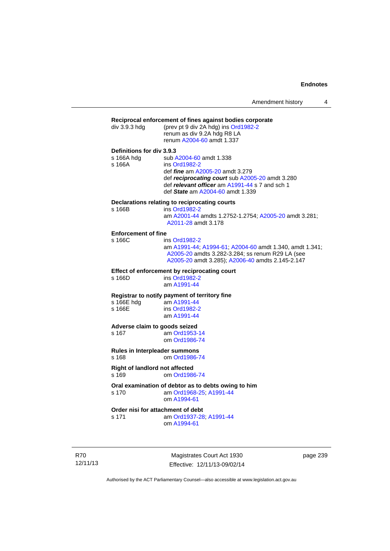Amendment history 4

| div 3.9.3 hdg                                  | Reciprocal enforcement of fines against bodies corporate<br>(prev pt 9 div 2A hdg) ins Ord1982-2<br>renum as div 9.2A hdg R8 LA<br>renum A2004-60 amdt 1.337                                                                |
|------------------------------------------------|-----------------------------------------------------------------------------------------------------------------------------------------------------------------------------------------------------------------------------|
| Definitions for div 3.9.3                      |                                                                                                                                                                                                                             |
| s 166A hdg<br>s 166A                           | sub A2004-60 amdt 1.338<br>ins Ord1982-2<br>def <i>fine</i> am A2005-20 amdt 3.279<br>def reciprocating court sub A2005-20 amdt 3.280<br>def relevant officer am A1991-44 s 7 and sch 1<br>def State am A2004-60 amdt 1.339 |
|                                                | Declarations relating to reciprocating courts                                                                                                                                                                               |
| s 166B                                         | ins Ord1982-2<br>am A2001-44 amdts 1.2752-1.2754; A2005-20 amdt 3.281;<br>A2011-28 amdt 3.178                                                                                                                               |
| <b>Enforcement of fine</b>                     |                                                                                                                                                                                                                             |
| $s$ 166 $C$                                    | ins Ord1982-2<br>am A1991-44; A1994-61; A2004-60 amdt 1.340, amdt 1.341;<br>A2005-20 amdts 3.282-3.284; ss renum R29 LA (see<br>A2005-20 amdt 3.285); A2006-40 amdts 2.145-2.147                                            |
| s 166D                                         | Effect of enforcement by reciprocating court<br>ins Ord1982-2<br>am A1991-44                                                                                                                                                |
|                                                | Registrar to notify payment of territory fine                                                                                                                                                                               |
| s 166E hdg<br>s 166E                           | am A1991-44<br>ins Ord1982-2<br>am A1991-44                                                                                                                                                                                 |
| Adverse claim to goods seized                  |                                                                                                                                                                                                                             |
| s <sub>167</sub>                               | am Ord1953-14<br>om Ord1986-74                                                                                                                                                                                              |
| Rules in Interpleader summons<br>s 168         | om Ord1986-74                                                                                                                                                                                                               |
| <b>Right of landlord not affected</b><br>s 169 | om Ord1986-74                                                                                                                                                                                                               |
| s 170                                          | Oral examination of debtor as to debts owing to him<br>am Ord1968-25; A1991-44<br>om A1994-61                                                                                                                               |
|                                                | Order nisi for attachment of debt                                                                                                                                                                                           |
| s 171                                          | am Ord1937-28; A1991-44<br>om A1994-61                                                                                                                                                                                      |

R70 12/11/13

Magistrates Court Act 1930 Effective: 12/11/13-09/02/14 page 239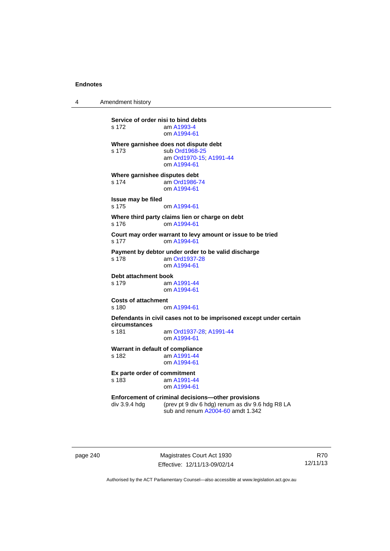4 Amendment history

**Service of order nisi to bind debts**  s 172 am [A1993-4](http://www.legislation.act.gov.au/a/1993-4) om [A1994-61](http://www.legislation.act.gov.au/a/1994-61) **Where garnishee does not dispute debt**  s 173 sub [Ord1968-25](http://www.legislation.act.gov.au/a/1968-25) am [Ord1970-15](http://www.legislation.act.gov.au/a/1970-15); [A1991-44](http://www.legislation.act.gov.au/a/1991-44) om [A1994-61](http://www.legislation.act.gov.au/a/1994-61) **Where garnishee disputes debt**  s 174 am [Ord1986-74](http://www.legislation.act.gov.au/a/1986-74) om [A1994-61](http://www.legislation.act.gov.au/a/1994-61) **Issue may be filed**  s 175 om [A1994-61](http://www.legislation.act.gov.au/a/1994-61) **Where third party claims lien or charge on debt**  s 176 om [A1994-61](http://www.legislation.act.gov.au/a/1994-61) **Court may order warrant to levy amount or issue to be tried**  s 177 om [A1994-61](http://www.legislation.act.gov.au/a/1994-61) **Payment by debtor under order to be valid discharge**  s 178 am [Ord1937-28](http://www.legislation.act.gov.au/a/1937-28) om [A1994-61](http://www.legislation.act.gov.au/a/1994-61) **Debt attachment book**<br>s 179 am am [A1991-44](http://www.legislation.act.gov.au/a/1991-44) om [A1994-61](http://www.legislation.act.gov.au/a/1994-61) **Costs of attachment**  s 180 om [A1994-61](http://www.legislation.act.gov.au/a/1994-61) **Defendants in civil cases not to be imprisoned except under certain circumstances**  s 181 am [Ord1937-28](http://www.legislation.act.gov.au/a/1937-28); [A1991-44](http://www.legislation.act.gov.au/a/1991-44) om [A1994-61](http://www.legislation.act.gov.au/a/1994-61) **Warrant in default of compliance**  s 182 am [A1991-44](http://www.legislation.act.gov.au/a/1991-44) om [A1994-61](http://www.legislation.act.gov.au/a/1994-61) **Ex parte order of commitment**  s 183 am [A1991-44](http://www.legislation.act.gov.au/a/1991-44) om [A1994-61](http://www.legislation.act.gov.au/a/1994-61) **Enforcement of criminal decisions—other provisions**<br>div 3.9.4 hdg (prev pt 9 div 6 hdg) renum as div 9.6 (prev pt 9 div 6 hdg) renum as div 9.6 hdg R8 LA sub and renum [A2004-60](http://www.legislation.act.gov.au/a/2004-60) amdt 1.342

page 240 Magistrates Court Act 1930 Effective: 12/11/13-09/02/14

R70 12/11/13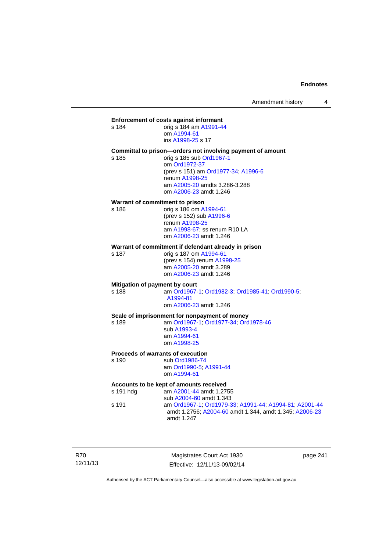# **Enforcement of costs against informant**<br>s 184 am A1991-4

s 184 orig s 184 am [A1991-44](http://www.legislation.act.gov.au/a/1991-44) om [A1994-61](http://www.legislation.act.gov.au/a/1994-61)

ins [A1998-25](http://www.legislation.act.gov.au/a/1998-25) s 17

#### **Committal to prison—orders not involving payment of amount**

s 185 orig s 185 sub [Ord1967-1](http://www.legislation.act.gov.au/a/1967-1) om [Ord1972-37](http://www.legislation.act.gov.au/a/1972-37) (prev s 151) am [Ord1977-34](http://www.legislation.act.gov.au/a/1977-34); [A1996-6](http://www.legislation.act.gov.au/a/1996-6) renum [A1998-25](http://www.legislation.act.gov.au/a/1998-25) am [A2005-20](http://www.legislation.act.gov.au/a/2005-20) amdts 3.286-3.288 om [A2006-23](http://www.legislation.act.gov.au/a/2006-23) amdt 1.246

### **Warrant of commitment to prison**

s 186 orig s 186 om [A1994-61](http://www.legislation.act.gov.au/a/1994-61) (prev s 152) sub [A1996-6](http://www.legislation.act.gov.au/a/1996-6) renum [A1998-25](http://www.legislation.act.gov.au/a/1998-25) am [A1998-67](http://www.legislation.act.gov.au/a/1998-67); ss renum R10 LA om [A2006-23](http://www.legislation.act.gov.au/a/2006-23) amdt 1.246

#### **Warrant of commitment if defendant already in prison**<br>s 187 orig s 187 om A1994-61 orig s 187 om [A1994-61](http://www.legislation.act.gov.au/a/1994-61)

 am [A2005-20](http://www.legislation.act.gov.au/a/2005-20) amdt 3.289 om [A2006-23](http://www.legislation.act.gov.au/a/2006-23) amdt 1.246

(prev s 154) renum [A1998-25](http://www.legislation.act.gov.au/a/1998-25)

#### **Mitigation of payment by court**

s 188 am [Ord1967-1;](http://www.legislation.act.gov.au/a/1967-1) [Ord1982-3](http://www.legislation.act.gov.au/a/1982-3); [Ord1985-41](http://www.legislation.act.gov.au/a/1985-41); [Ord1990-5](http://www.legislation.act.gov.au/a/alt_ord1990-5); [A1994-81](http://www.legislation.act.gov.au/a/1994-81) om [A2006-23](http://www.legislation.act.gov.au/a/2006-23) amdt 1.246

#### **Scale of imprisonment for nonpayment of money**

s 189 am [Ord1967-1;](http://www.legislation.act.gov.au/a/1967-1) [Ord1977-34](http://www.legislation.act.gov.au/a/1977-34); [Ord1978-46](http://www.legislation.act.gov.au/a/1978-46) sub [A1993-4](http://www.legislation.act.gov.au/a/1993-4) am [A1994-61](http://www.legislation.act.gov.au/a/1994-61) om [A1998-25](http://www.legislation.act.gov.au/a/1998-25)

#### **Proceeds of warrants of execution**

s 190 sub [Ord1986-74](http://www.legislation.act.gov.au/a/1986-74) am [Ord1990-5;](http://www.legislation.act.gov.au/a/alt_ord1990-5) [A1991-44](http://www.legislation.act.gov.au/a/1991-44) om [A1994-61](http://www.legislation.act.gov.au/a/1994-61)

### **Accounts to be kept of amounts received**

s 191 hdg am [A2001-44](http://www.legislation.act.gov.au/a/2001-44) amdt 1.2755 sub [A2004-60](http://www.legislation.act.gov.au/a/2004-60) amdt 1.343 s 191 am [Ord1967-1;](http://www.legislation.act.gov.au/a/1967-1) [Ord1979-33](http://www.legislation.act.gov.au/a/1979-33); [A1991-44](http://www.legislation.act.gov.au/a/1991-44); [A1994-81](http://www.legislation.act.gov.au/a/1994-81); [A2001-44](http://www.legislation.act.gov.au/a/2001-44) amdt 1.2756; [A2004-60](http://www.legislation.act.gov.au/a/2004-60) amdt 1.344, amdt 1.345; [A2006-23](http://www.legislation.act.gov.au/a/2006-23) amdt 1.247

R70 12/11/13

Magistrates Court Act 1930 Effective: 12/11/13-09/02/14 page 241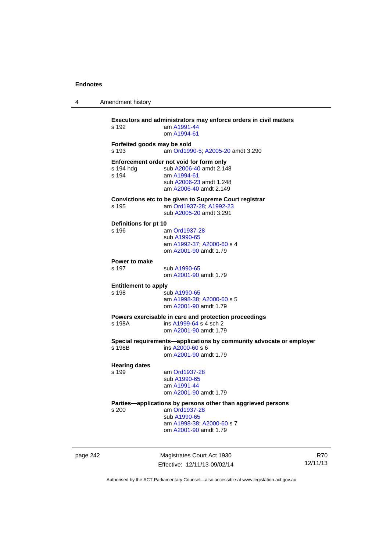4 Amendment history

|          | s 192                                | Executors and administrators may enforce orders in civil matters<br>am A1991-44<br>om A1994-61                                                      |
|----------|--------------------------------------|-----------------------------------------------------------------------------------------------------------------------------------------------------|
|          | Forfeited goods may be sold<br>s 193 | am Ord1990-5; A2005-20 amdt 3.290                                                                                                                   |
|          | s 194 hdg<br>s 194                   | Enforcement order not void for form only<br>sub A2006-40 amdt 2.148<br>am A1994-61<br>sub A2006-23 amdt 1.248<br>am A2006-40 amdt 2.149             |
|          | s 195                                | Convictions etc to be given to Supreme Court registrar<br>am Ord1937-28; A1992-23<br>sub A2005-20 amdt 3.291                                        |
|          | Definitions for pt 10<br>s 196       | am Ord1937-28<br>sub A1990-65<br>am A1992-37; A2000-60 s 4<br>om A2001-90 amdt 1.79                                                                 |
|          | Power to make<br>s 197               | sub A1990-65<br>om A2001-90 amdt 1.79                                                                                                               |
|          | <b>Entitlement to apply</b><br>s 198 | sub A1990-65<br>am A1998-38; A2000-60 s 5<br>om A2001-90 amdt 1.79                                                                                  |
|          | s 198A                               | Powers exercisable in care and protection proceedings<br>ins A1999-64 s 4 sch 2<br>om A2001-90 amdt 1.79                                            |
|          | s 198B                               | Special requirements-applications by community advocate or employer<br>ins A2000-60 s 6<br>om A2001-90 amdt 1.79                                    |
|          | <b>Hearing dates</b><br>s 199        | am Ord1937-28<br>sub A1990-65<br>am A1991-44<br>om A2001-90 amdt 1.79                                                                               |
|          | s 200                                | Parties-applications by persons other than aggrieved persons<br>am Ord1937-28<br>sub A1990-65<br>am A1998-38; A2000-60 s 7<br>om A2001-90 amdt 1.79 |
| page 242 |                                      | Magistrates Court Act 1930<br>12/1<br>Effective: 12/11/13-09/02/14                                                                                  |

R70 12/11/13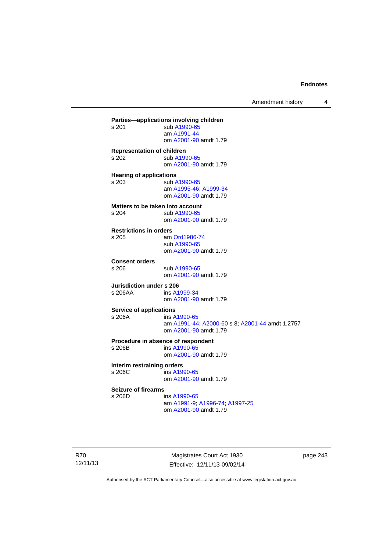Amendment history 4

**Parties—applications involving children**  sub [A1990-65](http://www.legislation.act.gov.au/a/1990-65) am [A1991-44](http://www.legislation.act.gov.au/a/1991-44) om [A2001-90](http://www.legislation.act.gov.au/a/2001-90) amdt 1.79 **Representation of children**  s 202 sub [A1990-65](http://www.legislation.act.gov.au/a/1990-65) om [A2001-90](http://www.legislation.act.gov.au/a/2001-90) amdt 1.79 **Hearing of applications**  s 203 sub [A1990-65](http://www.legislation.act.gov.au/a/1990-65) am [A1995-46](http://www.legislation.act.gov.au/a/1995-46); [A1999-34](http://www.legislation.act.gov.au/a/1999-34) om [A2001-90](http://www.legislation.act.gov.au/a/2001-90) amdt 1.79 **Matters to be taken into account**<br>s 204 **Sub A1990-65** sub [A1990-65](http://www.legislation.act.gov.au/a/1990-65) om [A2001-90](http://www.legislation.act.gov.au/a/2001-90) amdt 1.79 **Restrictions in orders**  am [Ord1986-74](http://www.legislation.act.gov.au/a/1986-74) sub [A1990-65](http://www.legislation.act.gov.au/a/1990-65) om [A2001-90](http://www.legislation.act.gov.au/a/2001-90) amdt 1.79 **Consent orders**  sub [A1990-65](http://www.legislation.act.gov.au/a/1990-65) om [A2001-90](http://www.legislation.act.gov.au/a/2001-90) amdt 1.79 **Jurisdiction under s 206**<br>s 206AA ins A1 ins [A1999-34](http://www.legislation.act.gov.au/a/1999-34) om [A2001-90](http://www.legislation.act.gov.au/a/2001-90) amdt 1.79 **Service of applications**  s 206A ins [A1990-65](http://www.legislation.act.gov.au/a/1990-65) am [A1991-44](http://www.legislation.act.gov.au/a/1991-44); [A2000-60](http://www.legislation.act.gov.au/a/2000-60) s 8; [A2001-44](http://www.legislation.act.gov.au/a/2001-44) amdt 1.2757 om [A2001-90](http://www.legislation.act.gov.au/a/2001-90) amdt 1.79 **Procedure in absence of respondent**  ins [A1990-65](http://www.legislation.act.gov.au/a/1990-65) om [A2001-90](http://www.legislation.act.gov.au/a/2001-90) amdt 1.79 **Interim restraining orders**  s 206C ins [A1990-65](http://www.legislation.act.gov.au/a/1990-65) om [A2001-90](http://www.legislation.act.gov.au/a/2001-90) amdt 1.79 **Seizure of firearms**  s 206D ins [A1990-65](http://www.legislation.act.gov.au/a/1990-65) am [A1991-9;](http://www.legislation.act.gov.au/a/1991-9) [A1996-74](http://www.legislation.act.gov.au/a/1996-74); [A1997-25](http://www.legislation.act.gov.au/a/1997-25) om [A2001-90](http://www.legislation.act.gov.au/a/2001-90) amdt 1.79

R70 12/11/13

Magistrates Court Act 1930 Effective: 12/11/13-09/02/14 page 243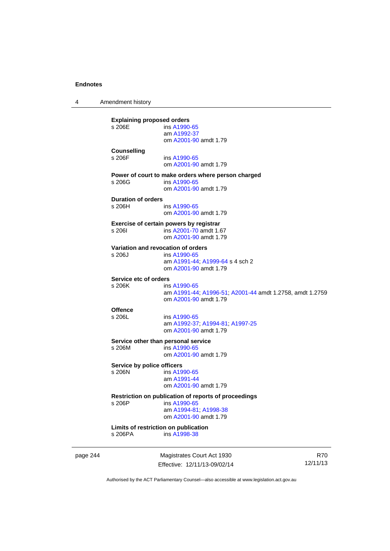4 Amendment history **Explaining proposed orders**<br>s 206E ins A1990 ins [A1990-65](http://www.legislation.act.gov.au/a/1990-65) am [A1992-37](http://www.legislation.act.gov.au/a/1992-37) om [A2001-90](http://www.legislation.act.gov.au/a/2001-90) amdt 1.79 **Counselling**  s 206F ins [A1990-65](http://www.legislation.act.gov.au/a/1990-65) om [A2001-90](http://www.legislation.act.gov.au/a/2001-90) amdt 1.79 **Power of court to make orders where person charged**  ins [A1990-65](http://www.legislation.act.gov.au/a/1990-65) om [A2001-90](http://www.legislation.act.gov.au/a/2001-90) amdt 1.79 **Duration of orders**  ins [A1990-65](http://www.legislation.act.gov.au/a/1990-65) om [A2001-90](http://www.legislation.act.gov.au/a/2001-90) amdt 1.79 **Exercise of certain powers by registrar**  s 206I ins [A2001-70](http://www.legislation.act.gov.au/a/2001-70) amdt 1.67 om [A2001-90](http://www.legislation.act.gov.au/a/2001-90) amdt 1.79 **Variation and revocation of orders**  s 206J ins [A1990-65](http://www.legislation.act.gov.au/a/1990-65) am [A1991-44](http://www.legislation.act.gov.au/a/1991-44); [A1999-64](http://www.legislation.act.gov.au/a/1999-64) s 4 sch 2 om [A2001-90](http://www.legislation.act.gov.au/a/2001-90) amdt 1.79 **Service etc of orders**  s 206K ins [A1990-65](http://www.legislation.act.gov.au/a/1990-65) am [A1991-44](http://www.legislation.act.gov.au/a/1991-44); [A1996-51](http://www.legislation.act.gov.au/a/1996-51); [A2001-44](http://www.legislation.act.gov.au/a/2001-44) amdt 1.2758, amdt 1.2759 om [A2001-90](http://www.legislation.act.gov.au/a/2001-90) amdt 1.79 Offence<br>s 206L ins [A1990-65](http://www.legislation.act.gov.au/a/1990-65) am [A1992-37](http://www.legislation.act.gov.au/a/1992-37); [A1994-81](http://www.legislation.act.gov.au/a/1994-81); [A1997-25](http://www.legislation.act.gov.au/a/1997-25) om [A2001-90](http://www.legislation.act.gov.au/a/2001-90) amdt 1.79 **Service other than personal service**   $ins A1990-65$  $ins A1990-65$  om [A2001-90](http://www.legislation.act.gov.au/a/2001-90) amdt 1.79 **Service by police officers**  s 206N ins [A1990-65](http://www.legislation.act.gov.au/a/1990-65) am [A1991-44](http://www.legislation.act.gov.au/a/1991-44) om [A2001-90](http://www.legislation.act.gov.au/a/2001-90) amdt 1.79 **Restriction on publication of reports of proceedings**  s 206P ins [A1990-65](http://www.legislation.act.gov.au/a/1990-65) am [A1994-81](http://www.legislation.act.gov.au/a/1994-81); [A1998-38](http://www.legislation.act.gov.au/a/1998-38) om [A2001-90](http://www.legislation.act.gov.au/a/2001-90) amdt 1.79 **Limits of restriction on publication**  ins [A1998-38](http://www.legislation.act.gov.au/a/1998-38)

page 244 Magistrates Court Act 1930 Effective: 12/11/13-09/02/14

R70 12/11/13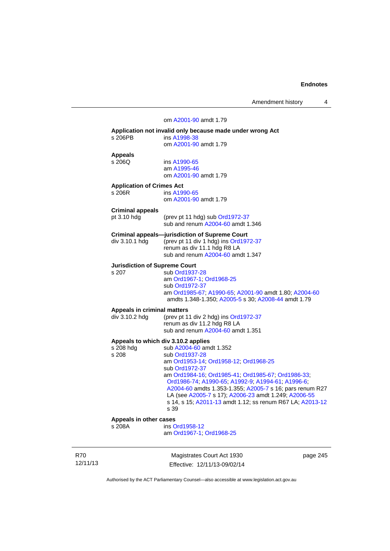Amendment history 4

### om [A2001-90](http://www.legislation.act.gov.au/a/2001-90) amdt 1.79 **Application not invalid only because made under wrong Act**  s 206PB ins [A1998-38](http://www.legislation.act.gov.au/a/1998-38) om [A2001-90](http://www.legislation.act.gov.au/a/2001-90) amdt 1.79 **Appeals**  ins [A1990-65](http://www.legislation.act.gov.au/a/1990-65) am [A1995-46](http://www.legislation.act.gov.au/a/1995-46) om [A2001-90](http://www.legislation.act.gov.au/a/2001-90) amdt 1.79 **Application of Crimes Act**  s 206R ins [A1990-65](http://www.legislation.act.gov.au/a/1990-65) om [A2001-90](http://www.legislation.act.gov.au/a/2001-90) amdt 1.79 **Criminal appeals**  pt 3.10 hdg (prev pt 11 hdg) sub [Ord1972-37](http://www.legislation.act.gov.au/a/1972-37) sub and renum [A2004-60](http://www.legislation.act.gov.au/a/2004-60) amdt 1.346 **Criminal appeals—jurisdiction of Supreme Court** div 3.10.1 hdg (prev pt 11 div 1 hdg) ins Ord197 (prev pt 11 div 1 hdg) ins [Ord1972-37](http://www.legislation.act.gov.au/a/1972-37) renum as div 11.1 hdg R8 LA sub and renum [A2004-60](http://www.legislation.act.gov.au/a/2004-60) amdt 1.347 **Jurisdiction of Supreme Court**  s 207 sub [Ord1937-28](http://www.legislation.act.gov.au/a/1937-28) am [Ord1967-1;](http://www.legislation.act.gov.au/a/1967-1) [Ord1968-25](http://www.legislation.act.gov.au/a/1968-25) sub [Ord1972-37](http://www.legislation.act.gov.au/a/1972-37) am [Ord1985-67](http://www.legislation.act.gov.au/a/1985-67); [A1990-65;](http://www.legislation.act.gov.au/a/1990-65) [A2001-90](http://www.legislation.act.gov.au/a/2001-90) amdt 1.80; [A2004-60](http://www.legislation.act.gov.au/a/2004-60) amdts 1.348-1.350; [A2005-5](http://www.legislation.act.gov.au/a/2005-5) s 30; [A2008-44](http://www.legislation.act.gov.au/a/2008-44) amdt 1.79 **Appeals in criminal matters**  div 3.10.2 hdg (prev pt 11 div 2 hdg) ins [Ord1972-37](http://www.legislation.act.gov.au/a/1972-37) renum as div 11.2 hdg R8 LA sub and renum [A2004-60](http://www.legislation.act.gov.au/a/2004-60) amdt 1.351 **Appeals to which div 3.10.2 applies**  s 208 hdg sub [A2004-60](http://www.legislation.act.gov.au/a/2004-60) amdt 1.352<br>s 208 sub Ord1937-28 sub [Ord1937-28](http://www.legislation.act.gov.au/a/1937-28) am [Ord1953-14](http://www.legislation.act.gov.au/a/1953-14); [Ord1958-12;](http://www.legislation.act.gov.au/a/1958-12) [Ord1968-25](http://www.legislation.act.gov.au/a/1968-25) sub [Ord1972-37](http://www.legislation.act.gov.au/a/1972-37) am [Ord1984-16](http://www.legislation.act.gov.au/a/1984-16); [Ord1985-41;](http://www.legislation.act.gov.au/a/1985-41) [Ord1985-67](http://www.legislation.act.gov.au/a/1985-67); [Ord1986-33](http://www.legislation.act.gov.au/a/1986-33); [Ord1986-74;](http://www.legislation.act.gov.au/a/1986-74) [A1990-65;](http://www.legislation.act.gov.au/a/1990-65) [A1992-9](http://www.legislation.act.gov.au/a/1992-9); [A1994-61](http://www.legislation.act.gov.au/a/1994-61); [A1996-6](http://www.legislation.act.gov.au/a/1996-6); [A2004-60](http://www.legislation.act.gov.au/a/2004-60) amdts 1.353-1.355; [A2005-7](http://www.legislation.act.gov.au/a/2005-7) s 16; pars renum R27 LA (see [A2005-7](http://www.legislation.act.gov.au/a/2005-7) s 17); [A2006-23](http://www.legislation.act.gov.au/a/2006-23) amdt 1.249; [A2006-55](http://www.legislation.act.gov.au/a/2006-55) s 14, s 15; [A2011-13](http://www.legislation.act.gov.au/a/2011-13) amdt 1.12; ss renum R67 LA; [A2013-12](http://www.legislation.act.gov.au/a/2013-12) s 39 **Appeals in other cases**  ins [Ord1958-12](http://www.legislation.act.gov.au/a/1958-12) am [Ord1967-1;](http://www.legislation.act.gov.au/a/1967-1) [Ord1968-25](http://www.legislation.act.gov.au/a/1968-25)

R70 12/11/13

Magistrates Court Act 1930 Effective: 12/11/13-09/02/14 page 245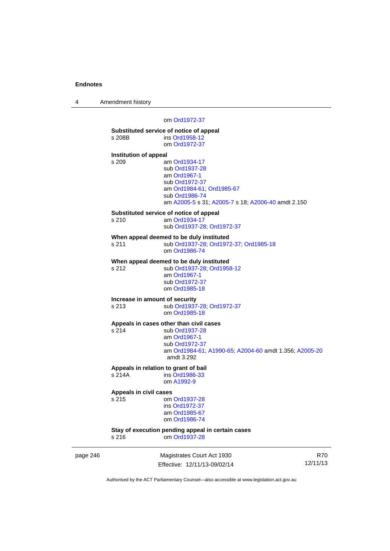4 Amendment history

### om [Ord1972-37](http://www.legislation.act.gov.au/a/1972-37)

|                              | Substituted service of notice of appeal                |
|------------------------------|--------------------------------------------------------|
| s 208B                       | ins Ord1958-12                                         |
|                              | om Ord1972-37                                          |
| <b>Institution of appeal</b> |                                                        |
| s 209                        | am Ord1934-17                                          |
|                              | sub Ord1937-28                                         |
|                              | am Ord1967-1                                           |
|                              | sub Ord1972-37                                         |
|                              | am Ord1984-61; Ord1985-67                              |
|                              | sub Ord1986-74                                         |
|                              | am A2005-5 s 31; A2005-7 s 18; A2006-40 amdt 2.150     |
|                              | Substituted service of notice of appeal                |
| s 210                        | am Ord1934-17                                          |
|                              | sub Ord1937-28; Ord1972-37                             |
|                              | When appeal deemed to be duly instituted               |
| s 211                        | sub Ord1937-28; Ord1972-37; Ord1985-18                 |
|                              | om Ord1986-74                                          |
|                              | When appeal deemed to be duly instituted               |
| s 212                        | sub Ord1937-28; Ord1958-12                             |
|                              | am Ord1967-1                                           |
|                              | sub Ord1972-37                                         |
|                              | om Ord1985-18                                          |
|                              | Increase in amount of security                         |
| s 213                        | sub Ord1937-28; Ord1972-37                             |
|                              | om Ord1985-18                                          |
|                              | Appeals in cases other than civil cases                |
| s 214                        | sub Ord1937-28                                         |
|                              | am Ord1967-1                                           |
|                              | sub Ord1972-37                                         |
|                              | am Ord1984-61, A1990-65, A2004-60 amdt 1.356; A2005-20 |
|                              | amdt 3.292                                             |
|                              | Appeals in relation to grant of bail                   |
| s 214A                       | ins Ord1986-33                                         |
|                              | om A1992-9                                             |
| Appeals in civil cases       |                                                        |
| s 215                        | om Ord1937-28                                          |
|                              | ins Ord1972-37                                         |
|                              | am Ord1985-67                                          |
|                              | om Ord1986-74                                          |
|                              | Stay of execution pending appeal in certain cases      |
|                              |                                                        |

page 246 Magistrates Court Act 1930 Effective: 12/11/13-09/02/14

R70 12/11/13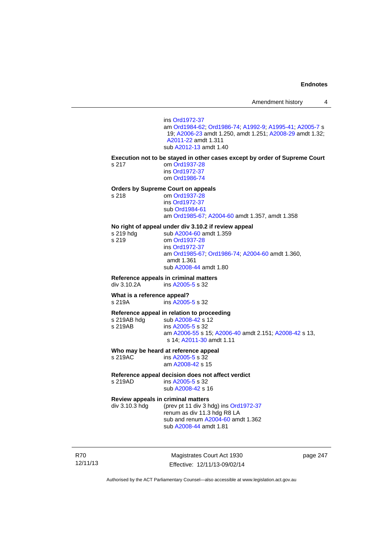ins [Ord1972-37](http://www.legislation.act.gov.au/a/1972-37) am [Ord1984-62](http://www.legislation.act.gov.au/a/1984-62); [Ord1986-74;](http://www.legislation.act.gov.au/a/1986-74) [A1992-9](http://www.legislation.act.gov.au/a/1992-9); [A1995-41](http://www.legislation.act.gov.au/a/1995-41); [A2005-7](http://www.legislation.act.gov.au/a/2005-7) s 19; [A2006-23](http://www.legislation.act.gov.au/a/2006-23) amdt 1.250, amdt 1.251; [A2008-29](http://www.legislation.act.gov.au/a/2008-29) amdt 1.32; [A2011-22](http://www.legislation.act.gov.au/a/2011-22) amdt 1.311 sub [A2012-13](http://www.legislation.act.gov.au/a/2012-13) amdt 1.40 **Execution not to be stayed in other cases except by order of Supreme Court**  s 217 om [Ord1937-28](http://www.legislation.act.gov.au/a/1937-28) ins [Ord1972-37](http://www.legislation.act.gov.au/a/1972-37) om [Ord1986-74](http://www.legislation.act.gov.au/a/1986-74) **Orders by Supreme Court on appeals**  s 218 om [Ord1937-28](http://www.legislation.act.gov.au/a/1937-28) ins [Ord1972-37](http://www.legislation.act.gov.au/a/1972-37) sub [Ord1984-61](http://www.legislation.act.gov.au/a/1984-61) am [Ord1985-67](http://www.legislation.act.gov.au/a/1985-67); [A2004-60](http://www.legislation.act.gov.au/a/2004-60) amdt 1.357, amdt 1.358 **No right of appeal under div 3.10.2 if review appeal**  sub [A2004-60](http://www.legislation.act.gov.au/a/2004-60) amdt 1.359 s 219 om [Ord1937-28](http://www.legislation.act.gov.au/a/1937-28) ins [Ord1972-37](http://www.legislation.act.gov.au/a/1972-37) am [Ord1985-67;](http://www.legislation.act.gov.au/a/1985-67) [Ord1986-74;](http://www.legislation.act.gov.au/a/1986-74) [A2004-60](http://www.legislation.act.gov.au/a/2004-60) amdt 1.360, amdt 1.361 sub [A2008-44](http://www.legislation.act.gov.au/a/2008-44) amdt 1.80 **Reference appeals in criminal matters**  ins [A2005-5](http://www.legislation.act.gov.au/a/2005-5) s 32 **What is a reference appeal?**  s 219A ins [A2005-5](http://www.legislation.act.gov.au/a/2005-5) s 32 **Reference appeal in relation to proceeding**  sub [A2008-42](http://www.legislation.act.gov.au/a/2008-42) s 12 s 219AB ins [A2005-5](http://www.legislation.act.gov.au/a/2005-5) s 32 am [A2006-55](http://www.legislation.act.gov.au/a/2006-55) s 15; [A2006-40](http://www.legislation.act.gov.au/a/2006-40) amdt 2.151; [A2008-42](http://www.legislation.act.gov.au/a/2008-42) s 13, s 14; [A2011-30](http://www.legislation.act.gov.au/a/2011-30) amdt 1.11 **Who may be heard at reference appeal** 

s 219AC ins [A2005-5](http://www.legislation.act.gov.au/a/2005-5) s 32 am [A2008-42](http://www.legislation.act.gov.au/a/2008-42) s 15

**Reference appeal decision does not affect verdict** 

s 219AD ins [A2005-5](http://www.legislation.act.gov.au/a/2005-5) s 32

sub [A2008-42](http://www.legislation.act.gov.au/a/2008-42) s 16

**Review appeals in criminal matters**<br>div 3.10.3 hdg (prev pt 11 div 3 h (prev pt 11 div 3 hdg) ins  $Ord1972-37$ renum as div 11.3 hdg R8 LA sub and renum [A2004-60](http://www.legislation.act.gov.au/a/2004-60) amdt 1.362 sub [A2008-44](http://www.legislation.act.gov.au/a/2008-44) amdt 1.81

R70 12/11/13

Magistrates Court Act 1930 Effective: 12/11/13-09/02/14 page 247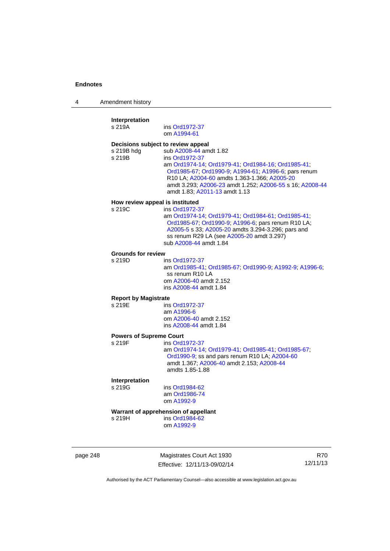4 Amendment history

| Interpretation<br>s 219A       | ins Ord1972-37<br>om A1994-61                                                                                                                                                                                                                                                                                                             |
|--------------------------------|-------------------------------------------------------------------------------------------------------------------------------------------------------------------------------------------------------------------------------------------------------------------------------------------------------------------------------------------|
| s 219B hdg<br>s 219B           | Decisions subject to review appeal<br>sub A2008-44 amdt 1.82<br>ins Ord1972-37<br>am Ord1974-14; Ord1979-41; Ord1984-16; Ord1985-41;<br>Ord1985-67; Ord1990-9; A1994-61; A1996-6; pars renum<br>R10 LA; A2004-60 amdts 1.363-1.366; A2005-20<br>amdt 3.293; A2006-23 amdt 1.252; A2006-55 s 16; A2008-44<br>amdt 1.83; A2011-13 amdt 1.13 |
| s 219C                         | How review appeal is instituted<br>ins Ord1972-37<br>am Ord1974-14; Ord1979-41; Ord1984-61; Ord1985-41;<br>Ord1985-67; Ord1990-9; A1996-6; pars renum R10 LA;<br>A2005-5 s 33; A2005-20 amdts 3.294-3.296; pars and<br>ss renum R29 LA (see A2005-20 amdt 3.297)<br>sub A2008-44 amdt 1.84                                                |
| <b>Grounds for review</b>      |                                                                                                                                                                                                                                                                                                                                           |
| s 219D                         | ins Ord1972-37<br>am Ord1985-41; Ord1985-67; Ord1990-9; A1992-9; A1996-6;<br>ss renum R10 LA<br>om A2006-40 amdt 2.152<br>ins A2008-44 amdt 1.84                                                                                                                                                                                          |
| <b>Report by Magistrate</b>    |                                                                                                                                                                                                                                                                                                                                           |
| s 219E                         | ins Ord1972-37<br>am A1996-6<br>om A2006-40 amdt 2.152<br>ins A2008-44 amdt 1.84                                                                                                                                                                                                                                                          |
| <b>Powers of Supreme Court</b> |                                                                                                                                                                                                                                                                                                                                           |
| s 219F                         | ins Ord1972-37<br>am Ord1974-14; Ord1979-41; Ord1985-41; Ord1985-67;<br>Ord1990-9; ss and pars renum R10 LA; A2004-60<br>amdt 1.367; A2006-40 amdt 2.153; A2008-44<br>amdts 1.85-1.88                                                                                                                                                     |
| Interpretation                 |                                                                                                                                                                                                                                                                                                                                           |
| s 219G                         | ins Ord1984-62<br>am Ord1986-74<br>om A1992-9                                                                                                                                                                                                                                                                                             |
|                                | Warrant of apprehension of appellant                                                                                                                                                                                                                                                                                                      |
| s 219H                         | ins Ord1984-62<br>om A1992-9                                                                                                                                                                                                                                                                                                              |
|                                |                                                                                                                                                                                                                                                                                                                                           |

page 248 Magistrates Court Act 1930 Effective: 12/11/13-09/02/14

R70 12/11/13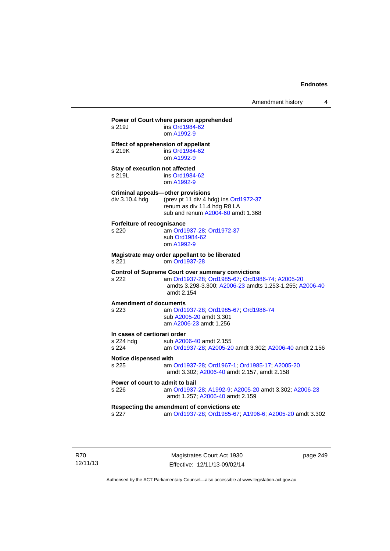| s 219J                                             | ins Ord1984-62<br>om A1992-9                                                                                                                                                         |
|----------------------------------------------------|--------------------------------------------------------------------------------------------------------------------------------------------------------------------------------------|
| s 219K                                             | Effect of apprehension of appellant<br>ins Ord1984-62<br>om A1992-9                                                                                                                  |
| Stay of execution not affected<br>s 219L           | ins Ord1984-62<br>om A1992-9                                                                                                                                                         |
| div 3.10.4 hdg                                     | <b>Criminal appeals-other provisions</b><br>(prev pt 11 div 4 hdg) ins Ord1972-37<br>renum as div 11.4 hdg R8 LA<br>sub and renum A2004-60 amdt 1.368                                |
| Forfeiture of recognisance<br>s 220                | am Ord1937-28; Ord1972-37<br>sub Ord1984-62<br>om A1992-9                                                                                                                            |
| s 221                                              | Magistrate may order appellant to be liberated<br>om Ord1937-28                                                                                                                      |
| s 222                                              | <b>Control of Supreme Court over summary convictions</b><br>am Ord1937-28; Ord1985-67; Ord1986-74; A2005-20<br>amdts 3.298-3.300; A2006-23 amdts 1.253-1.255; A2006-40<br>amdt 2.154 |
| <b>Amendment of documents</b><br>s 223             | am Ord1937-28; Ord1985-67; Ord1986-74<br>sub A2005-20 amdt 3.301<br>am A2006-23 amdt 1.256                                                                                           |
| In cases of certiorari order<br>s 224 hdg<br>s 224 | sub A2006-40 amdt 2.155<br>am Ord1937-28; A2005-20 amdt 3.302; A2006-40 amdt 2.156                                                                                                   |
| Notice dispensed with<br>s 225                     | am Ord1937-28; Ord1967-1; Ord1985-17; A2005-20<br>amdt 3.302; A2006-40 amdt 2.157, amdt 2.158                                                                                        |
| Power of court to admit to bail<br>s 226           | am Ord1937-28; A1992-9; A2005-20 amdt 3.302; A2006-23<br>amdt 1.257; A2006-40 amdt 2.159                                                                                             |
|                                                    | Respecting the amendment of convictions etc<br>am Ord1937-28; Ord1985-67; A1996-6; A2005-20 amdt 3.302                                                                               |

R70 12/11/13

Magistrates Court Act 1930 Effective: 12/11/13-09/02/14 page 249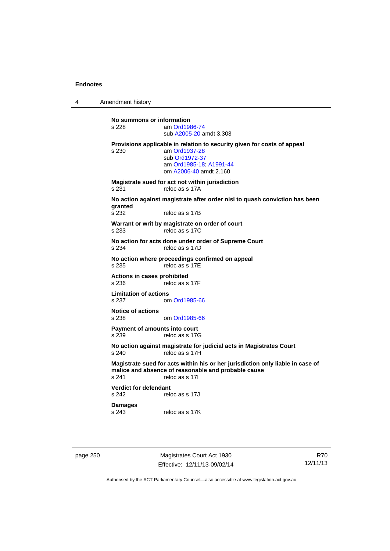4 Amendment history

**No summons or information**  am [Ord1986-74](http://www.legislation.act.gov.au/a/1986-74) sub [A2005-20](http://www.legislation.act.gov.au/a/2005-20) amdt 3.303 **Provisions applicable in relation to security given for costs of appeal**  s 230 am [Ord1937-28](http://www.legislation.act.gov.au/a/1937-28) sub [Ord1972-37](http://www.legislation.act.gov.au/a/1972-37) am [Ord1985-18;](http://www.legislation.act.gov.au/a/1985-18) [A1991-44](http://www.legislation.act.gov.au/a/1991-44) om [A2006-40](http://www.legislation.act.gov.au/a/2006-40) amdt 2.160 **Magistrate sued for act not within jurisdiction**  s 231 reloc as s 17A **No action against magistrate after order nisi to quash conviction has been granted**  reloc as s 17B **Warrant or writ by magistrate on order of court**  s 233 reloc as s 17C **No action for acts done under order of Supreme Court**  s 234 reloc as s 17D **No action where proceedings confirmed on appeal**  s 235 reloc as s 17E **Actions in cases prohibited**  reloc as s 17F **Limitation of actions**  s 237 om [Ord1985-66](http://www.legislation.act.gov.au/a/1985-66) **Notice of actions**  om [Ord1985-66](http://www.legislation.act.gov.au/a/1985-66) **Payment of amounts into court**  s 239 reloc as s 17G **No action against magistrate for judicial acts in Magistrates Court**  s 240 reloc as s 17H **Magistrate sued for acts within his or her jurisdiction only liable in case of malice and absence of reasonable and probable cause**  reloc as s 17I **Verdict for defendant**  s 242 reloc as s 17J **Damages**  reloc as s 17K

page 250 Magistrates Court Act 1930 Effective: 12/11/13-09/02/14

R70 12/11/13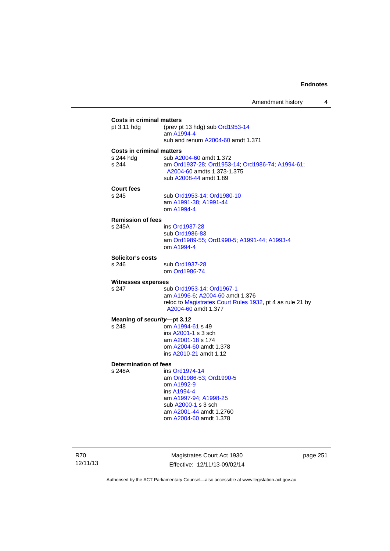### **Costs in criminal matters**<br>pt 3.11 hdg (prev pt (prev pt 13 hdg) sub  $Ord1953-14$  am [A1994-4](http://www.legislation.act.gov.au/a/1994-4) sub and renum [A2004-60](http://www.legislation.act.gov.au/a/2004-60) amdt 1.371 **Costs in criminal matters**  s 244 hdg sub [A2004-60](http://www.legislation.act.gov.au/a/2004-60) amdt 1.372 s 244 am [Ord1937-28](http://www.legislation.act.gov.au/a/1937-28); [Ord1953-14;](http://www.legislation.act.gov.au/a/1953-14) [Ord1986-74](http://www.legislation.act.gov.au/a/1986-74); [A1994-61](http://www.legislation.act.gov.au/a/1994-61); [A2004-60](http://www.legislation.act.gov.au/a/2004-60) amdts 1.373-1.375 sub [A2008-44](http://www.legislation.act.gov.au/a/2008-44) amdt 1.89 **Court fees**  s 245 sub [Ord1953-14](http://www.legislation.act.gov.au/a/1953-14); [Ord1980-10](http://www.legislation.act.gov.au/a/1980-10) am [A1991-38;](http://www.legislation.act.gov.au/a/1991-38) [A1991-44](http://www.legislation.act.gov.au/a/1991-44) om [A1994-4](http://www.legislation.act.gov.au/a/1994-4) **Remission of fees**  ins [Ord1937-28](http://www.legislation.act.gov.au/a/1937-28) sub [Ord1986-83](http://www.legislation.act.gov.au/a/1986-83) am [Ord1989-55](http://www.legislation.act.gov.au/a/1989-55); [Ord1990-5](http://www.legislation.act.gov.au/a/alt_ord1990-5); [A1991-44](http://www.legislation.act.gov.au/a/1991-44); [A1993-4](http://www.legislation.act.gov.au/a/1993-4) om [A1994-4](http://www.legislation.act.gov.au/a/1994-4) **Solicitor's costs**  s 246 sub [Ord1937-28](http://www.legislation.act.gov.au/a/1937-28) om [Ord1986-74](http://www.legislation.act.gov.au/a/1986-74) **Witnesses expenses**  s 247 sub [Ord1953-14](http://www.legislation.act.gov.au/a/1953-14); [Ord1967-1](http://www.legislation.act.gov.au/a/1967-1) am [A1996-6;](http://www.legislation.act.gov.au/a/1996-6) [A2004-60](http://www.legislation.act.gov.au/a/2004-60) amdt 1.376 reloc to [Magistrates Court Rules 1932](http://www.legislation.act.gov.au/sl/1932-4/default.asp), pt 4 as rule 21 by [A2004-60](http://www.legislation.act.gov.au/a/2004-60) amdt 1.377 **Meaning of** *security***—pt 3.12**  s 248 om [A1994-61](http://www.legislation.act.gov.au/a/1994-61) s 49 ins [A2001-1](http://www.legislation.act.gov.au/a/2001-1) s 3 sch am [A2001-18](http://www.legislation.act.gov.au/a/2001-18) s 174 om [A2004-60](http://www.legislation.act.gov.au/a/2004-60) amdt 1.378 ins [A2010-21](http://www.legislation.act.gov.au/a/2010-21) amdt 1.12 **Determination of fees**  s 248A ins [Ord1974-14](http://www.legislation.act.gov.au/a/1974-14) am [Ord1986-53](http://www.legislation.act.gov.au/a/1986-53); [Ord1990-5](http://www.legislation.act.gov.au/a/alt_ord1990-5) om [A1992-9](http://www.legislation.act.gov.au/a/1992-9) ins [A1994-4](http://www.legislation.act.gov.au/a/1994-4) am [A1997-94](http://www.legislation.act.gov.au/a/1997-94); [A1998-25](http://www.legislation.act.gov.au/a/1998-25) sub [A2000-1](http://www.legislation.act.gov.au/a/2000-1) s 3 sch am [A2001-44](http://www.legislation.act.gov.au/a/2001-44) amdt 1.2760 om [A2004-60](http://www.legislation.act.gov.au/a/2004-60) amdt 1.378

R70 12/11/13

Magistrates Court Act 1930 Effective: 12/11/13-09/02/14 page 251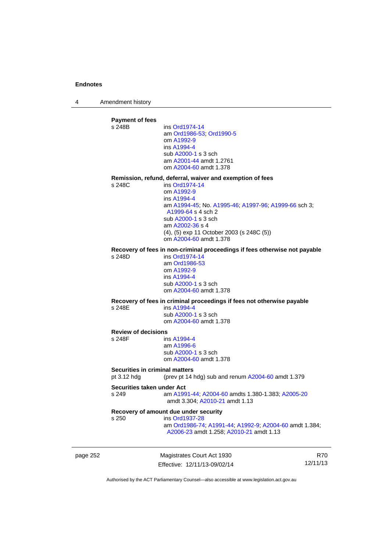4 Amendment history

**Payment of fees**  ins [Ord1974-14](http://www.legislation.act.gov.au/a/1974-14) am [Ord1986-53](http://www.legislation.act.gov.au/a/1986-53); [Ord1990-5](http://www.legislation.act.gov.au/a/alt_ord1990-5) om [A1992-9](http://www.legislation.act.gov.au/a/1992-9) ins [A1994-4](http://www.legislation.act.gov.au/a/1994-4) sub [A2000-1](http://www.legislation.act.gov.au/a/2000-1) s 3 sch am [A2001-44](http://www.legislation.act.gov.au/a/2001-44) amdt 1.2761 om [A2004-60](http://www.legislation.act.gov.au/a/2004-60) amdt 1.378 **Remission, refund, deferral, waiver and exemption of fees**  s 248C ins [Ord1974-14](http://www.legislation.act.gov.au/a/1974-14) om [A1992-9](http://www.legislation.act.gov.au/a/1992-9) ins [A1994-4](http://www.legislation.act.gov.au/a/1994-4) am [A1994-45](http://www.legislation.act.gov.au/a/1994-45); No. [A1995-46;](http://www.legislation.act.gov.au/a/1995-46) [A1997-96;](http://www.legislation.act.gov.au/a/1997-96) [A1999-66](http://www.legislation.act.gov.au/a/1999-66) sch 3; [A1999-64](http://www.legislation.act.gov.au/a/1999-64) s 4 sch 2 sub [A2000-1](http://www.legislation.act.gov.au/a/2000-1) s 3 sch am [A2002-36](http://www.legislation.act.gov.au/a/2002-36) s 4 (4), (5) exp 11 October 2003 (s 248C (5)) om [A2004-60](http://www.legislation.act.gov.au/a/2004-60) amdt 1.378 **Recovery of fees in non-criminal proceedings if fees otherwise not payable**  s 248D ins [Ord1974-14](http://www.legislation.act.gov.au/a/1974-14) am [Ord1986-53](http://www.legislation.act.gov.au/a/1986-53) om [A1992-9](http://www.legislation.act.gov.au/a/1992-9) ins [A1994-4](http://www.legislation.act.gov.au/a/1994-4) sub [A2000-1](http://www.legislation.act.gov.au/a/2000-1) s 3 sch om [A2004-60](http://www.legislation.act.gov.au/a/2004-60) amdt 1.378 **Recovery of fees in criminal proceedings if fees not otherwise payable**  s 248E ins [A1994-4](http://www.legislation.act.gov.au/a/1994-4) sub [A2000-1](http://www.legislation.act.gov.au/a/2000-1) s 3 sch om [A2004-60](http://www.legislation.act.gov.au/a/2004-60) amdt 1.378 **Review of decisions**  s 248F ins [A1994-4](http://www.legislation.act.gov.au/a/1994-4) am [A1996-6](http://www.legislation.act.gov.au/a/1996-6) sub [A2000-1](http://www.legislation.act.gov.au/a/2000-1) s 3 sch om [A2004-60](http://www.legislation.act.gov.au/a/2004-60) amdt 1.378 **Securities in criminal matters**  pt 3.12 hdg (prev pt 14 hdg) sub and renum [A2004-60](http://www.legislation.act.gov.au/a/2004-60) amdt 1.379 **Securities taken under Act**  s 249 am [A1991-44](http://www.legislation.act.gov.au/a/1991-44); [A2004-60](http://www.legislation.act.gov.au/a/2004-60) amdts 1.380-1.383; [A2005-20](http://www.legislation.act.gov.au/a/2005-20) amdt 3.304; [A2010-21](http://www.legislation.act.gov.au/a/2010-21) amdt 1.13 **Recovery of amount due under security**  s 250 ins [Ord1937-28](http://www.legislation.act.gov.au/a/1937-28) am [Ord1986-74](http://www.legislation.act.gov.au/a/1986-74); [A1991-44](http://www.legislation.act.gov.au/a/1991-44); [A1992-9](http://www.legislation.act.gov.au/a/1992-9); [A2004-60](http://www.legislation.act.gov.au/a/2004-60) amdt 1.384; [A2006-23](http://www.legislation.act.gov.au/a/2006-23) amdt 1.258; [A2010-21](http://www.legislation.act.gov.au/a/2010-21) amdt 1.13

page 252 Magistrates Court Act 1930 Effective: 12/11/13-09/02/14

R70 12/11/13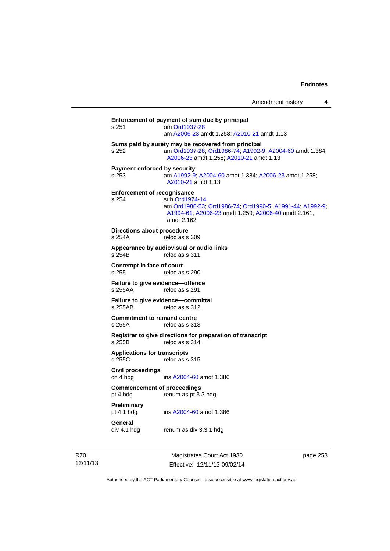| s 251                                | om Ord1937-28<br>am A2006-23 amdt 1.258; A2010-21 amdt 1.13                                                                                                |
|--------------------------------------|------------------------------------------------------------------------------------------------------------------------------------------------------------|
|                                      |                                                                                                                                                            |
| s 252                                | Sums paid by surety may be recovered from principal<br>am Ord1937-28; Ord1986-74; A1992-9; A2004-60 amdt 1.384;<br>A2006-23 amdt 1.258; A2010-21 amdt 1.13 |
| s 253                                | <b>Payment enforced by security</b><br>am A1992-9; A2004-60 amdt 1.384; A2006-23 amdt 1.258;<br>A2010-21 amdt 1.13                                         |
|                                      | <b>Enforcement of recognisance</b>                                                                                                                         |
| s 254                                | sub Ord1974-14<br>am Ord1986-53, Ord1986-74, Ord1990-5, A1991-44, A1992-9,<br>A1994-61; A2006-23 amdt 1.259; A2006-40 amdt 2.161,<br>amdt 2.162            |
| s 254A                               | Directions about procedure<br>reloc as s 309                                                                                                               |
| s 254B                               | Appearance by audiovisual or audio links<br>reloc as s 311                                                                                                 |
| Contempt in face of court<br>s 255   | reloc as s 290                                                                                                                                             |
| s 255AA                              | Failure to give evidence-offence<br>reloc as s 291                                                                                                         |
| s 255AB                              | Failure to give evidence-committal<br>reloc as s 312                                                                                                       |
| s 255A                               | <b>Commitment to remand centre</b><br>reloc as s 313                                                                                                       |
| s 255B                               | Registrar to give directions for preparation of transcript<br>reloc as s 314                                                                               |
| s 255C                               | <b>Applications for transcripts</b><br>reloc as s 315                                                                                                      |
| <b>Civil proceedings</b><br>ch 4 hdg | ins A2004-60 amdt 1.386                                                                                                                                    |
| pt 4 hdg                             | <b>Commencement of proceedings</b><br>renum as pt 3.3 hdg                                                                                                  |
| Preliminary<br>pt 4.1 hdg            | ins A2004-60 amdt 1.386                                                                                                                                    |
| General<br>div 4.1 hdg               | renum as div 3.3.1 hdg                                                                                                                                     |

R70 12/11/13

Magistrates Court Act 1930 Effective: 12/11/13-09/02/14 page 253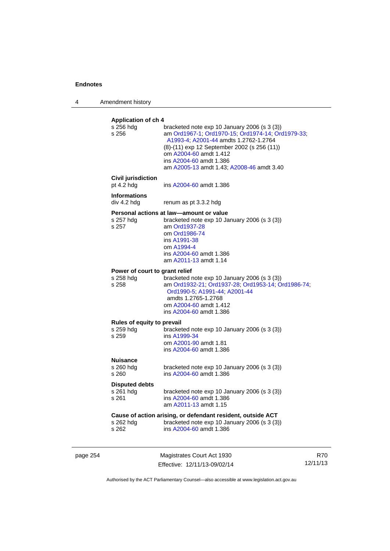4 Amendment history

|          | <b>Application of ch 4</b><br>s 256 hdg<br>s 256<br><b>Civil jurisdiction</b><br>pt 4.2 hdg<br><b>Informations</b><br>div 4.2 hda<br>s 257 hdg | bracketed note exp 10 January 2006 (s 3 (3))<br>am Ord1967-1; Ord1970-15; Ord1974-14; Ord1979-33;<br>A1993-4; A2001-44 amdts 1.2762-1.2764<br>(8)-(11) exp 12 September 2002 (s 256 (11))<br>om A2004-60 amdt 1.412<br>ins A2004-60 amdt 1.386<br>am A2005-13 amdt 1.43; A2008-46 amdt 3.40<br>ins A2004-60 amdt 1.386<br>renum as pt 3.3.2 hdg<br>Personal actions at law—amount or value<br>bracketed note exp 10 January 2006 (s 3 (3)) |                        |
|----------|------------------------------------------------------------------------------------------------------------------------------------------------|--------------------------------------------------------------------------------------------------------------------------------------------------------------------------------------------------------------------------------------------------------------------------------------------------------------------------------------------------------------------------------------------------------------------------------------------|------------------------|
|          | s 257                                                                                                                                          | am Ord1937-28<br>om Ord1986-74<br>ins A1991-38<br>om A1994-4<br>ins A2004-60 amdt 1.386<br>am A2011-13 amdt 1.14                                                                                                                                                                                                                                                                                                                           |                        |
|          | Power of court to grant relief<br>s 258 hdg<br>s 258                                                                                           | bracketed note exp 10 January 2006 (s 3 (3))<br>am Ord1932-21; Ord1937-28; Ord1953-14; Ord1986-74;<br>Ord1990-5, A1991-44, A2001-44<br>amdts 1.2765-1.2768<br>om A2004-60 amdt 1.412<br>ins A2004-60 amdt 1.386                                                                                                                                                                                                                            |                        |
|          | Rules of equity to prevail<br>s 259 hdg<br>s 259                                                                                               | bracketed note $exp 10$ January 2006 (s 3 (3))<br>ins A1999-34<br>om A2001-90 amdt 1.81<br>ins A2004-60 amdt 1.386                                                                                                                                                                                                                                                                                                                         |                        |
|          | <b>Nuisance</b><br>s 260 hdg<br>s 260                                                                                                          | bracketed note $exp 10$ January 2006 (s 3 (3))<br>ins A2004-60 amdt 1.386                                                                                                                                                                                                                                                                                                                                                                  |                        |
|          | <b>Disputed debts</b><br>s 261 hdg<br>s 261                                                                                                    | bracketed note $exp 10$ January 2006 (s 3 (3))<br>ins A2004-60 amdt 1.386<br>am A2011-13 amdt 1.15                                                                                                                                                                                                                                                                                                                                         |                        |
|          | s 262 hdg<br>s 262                                                                                                                             | Cause of action arising, or defendant resident, outside ACT<br>bracketed note exp 10 January 2006 (s 3 (3))<br>ins A2004-60 amdt 1.386                                                                                                                                                                                                                                                                                                     |                        |
| page 254 |                                                                                                                                                | Magistrates Court Act 1930<br>Effective: 12/11/13-09/02/14                                                                                                                                                                                                                                                                                                                                                                                 | <b>R70</b><br>12/11/13 |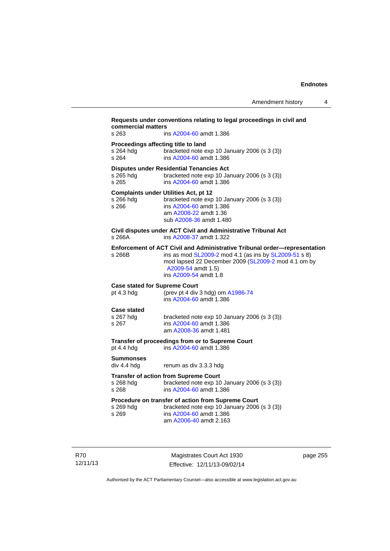| Proceedings affecting title to land<br>s 264 hdg<br>bracketed note exp 10 January 2006 (s 3 (3))<br>s 264<br>ins A2004-60 amdt 1.386<br><b>Disputes under Residential Tenancies Act</b><br>s 265 hdg<br>bracketed note exp 10 January 2006 (s 3 (3))<br>s 265<br>ins A2004-60 amdt 1.386<br><b>Complaints under Utilities Act, pt 12</b><br>s 266 hdg<br>bracketed note exp 10 January 2006 (s 3 (3))<br>s 266<br>ins A2004-60 amdt 1.386<br>am A2008-22 amdt 1.36<br>sub A2008-36 amdt 1.480<br>Civil disputes under ACT Civil and Administrative Tribunal Act<br>s 266A<br>ins A2008-37 amdt 1.322<br>Enforcement of ACT Civil and Administrative Tribunal order-representation<br>ins as mod SL2009-2 mod 4.1 (as ins by SL2009-51 s 8)<br>s 266B<br>mod lapsed 22 December 2009 (SL2009-2 mod 4.1 om by<br>A2009-54 amdt 1.5)<br>ins A2009-54 amdt 1.8<br><b>Case stated for Supreme Court</b><br>(prev pt 4 div 3 hdg) om A1986-74<br>pt $4.3$ hdg<br>ins A2004-60 amdt 1.386<br><b>Case stated</b><br>s 267 hdg<br>bracketed note exp 10 January 2006 (s 3 (3))<br>ins A2004-60 amdt 1.386<br>s 267<br>am A2008-36 amdt 1.481<br>Transfer of proceedings from or to Supreme Court<br>pt $4.4$ hdg<br>ins A2004-60 amdt 1.386 |
|------------------------------------------------------------------------------------------------------------------------------------------------------------------------------------------------------------------------------------------------------------------------------------------------------------------------------------------------------------------------------------------------------------------------------------------------------------------------------------------------------------------------------------------------------------------------------------------------------------------------------------------------------------------------------------------------------------------------------------------------------------------------------------------------------------------------------------------------------------------------------------------------------------------------------------------------------------------------------------------------------------------------------------------------------------------------------------------------------------------------------------------------------------------------------------------------------------------------------------|
|                                                                                                                                                                                                                                                                                                                                                                                                                                                                                                                                                                                                                                                                                                                                                                                                                                                                                                                                                                                                                                                                                                                                                                                                                                    |
|                                                                                                                                                                                                                                                                                                                                                                                                                                                                                                                                                                                                                                                                                                                                                                                                                                                                                                                                                                                                                                                                                                                                                                                                                                    |
|                                                                                                                                                                                                                                                                                                                                                                                                                                                                                                                                                                                                                                                                                                                                                                                                                                                                                                                                                                                                                                                                                                                                                                                                                                    |
|                                                                                                                                                                                                                                                                                                                                                                                                                                                                                                                                                                                                                                                                                                                                                                                                                                                                                                                                                                                                                                                                                                                                                                                                                                    |
|                                                                                                                                                                                                                                                                                                                                                                                                                                                                                                                                                                                                                                                                                                                                                                                                                                                                                                                                                                                                                                                                                                                                                                                                                                    |
|                                                                                                                                                                                                                                                                                                                                                                                                                                                                                                                                                                                                                                                                                                                                                                                                                                                                                                                                                                                                                                                                                                                                                                                                                                    |
|                                                                                                                                                                                                                                                                                                                                                                                                                                                                                                                                                                                                                                                                                                                                                                                                                                                                                                                                                                                                                                                                                                                                                                                                                                    |
|                                                                                                                                                                                                                                                                                                                                                                                                                                                                                                                                                                                                                                                                                                                                                                                                                                                                                                                                                                                                                                                                                                                                                                                                                                    |
| <b>Summonses</b><br>div 4.4 hdg<br>renum as div 3.3.3 hdg                                                                                                                                                                                                                                                                                                                                                                                                                                                                                                                                                                                                                                                                                                                                                                                                                                                                                                                                                                                                                                                                                                                                                                          |
| <b>Transfer of action from Supreme Court</b><br>s 268 hdg<br>bracketed note exp 10 January 2006 (s 3 (3))<br>ins A2004-60 amdt 1.386<br>s 268                                                                                                                                                                                                                                                                                                                                                                                                                                                                                                                                                                                                                                                                                                                                                                                                                                                                                                                                                                                                                                                                                      |
| <b>Procedure on transfer of action from Supreme Court</b><br>bracketed note exp 10 January 2006 (s 3 (3))<br>s 269 hdg<br>s 269<br>ins A2004-60 amdt 1.386<br>am A2006-40 amdt 2.163                                                                                                                                                                                                                                                                                                                                                                                                                                                                                                                                                                                                                                                                                                                                                                                                                                                                                                                                                                                                                                               |

12/11/13

R70

Authorised by the ACT Parliamentary Counsel—also accessible at www.legislation.act.gov.au

Effective: 12/11/13-09/02/14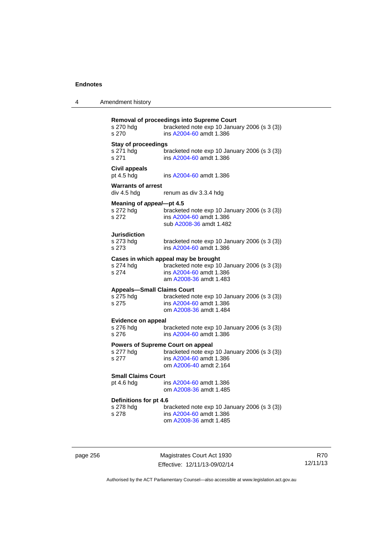| 4 | Amendment history |
|---|-------------------|
|---|-------------------|

| s 270 hdg<br>s 270                                      | Removal of proceedings into Supreme Court<br>bracketed note exp 10 January 2006 (s 3 (3))<br>ins A2004-60 amdt 1.386                                |
|---------------------------------------------------------|-----------------------------------------------------------------------------------------------------------------------------------------------------|
| <b>Stay of proceedings</b><br>s 271 hdg<br>s 271        | bracketed note exp 10 January 2006 (s 3 (3))<br>ins A2004-60 amdt 1.386                                                                             |
| <b>Civil appeals</b><br>pt 4.5 hdg                      | ins A2004-60 amdt 1.386                                                                                                                             |
| <b>Warrants of arrest</b><br>div 4.5 hdg                | renum as div 3.3.4 hdg                                                                                                                              |
| Meaning of appeal-pt 4.5<br>s 272 hdg<br>s 272          | bracketed note exp 10 January 2006 (s 3 (3))<br>ins A2004-60 amdt 1.386<br>sub A2008-36 amdt 1.482                                                  |
| <b>Jurisdiction</b><br>s 273 hdg<br>s 273               | bracketed note exp 10 January 2006 (s 3 (3))<br>ins A2004-60 amdt 1.386                                                                             |
| s 274                                                   | Cases in which appeal may be brought<br>s 274 hdg bracketed note exp 10 January 2006 (s 3 (3))<br>ins A2004-60 amdt 1.386<br>am A2008-36 amdt 1.483 |
| <b>Appeals-Small Claims Court</b><br>s 275 hdg<br>s 275 | bracketed note exp 10 January 2006 (s 3 (3))<br>ins A2004-60 amdt 1.386<br>om A2008-36 amdt 1.484                                                   |
| <b>Evidence on appeal</b><br>s 276 hdg<br>s 276         | bracketed note exp 10 January 2006 (s 3 (3))<br>ins A2004-60 amdt 1.386                                                                             |
| s 277 hdg<br>s 277                                      | <b>Powers of Supreme Court on appeal</b><br>bracketed note exp 10 January 2006 (s 3 (3))<br>ins A2004-60 amdt 1.386<br>om A2006-40 amdt 2.164       |
| <b>Small Claims Court</b><br>pt 4.6 hdg                 | ins A2004-60 amdt 1.386<br>om A2008-36 amdt 1.485                                                                                                   |
| Definitions for pt 4.6<br>s 278 hdg<br>s 278            | bracketed note exp 10 January 2006 (s 3 (3))<br>ins A2004-60 amdt 1.386<br>om A2008-36 amdt 1.485                                                   |

page 256 Magistrates Court Act 1930 Effective: 12/11/13-09/02/14

R70 12/11/13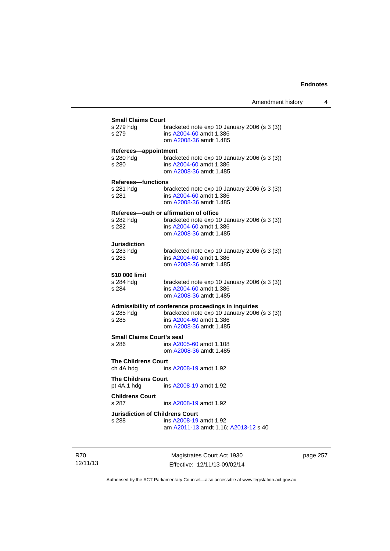| s 279 hdg                        | bracketed note exp 10 January 2006 (s 3 (3))                   |
|----------------------------------|----------------------------------------------------------------|
| s 279                            | ins A2004-60 amdt 1.386                                        |
|                                  | om A2008-36 amdt 1.485                                         |
| Referees-appointment             |                                                                |
| s 280 hdg                        | bracketed note $exp 10$ January 2006 (s 3 (3))                 |
| s 280                            | ins A2004-60 amdt 1.386                                        |
|                                  | om A2008-36 amdt 1.485                                         |
| <b>Referees-functions</b>        |                                                                |
| s 281 hdg                        | bracketed note exp 10 January 2006 (s 3 (3))                   |
| s 281                            | ins A2004-60 amdt 1.386                                        |
|                                  | om A2008-36 amdt 1.485                                         |
|                                  | Referees-oath or affirmation of office                         |
| s 282 hdg                        | bracketed note exp 10 January 2006 (s 3 (3))                   |
| s 282                            | ins A2004-60 amdt 1.386                                        |
|                                  | om A2008-36 amdt 1.485                                         |
| <b>Jurisdiction</b>              |                                                                |
| s 283 hdg                        | bracketed note exp 10 January 2006 (s 3 (3))                   |
| s 283                            | ins A2004-60 amdt 1.386                                        |
|                                  | om A2008-36 amdt 1.485                                         |
| \$10 000 limit                   |                                                                |
| s 284 hdq                        | bracketed note $exp 10$ January 2006 (s 3 (3))                 |
| s 284                            | ins A2004-60 amdt 1.386                                        |
|                                  | om A2008-36 amdt 1.485                                         |
|                                  | Admissibility of conference proceedings in inquiries           |
| s 285 hdg                        | bracketed note exp 10 January 2006 (s 3 (3))                   |
| s 285                            | ins A2004-60 amdt 1.386                                        |
|                                  | om A2008-36 amdt 1.485                                         |
| <b>Small Claims Court's seal</b> |                                                                |
| s 286                            | ins A2005-60 amdt 1.108                                        |
|                                  | om A2008-36 amdt 1.485                                         |
| <b>The Childrens Court</b>       |                                                                |
| ch 4A hdg                        | ins A2008-19 amdt 1.92                                         |
| <b>The Childrens Court</b>       |                                                                |
| pt 4A.1 hdg                      | ins A2008-19 amdt 1.92                                         |
| <b>Childrens Court</b>           |                                                                |
| s 287                            | ins A2008-19 amdt 1.92                                         |
|                                  |                                                                |
|                                  | <b>Jurisdiction of Childrens Court</b>                         |
| s 288                            | ins A2008-19 amdt 1.92<br>am A2011-13 amdt 1.16; A2013-12 s 40 |

R70 12/11/13

Magistrates Court Act 1930 Effective: 12/11/13-09/02/14 page 257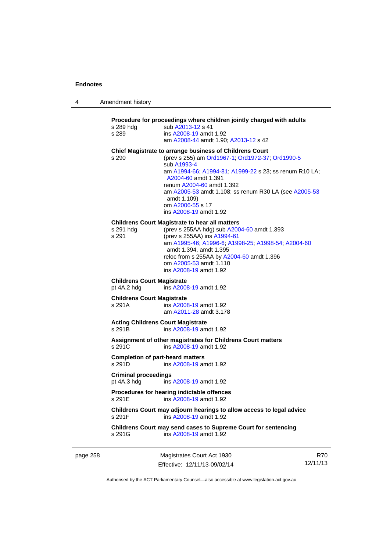| 4 | Amendment history |
|---|-------------------|
|---|-------------------|

| s 289 hda<br>s 289                          | sub A2013-12 s 41<br>ins A2008-19 amdt 1.92                                                                                                                                                                                                                                               |
|---------------------------------------------|-------------------------------------------------------------------------------------------------------------------------------------------------------------------------------------------------------------------------------------------------------------------------------------------|
|                                             | am A2008-44 amdt 1.90; A2013-12 s 42                                                                                                                                                                                                                                                      |
| s 290                                       | Chief Magistrate to arrange business of Childrens Court<br>(prev s 255) am Ord1967-1; Ord1972-37; Ord1990-5<br>sub A1993-4<br>am A1994-66, A1994-81; A1999-22 s 23; ss renum R10 LA;<br>A2004-60 amdt 1.391                                                                               |
|                                             | renum A2004-60 amdt 1.392<br>am A2005-53 amdt 1.108; ss renum R30 LA (see A2005-53<br>amdt 1.109)<br>om A2006-55 s 17<br>ins A2008-19 amdt 1.92                                                                                                                                           |
| s 291 hdg<br>s 291                          | <b>Childrens Court Magistrate to hear all matters</b><br>(prev s 255AA hdg) sub A2004-60 amdt 1.393<br>(prev s 255AA) ins A1994-61<br>am A1995-46, A1996-6; A1998-25; A1998-54; A2004-60<br>amdt 1.394, amdt 1.395<br>reloc from s 255AA by A2004-60 amdt 1.396<br>om A2005-53 amdt 1.110 |
| <b>Childrens Court Magistrate</b>           | ins A2008-19 amdt 1.92                                                                                                                                                                                                                                                                    |
| pt 4A.2 hdg                                 | ins A2008-19 amdt 1.92                                                                                                                                                                                                                                                                    |
| <b>Childrens Court Magistrate</b><br>s 291A | ins A2008-19 amdt 1.92<br>am A2011-28 amdt 3.178                                                                                                                                                                                                                                          |
| s 291B                                      | <b>Acting Childrens Court Magistrate</b><br>ins A2008-19 amdt 1.92                                                                                                                                                                                                                        |
| s 291C                                      | Assignment of other magistrates for Childrens Court matters<br>ins A2008-19 amdt 1.92                                                                                                                                                                                                     |
| s 291D                                      | <b>Completion of part-heard matters</b><br>ins A2008-19 amdt 1.92                                                                                                                                                                                                                         |
| <b>Criminal proceedings</b><br>pt 4A.3 hdg  | ins A2008-19 amdt 1.92                                                                                                                                                                                                                                                                    |
| s 291E                                      | Procedures for hearing indictable offences<br>ins A2008-19 amdt 1.92                                                                                                                                                                                                                      |
| s 291F                                      | Childrens Court may adjourn hearings to allow access to legal advice<br>ins A2008-19 amdt 1.92                                                                                                                                                                                            |
| s 291G                                      | Childrens Court may send cases to Supreme Court for sentencing<br>ins A2008-19 amdt 1.92                                                                                                                                                                                                  |

page 258 Magistrates Court Act 1930 Effective: 12/11/13-09/02/14

R70 12/11/13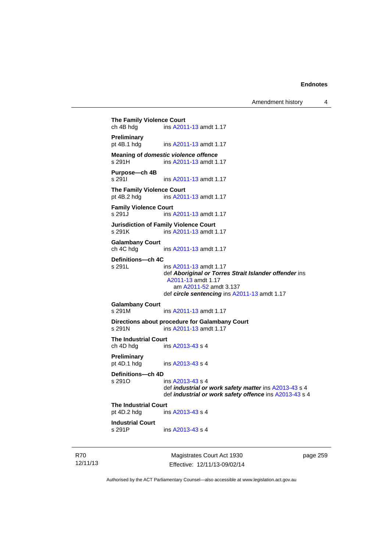Amendment history 4

**The Family Violence Court**<br>
ch 4B hdg ins A201 ins [A2011-13](http://www.legislation.act.gov.au/a/2011-13) amdt 1.17 **Preliminary**  pt 4B.1 hdg ins [A2011-13](http://www.legislation.act.gov.au/a/2011-13) amdt 1.17 **Meaning of** *domestic violence offence*<br>s 291H ins A2011-13 amdt 1. ins [A2011-13](http://www.legislation.act.gov.au/a/2011-13) amdt 1.17 **Purpose—ch 4B**  s 291I ins [A2011-13](http://www.legislation.act.gov.au/a/2011-13) amdt 1.17 **The Family Violence Court** pt 4B.2 hdg ins A201 ins [A2011-13](http://www.legislation.act.gov.au/a/2011-13) amdt 1.17 **Family Violence Court**  s 291J ins [A2011-13](http://www.legislation.act.gov.au/a/2011-13) amdt 1.17 **Jurisdiction of Family Violence Court**  s 291K ins [A2011-13](http://www.legislation.act.gov.au/a/2011-13) amdt 1.17 **Galambany Court**  ch 4C hdg ins [A2011-13](http://www.legislation.act.gov.au/a/2011-13) amdt 1.17 **Definitions—ch 4C**  s 291L ins [A2011-13](http://www.legislation.act.gov.au/a/2011-13) amdt 1.17 def *Aboriginal or Torres Strait Islander offender* ins [A2011-13](http://www.legislation.act.gov.au/a/2011-13) amdt 1.17 am [A2011-52](http://www.legislation.act.gov.au/a/2011-52) amdt 3.137 def *circle sentencing* ins [A2011-13](http://www.legislation.act.gov.au/a/2011-13) amdt 1.17 **Galambany Court**  s 291M ins [A2011-13](http://www.legislation.act.gov.au/a/2011-13) amdt 1.17 **Directions about procedure for Galambany Court**  s 291N ins [A2011-13](http://www.legislation.act.gov.au/a/2011-13) amdt 1.17 **The Industrial Court**  ch 4D hdg ins [A2013-43](http://www.legislation.act.gov.au/a/2013-43) s 4 **Preliminary**  pt 4D.1 hdg ins [A2013-43](http://www.legislation.act.gov.au/a/2013-43) s 4 **Definitions—ch 4D**  s 291O ins [A2013-43](http://www.legislation.act.gov.au/a/2013-43) s 4 def *industrial or work safety matter* ins [A2013-43](http://www.legislation.act.gov.au/a/2013-43) s 4 def *industrial or work safety offence* ins [A2013-43](http://www.legislation.act.gov.au/a/2013-43) s 4 **The Industrial Court** pt 4D.2 hdg in ins [A2013-43](http://www.legislation.act.gov.au/a/2013-43) s 4 **Industrial Court**  s 291P ins [A2013-43](http://www.legislation.act.gov.au/a/2013-43) s 4

R70 12/11/13

Magistrates Court Act 1930 Effective: 12/11/13-09/02/14 page 259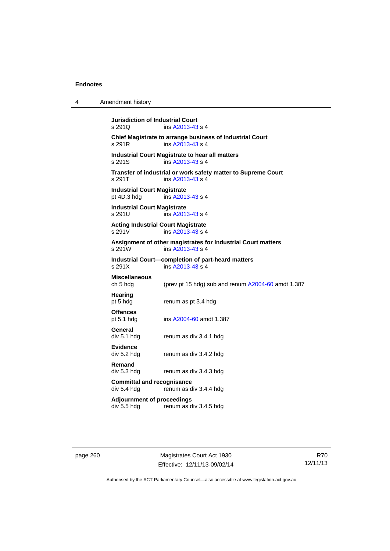| 4 | Amendment history                                                                           |  |  |
|---|---------------------------------------------------------------------------------------------|--|--|
|   | <b>Jurisdiction of Industrial Court</b><br>s 291Q<br>ins A2013-43 s 4                       |  |  |
|   | Chief Magistrate to arrange business of Industrial Court<br>ins A2013-43 s 4<br>s 291R      |  |  |
|   | Industrial Court Magistrate to hear all matters<br>s 291S<br>ins $A$ 2013-43 s 4            |  |  |
|   | Transfer of industrial or work safety matter to Supreme Court<br>s 291T<br>ins A2013-43 s 4 |  |  |
|   | <b>Industrial Court Magistrate</b><br>ins A2013-43 s 4<br>pt 4D.3 hdg                       |  |  |
|   | <b>Industrial Court Magistrate</b><br>ins A2013-43 s 4<br>s 291U                            |  |  |
|   | <b>Acting Industrial Court Magistrate</b><br>s 291V<br>ins A2013-43 s 4                     |  |  |
|   | Assignment of other magistrates for Industrial Court matters<br>s 291W<br>ins A2013-43 s 4  |  |  |
|   | Industrial Court—completion of part-heard matters<br>ins A2013-43 s 4<br>s 291X             |  |  |
|   | <b>Miscellaneous</b><br>ch 5 hdg<br>(prev pt 15 hdg) sub and renum A2004-60 amdt 1.387      |  |  |
|   | Hearing<br>pt 5 hdg<br>renum as pt 3.4 hdg                                                  |  |  |
|   | <b>Offences</b><br>ins A2004-60 amdt 1.387<br>pt $5.1$ hdg                                  |  |  |
|   | General<br>div 5.1 hdg<br>renum as div 3.4.1 hdg                                            |  |  |
|   | <b>Evidence</b><br>div 5.2 hdg<br>renum as div 3.4.2 hdg                                    |  |  |
|   | Remand<br>div 5.3 hdg<br>renum as div 3.4.3 hdg                                             |  |  |
|   | <b>Committal and recognisance</b><br>div 5.4 hdg<br>renum as div 3.4.4 hdg                  |  |  |
|   | <b>Adjournment of proceedings</b><br>div 5.5 hdg<br>renum as div 3.4.5 hdg                  |  |  |
|   |                                                                                             |  |  |

page 260 Magistrates Court Act 1930 Effective: 12/11/13-09/02/14

R70 12/11/13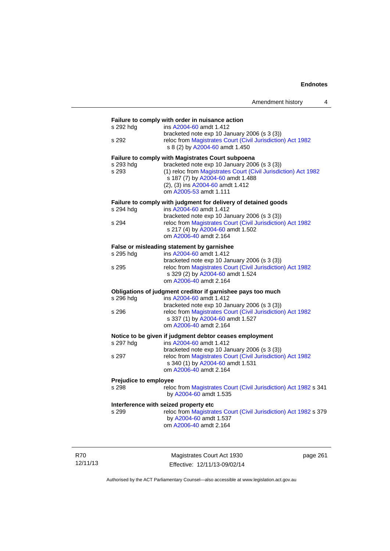|                                       | Amendment history                                                                                                                                                                                                                                                            | 4 |
|---------------------------------------|------------------------------------------------------------------------------------------------------------------------------------------------------------------------------------------------------------------------------------------------------------------------------|---|
| s 292 hdg<br>s 292                    | Failure to comply with order in nuisance action<br>ins A2004-60 amdt 1.412<br>bracketed note exp 10 January 2006 (s 3 (3))<br>reloc from Magistrates Court (Civil Jurisdiction) Act 1982<br>s 8 (2) by A2004-60 amdt 1.450                                                   |   |
| s 293 hdg<br>s 293                    | <b>Failure to comply with Magistrates Court subpoena</b><br>bracketed note exp 10 January 2006 (s 3 (3))<br>(1) reloc from Magistrates Court (Civil Jurisdiction) Act 1982<br>s 187 (7) by A2004-60 amdt 1.488<br>(2), (3) ins A2004-60 amdt 1.412<br>om A2005-53 amdt 1.111 |   |
| s 294 hdg<br>s 294                    | Failure to comply with judgment for delivery of detained goods<br>ins A2004-60 amdt 1.412<br>bracketed note exp 10 January 2006 (s 3 (3))<br>reloc from Magistrates Court (Civil Jurisdiction) Act 1982<br>s 217 (4) by A2004-60 amdt 1.502<br>om A2006-40 amdt 2.164        |   |
| s 295 hdg<br>s 295                    | False or misleading statement by garnishee<br>ins A2004-60 amdt 1.412<br>bracketed note exp 10 January 2006 (s 3 (3))<br>reloc from Magistrates Court (Civil Jurisdiction) Act 1982<br>s 329 (2) by A2004-60 amdt 1.524<br>om A2006-40 amdt 2.164                            |   |
| s 296 hdg<br>s 296                    | Obligations of judgment creditor if garnishee pays too much<br>ins A2004-60 amdt 1.412<br>bracketed note exp 10 January 2006 (s 3 (3))<br>reloc from Magistrates Court (Civil Jurisdiction) Act 1982<br>s 337 (1) by A2004-60 amdt 1.527<br>om A2006-40 amdt 2.164           |   |
| s 297 hdg<br>s 297                    | Notice to be given if judgment debtor ceases employment<br>ins A2004-60 amdt 1.412<br>bracketed note exp 10 January 2006 (s 3 (3))<br>reloc from Magistrates Court (Civil Jurisdiction) Act 1982<br>s 340 (1) by A2004-60 amdt 1.531<br>om A2006-40 amdt 2.164               |   |
| <b>Prejudice to employee</b><br>s 298 | reloc from Magistrates Court (Civil Jurisdiction) Act 1982 s 341<br>by A2004-60 amdt 1.535                                                                                                                                                                                   |   |
| s 299                                 | Interference with seized property etc<br>reloc from Magistrates Court (Civil Jurisdiction) Act 1982 s 379<br>by A2004-60 amdt 1.537<br>om A2006-40 amdt 2.164                                                                                                                |   |

R70 12/11/13

Magistrates Court Act 1930 Effective: 12/11/13-09/02/14 page 261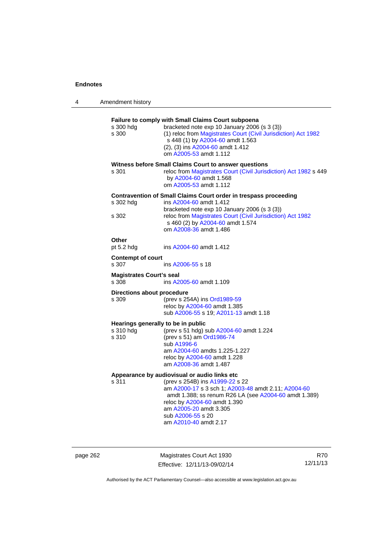| Amendment history<br>4 |  |
|------------------------|--|
|                        |  |

| s 300 hdg<br>s 300                       | Failure to comply with Small Claims Court subpoena<br>bracketed note exp 10 January 2006 (s 3 (3))<br>(1) reloc from Magistrates Court (Civil Jurisdiction) Act 1982<br>s 448 (1) by A2004-60 amdt 1.563<br>(2), (3) ins A2004-60 amdt 1.412<br>om A2005-53 amdt 1.112                                  |
|------------------------------------------|---------------------------------------------------------------------------------------------------------------------------------------------------------------------------------------------------------------------------------------------------------------------------------------------------------|
| s 301                                    | Witness before Small Claims Court to answer questions<br>reloc from Magistrates Court (Civil Jurisdiction) Act 1982 s 449<br>by A2004-60 amdt 1.568<br>om A2005-53 amdt 1.112                                                                                                                           |
| s 302 hdg<br>s 302                       | Contravention of Small Claims Court order in trespass proceeding<br>ins A2004-60 amdt 1.412<br>bracketed note exp 10 January 2006 (s 3 (3))<br>reloc from Magistrates Court (Civil Jurisdiction) Act 1982<br>s 460 (2) by A2004-60 amdt 1.574<br>om A2008-36 amdt 1.486                                 |
| Other<br>pt 5.2 hdg                      | ins A2004-60 amdt 1.412                                                                                                                                                                                                                                                                                 |
| <b>Contempt of court</b><br>s 307        | ins A2006-55 s 18                                                                                                                                                                                                                                                                                       |
| <b>Magistrates Court's seal</b><br>s.308 | ins A2005-60 amdt 1.109                                                                                                                                                                                                                                                                                 |
| Directions about procedure<br>s 309      | (prev s 254A) ins Ord1989-59<br>reloc by A2004-60 amdt 1.385<br>sub A2006-55 s 19; A2011-13 amdt 1.18                                                                                                                                                                                                   |
| s 310 hdg<br>s 310                       | Hearings generally to be in public<br>(prev s 51 hdg) sub A2004-60 amdt 1.224<br>(prev s 51) am Ord1986-74<br>sub A1996-6<br>am A2004-60 amdts 1.225-1.227<br>reloc by A2004-60 amdt 1.228<br>am A2008-36 amdt 1.487                                                                                    |
| s 311                                    | Appearance by audiovisual or audio links etc<br>(prev s 254B) ins A1999-22 s 22<br>am A2000-17 s 3 sch 1; A2003-48 amdt 2.11; A2004-60<br>amdt 1.388; ss renum R26 LA (see A2004-60 amdt 1.389)<br>reloc by A2004-60 amdt 1.390<br>am A2005-20 amdt 3.305<br>sub A2006-55 s 20<br>am A2010-40 amdt 2.17 |

page 262 Magistrates Court Act 1930 Effective: 12/11/13-09/02/14

R70 12/11/13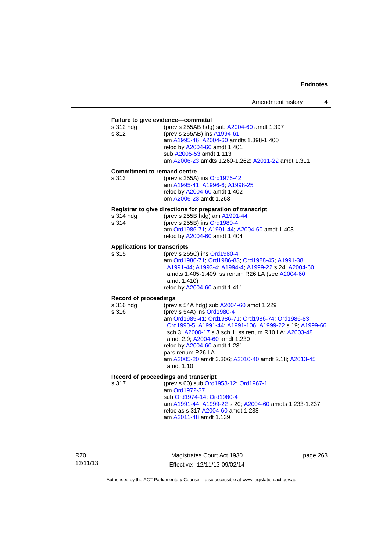### **Failure to give evidence—committal**  s 312 hdg (prev s 255AB hdg) sub [A2004-60](http://www.legislation.act.gov.au/a/2004-60) amdt 1.397 s 312 (prev s 255AB) ins [A1994-61](http://www.legislation.act.gov.au/a/1994-61) am [A1995-46](http://www.legislation.act.gov.au/a/1995-46); [A2004-60](http://www.legislation.act.gov.au/a/2004-60) amdts 1.398-1.400 reloc by [A2004-60](http://www.legislation.act.gov.au/a/2004-60) amdt 1.401 sub [A2005-53](http://www.legislation.act.gov.au/a/2005-53) amdt 1.113 am [A2006-23](http://www.legislation.act.gov.au/a/2006-23) amdts 1.260-1.262; [A2011-22](http://www.legislation.act.gov.au/a/2011-22) amdt 1.311 **Commitment to remand centre**  s 313 (prev s 255A) ins [Ord1976-42](http://www.legislation.act.gov.au/a/1976-42) am [A1995-41](http://www.legislation.act.gov.au/a/1995-41); [A1996-6](http://www.legislation.act.gov.au/a/1996-6); [A1998-25](http://www.legislation.act.gov.au/a/1998-25) reloc by [A2004-60](http://www.legislation.act.gov.au/a/2004-60) amdt 1.402 om [A2006-23](http://www.legislation.act.gov.au/a/2006-23) amdt 1.263 **Registrar to give directions for preparation of transcript**  s 314 hdg (prev s 255B hdg) am [A1991-44](http://www.legislation.act.gov.au/a/1991-44)<br>s 314 (prev s 255B) ins Ord1980-4 s 314 (prev s 255B) ins [Ord1980-4](http://www.legislation.act.gov.au/a/1980-4) am [Ord1986-71](http://www.legislation.act.gov.au/a/1986-71); [A1991-44](http://www.legislation.act.gov.au/a/1991-44); [A2004-60](http://www.legislation.act.gov.au/a/2004-60) amdt 1.403 reloc by [A2004-60](http://www.legislation.act.gov.au/a/2004-60) amdt 1.404 **Applications for transcripts**  s 315 (prev s 255C) ins [Ord1980-4](http://www.legislation.act.gov.au/a/1980-4) am [Ord1986-71](http://www.legislation.act.gov.au/a/1986-71); [Ord1986-83;](http://www.legislation.act.gov.au/a/1986-83) [Ord1988-45](http://www.legislation.act.gov.au/a/1988-45); [A1991-38](http://www.legislation.act.gov.au/a/1991-38); [A1991-44;](http://www.legislation.act.gov.au/a/1991-44) [A1993-4;](http://www.legislation.act.gov.au/a/1993-4) [A1994-4](http://www.legislation.act.gov.au/a/1994-4); [A1999-22](http://www.legislation.act.gov.au/a/1999-22) s 24; [A2004-60](http://www.legislation.act.gov.au/a/2004-60) amdts 1.405-1.409; ss renum R26 LA (see [A2004-60](http://www.legislation.act.gov.au/a/2004-60) amdt 1.410) reloc by [A2004-60](http://www.legislation.act.gov.au/a/2004-60) amdt 1.411 **Record of proceedings**  (prev s 54A hdg) sub [A2004-60](http://www.legislation.act.gov.au/a/2004-60) amdt 1.229 s 316 (prev s 54A) ins [Ord1980-4](http://www.legislation.act.gov.au/a/1980-4) am [Ord1985-41](http://www.legislation.act.gov.au/a/1985-41); [Ord1986-71;](http://www.legislation.act.gov.au/a/1986-71) [Ord1986-74](http://www.legislation.act.gov.au/a/1986-74); [Ord1986-83](http://www.legislation.act.gov.au/a/1986-83); [Ord1990-5;](http://www.legislation.act.gov.au/a/alt_ord1990-5) [A1991-44;](http://www.legislation.act.gov.au/a/1991-44) [A1991-106](http://www.legislation.act.gov.au/a/1991-106); [A1999-22](http://www.legislation.act.gov.au/a/1999-22) s 19; [A1999-66](http://www.legislation.act.gov.au/a/1999-66) sch 3; [A2000-17](http://www.legislation.act.gov.au/a/2000-17) s 3 sch 1; ss renum R10 LA; [A2003-48](http://www.legislation.act.gov.au/a/2003-48) amdt 2.9; [A2004-60](http://www.legislation.act.gov.au/a/2004-60) amdt 1.230 reloc by [A2004-60](http://www.legislation.act.gov.au/a/2004-60) amdt 1.231 pars renum R26 LA am [A2005-20](http://www.legislation.act.gov.au/a/2005-20) amdt 3.306; [A2010-40](http://www.legislation.act.gov.au/a/2010-40) amdt 2.18; [A2013-45](http://www.legislation.act.gov.au/a/2013-45) amdt 1.10 **Record of proceedings and transcript**  s 317 (prev s 60) sub [Ord1958-12](http://www.legislation.act.gov.au/a/1958-12); [Ord1967-1](http://www.legislation.act.gov.au/a/1967-1) am [Ord1972-37](http://www.legislation.act.gov.au/a/1972-37) sub [Ord1974-14](http://www.legislation.act.gov.au/a/1974-14); [Ord1980-4](http://www.legislation.act.gov.au/a/1980-4) am [A1991-44](http://www.legislation.act.gov.au/a/1991-44); [A1999-22](http://www.legislation.act.gov.au/a/1999-22) s 20; [A2004-60](http://www.legislation.act.gov.au/a/2004-60) amdts 1.233-1.237 reloc as s 317 [A2004-60](http://www.legislation.act.gov.au/a/2004-60) amdt 1.238 am [A2011-48](http://www.legislation.act.gov.au/a/2011-48) amdt 1.139

R70 12/11/13

Magistrates Court Act 1930 Effective: 12/11/13-09/02/14 page 263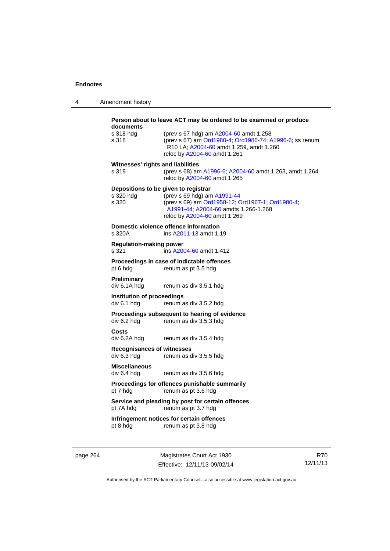| 4 | Amendment history |
|---|-------------------|
|---|-------------------|

|          | documents<br>s 318 hdg<br>s 318<br>Witnesses' rights and liabilities<br>s 319<br>s 320 hdg<br>s 320 | Person about to leave ACT may be ordered to be examined or produce<br>(prev s 67 hdg) am A2004-60 amdt 1.258<br>(prev s 67) am Ord1980-4; Ord1986-74; A1996-6; ss renum<br>R10 LA; A2004-60 amdt 1.259, amdt 1.260<br>reloc by A2004-60 amdt 1.261<br>(prev s 68) am A1996-6; A2004-60 amdt 1.263, amdt 1.264<br>reloc by A2004-60 amdt 1.265<br>Depositions to be given to registrar<br>(prev s 69 hdg) am A1991-44<br>(prev s 69) am Ord1958-12, Ord1967-1, Ord1980-4,<br>A1991-44; A2004-60 amdts 1.266-1.268 |                        |  |  |
|----------|-----------------------------------------------------------------------------------------------------|------------------------------------------------------------------------------------------------------------------------------------------------------------------------------------------------------------------------------------------------------------------------------------------------------------------------------------------------------------------------------------------------------------------------------------------------------------------------------------------------------------------|------------------------|--|--|
|          |                                                                                                     | reloc by A2004-60 amdt 1.269<br>Domestic violence offence information                                                                                                                                                                                                                                                                                                                                                                                                                                            |                        |  |  |
|          | s 320A                                                                                              | ins A2011-13 amdt 1.19                                                                                                                                                                                                                                                                                                                                                                                                                                                                                           |                        |  |  |
|          | <b>Regulation-making power</b><br>s 321                                                             | ins A2004-60 amdt 1.412                                                                                                                                                                                                                                                                                                                                                                                                                                                                                          |                        |  |  |
|          | Proceedings in case of indictable offences<br>pt 6 hdg<br>renum as pt 3.5 hdg                       |                                                                                                                                                                                                                                                                                                                                                                                                                                                                                                                  |                        |  |  |
|          | <b>Preliminary</b><br>div 6.1A hdg                                                                  | renum as div 3.5.1 hdg                                                                                                                                                                                                                                                                                                                                                                                                                                                                                           |                        |  |  |
|          | Institution of proceedings<br>div 6.1 hda                                                           | renum as div 3.5.2 hdg                                                                                                                                                                                                                                                                                                                                                                                                                                                                                           |                        |  |  |
|          | div 6.2 hdg                                                                                         | Proceedings subsequent to hearing of evidence<br>renum as div 3.5.3 hdg                                                                                                                                                                                                                                                                                                                                                                                                                                          |                        |  |  |
|          | <b>Costs</b><br>div 6.2A hdg                                                                        | renum as div 3.5.4 hdg                                                                                                                                                                                                                                                                                                                                                                                                                                                                                           |                        |  |  |
|          | <b>Recognisances of witnesses</b><br>div 6.3 hdg                                                    | renum as div 3.5.5 hdg                                                                                                                                                                                                                                                                                                                                                                                                                                                                                           |                        |  |  |
|          | <b>Miscellaneous</b><br>div 6.4 hdg                                                                 | renum as div 3.5.6 hdg                                                                                                                                                                                                                                                                                                                                                                                                                                                                                           |                        |  |  |
|          | pt 7 hdg                                                                                            | Proceedings for offences punishable summarily<br>renum as pt 3.6 hdg                                                                                                                                                                                                                                                                                                                                                                                                                                             |                        |  |  |
|          |                                                                                                     | Service and pleading by post for certain offences<br>pt 7A hdg renum as pt 3.7 hdg                                                                                                                                                                                                                                                                                                                                                                                                                               |                        |  |  |
|          | pt 8 hdg                                                                                            | Infringement notices for certain offences<br>renum as pt 3.8 hdg                                                                                                                                                                                                                                                                                                                                                                                                                                                 |                        |  |  |
| page 264 |                                                                                                     | Magistrates Court Act 1930<br>Effective: 12/11/13-09/02/14                                                                                                                                                                                                                                                                                                                                                                                                                                                       | <b>R70</b><br>12/11/13 |  |  |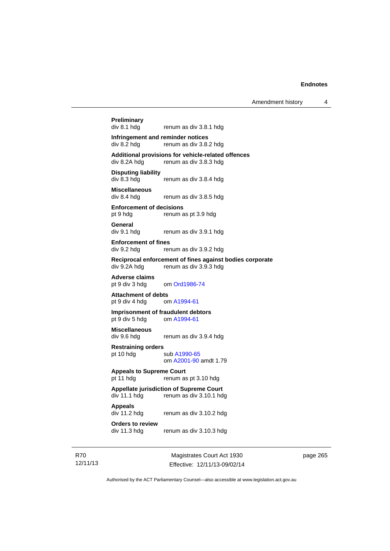Amendment history 4

# **Preliminary**

renum as div 3.8.1 hdg

#### **Infringement and reminder notices**  div 8.2 hdg renum as div 3.8.2 hdg

**Additional provisions for vehicle-related offences**  renum as div 3.8.3 hdg

**Disputing liability**  div 8.3 hdg renum as div 3.8.4 hdg

**Miscellaneous**  renum as div 3.8.5 hdg

**Enforcement of decisions**  pt 9 hdg renum as pt 3.9 hdg

**General**  div 9.1 hdg renum as div 3.9.1 hdg

**Enforcement of fines**  div 9.2 hdg renum as div 3.9.2 hdg

**Reciprocal enforcement of fines against bodies corporate** 

div 9.2A hdg renum as div 3.9.3 hdg

**Adverse claims**  pt 9 div 3 hdg om [Ord1986-74](http://www.legislation.act.gov.au/a/1986-74)

**Attachment of debts**<br>
pt 9 div 4 hdg om A1994-61 pt 9 div 4 hdg

#### **Imprisonment of fraudulent debtors**  pt 9 div 5 hdg om [A1994-61](http://www.legislation.act.gov.au/a/1994-61)

**Miscellaneous** 

div 9.6 hdg renum as div 3.9.4 hdg

**Restraining orders**  pt 10 hdg sub [A1990-65](http://www.legislation.act.gov.au/a/1990-65)

om [A2001-90](http://www.legislation.act.gov.au/a/2001-90) amdt 1.79

**Appeals to Supreme Court**  pt 11 hdg renum as pt 3.10 hdg

**Appellate jurisdiction of Supreme Court**  div 11.1 hdg renum as div 3.10.1 hdg

**Appeals** 

div 11.2 hdg renum as div 3.10.2 hdg

**Orders to review**  div 11.3 hdg renum as div 3.10.3 hdg

R70 12/11/13

Magistrates Court Act 1930 Effective: 12/11/13-09/02/14 page 265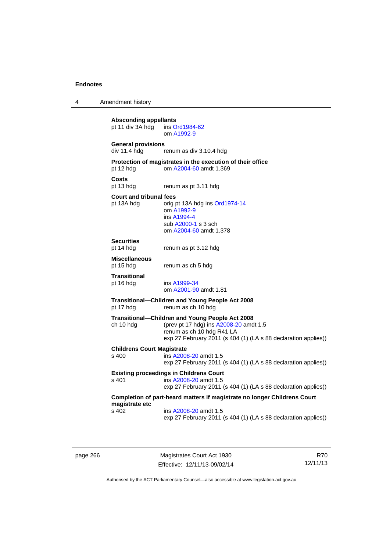4 Amendment history **Absconding appellants**<br> **pt 11 div 3A hdg** ins Ord1984-62 pt 11 div  $3A$  hdg om [A1992-9](http://www.legislation.act.gov.au/a/1992-9) **General provisions**  renum as div 3.10.4 hdg **Protection of magistrates in the execution of their office**  pt 12 hdg om [A2004-60](http://www.legislation.act.gov.au/a/2004-60) amdt 1.369 **Costs**  pt 13 hdg renum as pt 3.11 hdg **Court and tribunal fees**  pt 13A hdg orig pt 13A hdg ins [Ord1974-14](http://www.legislation.act.gov.au/a/1974-14) om [A1992-9](http://www.legislation.act.gov.au/a/1992-9) ins [A1994-4](http://www.legislation.act.gov.au/a/1994-4) sub [A2000-1](http://www.legislation.act.gov.au/a/2000-1) s 3 sch om [A2004-60](http://www.legislation.act.gov.au/a/2004-60) amdt 1.378 **Securities**  renum as pt 3.12 hdg **Miscellaneous**  pt 15 hdg renum as ch 5 hdg **Transitional**  ins [A1999-34](http://www.legislation.act.gov.au/a/1999-34) om [A2001-90](http://www.legislation.act.gov.au/a/2001-90) amdt 1.81 **Transitional—Children and Young People Act 2008**  pt 17 hdg renum as ch 10 hdg **Transitional—Children and Young People Act 2008**  ch 10 hdg (prev pt 17 hdg) ins [A2008-20](http://www.legislation.act.gov.au/a/2008-20) amdt 1.5 renum as ch 10 hdg R41 LA exp 27 February 2011 (s 404 (1) (LA s 88 declaration applies)) **Childrens Court Magistrate**  s 400 ins [A2008-20](http://www.legislation.act.gov.au/a/2008-20) amdt 1.5 exp 27 February 2011 (s 404 (1) (LA s 88 declaration applies)) **Existing proceedings in Childrens Court**  s 401 ins [A2008-20](http://www.legislation.act.gov.au/a/2008-20) amdt 1.5 exp 27 February 2011 (s 404 (1) (LA s 88 declaration applies)) **Completion of part-heard matters if magistrate no longer Childrens Court magistrate etc**  s 402 ins [A2008-20](http://www.legislation.act.gov.au/a/2008-20) amdt 1.5 exp 27 February 2011 (s 404 (1) (LA s 88 declaration applies))

page 266 Magistrates Court Act 1930 Effective: 12/11/13-09/02/14

R70 12/11/13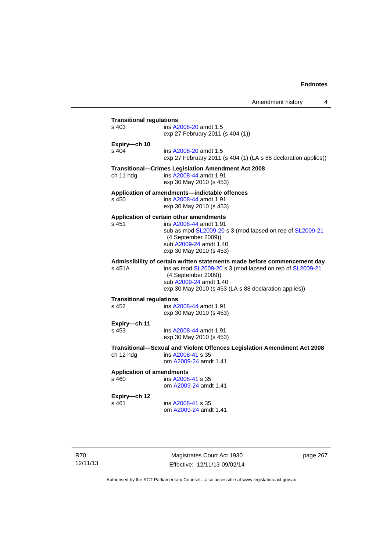Amendment history 4 **Transitional regulations**  ins [A2008-20](http://www.legislation.act.gov.au/a/2008-20) amdt 1.5 exp 27 February 2011 (s 404 (1)) **Expiry—ch 10**  s 404 ins [A2008-20](http://www.legislation.act.gov.au/a/2008-20) amdt 1.5 exp 27 February 2011 (s 404 (1) (LA s 88 declaration applies)) **Transitional—Crimes Legislation Amendment Act 2008**  ch 11 hdg ins [A2008-44](http://www.legislation.act.gov.au/a/2008-44) amdt 1.91 exp 30 May 2010 (s 453) **Application of amendments—indictable offences**  s 450 ins [A2008-44](http://www.legislation.act.gov.au/a/2008-44) amdt 1.91 exp 30 May 2010 (s 453) **Application of certain other amendments**  s 451 ins [A2008-44](http://www.legislation.act.gov.au/a/2008-44) amdt 1.91 sub as mod [SL2009-20](http://www.legislation.act.gov.au/sl/2009-20) s 3 (mod lapsed on rep of [SL2009-21](http://www.legislation.act.gov.au/sl/2009-21) (4 September 2009)) sub [A2009-24](http://www.legislation.act.gov.au/a/2009-24) amdt 1.40 exp 30 May 2010 (s 453) **Admissibility of certain written statements made before commencement day**  ins as mod [SL2009-20](http://www.legislation.act.gov.au/sl/2009-20) s 3 (mod lapsed on rep of [SL2009-21](http://www.legislation.act.gov.au/sl/2009-21) (4 September 2009)) sub [A2009-24](http://www.legislation.act.gov.au/a/2009-24) amdt 1.40 exp 30 May 2010 (s 453 (LA s 88 declaration applies)) **Transitional regulations**  s 452 ins [A2008-44](http://www.legislation.act.gov.au/a/2008-44) amdt 1.91 exp 30 May 2010 (s 453) **Expiry—ch 11**  s 453 ins [A2008-44](http://www.legislation.act.gov.au/a/2008-44) amdt 1.91 exp 30 May 2010 (s 453) **Transitional—Sexual and Violent Offences Legislation Amendment Act 2008**  ch 12 hdg ins [A2008-41](http://www.legislation.act.gov.au/a/2008-41) s 35 om [A2009-24](http://www.legislation.act.gov.au/a/2009-24) amdt 1.41

### **Application of amendments**

s 460 ins [A2008-41](http://www.legislation.act.gov.au/a/2008-41) s 35 om [A2009-24](http://www.legislation.act.gov.au/a/2009-24) amdt 1.41

### **Expiry—ch 12**

s 461 ins [A2008-41](http://www.legislation.act.gov.au/a/2008-41) s 35 om [A2009-24](http://www.legislation.act.gov.au/a/2009-24) amdt 1.41

R70 12/11/13

Magistrates Court Act 1930 Effective: 12/11/13-09/02/14 page 267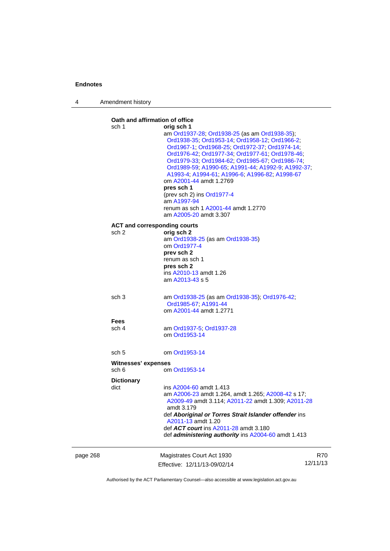4 Amendment history

page 268 Magistrates Court Act 1930 Effective: 12/11/13-09/02/14 R70 12/11/13 **Oath and affirmation of office**  sch 1 **orig sch 1**  am [Ord1937-28](http://www.legislation.act.gov.au/a/1937-28); [Ord1938-25](http://www.legislation.act.gov.au/a/1938-25) (as am [Ord1938-35\)](http://www.legislation.act.gov.au/a/1938-35); [Ord1938-35;](http://www.legislation.act.gov.au/a/1938-35) [Ord1953-14](http://www.legislation.act.gov.au/a/1953-14); [Ord1958-12](http://www.legislation.act.gov.au/a/1958-12); [Ord1966-2](http://www.legislation.act.gov.au/a/1966-2); [Ord1967-1;](http://www.legislation.act.gov.au/a/1967-1) [Ord1968-25;](http://www.legislation.act.gov.au/a/1968-25) [Ord1972-37;](http://www.legislation.act.gov.au/a/1972-37) [Ord1974-14](http://www.legislation.act.gov.au/a/1974-14); [Ord1976-42;](http://www.legislation.act.gov.au/a/1976-42) [Ord1977-34](http://www.legislation.act.gov.au/a/1977-34); [Ord1977-61](http://www.legislation.act.gov.au/a/1977-61); [Ord1978-46](http://www.legislation.act.gov.au/a/1978-46); [Ord1979-33;](http://www.legislation.act.gov.au/a/1979-33) [Ord1984-62](http://www.legislation.act.gov.au/a/1984-62); [Ord1985-67;](http://www.legislation.act.gov.au/a/1985-67) [Ord1986-74](http://www.legislation.act.gov.au/a/1986-74); [Ord1989-59;](http://www.legislation.act.gov.au/a/1989-59) [A1990-65;](http://www.legislation.act.gov.au/a/1990-65) [A1991-44;](http://www.legislation.act.gov.au/a/1991-44) [A1992-9](http://www.legislation.act.gov.au/a/1992-9); [A1992-37](http://www.legislation.act.gov.au/a/1992-37); [A1993-4;](http://www.legislation.act.gov.au/a/1993-4) [A1994-61;](http://www.legislation.act.gov.au/a/1994-61) [A1996-6](http://www.legislation.act.gov.au/a/1996-6); [A1996-82](http://www.legislation.act.gov.au/a/1996-82); [A1998-67](http://www.legislation.act.gov.au/a/1998-67) om [A2001-44](http://www.legislation.act.gov.au/a/2001-44) amdt 1.2769 **pres sch 1** (prev sch 2) ins [Ord1977-4](http://www.legislation.act.gov.au/a/1977-4) am [A1997-94](http://www.legislation.act.gov.au/a/1997-94) renum as sch 1 [A2001-44](http://www.legislation.act.gov.au/a/2001-44) amdt 1.2770 am [A2005-20](http://www.legislation.act.gov.au/a/2005-20) amdt 3.307 **ACT and corresponding courts**  sch 2 **orig sch 2** am [Ord1938-25](http://www.legislation.act.gov.au/a/1938-25) (as am [Ord1938-35\)](http://www.legislation.act.gov.au/a/1938-35) om [Ord1977-4](http://www.legislation.act.gov.au/a/1977-4) **prev sch 2**  renum as sch 1 **pres sch 2**  ins [A2010-13](http://www.legislation.act.gov.au/a/2010-13) amdt 1.26 am [A2013-43](http://www.legislation.act.gov.au/a/2013-43) s 5 sch 3 am [Ord1938-25](http://www.legislation.act.gov.au/a/1938-25) (as am [Ord1938-35\)](http://www.legislation.act.gov.au/a/1938-35); [Ord1976-42;](http://www.legislation.act.gov.au/a/1976-42) [Ord1985-67;](http://www.legislation.act.gov.au/a/1985-67) [A1991-44](http://www.legislation.act.gov.au/a/1991-44) om [A2001-44](http://www.legislation.act.gov.au/a/2001-44) amdt 1.2771 **Fees**  sch 4 am [Ord1937-5;](http://www.legislation.act.gov.au/a/1937-5) [Ord1937-28](http://www.legislation.act.gov.au/a/1937-28) om [Ord1953-14](http://www.legislation.act.gov.au/a/1953-14) sch 5 om [Ord1953-14](http://www.legislation.act.gov.au/a/1953-14) **Witnesses' expenses**  sch 6 om [Ord1953-14](http://www.legislation.act.gov.au/a/1953-14) **Dictionary**  dict ins [A2004-60](http://www.legislation.act.gov.au/a/2004-60) amdt 1.413 am [A2006-23](http://www.legislation.act.gov.au/a/2006-23) amdt 1.264, amdt 1.265; [A2008-42](http://www.legislation.act.gov.au/a/2008-42) s 17; [A2009-49](http://www.legislation.act.gov.au/a/2009-49) amdt 3.114; [A2011-22](http://www.legislation.act.gov.au/a/2011-22) amdt 1.309; [A2011-28](http://www.legislation.act.gov.au/a/2011-28) amdt 3.179 def *Aboriginal or Torres Strait Islander offender* ins [A2011-13](http://www.legislation.act.gov.au/a/2011-13) amdt 1.20 def *ACT court* ins [A2011-28](http://www.legislation.act.gov.au/a/2011-28) amdt 3.180 def *administering authority* ins [A2004-60](http://www.legislation.act.gov.au/a/2004-60) amdt 1.413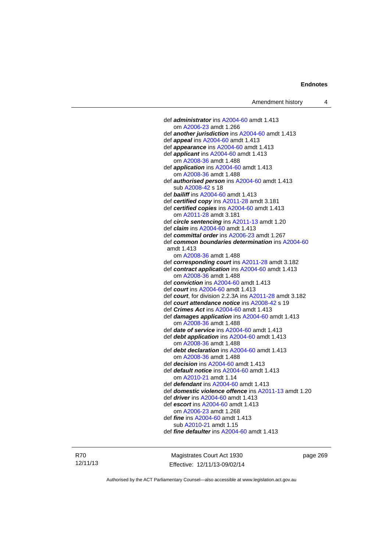def *administrator* ins [A2004-60](http://www.legislation.act.gov.au/a/2004-60) amdt 1.413 om [A2006-23](http://www.legislation.act.gov.au/a/2006-23) amdt 1.266 def *another jurisdiction* ins [A2004-60](http://www.legislation.act.gov.au/a/2004-60) amdt 1.413 def *appeal* ins [A2004-60](http://www.legislation.act.gov.au/a/2004-60) amdt 1.413 def *appearance* ins [A2004-60](http://www.legislation.act.gov.au/a/2004-60) amdt 1.413 def *applicant* ins [A2004-60](http://www.legislation.act.gov.au/a/2004-60) amdt 1.413 om [A2008-36](http://www.legislation.act.gov.au/a/2008-36) amdt 1.488 def *application* ins [A2004-60](http://www.legislation.act.gov.au/a/2004-60) amdt 1.413 om [A2008-36](http://www.legislation.act.gov.au/a/2008-36) amdt 1.488 def *authorised person* ins [A2004-60](http://www.legislation.act.gov.au/a/2004-60) amdt 1.413 sub [A2008-42](http://www.legislation.act.gov.au/a/2008-42) s 18 def *bailiff* ins [A2004-60](http://www.legislation.act.gov.au/a/2004-60) amdt 1.413 def *certified copy* ins [A2011-28](http://www.legislation.act.gov.au/a/2011-28) amdt 3.181 def *certified copies* ins [A2004-60](http://www.legislation.act.gov.au/a/2004-60) amdt 1.413 om [A2011-28](http://www.legislation.act.gov.au/a/2011-28) amdt 3.181 def *circle sentencing* ins [A2011-13](http://www.legislation.act.gov.au/a/2011-13) amdt 1.20 def *claim* ins [A2004-60](http://www.legislation.act.gov.au/a/2004-60) amdt 1.413 def *committal order* ins [A2006-23](http://www.legislation.act.gov.au/a/2006-23) amdt 1.267 def *common boundaries determination* ins [A2004-60](http://www.legislation.act.gov.au/a/2004-60) amdt 1.413 om [A2008-36](http://www.legislation.act.gov.au/a/2008-36) amdt 1.488 def *corresponding court* ins [A2011-28](http://www.legislation.act.gov.au/a/2011-28) amdt 3.182 def *contract application* ins [A2004-60](http://www.legislation.act.gov.au/a/2004-60) amdt 1.413 om [A2008-36](http://www.legislation.act.gov.au/a/2008-36) amdt 1.488 def *conviction* ins [A2004-60](http://www.legislation.act.gov.au/a/2004-60) amdt 1.413 def *court* ins [A2004-60](http://www.legislation.act.gov.au/a/2004-60) amdt 1.413 def *court*, for division 2.2.3A ins [A2011-28](http://www.legislation.act.gov.au/a/2011-28) amdt 3.182 def *court attendance notice* ins [A2008-42](http://www.legislation.act.gov.au/a/2008-42) s 19 def *Crimes Act* ins [A2004-60](http://www.legislation.act.gov.au/a/2004-60) amdt 1.413 def *damages application* ins [A2004-60](http://www.legislation.act.gov.au/a/2004-60) amdt 1.413 om [A2008-36](http://www.legislation.act.gov.au/a/2008-36) amdt 1.488 def *date of service* ins [A2004-60](http://www.legislation.act.gov.au/a/2004-60) amdt 1.413 def *debt application* ins [A2004-60](http://www.legislation.act.gov.au/a/2004-60) amdt 1.413 om [A2008-36](http://www.legislation.act.gov.au/a/2008-36) amdt 1.488 def *debt declaration* ins [A2004-60](http://www.legislation.act.gov.au/a/2004-60) amdt 1.413 om [A2008-36](http://www.legislation.act.gov.au/a/2008-36) amdt 1.488 def *decision* ins [A2004-60](http://www.legislation.act.gov.au/a/2004-60) amdt 1.413 def *default notice* ins [A2004-60](http://www.legislation.act.gov.au/a/2004-60) amdt 1.413 om [A2010-21](http://www.legislation.act.gov.au/a/2010-21) amdt 1.14 def *defendant* ins [A2004-60](http://www.legislation.act.gov.au/a/2004-60) amdt 1.413 def *domestic violence offence* ins [A2011-13](http://www.legislation.act.gov.au/a/2011-13) amdt 1.20 def *driver* ins [A2004-60](http://www.legislation.act.gov.au/a/2004-60) amdt 1.413 def *escort* ins [A2004-60](http://www.legislation.act.gov.au/a/2004-60) amdt 1.413 om [A2006-23](http://www.legislation.act.gov.au/a/2006-23) amdt 1.268 def *fine* ins [A2004-60](http://www.legislation.act.gov.au/a/2004-60) amdt 1.413 sub [A2010-21](http://www.legislation.act.gov.au/a/2010-21) amdt 1.15 def *fine defaulter* ins [A2004-60](http://www.legislation.act.gov.au/a/2004-60) amdt 1.413

R70 12/11/13

Magistrates Court Act 1930 Effective: 12/11/13-09/02/14 page 269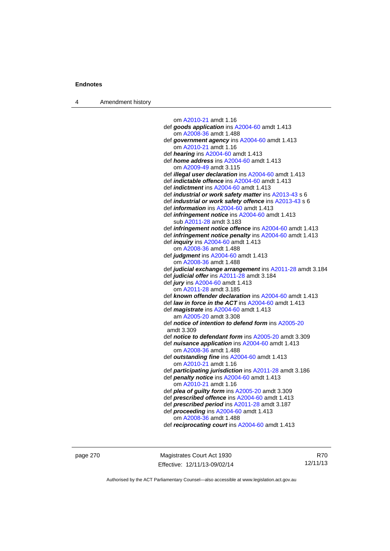4 Amendment history

 om [A2010-21](http://www.legislation.act.gov.au/a/2010-21) amdt 1.16 def *goods application* ins [A2004-60](http://www.legislation.act.gov.au/a/2004-60) amdt 1.413 om [A2008-36](http://www.legislation.act.gov.au/a/2008-36) amdt 1.488 def *government agency* ins [A2004-60](http://www.legislation.act.gov.au/a/2004-60) amdt 1.413 om [A2010-21](http://www.legislation.act.gov.au/a/2010-21) amdt 1.16 def *hearing* ins [A2004-60](http://www.legislation.act.gov.au/a/2004-60) amdt 1.413 def *home address* ins [A2004-60](http://www.legislation.act.gov.au/a/2004-60) amdt 1.413 om [A2009-49](http://www.legislation.act.gov.au/a/2009-49) amdt 3.115 def *illegal user declaration* ins [A2004-60](http://www.legislation.act.gov.au/a/2004-60) amdt 1.413 def *indictable offence* ins [A2004-60](http://www.legislation.act.gov.au/a/2004-60) amdt 1.413 def *indictment* ins [A2004-60](http://www.legislation.act.gov.au/a/2004-60) amdt 1.413 def *industrial or work safety matter* ins [A2013-43](http://www.legislation.act.gov.au/a/2013-43) s 6 def *industrial or work safety offence* ins [A2013-43](http://www.legislation.act.gov.au/a/2013-43) s 6 def *information* ins [A2004-60](http://www.legislation.act.gov.au/a/2004-60) amdt 1.413 def *infringement notice* ins [A2004-60](http://www.legislation.act.gov.au/a/2004-60) amdt 1.413 sub [A2011-28](http://www.legislation.act.gov.au/a/2011-28) amdt 3.183 def *infringement notice offence* ins [A2004-60](http://www.legislation.act.gov.au/a/2004-60) amdt 1.413 def *infringement notice penalty* ins [A2004-60](http://www.legislation.act.gov.au/a/2004-60) amdt 1.413 def *inquiry* ins [A2004-60](http://www.legislation.act.gov.au/a/2004-60) amdt 1.413 om [A2008-36](http://www.legislation.act.gov.au/a/2008-36) amdt 1.488 def *judgment* ins [A2004-60](http://www.legislation.act.gov.au/a/2004-60) amdt 1.413 om [A2008-36](http://www.legislation.act.gov.au/a/2008-36) amdt 1.488 def *judicial exchange arrangement* ins [A2011-28](http://www.legislation.act.gov.au/a/2011-28) amdt 3.184 def *judicial offer* ins [A2011-28](http://www.legislation.act.gov.au/a/2011-28) amdt 3.184 def *jury* ins [A2004-60](http://www.legislation.act.gov.au/a/2004-60) amdt 1.413 om [A2011-28](http://www.legislation.act.gov.au/a/2011-28) amdt 3.185 def *known offender declaration* ins [A2004-60](http://www.legislation.act.gov.au/a/2004-60) amdt 1.413 def *law in force in the ACT* ins [A2004-60](http://www.legislation.act.gov.au/a/2004-60) amdt 1.413 def *magistrate* ins [A2004-60](http://www.legislation.act.gov.au/a/2004-60) amdt 1.413 am [A2005-20](http://www.legislation.act.gov.au/a/2005-20) amdt 3.308 def *notice of intention to defend form* ins [A2005-20](http://www.legislation.act.gov.au/a/2005-20) amdt 3.309 def *notice to defendant form* ins [A2005-20](http://www.legislation.act.gov.au/a/2005-20) amdt 3.309 def *nuisance application* ins [A2004-60](http://www.legislation.act.gov.au/a/2004-60) amdt 1.413 om [A2008-36](http://www.legislation.act.gov.au/a/2008-36) amdt 1.488 def *outstanding fine* ins [A2004-60](http://www.legislation.act.gov.au/a/2004-60) amdt 1.413 om [A2010-21](http://www.legislation.act.gov.au/a/2010-21) amdt 1.16 def *participating jurisdiction* ins [A2011-28](http://www.legislation.act.gov.au/a/2011-28) amdt 3.186 def *penalty notice* ins [A2004-60](http://www.legislation.act.gov.au/a/2004-60) amdt 1.413 om [A2010-21](http://www.legislation.act.gov.au/a/2010-21) amdt 1.16 def *plea of guilty form* ins [A2005-20](http://www.legislation.act.gov.au/a/2005-20) amdt 3.309 def *prescribed offence* ins [A2004-60](http://www.legislation.act.gov.au/a/2004-60) amdt 1.413 def *prescribed period* ins [A2011-28](http://www.legislation.act.gov.au/a/2011-28) amdt 3.187 def *proceeding* ins [A2004-60](http://www.legislation.act.gov.au/a/2004-60) amdt 1.413 om [A2008-36](http://www.legislation.act.gov.au/a/2008-36) amdt 1.488 def *reciprocating court* ins [A2004-60](http://www.legislation.act.gov.au/a/2004-60) amdt 1.413

page 270 Magistrates Court Act 1930 Effective: 12/11/13-09/02/14

R70 12/11/13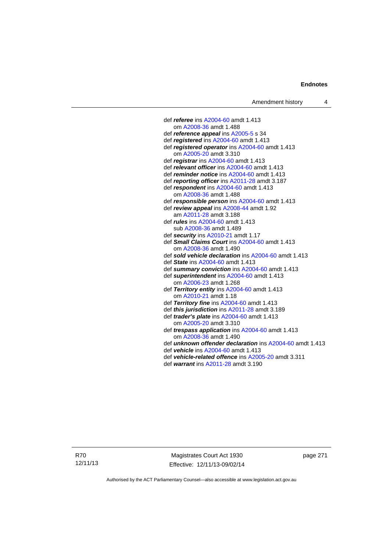def *referee* ins [A2004-60](http://www.legislation.act.gov.au/a/2004-60) amdt 1.413 om [A2008-36](http://www.legislation.act.gov.au/a/2008-36) amdt 1.488 def *reference appeal* ins [A2005-5](http://www.legislation.act.gov.au/a/2005-5) s 34 def *registered* ins [A2004-60](http://www.legislation.act.gov.au/a/2004-60) amdt 1.413 def *registered operator* ins [A2004-60](http://www.legislation.act.gov.au/a/2004-60) amdt 1.413 om [A2005-20](http://www.legislation.act.gov.au/a/2005-20) amdt 3.310 def *registrar* ins [A2004-60](http://www.legislation.act.gov.au/a/2004-60) amdt 1.413 def *relevant officer* ins [A2004-60](http://www.legislation.act.gov.au/a/2004-60) amdt 1.413 def *reminder notice* ins [A2004-60](http://www.legislation.act.gov.au/a/2004-60) amdt 1.413 def *reporting officer* ins [A2011-28](http://www.legislation.act.gov.au/a/2011-28) amdt 3.187 def *respondent* ins [A2004-60](http://www.legislation.act.gov.au/a/2004-60) amdt 1.413 om [A2008-36](http://www.legislation.act.gov.au/a/2008-36) amdt 1.488 def *responsible person* ins [A2004-60](http://www.legislation.act.gov.au/a/2004-60) amdt 1.413 def *review appeal* ins [A2008-44](http://www.legislation.act.gov.au/a/2008-44) amdt 1.92 am [A2011-28](http://www.legislation.act.gov.au/a/2011-28) amdt 3.188 def *rules* ins [A2004-60](http://www.legislation.act.gov.au/a/2004-60) amdt 1.413 sub [A2008-36](http://www.legislation.act.gov.au/a/2008-36) amdt 1.489 def *security* ins [A2010-21](http://www.legislation.act.gov.au/a/2010-21) amdt 1.17 def *Small Claims Court* ins [A2004-60](http://www.legislation.act.gov.au/a/2004-60) amdt 1.413 om [A2008-36](http://www.legislation.act.gov.au/a/2008-36) amdt 1.490 def *sold vehicle declaration* ins [A2004-60](http://www.legislation.act.gov.au/a/2004-60) amdt 1.413 def *State* ins [A2004-60](http://www.legislation.act.gov.au/a/2004-60) amdt 1.413 def *summary conviction* ins [A2004-60](http://www.legislation.act.gov.au/a/2004-60) amdt 1.413 def *superintendent* ins [A2004-60](http://www.legislation.act.gov.au/a/2004-60) amdt 1.413 om [A2006-23](http://www.legislation.act.gov.au/a/2006-23) amdt 1.268 def *Territory entity* ins [A2004-60](http://www.legislation.act.gov.au/a/2004-60) amdt 1.413 om [A2010-21](http://www.legislation.act.gov.au/a/2010-21) amdt 1.18 def *Territory fine* ins [A2004-60](http://www.legislation.act.gov.au/a/2004-60) amdt 1.413 def *this jurisdiction* ins [A2011-28](http://www.legislation.act.gov.au/a/2011-28) amdt 3.189 def *trader's plate* ins [A2004-60](http://www.legislation.act.gov.au/a/2004-60) amdt 1.413 om [A2005-20](http://www.legislation.act.gov.au/a/2005-20) amdt 3.310 def *trespass application* ins [A2004-60](http://www.legislation.act.gov.au/a/2004-60) amdt 1.413 om [A2008-36](http://www.legislation.act.gov.au/a/2008-36) amdt 1.490 def *unknown offender declaration* ins [A2004-60](http://www.legislation.act.gov.au/a/2004-60) amdt 1.413 def *vehicle* ins [A2004-60](http://www.legislation.act.gov.au/a/2004-60) amdt 1.413 def *vehicle-related offence* ins [A2005-20](http://www.legislation.act.gov.au/a/2005-20) amdt 3.311

- 
- def *warrant* ins [A2011-28](http://www.legislation.act.gov.au/a/2011-28) amdt 3.190

R70 12/11/13

Magistrates Court Act 1930 Effective: 12/11/13-09/02/14 page 271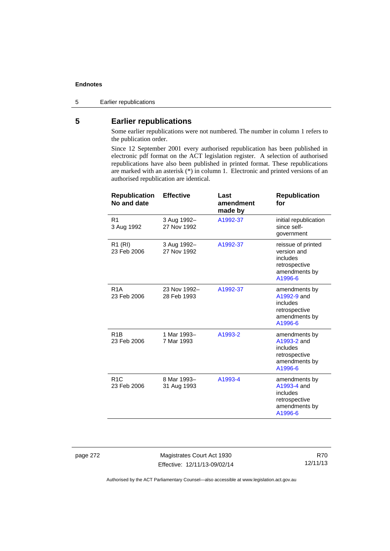5 Earlier republications

## **5 Earlier republications**

Some earlier republications were not numbered. The number in column 1 refers to the publication order.

Since 12 September 2001 every authorised republication has been published in electronic pdf format on the ACT legislation register. A selection of authorised republications have also been published in printed format. These republications are marked with an asterisk (\*) in column 1. Electronic and printed versions of an authorised republication are identical.

| <b>Republication</b><br>No and date | <b>Effective</b>            | Last<br>amendment<br>made by | <b>Republication</b><br>for                                                                |
|-------------------------------------|-----------------------------|------------------------------|--------------------------------------------------------------------------------------------|
| R <sub>1</sub><br>3 Aug 1992        | 3 Aug 1992-<br>27 Nov 1992  | A1992-37                     | initial republication<br>since self-<br>government                                         |
| R <sub>1</sub> (RI)<br>23 Feb 2006  | 3 Aug 1992-<br>27 Nov 1992  | A1992-37                     | reissue of printed<br>version and<br>includes<br>retrospective<br>amendments by<br>A1996-6 |
| R <sub>1</sub> A<br>23 Feb 2006     | 23 Nov 1992-<br>28 Feb 1993 | A1992-37                     | amendments by<br>A1992-9 and<br>includes<br>retrospective<br>amendments by<br>A1996-6      |
| R <sub>1</sub> B<br>23 Feb 2006     | 1 Mar 1993-<br>7 Mar 1993   | A1993-2                      | amendments by<br>A1993-2 and<br>includes<br>retrospective<br>amendments by<br>A1996-6      |
| R <sub>1</sub> C<br>23 Feb 2006     | 8 Mar 1993-<br>31 Aug 1993  | A1993-4                      | amendments by<br>A1993-4 and<br>includes<br>retrospective<br>amendments by<br>A1996-6      |

page 272 Magistrates Court Act 1930 Effective: 12/11/13-09/02/14

R70 12/11/13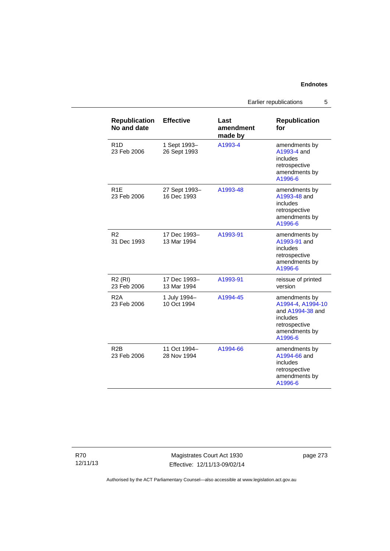Earlier republications 5

| <b>Republication</b><br>No and date | <b>Effective</b>             | Last<br>amendment<br>made by | <b>Republication</b><br>for                                                                                     |
|-------------------------------------|------------------------------|------------------------------|-----------------------------------------------------------------------------------------------------------------|
| R <sub>1</sub> D<br>23 Feb 2006     | 1 Sept 1993-<br>26 Sept 1993 | A1993-4                      | amendments by<br>A1993-4 and<br>includes<br>retrospective<br>amendments by<br>A1996-6                           |
| R <sub>1</sub> F<br>23 Feb 2006     | 27 Sept 1993-<br>16 Dec 1993 | A1993-48                     | amendments by<br>A1993-48 and<br>includes<br>retrospective<br>amendments by<br>A1996-6                          |
| R <sub>2</sub><br>31 Dec 1993       | 17 Dec 1993-<br>13 Mar 1994  | A1993-91                     | amendments by<br>A1993-91 and<br>includes<br>retrospective<br>amendments by<br>A1996-6                          |
| <b>R2 (RI)</b><br>23 Feb 2006       | 17 Dec 1993-<br>13 Mar 1994  | A1993-91                     | reissue of printed<br>version                                                                                   |
| R <sub>2</sub> A<br>23 Feb 2006     | 1 July 1994-<br>10 Oct 1994  | A1994-45                     | amendments by<br>A1994-4, A1994-10<br>and A1994-38 and<br>includes<br>retrospective<br>amendments by<br>A1996-6 |
| R2B<br>23 Feb 2006                  | 11 Oct 1994-<br>28 Nov 1994  | A1994-66                     | amendments by<br>A1994-66 and<br>includes<br>retrospective<br>amendments by<br>A1996-6                          |

R70 12/11/13

Magistrates Court Act 1930 Effective: 12/11/13-09/02/14 page 273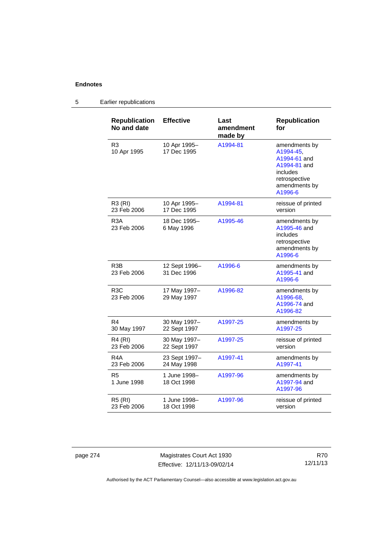#### **Republication No and date Effective Last amendment made by Republication for**  R3 10 Apr 1995 10 Apr 1995– 17 Dec 1995 [A1994-81](http://www.legislation.act.gov.au/a/1994-81) amendments by [A1994-45,](http://www.legislation.act.gov.au/a/1994-45) [A1994-61](http://www.legislation.act.gov.au/a/1994-61) and [A1994-81](http://www.legislation.act.gov.au/a/1994-81) and includes retrospective amendments by [A1996-6](http://www.legislation.act.gov.au/a/1996-6) R3 (RI) 23 Feb 2006 10 Apr 1995– 17 Dec 1995 [A1994-81](http://www.legislation.act.gov.au/a/1994-81) reissue of printed version R3A 23 Feb 2006 18 Dec 1995– 6 May 1996 [A1995-46](http://www.legislation.act.gov.au/a/1995-46) amendments by [A1995-46](http://www.legislation.act.gov.au/a/1995-46) and includes retrospective amendments by [A1996-6](http://www.legislation.act.gov.au/a/1996-6) R3B 23 Feb 2006 12 Sept 1996– 31 Dec 1996 [A1996-6](http://www.legislation.act.gov.au/a/1996-6) amendments by [A1995-41](http://www.legislation.act.gov.au/a/1995-41) and [A1996-6](http://www.legislation.act.gov.au/a/1996-6) R3C 23 Feb 2006 17 May 1997– 29 May 1997 [A1996-82](http://www.legislation.act.gov.au/a/1996-82) amendments by [A1996-68,](http://www.legislation.act.gov.au/a/1996-68) [A1996-74](http://www.legislation.act.gov.au/a/1996-74) and [A1996-82](http://www.legislation.act.gov.au/a/1996-82) R4 30 May 1997 30 May 1997– 22 Sept 1997 [A1997-25](http://www.legislation.act.gov.au/a/1997-25) amendments by [A1997-25](http://www.legislation.act.gov.au/a/1997-25) R4 (RI) 23 Feb 2006 30 May 1997– 22 Sept 1997 [A1997-25](http://www.legislation.act.gov.au/a/1997-25) reissue of printed version R4A 23 Feb 2006 23 Sept 1997– 24 May 1998 [A1997-41](http://www.legislation.act.gov.au/a/1997-41) amendments by [A1997-41](http://www.legislation.act.gov.au/a/1997-41) R5 1 June 1998 1 June 1998– 18 Oct 1998 [A1997-96](http://www.legislation.act.gov.au/a/1997-96) amendments by [A1997-94](http://www.legislation.act.gov.au/a/1997-94) and [A1997-96](http://www.legislation.act.gov.au/a/1997-96) R5 (RI) 23 Feb 2006 1 June 1998– 18 Oct 1998 [A1997-96](http://www.legislation.act.gov.au/a/1997-96) reissue of printed version

#### 5 Earlier republications

page 274 Magistrates Court Act 1930 Effective: 12/11/13-09/02/14

R70 12/11/13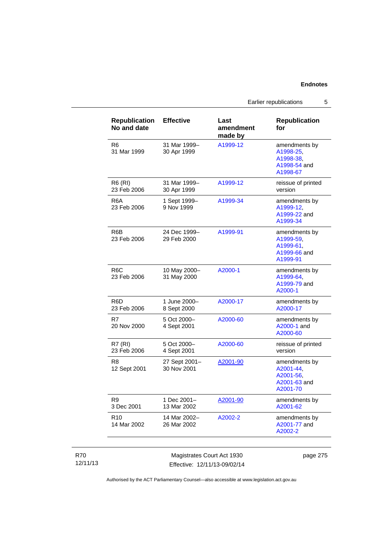Earlier republications 5

| <b>Republication</b><br>No and date | <b>Effective</b>             | Last<br>amendment<br>made by | <b>Republication</b><br>for                                         |
|-------------------------------------|------------------------------|------------------------------|---------------------------------------------------------------------|
| R6<br>31 Mar 1999                   | 31 Mar 1999-<br>30 Apr 1999  | A1999-12                     | amendments by<br>A1998-25,<br>A1998-38.<br>A1998-54 and<br>A1998-67 |
| <b>R6 (RI)</b><br>23 Feb 2006       | 31 Mar 1999-<br>30 Apr 1999  | A1999-12                     | reissue of printed<br>version                                       |
| R6A<br>23 Feb 2006                  | 1 Sept 1999-<br>9 Nov 1999   | A1999-34                     | amendments by<br>A1999-12,<br>A1999-22 and<br>A1999-34              |
| R6B<br>23 Feb 2006                  | 24 Dec 1999-<br>29 Feb 2000  | A1999-91                     | amendments by<br>A1999-59,<br>A1999-61,<br>A1999-66 and<br>A1999-91 |
| R <sub>6</sub> C<br>23 Feb 2006     | 10 May 2000-<br>31 May 2000  | A2000-1                      | amendments by<br>A1999-64,<br>A1999-79 and<br>A2000-1               |
| R <sub>6</sub> D<br>23 Feb 2006     | 1 June 2000-<br>8 Sept 2000  | A2000-17                     | amendments by<br>A2000-17                                           |
| R7<br>20 Nov 2000                   | 5 Oct 2000-<br>4 Sept 2001   | A2000-60                     | amendments by<br>A2000-1 and<br>A2000-60                            |
| <b>R7 (RI)</b><br>23 Feb 2006       | 5 Oct 2000-<br>4 Sept 2001   | A2000-60                     | reissue of printed<br>version                                       |
| R8<br>12 Sept 2001                  | 27 Sept 2001-<br>30 Nov 2001 | A2001-90                     | amendments by<br>A2001-44.<br>A2001-56,<br>A2001-63 and<br>A2001-70 |
| R <sub>9</sub><br>3 Dec 2001        | 1 Dec 2001-<br>13 Mar 2002   | A2001-90                     | amendments by<br>A2001-62                                           |
| R <sub>10</sub><br>14 Mar 2002      | 14 Mar 2002-<br>26 Mar 2002  | A2002-2                      | amendments by<br>A2001-77 and<br>A2002-2                            |

## R70 12/11/13

Magistrates Court Act 1930 Effective: 12/11/13-09/02/14 page 275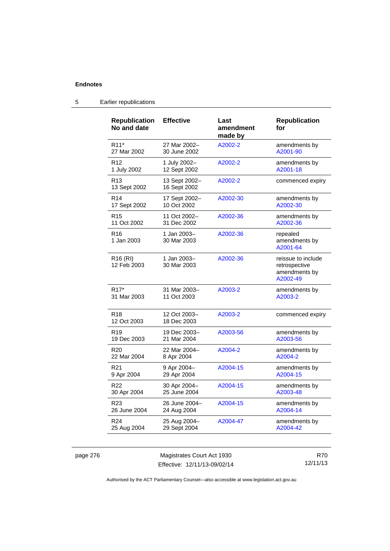| <b>Republication</b><br>No and date | <b>Effective</b>              | Last<br>amendment<br>made by | <b>Republication</b><br>for                                      |
|-------------------------------------|-------------------------------|------------------------------|------------------------------------------------------------------|
| R <sub>11</sub> *                   | 27 Mar 2002-                  | A2002-2                      | amendments by                                                    |
| 27 Mar 2002                         | 30 June 2002                  |                              | A2001-90                                                         |
| R <sub>12</sub>                     | 1 July 2002-                  | A2002-2                      | amendments by                                                    |
| 1 July 2002                         | 12 Sept 2002                  |                              | A2001-18                                                         |
| R <sub>13</sub><br>13 Sept 2002     | 13 Sept 2002-<br>16 Sept 2002 | A2002-2                      | commenced expiry                                                 |
| R <sub>14</sub>                     | 17 Sept 2002-                 | A2002-30                     | amendments by                                                    |
| 17 Sept 2002                        | 10 Oct 2002                   |                              | A2002-30                                                         |
| R <sub>15</sub>                     | 11 Oct 2002-                  | A2002-36                     | amendments by                                                    |
| 11 Oct 2002                         | 31 Dec 2002                   |                              | A2002-36                                                         |
| R <sub>16</sub><br>1 Jan 2003       | 1 Jan 2003-<br>30 Mar 2003    | A2002-36                     | repealed<br>amendments by<br>A2001-64                            |
| R <sub>16</sub> (RI)<br>12 Feb 2003 | 1 Jan 2003-<br>30 Mar 2003    | A2002-36                     | reissue to include<br>retrospective<br>amendments by<br>A2002-49 |
| R <sub>17</sub> *                   | 31 Mar 2003-                  | A2003-2                      | amendments by                                                    |
| 31 Mar 2003                         | 11 Oct 2003                   |                              | A2003-2                                                          |
| R <sub>18</sub><br>12 Oct 2003      | 12 Oct 2003-<br>18 Dec 2003   | A2003-2                      | commenced expiry                                                 |
| R <sub>19</sub>                     | 19 Dec 2003-                  | A2003-56                     | amendments by                                                    |
| 19 Dec 2003                         | 21 Mar 2004                   |                              | A2003-56                                                         |
| R <sub>20</sub>                     | 22 Mar 2004-                  | A2004-2                      | amendments by                                                    |
| 22 Mar 2004                         | 8 Apr 2004                    |                              | A2004-2                                                          |
| R <sub>21</sub>                     | 9 Apr 2004-                   | A2004-15                     | amendments by                                                    |
| 9 Apr 2004                          | 29 Apr 2004                   |                              | A2004-15                                                         |
| R22                                 | 30 Apr 2004-                  | A2004-15                     | amendments by                                                    |
| 30 Apr 2004                         | 25 June 2004                  |                              | A2003-48                                                         |
| R <sub>23</sub>                     | 26 June 2004-                 | A2004-15                     | amendments by                                                    |
| 26 June 2004                        | 24 Aug 2004                   |                              | A2004-14                                                         |
| R <sub>24</sub>                     | 25 Aug 2004-                  | A2004-47                     | amendments by                                                    |
| 25 Aug 2004                         | 29 Sept 2004                  |                              | A2004-42                                                         |

# 5 Earlier republications

page 276 Magistrates Court Act 1930 Effective: 12/11/13-09/02/14

R70 12/11/13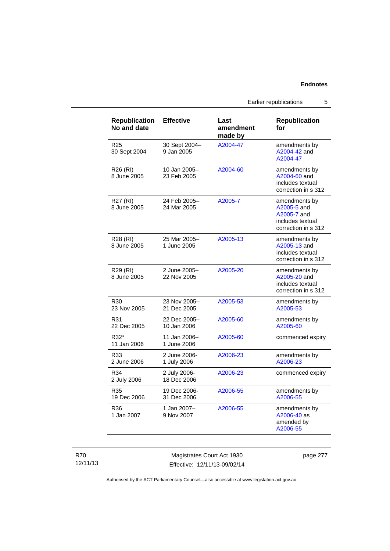Earlier republications 5

| <b>Republication</b><br>No and date | <b>Effective</b>            | Last<br>amendment<br>made by | <b>Republication</b><br>for                                                            |
|-------------------------------------|-----------------------------|------------------------------|----------------------------------------------------------------------------------------|
| R25<br>30 Sept 2004                 | 30 Sept 2004-<br>9 Jan 2005 | A2004-47                     | amendments by<br>A2004-42 and<br>A2004-47                                              |
| R26 (RI)<br>8 June 2005             | 10 Jan 2005-<br>23 Feb 2005 | A2004-60                     | amendments by<br>A2004-60 and<br>includes textual<br>correction in s 312               |
| R27 (RI)<br>8 June 2005             | 24 Feb 2005-<br>24 Mar 2005 | A2005-7                      | amendments by<br>A2005-5 and<br>A2005-7 and<br>includes textual<br>correction in s 312 |
| R28 (RI)<br>8 June 2005             | 25 Mar 2005-<br>1 June 2005 | A2005-13                     | amendments by<br>A2005-13 and<br>includes textual<br>correction in s 312               |
| R29 (RI)<br>8 June 2005             | 2 June 2005-<br>22 Nov 2005 | A2005-20                     | amendments by<br>A2005-20 and<br>includes textual<br>correction in s 312               |
| R30<br>23 Nov 2005                  | 23 Nov 2005-<br>21 Dec 2005 | A2005-53                     | amendments by<br>A2005-53                                                              |
| R31<br>22 Dec 2005                  | 22 Dec 2005-<br>10 Jan 2006 | A2005-60                     | amendments by<br>A2005-60                                                              |
| R32*<br>11 Jan 2006                 | 11 Jan 2006-<br>1 June 2006 | A2005-60                     | commenced expiry                                                                       |
| R33<br>2 June 2006                  | 2 June 2006-<br>1 July 2006 | A2006-23                     | amendments by<br>A2006-23                                                              |
| R34<br>2 July 2006                  | 2 July 2006-<br>18 Dec 2006 | A2006-23                     | commenced expiry                                                                       |
| R35<br>19 Dec 2006                  | 19 Dec 2006-<br>31 Dec 2006 | A2006-55                     | amendments by<br>A2006-55                                                              |
| R36<br>1 Jan 2007                   | 1 Jan 2007-<br>9 Nov 2007   | A2006-55                     | amendments by<br>A2006-40 as<br>amended by<br>A2006-55                                 |

R70 12/11/13

Magistrates Court Act 1930 Effective: 12/11/13-09/02/14 page 277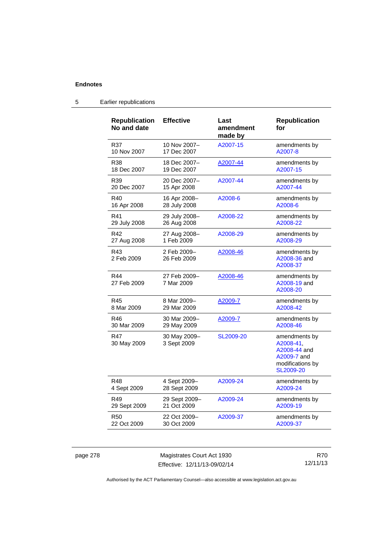| <b>Republication</b><br>No and date | <b>Effective</b>            | Last<br>amendment<br>made by | <b>Republication</b><br>for                                                                |
|-------------------------------------|-----------------------------|------------------------------|--------------------------------------------------------------------------------------------|
| R37                                 | 10 Nov 2007–                | A2007-15                     | amendments by                                                                              |
| 10 Nov 2007                         | 17 Dec 2007                 |                              | A2007-8                                                                                    |
| <b>R38</b>                          | 18 Dec 2007-                | A2007-44                     | amendments by                                                                              |
| 18 Dec 2007                         | 19 Dec 2007                 |                              | A2007-15                                                                                   |
| R39                                 | 20 Dec 2007-                | A2007-44                     | amendments by                                                                              |
| 20 Dec 2007                         | 15 Apr 2008                 |                              | A2007-44                                                                                   |
| R40                                 | 16 Apr 2008-                | A2008-6                      | amendments by                                                                              |
| 16 Apr 2008                         | 28 July 2008                |                              | A2008-6                                                                                    |
| R41                                 | 29 July 2008-               | A2008-22                     | amendments by                                                                              |
| 29 July 2008                        | 26 Aug 2008                 |                              | A2008-22                                                                                   |
| R42                                 | 27 Aug 2008-                | A2008-29                     | amendments by                                                                              |
| 27 Aug 2008                         | 1 Feb 2009                  |                              | A2008-29                                                                                   |
| R43<br>2 Feb 2009                   | 2 Feb 2009-<br>26 Feb 2009  | A2008-46                     | amendments by<br>A2008-36 and<br>A2008-37                                                  |
| R44<br>27 Feb 2009                  | 27 Feb 2009-<br>7 Mar 2009  | A2008-46                     | amendments by<br>A2008-19 and<br>A2008-20                                                  |
| R45                                 | 8 Mar 2009-                 | A2009-7                      | amendments by                                                                              |
| 8 Mar 2009                          | 29 Mar 2009                 |                              | A2008-42                                                                                   |
| R46                                 | 30 Mar 2009-                | A2009-7                      | amendments by                                                                              |
| 30 Mar 2009                         | 29 May 2009                 |                              | A2008-46                                                                                   |
| <b>R47</b><br>30 May 2009           | 30 May 2009-<br>3 Sept 2009 | SL2009-20                    | amendments by<br>A2008-41,<br>A2008-44 and<br>A2009-7 and<br>modifications by<br>SL2009-20 |
| R48                                 | 4 Sept 2009-                | A2009-24                     | amendments by                                                                              |
| 4 Sept 2009                         | 28 Sept 2009                |                              | A2009-24                                                                                   |
| R49                                 | 29 Sept 2009-               | A2009-24                     | amendments by                                                                              |
| 29 Sept 2009                        | 21 Oct 2009                 |                              | A2009-19                                                                                   |
| <b>R50</b>                          | 22 Oct 2009-                | A2009-37                     | amendments by                                                                              |
| 22 Oct 2009                         | 30 Oct 2009                 |                              | A2009-37                                                                                   |
|                                     |                             |                              |                                                                                            |

# 5 Earlier republications

page 278 Magistrates Court Act 1930 Effective: 12/11/13-09/02/14

R70 12/11/13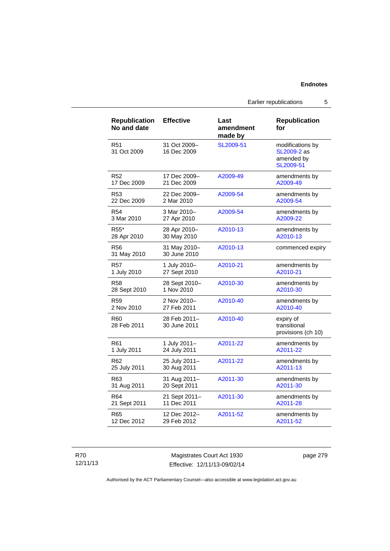Earlier republications 5

| <b>Republication</b><br>No and date | <b>Effective</b>             | Last<br>amendment<br>made by | <b>Republication</b><br>for                                |
|-------------------------------------|------------------------------|------------------------------|------------------------------------------------------------|
| R <sub>51</sub><br>31 Oct 2009      | 31 Oct 2009-<br>16 Dec 2009  | SL2009-51                    | modifications by<br>SL2009-2 as<br>amended by<br>SL2009-51 |
| R52                                 | 17 Dec 2009-                 | A2009-49                     | amendments by                                              |
| 17 Dec 2009                         | 21 Dec 2009                  |                              | A2009-49                                                   |
| R53                                 | 22 Dec 2009-                 | A2009-54                     | amendments by                                              |
| 22 Dec 2009                         | 2 Mar 2010                   |                              | A2009-54                                                   |
| R <sub>54</sub>                     | 3 Mar 2010-                  | A2009-54                     | amendments by                                              |
| 3 Mar 2010                          | 27 Apr 2010                  |                              | A2009-22                                                   |
| R <sub>55</sub> *                   | 28 Apr 2010-                 | A2010-13                     | amendments by                                              |
| 28 Apr 2010                         | 30 May 2010                  |                              | A2010-13                                                   |
| R56<br>31 May 2010                  | 31 May 2010-<br>30 June 2010 | A2010-13                     | commenced expiry                                           |
| <b>R57</b>                          | 1 July 2010-                 | A2010-21                     | amendments by                                              |
| 1 July 2010                         | 27 Sept 2010                 |                              | A2010-21                                                   |
| <b>R58</b>                          | 28 Sept 2010-                | A2010-30                     | amendments by                                              |
| 28 Sept 2010                        | 1 Nov 2010                   |                              | A2010-30                                                   |
| R <sub>59</sub>                     | 2 Nov 2010-                  | A2010-40                     | amendments by                                              |
| 2 Nov 2010                          | 27 Feb 2011                  |                              | A2010-40                                                   |
| R60<br>28 Feb 2011                  | 28 Feb 2011-<br>30 June 2011 | A2010-40                     | expiry of<br>transitional<br>provisions (ch 10)            |
| R61                                 | 1 July 2011-                 | A2011-22                     | amendments by                                              |
| 1 July 2011                         | 24 July 2011                 |                              | A2011-22                                                   |
| R62                                 | 25 July 2011-                | A2011-22                     | amendments by                                              |
| 25 July 2011                        | 30 Aug 2011                  |                              | A2011-13                                                   |
| R63                                 | 31 Aug 2011-                 | A2011-30                     | amendments by                                              |
| 31 Aug 2011                         | 20 Sept 2011                 |                              | A2011-30                                                   |
| R <sub>64</sub>                     | 21 Sept 2011-                | A2011-30                     | amendments by                                              |
| 21 Sept 2011                        | 11 Dec 2011                  |                              | A2011-28                                                   |
| R65                                 | 12 Dec 2012-                 | A2011-52                     | amendments by                                              |
| 12 Dec 2012                         | 29 Feb 2012                  |                              | A2011-52                                                   |

R70 12/11/13

Magistrates Court Act 1930 Effective: 12/11/13-09/02/14 page 279